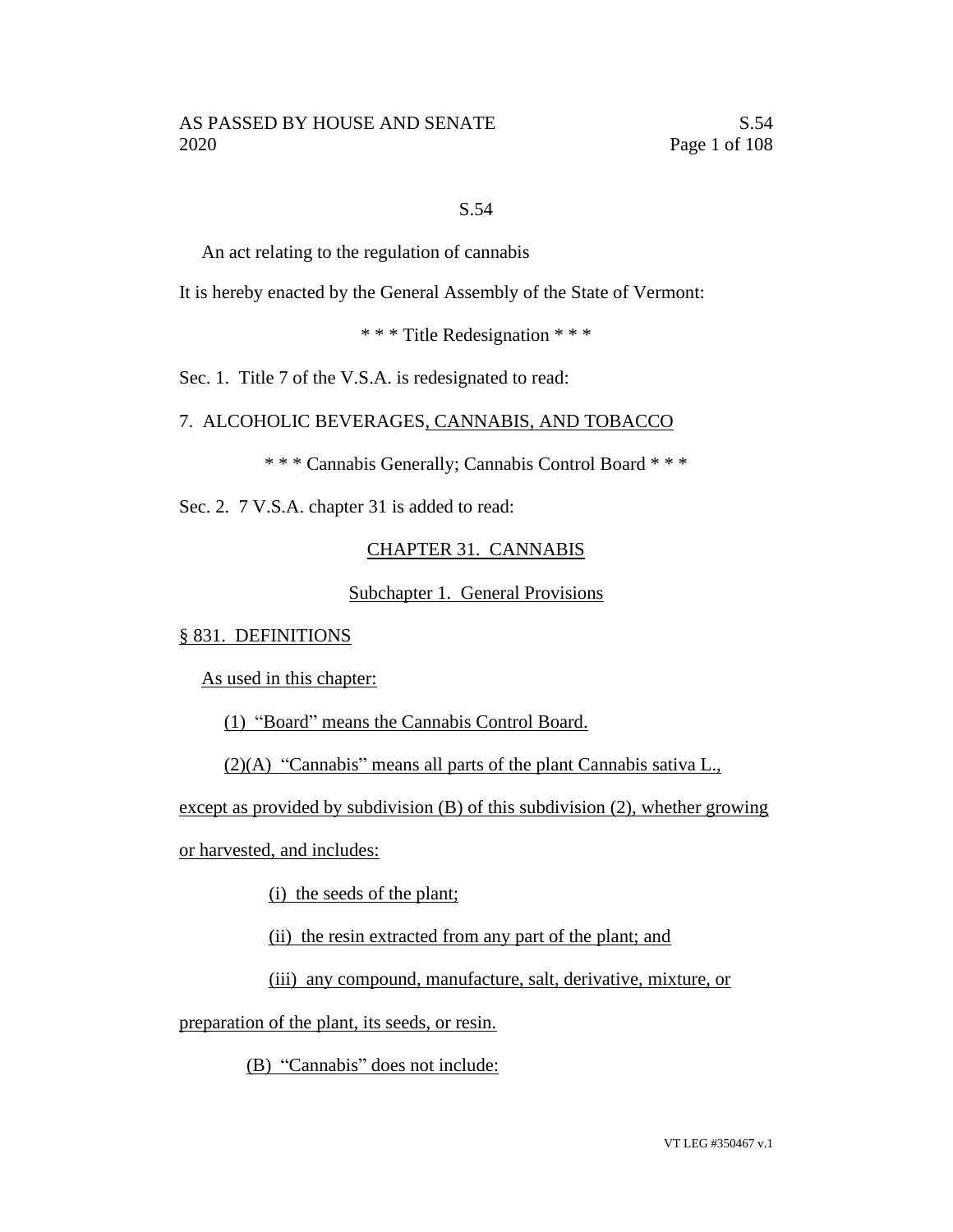#### S.54

An act relating to the regulation of cannabis

It is hereby enacted by the General Assembly of the State of Vermont:

\* \* \* Title Redesignation \* \* \*

Sec. 1. Title 7 of the V.S.A. is redesignated to read:

7. ALCOHOLIC BEVERAGES, CANNABIS, AND TOBACCO

\* \* \* Cannabis Generally; Cannabis Control Board \* \* \*

Sec. 2. 7 V.S.A. chapter 31 is added to read:

## CHAPTER 31. CANNABIS

Subchapter 1. General Provisions

#### § 831. DEFINITIONS

As used in this chapter:

(1) "Board" means the Cannabis Control Board.

(2)(A) "Cannabis" means all parts of the plant Cannabis sativa L.,

except as provided by subdivision (B) of this subdivision (2), whether growing

or harvested, and includes:

(i) the seeds of the plant;

(ii) the resin extracted from any part of the plant; and

(iii) any compound, manufacture, salt, derivative, mixture, or

preparation of the plant, its seeds, or resin.

(B) "Cannabis" does not include: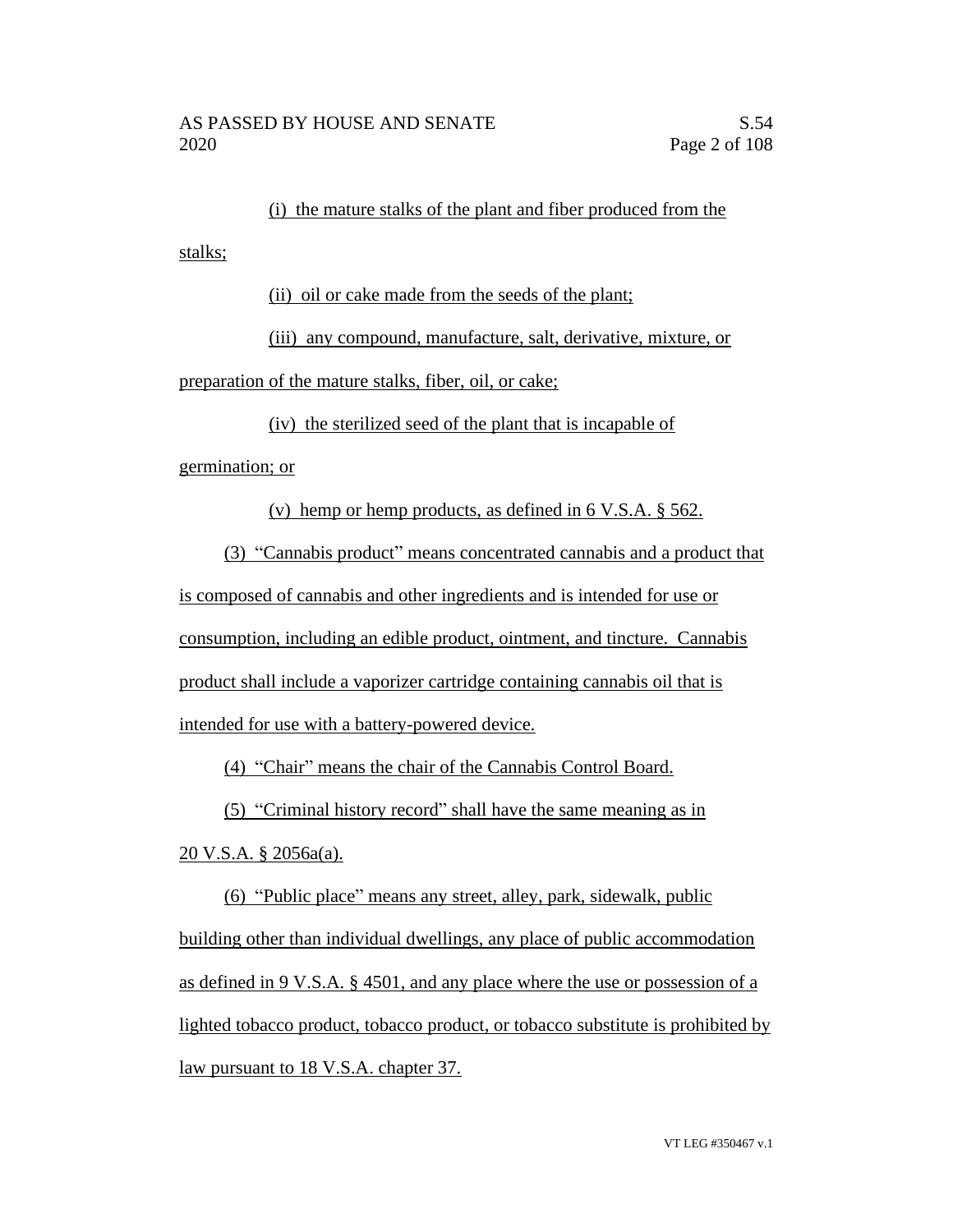(i) the mature stalks of the plant and fiber produced from the

(ii) oil or cake made from the seeds of the plant;

(iii) any compound, manufacture, salt, derivative, mixture, or

preparation of the mature stalks, fiber, oil, or cake;

(iv) the sterilized seed of the plant that is incapable of

germination; or

stalks;

(v) hemp or hemp products, as defined in 6 V.S.A. § 562.

(3) "Cannabis product" means concentrated cannabis and a product that

is composed of cannabis and other ingredients and is intended for use or

consumption, including an edible product, ointment, and tincture. Cannabis

product shall include a vaporizer cartridge containing cannabis oil that is

intended for use with a battery-powered device.

(4) "Chair" means the chair of the Cannabis Control Board.

(5) "Criminal history record" shall have the same meaning as in

20 V.S.A. § 2056a(a).

(6) "Public place" means any street, alley, park, sidewalk, public building other than individual dwellings, any place of public accommodation as defined in 9 V.S.A. § 4501, and any place where the use or possession of a lighted tobacco product, tobacco product, or tobacco substitute is prohibited by law pursuant to 18 V.S.A. chapter 37.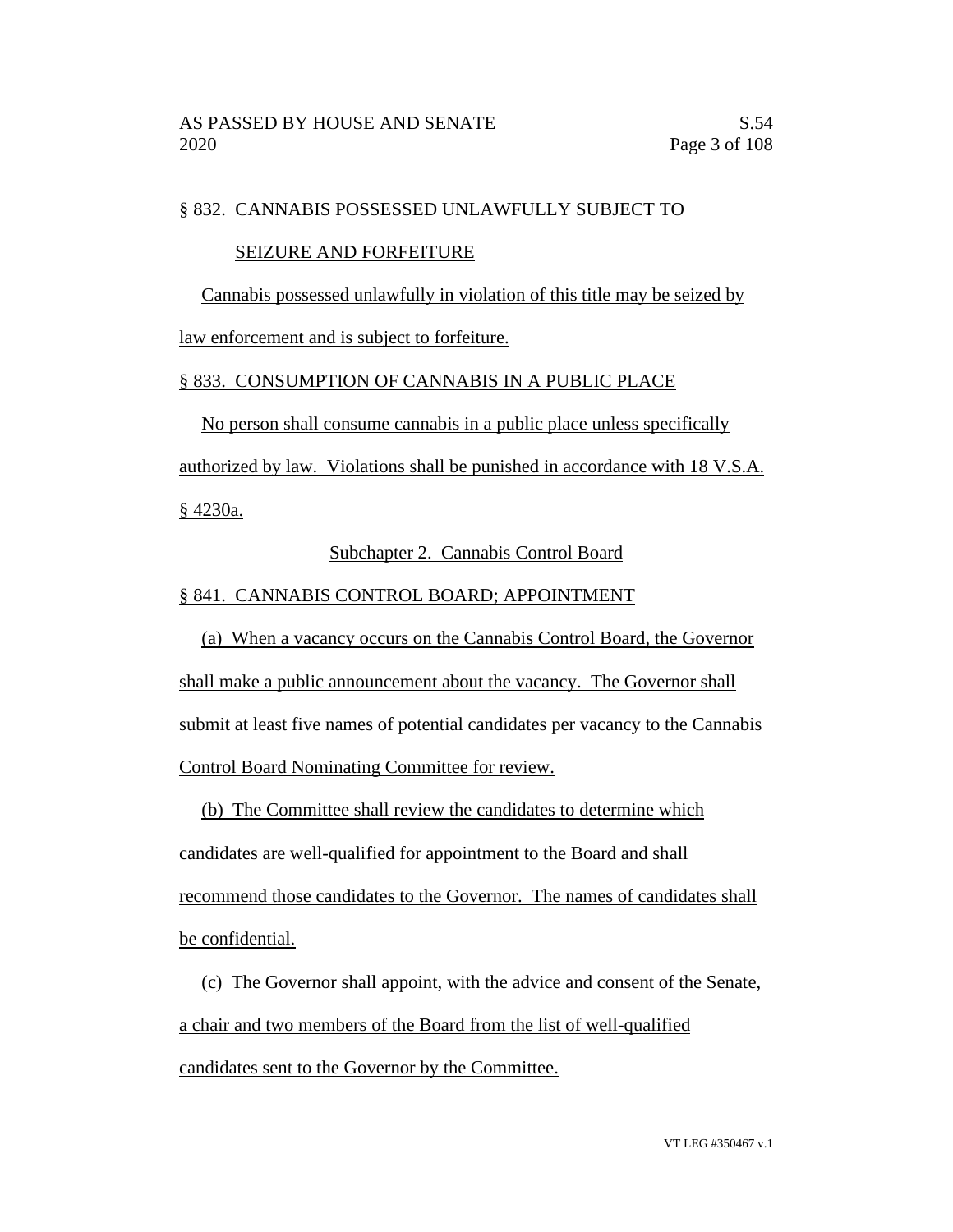#### § 832. CANNABIS POSSESSED UNLAWFULLY SUBJECT TO

#### SEIZURE AND FORFEITURE

Cannabis possessed unlawfully in violation of this title may be seized by

law enforcement and is subject to forfeiture.

#### § 833. CONSUMPTION OF CANNABIS IN A PUBLIC PLACE

No person shall consume cannabis in a public place unless specifically

authorized by law. Violations shall be punished in accordance with 18 V.S.A.

§ 4230a.

# Subchapter 2. Cannabis Control Board

# § 841. CANNABIS CONTROL BOARD; APPOINTMENT

(a) When a vacancy occurs on the Cannabis Control Board, the Governor shall make a public announcement about the vacancy. The Governor shall submit at least five names of potential candidates per vacancy to the Cannabis Control Board Nominating Committee for review.

(b) The Committee shall review the candidates to determine which candidates are well-qualified for appointment to the Board and shall recommend those candidates to the Governor. The names of candidates shall be confidential.

(c) The Governor shall appoint, with the advice and consent of the Senate, a chair and two members of the Board from the list of well-qualified candidates sent to the Governor by the Committee.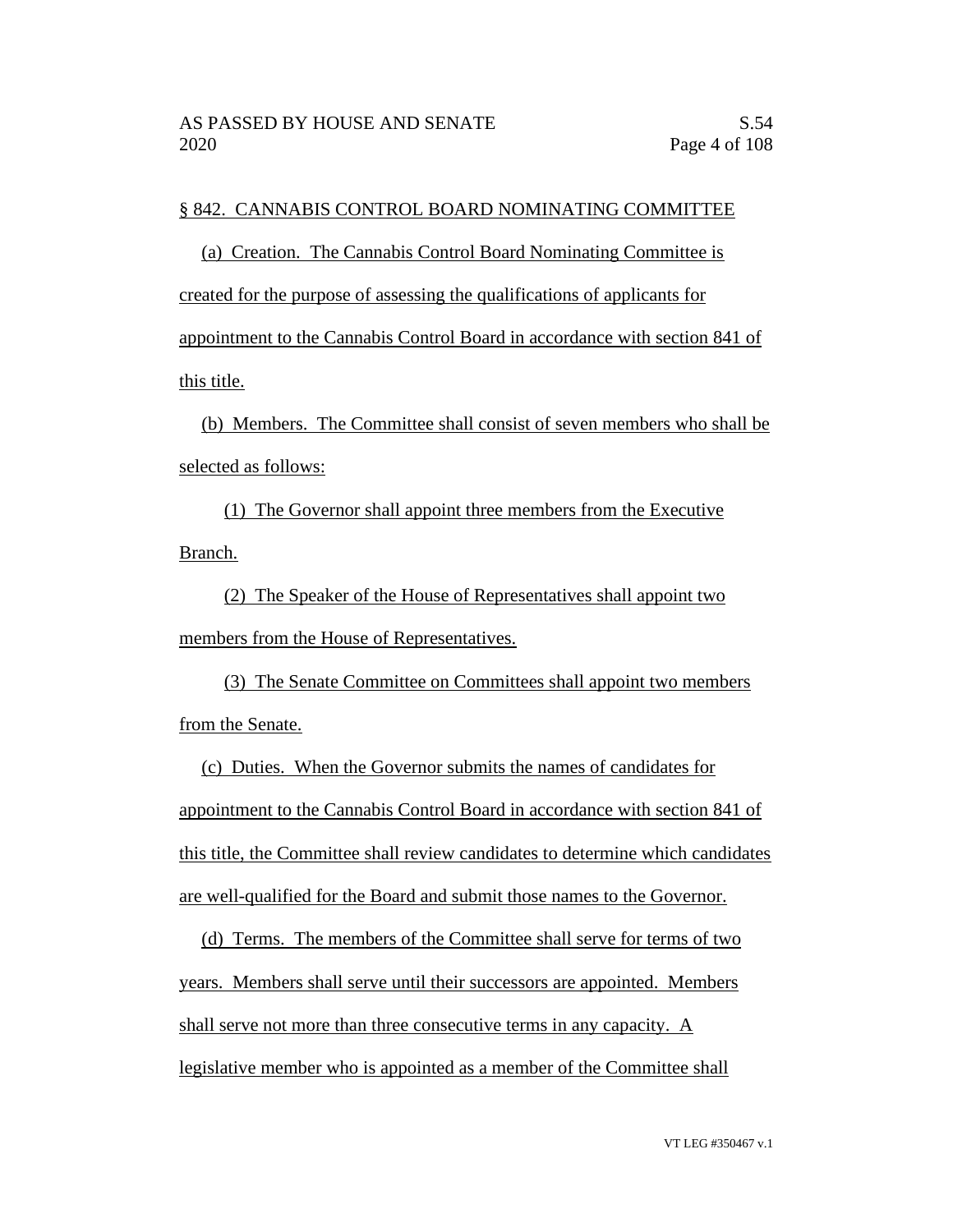#### § 842. CANNABIS CONTROL BOARD NOMINATING COMMITTEE

(a) Creation. The Cannabis Control Board Nominating Committee is created for the purpose of assessing the qualifications of applicants for appointment to the Cannabis Control Board in accordance with section 841 of this title.

(b) Members. The Committee shall consist of seven members who shall be selected as follows:

(1) The Governor shall appoint three members from the Executive Branch.

(2) The Speaker of the House of Representatives shall appoint two members from the House of Representatives.

(3) The Senate Committee on Committees shall appoint two members from the Senate.

(c) Duties. When the Governor submits the names of candidates for appointment to the Cannabis Control Board in accordance with section 841 of this title, the Committee shall review candidates to determine which candidates are well-qualified for the Board and submit those names to the Governor.

(d) Terms. The members of the Committee shall serve for terms of two years. Members shall serve until their successors are appointed. Members shall serve not more than three consecutive terms in any capacity. A legislative member who is appointed as a member of the Committee shall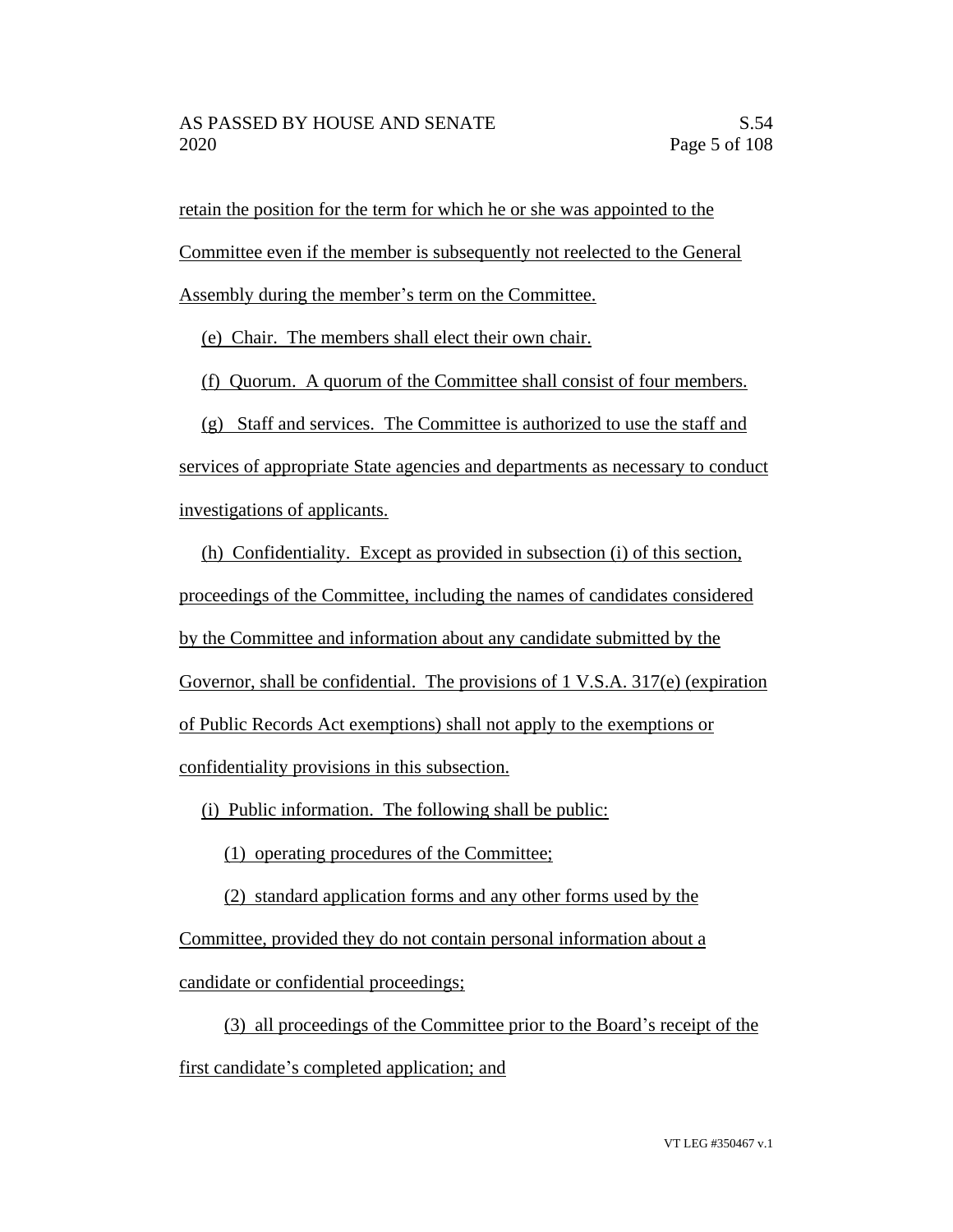retain the position for the term for which he or she was appointed to the

Committee even if the member is subsequently not reelected to the General

Assembly during the member's term on the Committee.

(e) Chair. The members shall elect their own chair.

(f) Quorum. A quorum of the Committee shall consist of four members.

(g) Staff and services. The Committee is authorized to use the staff and services of appropriate State agencies and departments as necessary to conduct

investigations of applicants.

(h) Confidentiality. Except as provided in subsection (i) of this section, proceedings of the Committee, including the names of candidates considered by the Committee and information about any candidate submitted by the Governor, shall be confidential. The provisions of  $1 \text{ V.S.A. } 317\text{(e)}$  (expiration of Public Records Act exemptions) shall not apply to the exemptions or confidentiality provisions in this subsection.

(i) Public information. The following shall be public:

(1) operating procedures of the Committee;

(2) standard application forms and any other forms used by the

Committee, provided they do not contain personal information about a

candidate or confidential proceedings;

(3) all proceedings of the Committee prior to the Board's receipt of the first candidate's completed application; and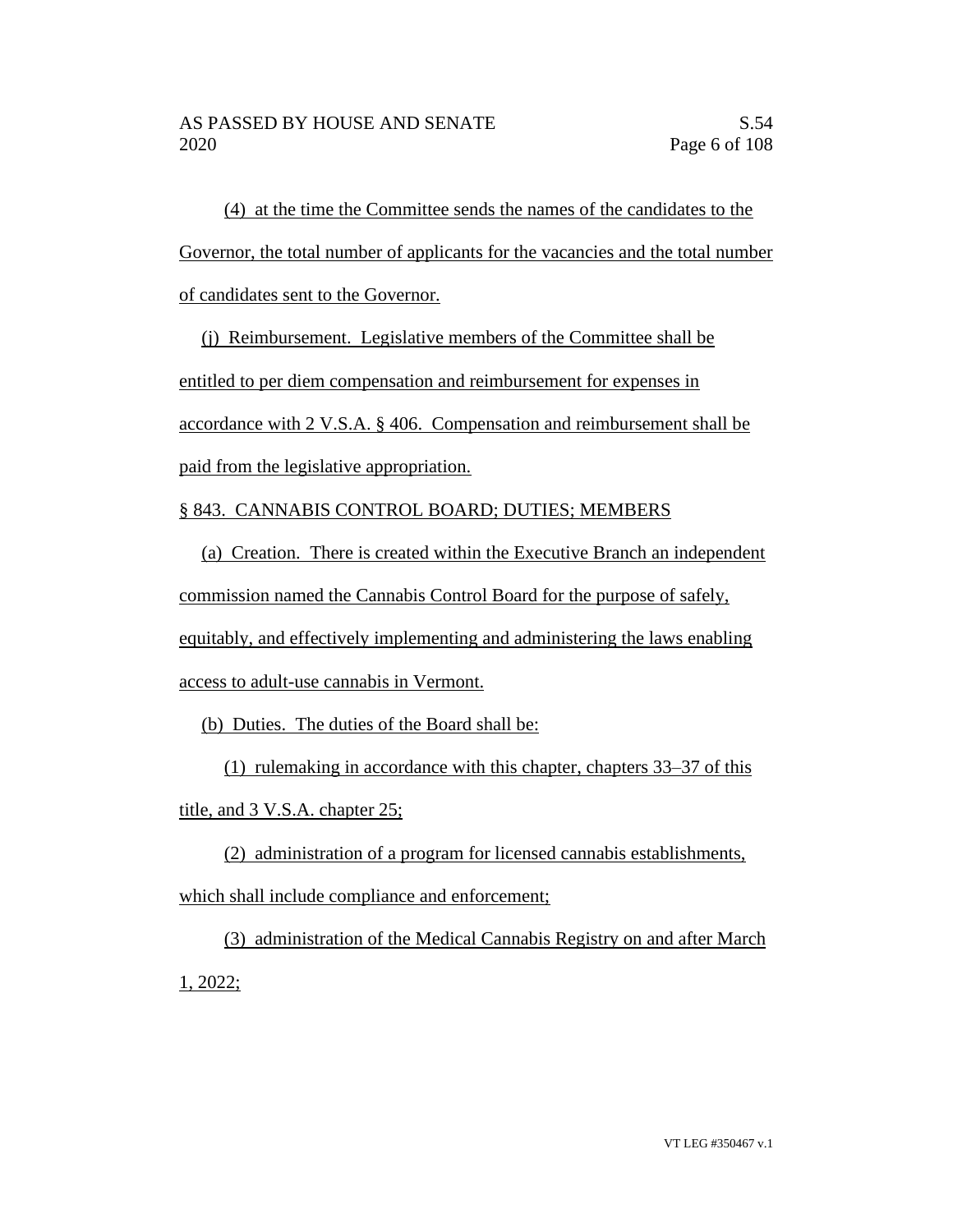(4) at the time the Committee sends the names of the candidates to the Governor, the total number of applicants for the vacancies and the total number of candidates sent to the Governor.

(j) Reimbursement. Legislative members of the Committee shall be

entitled to per diem compensation and reimbursement for expenses in

accordance with 2 V.S.A. § 406. Compensation and reimbursement shall be

paid from the legislative appropriation.

# § 843. CANNABIS CONTROL BOARD; DUTIES; MEMBERS

(a) Creation. There is created within the Executive Branch an independent commission named the Cannabis Control Board for the purpose of safely, equitably, and effectively implementing and administering the laws enabling access to adult-use cannabis in Vermont.

(b) Duties. The duties of the Board shall be:

(1) rulemaking in accordance with this chapter, chapters 33–37 of this title, and 3 V.S.A. chapter 25;

(2) administration of a program for licensed cannabis establishments, which shall include compliance and enforcement;

(3) administration of the Medical Cannabis Registry on and after March 1, 2022;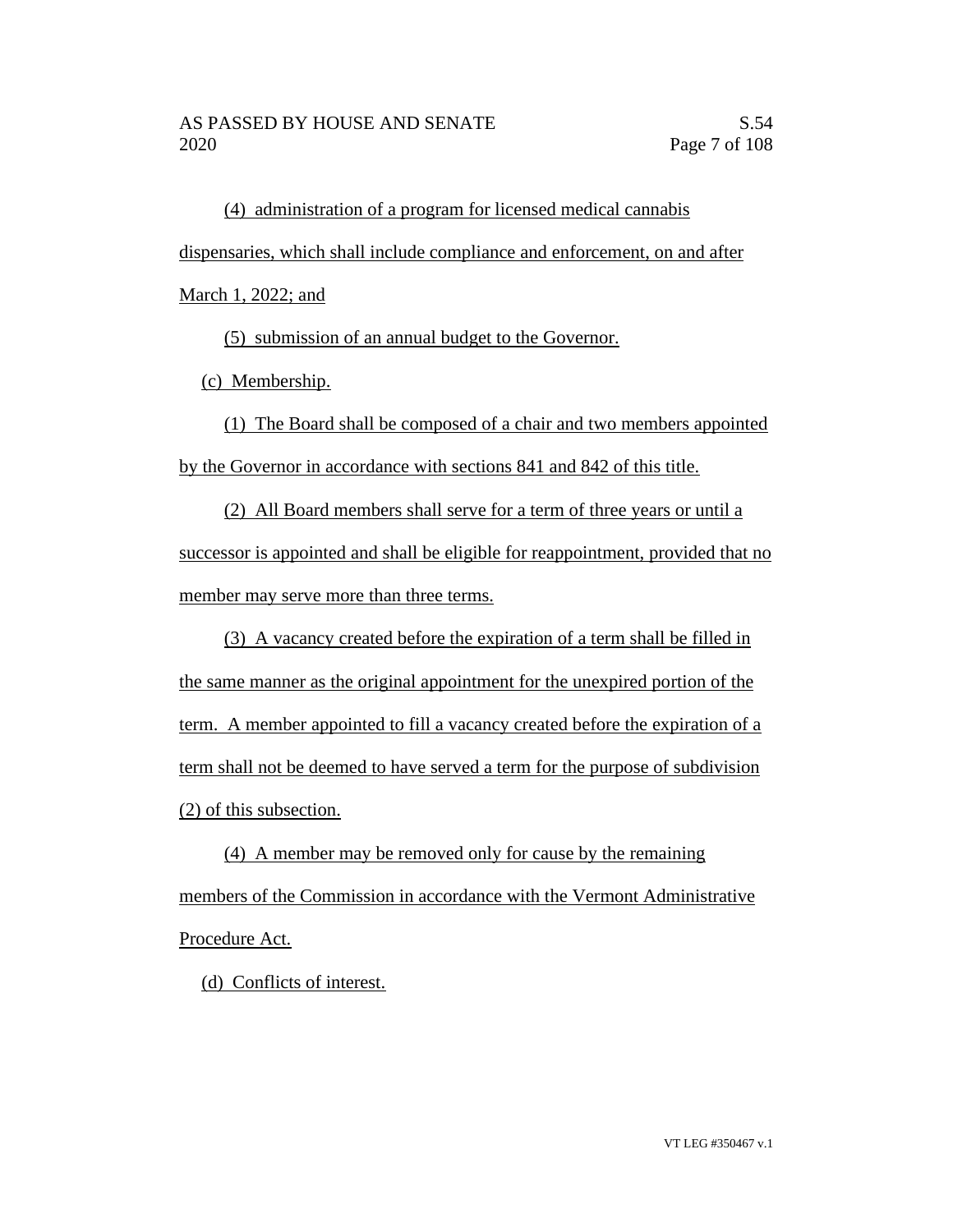(4) administration of a program for licensed medical cannabis dispensaries, which shall include compliance and enforcement, on and after

March 1, 2022; and

(5) submission of an annual budget to the Governor.

(c) Membership.

(1) The Board shall be composed of a chair and two members appointed by the Governor in accordance with sections 841 and 842 of this title.

(2) All Board members shall serve for a term of three years or until a successor is appointed and shall be eligible for reappointment, provided that no member may serve more than three terms.

(3) A vacancy created before the expiration of a term shall be filled in the same manner as the original appointment for the unexpired portion of the term. A member appointed to fill a vacancy created before the expiration of a term shall not be deemed to have served a term for the purpose of subdivision (2) of this subsection.

(4) A member may be removed only for cause by the remaining members of the Commission in accordance with the Vermont Administrative Procedure Act.

(d) Conflicts of interest.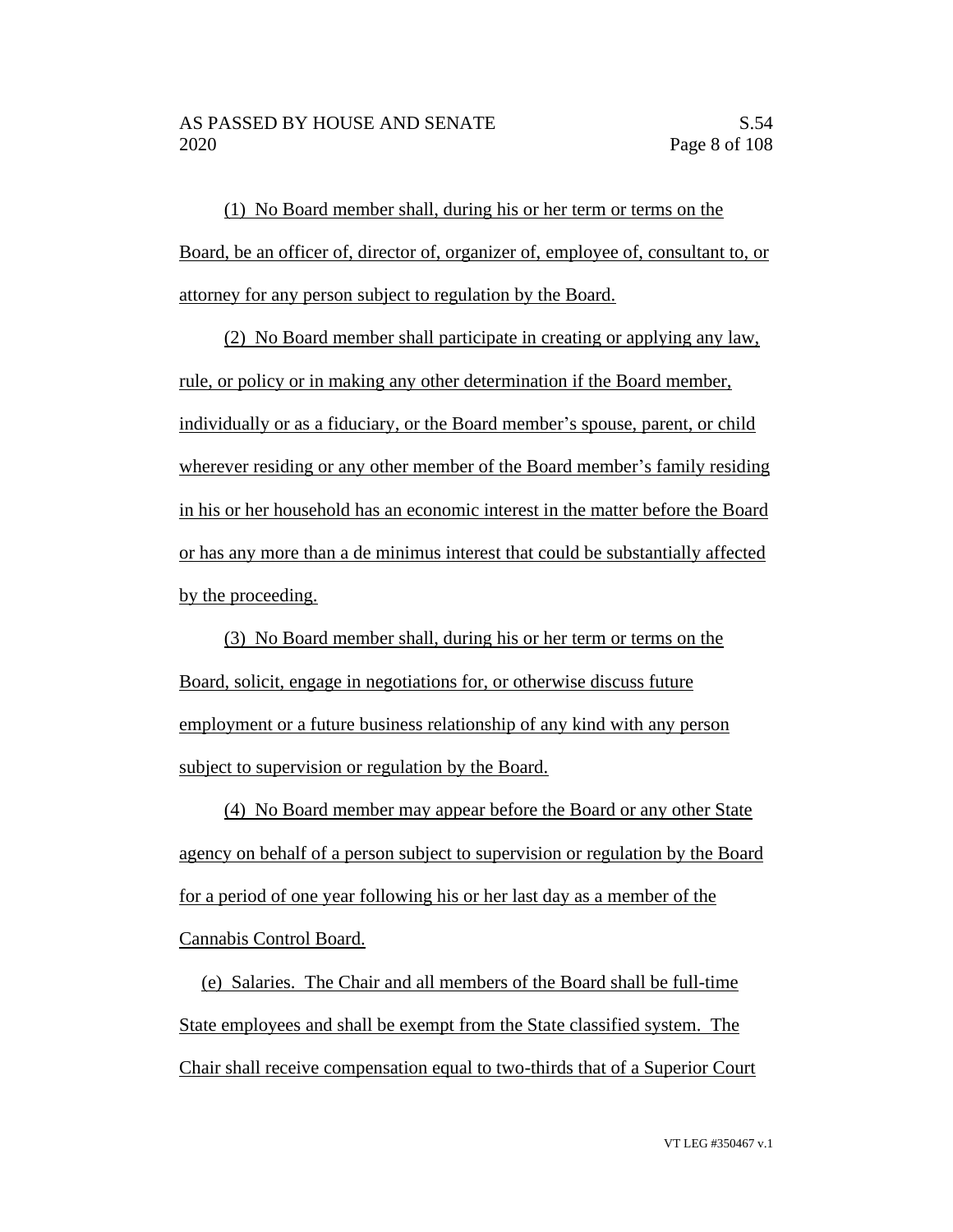(1) No Board member shall, during his or her term or terms on the Board, be an officer of, director of, organizer of, employee of, consultant to, or attorney for any person subject to regulation by the Board.

(2) No Board member shall participate in creating or applying any law, rule, or policy or in making any other determination if the Board member, individually or as a fiduciary, or the Board member's spouse, parent, or child wherever residing or any other member of the Board member's family residing in his or her household has an economic interest in the matter before the Board or has any more than a de minimus interest that could be substantially affected by the proceeding.

(3) No Board member shall, during his or her term or terms on the Board, solicit, engage in negotiations for, or otherwise discuss future employment or a future business relationship of any kind with any person subject to supervision or regulation by the Board.

(4) No Board member may appear before the Board or any other State agency on behalf of a person subject to supervision or regulation by the Board for a period of one year following his or her last day as a member of the Cannabis Control Board.

(e) Salaries. The Chair and all members of the Board shall be full-time State employees and shall be exempt from the State classified system. The Chair shall receive compensation equal to two-thirds that of a Superior Court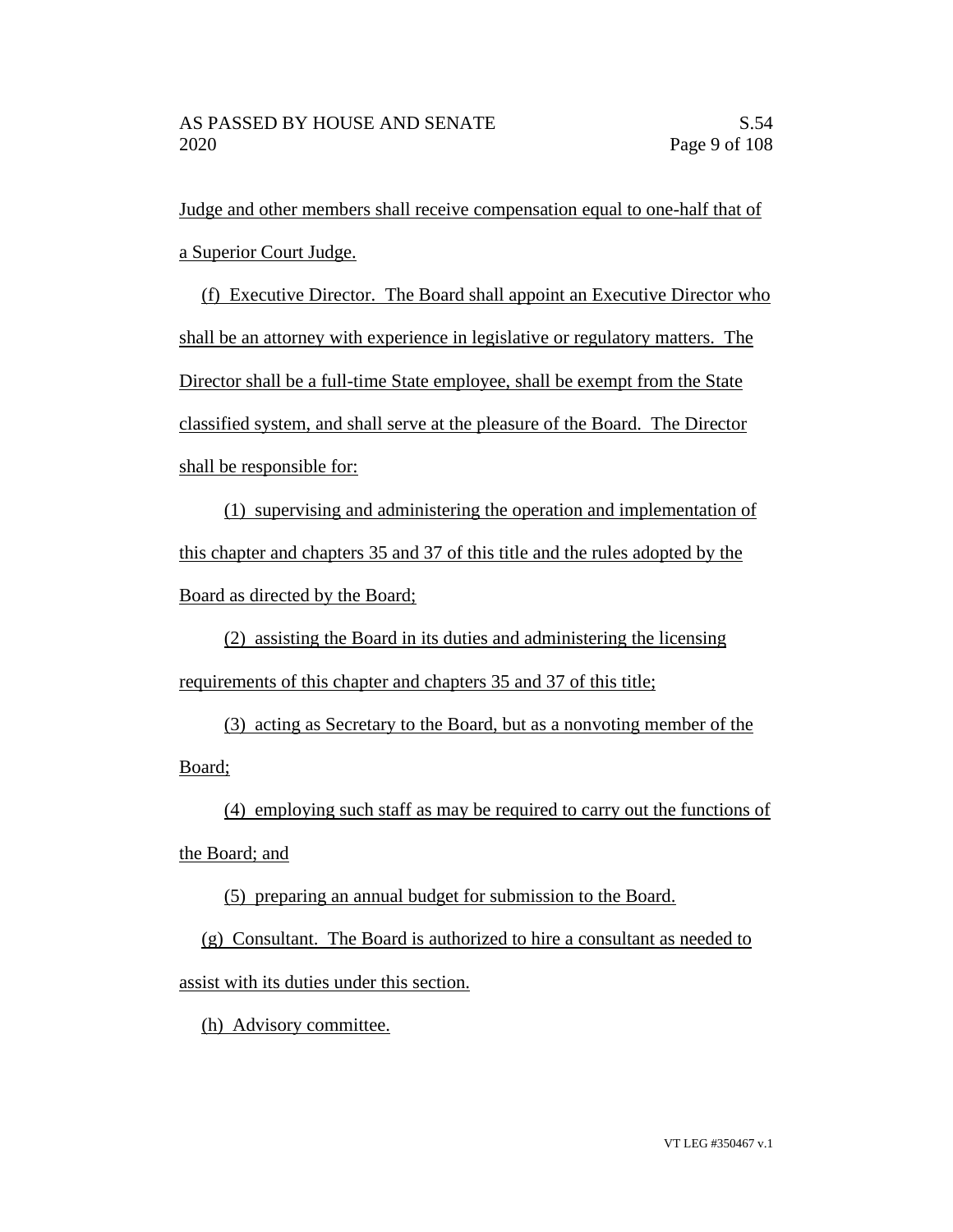Judge and other members shall receive compensation equal to one-half that of a Superior Court Judge.

(f) Executive Director. The Board shall appoint an Executive Director who shall be an attorney with experience in legislative or regulatory matters. The Director shall be a full-time State employee, shall be exempt from the State classified system, and shall serve at the pleasure of the Board. The Director shall be responsible for:

(1) supervising and administering the operation and implementation of this chapter and chapters 35 and 37 of this title and the rules adopted by the Board as directed by the Board;

(2) assisting the Board in its duties and administering the licensing requirements of this chapter and chapters 35 and 37 of this title;

(3) acting as Secretary to the Board, but as a nonvoting member of the Board;

(4) employing such staff as may be required to carry out the functions of

the Board; and

(5) preparing an annual budget for submission to the Board.

(g) Consultant. The Board is authorized to hire a consultant as needed to assist with its duties under this section.

(h) Advisory committee.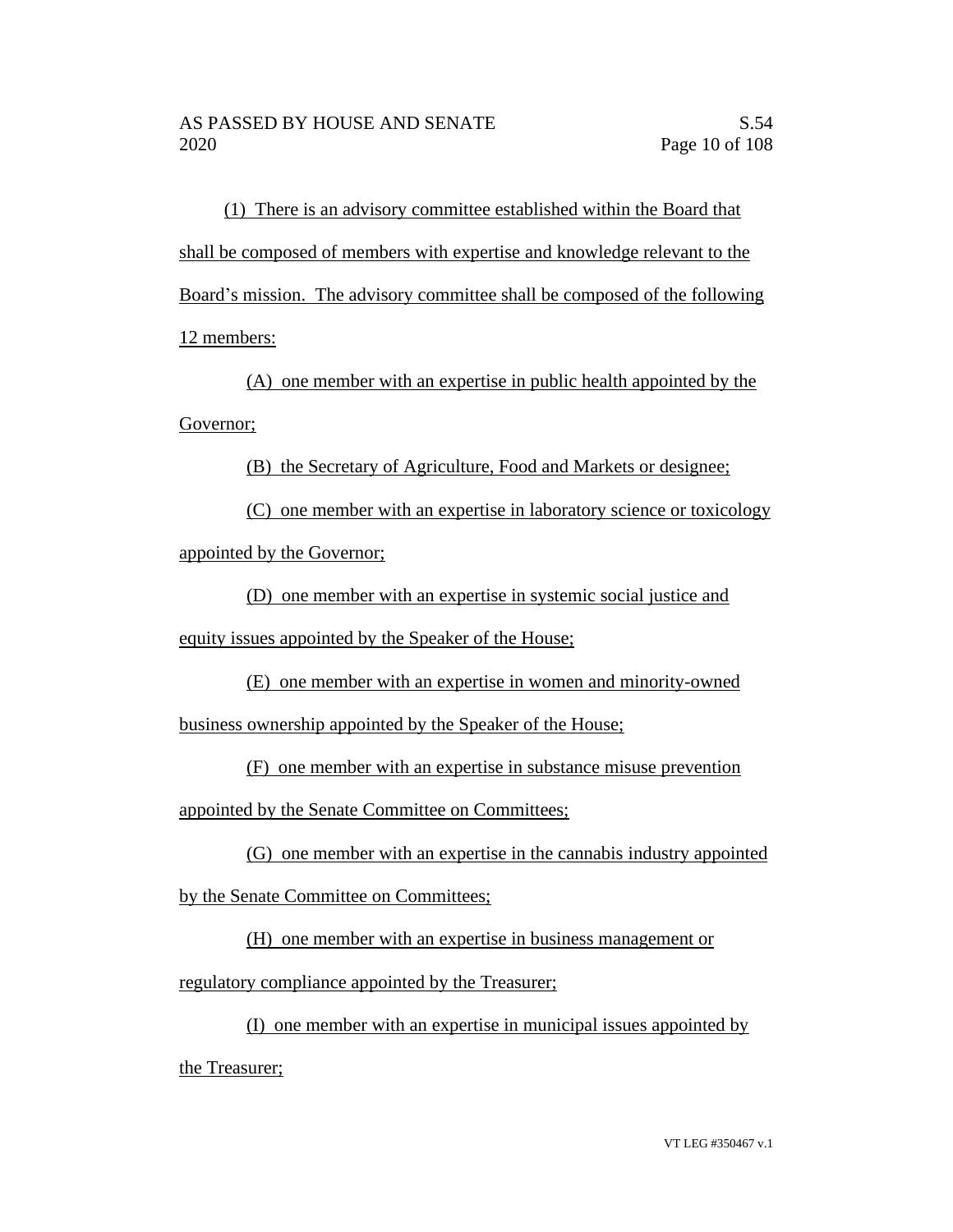(1) There is an advisory committee established within the Board that shall be composed of members with expertise and knowledge relevant to the Board's mission. The advisory committee shall be composed of the following 12 members:

(A) one member with an expertise in public health appointed by the Governor;

(B) the Secretary of Agriculture, Food and Markets or designee;

(C) one member with an expertise in laboratory science or toxicology appointed by the Governor;

(D) one member with an expertise in systemic social justice and equity issues appointed by the Speaker of the House;

(E) one member with an expertise in women and minority-owned business ownership appointed by the Speaker of the House;

(F) one member with an expertise in substance misuse prevention

appointed by the Senate Committee on Committees;

(G) one member with an expertise in the cannabis industry appointed

by the Senate Committee on Committees;

(H) one member with an expertise in business management or

regulatory compliance appointed by the Treasurer;

(I) one member with an expertise in municipal issues appointed by

the Treasurer;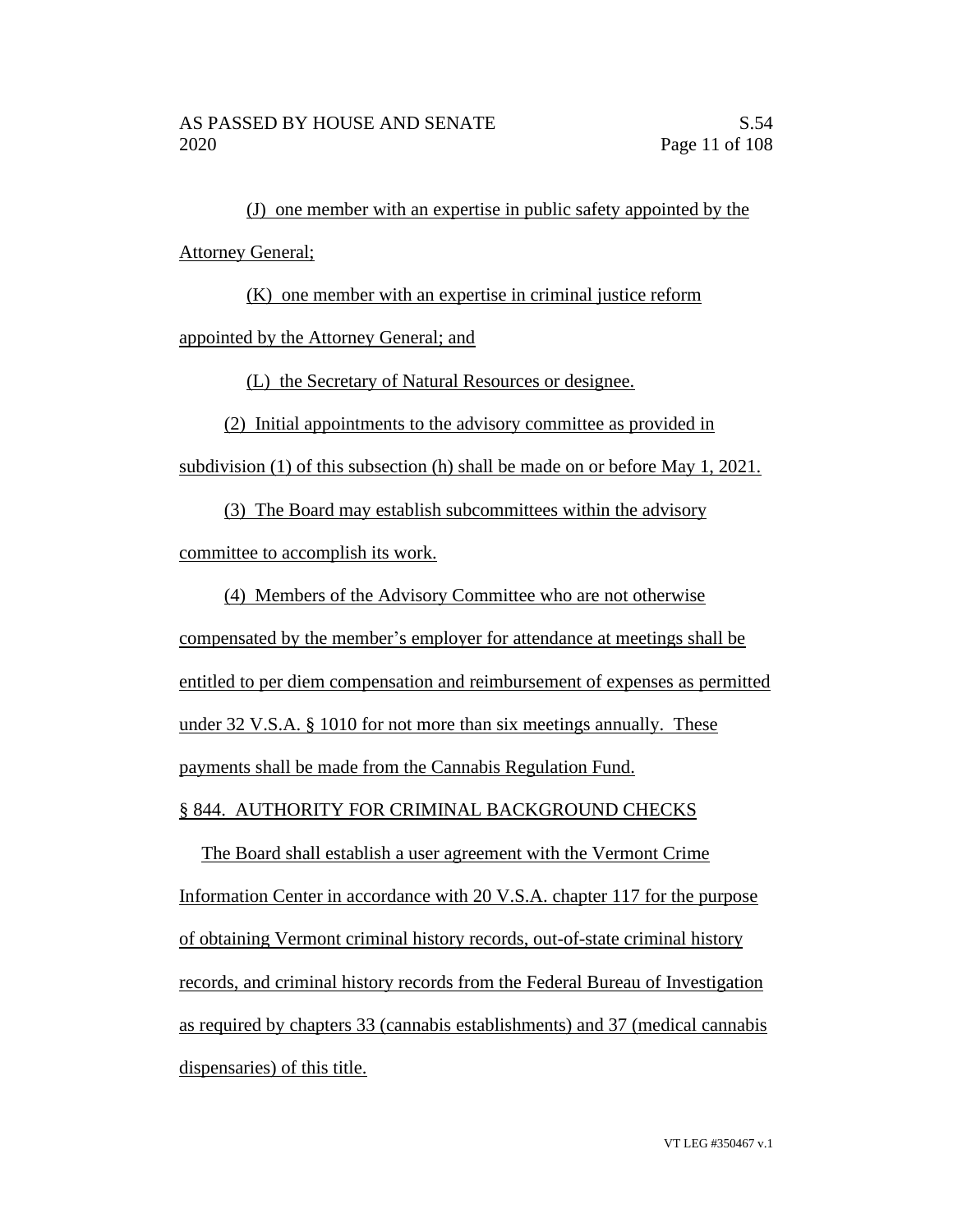(J) one member with an expertise in public safety appointed by the Attorney General;

(K) one member with an expertise in criminal justice reform

appointed by the Attorney General; and

(L) the Secretary of Natural Resources or designee.

(2) Initial appointments to the advisory committee as provided in

subdivision (1) of this subsection (h) shall be made on or before May 1, 2021.

(3) The Board may establish subcommittees within the advisory

committee to accomplish its work.

(4) Members of the Advisory Committee who are not otherwise

compensated by the member's employer for attendance at meetings shall be entitled to per diem compensation and reimbursement of expenses as permitted under 32 V.S.A. § 1010 for not more than six meetings annually. These payments shall be made from the Cannabis Regulation Fund.

§ 844. AUTHORITY FOR CRIMINAL BACKGROUND CHECKS

The Board shall establish a user agreement with the Vermont Crime Information Center in accordance with 20 V.S.A. chapter 117 for the purpose of obtaining Vermont criminal history records, out-of-state criminal history records, and criminal history records from the Federal Bureau of Investigation as required by chapters 33 (cannabis establishments) and 37 (medical cannabis dispensaries) of this title.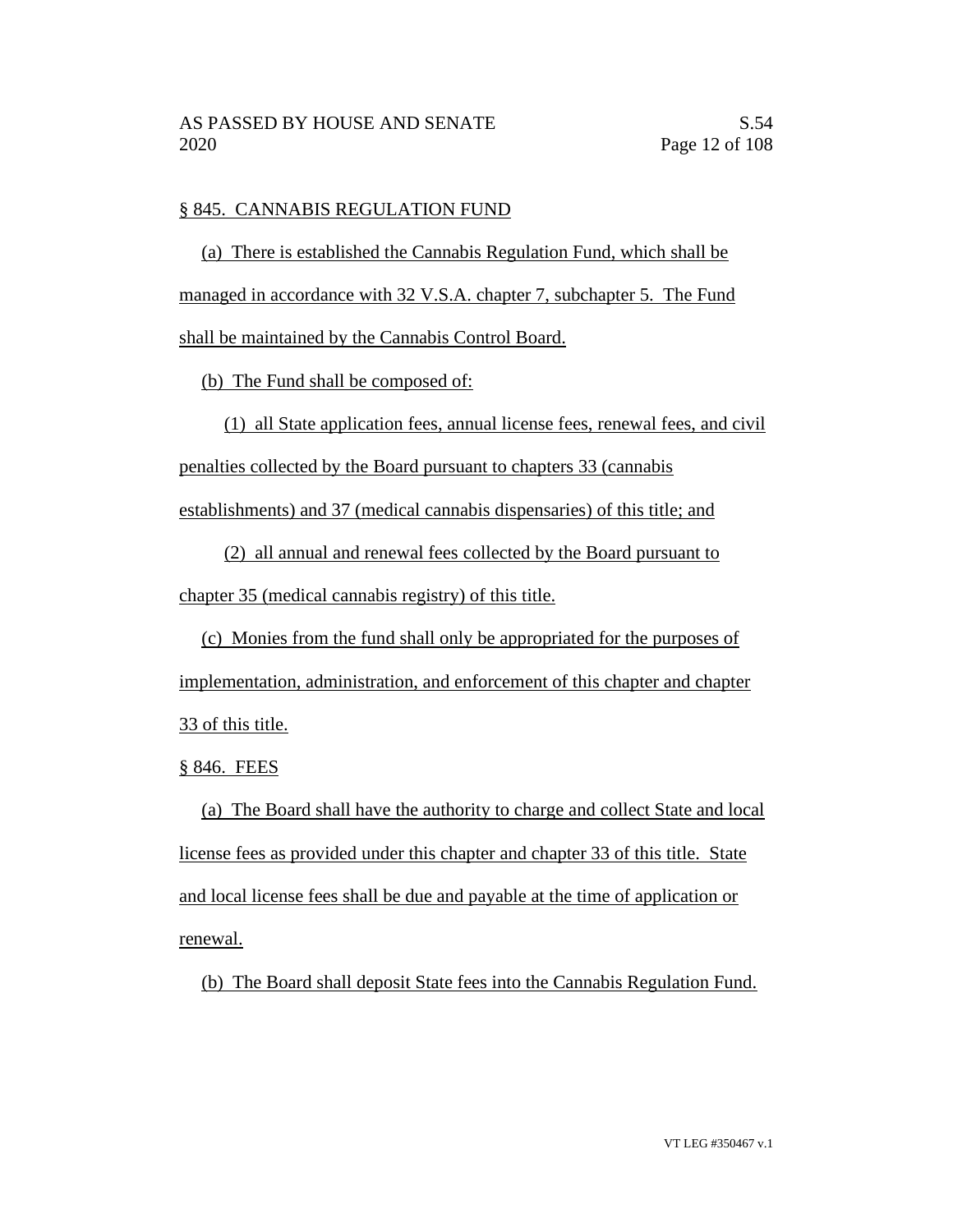# § 845. CANNABIS REGULATION FUND

(a) There is established the Cannabis Regulation Fund, which shall be managed in accordance with 32 V.S.A. chapter 7, subchapter 5. The Fund shall be maintained by the Cannabis Control Board.

(b) The Fund shall be composed of:

(1) all State application fees, annual license fees, renewal fees, and civil

penalties collected by the Board pursuant to chapters 33 (cannabis

establishments) and 37 (medical cannabis dispensaries) of this title; and

(2) all annual and renewal fees collected by the Board pursuant to

chapter 35 (medical cannabis registry) of this title.

(c) Monies from the fund shall only be appropriated for the purposes of implementation, administration, and enforcement of this chapter and chapter 33 of this title.

§ 846. FEES

(a) The Board shall have the authority to charge and collect State and local license fees as provided under this chapter and chapter 33 of this title. State and local license fees shall be due and payable at the time of application or renewal.

(b) The Board shall deposit State fees into the Cannabis Regulation Fund.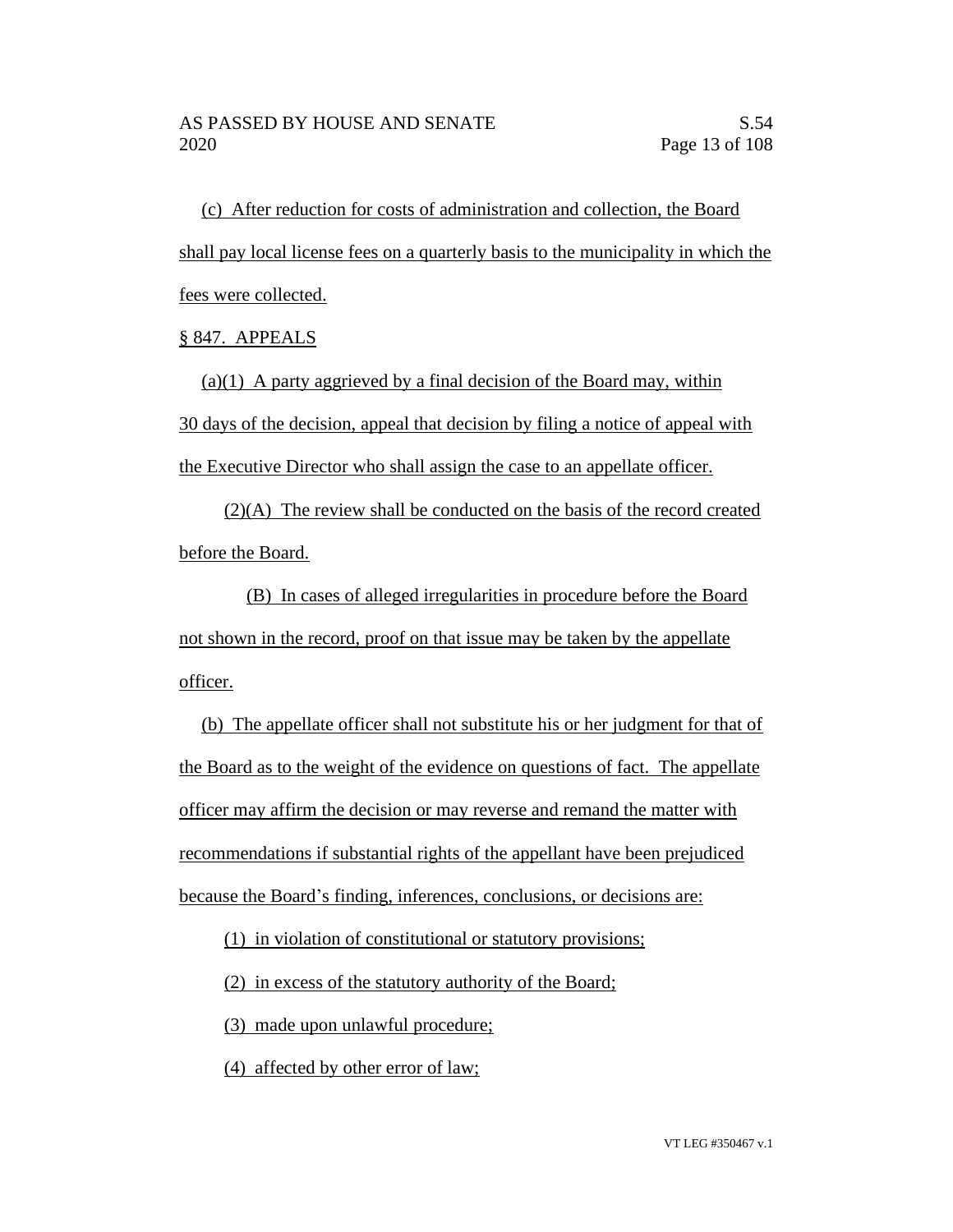(c) After reduction for costs of administration and collection, the Board shall pay local license fees on a quarterly basis to the municipality in which the fees were collected.

§ 847. APPEALS

 $(a)(1)$  A party aggrieved by a final decision of the Board may, within 30 days of the decision, appeal that decision by filing a notice of appeal with the Executive Director who shall assign the case to an appellate officer.

(2)(A) The review shall be conducted on the basis of the record created before the Board.

(B) In cases of alleged irregularities in procedure before the Board not shown in the record, proof on that issue may be taken by the appellate officer.

(b) The appellate officer shall not substitute his or her judgment for that of the Board as to the weight of the evidence on questions of fact. The appellate officer may affirm the decision or may reverse and remand the matter with recommendations if substantial rights of the appellant have been prejudiced because the Board's finding, inferences, conclusions, or decisions are:

(1) in violation of constitutional or statutory provisions;

(2) in excess of the statutory authority of the Board;

(3) made upon unlawful procedure;

(4) affected by other error of law;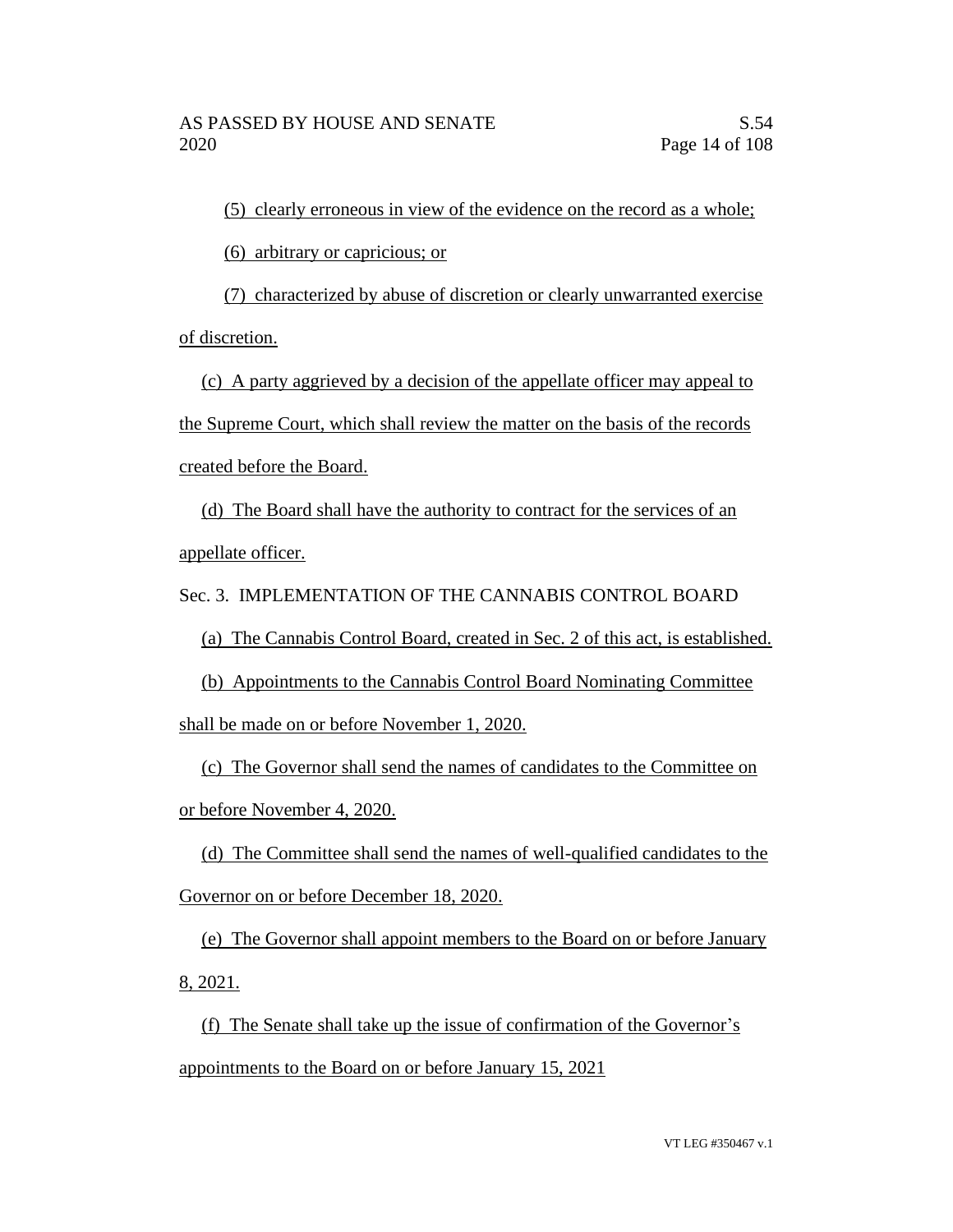(5) clearly erroneous in view of the evidence on the record as a whole;

(6) arbitrary or capricious; or

(7) characterized by abuse of discretion or clearly unwarranted exercise of discretion.

(c) A party aggrieved by a decision of the appellate officer may appeal to the Supreme Court, which shall review the matter on the basis of the records created before the Board.

(d) The Board shall have the authority to contract for the services of an appellate officer.

Sec. 3. IMPLEMENTATION OF THE CANNABIS CONTROL BOARD

(a) The Cannabis Control Board, created in Sec. 2 of this act, is established.

(b) Appointments to the Cannabis Control Board Nominating Committee shall be made on or before November 1, 2020.

(c) The Governor shall send the names of candidates to the Committee on or before November 4, 2020.

(d) The Committee shall send the names of well-qualified candidates to the Governor on or before December 18, 2020.

(e) The Governor shall appoint members to the Board on or before January 8, 2021.

(f) The Senate shall take up the issue of confirmation of the Governor's appointments to the Board on or before January 15, 2021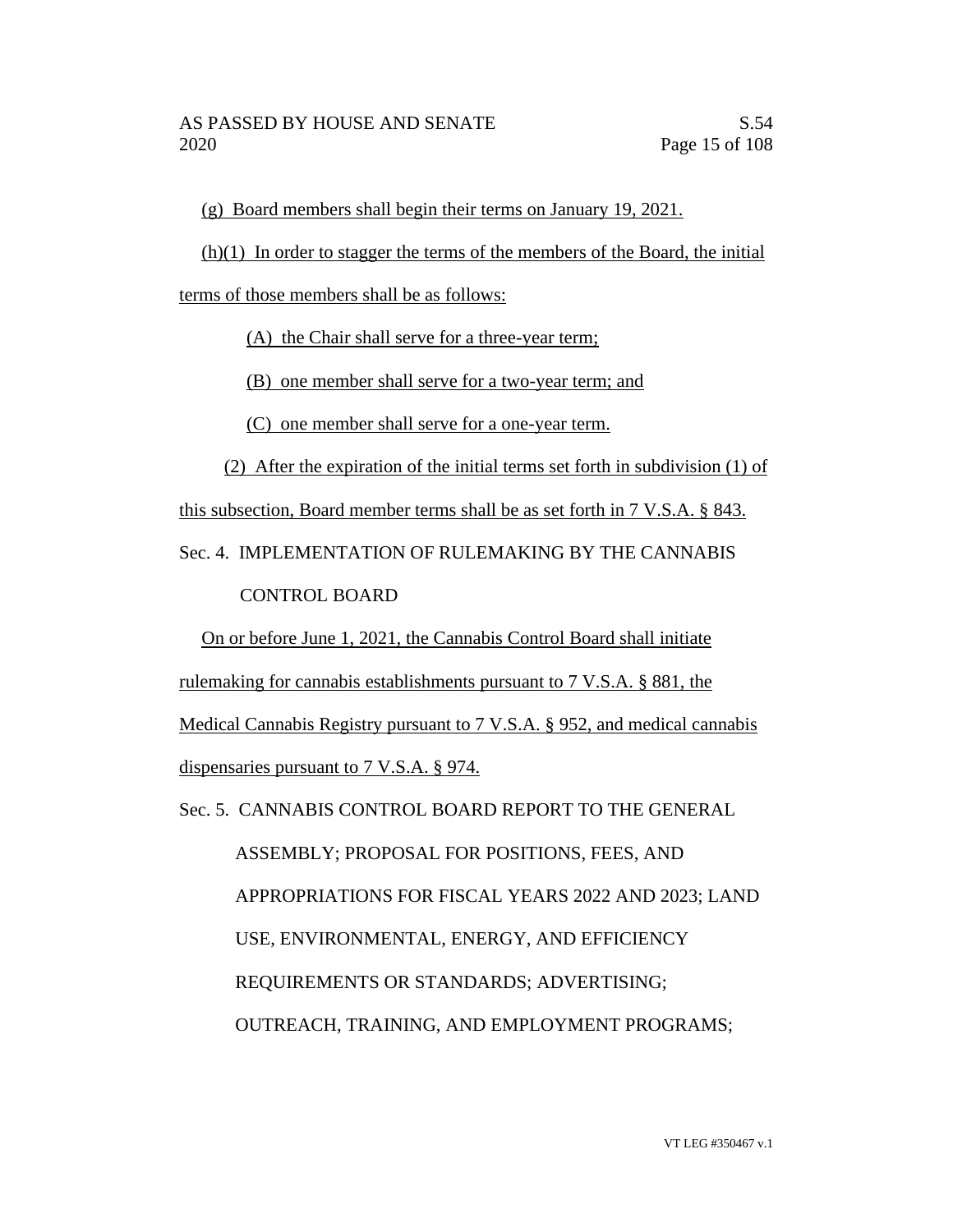(g) Board members shall begin their terms on January 19, 2021.

(h)(1) In order to stagger the terms of the members of the Board, the initial

terms of those members shall be as follows:

(A) the Chair shall serve for a three-year term;

(B) one member shall serve for a two-year term; and

(C) one member shall serve for a one-year term.

(2) After the expiration of the initial terms set forth in subdivision (1) of

this subsection, Board member terms shall be as set forth in 7 V.S.A. § 843.

Sec. 4. IMPLEMENTATION OF RULEMAKING BY THE CANNABIS

CONTROL BOARD

On or before June 1, 2021, the Cannabis Control Board shall initiate

rulemaking for cannabis establishments pursuant to 7 V.S.A. § 881, the

Medical Cannabis Registry pursuant to 7 V.S.A. § 952, and medical cannabis

dispensaries pursuant to 7 V.S.A. § 974.

Sec. 5. CANNABIS CONTROL BOARD REPORT TO THE GENERAL

 ASSEMBLY; PROPOSAL FOR POSITIONS, FEES, AND APPROPRIATIONS FOR FISCAL YEARS 2022 AND 2023; LAND USE, ENVIRONMENTAL, ENERGY, AND EFFICIENCY REQUIREMENTS OR STANDARDS; ADVERTISING; OUTREACH, TRAINING, AND EMPLOYMENT PROGRAMS;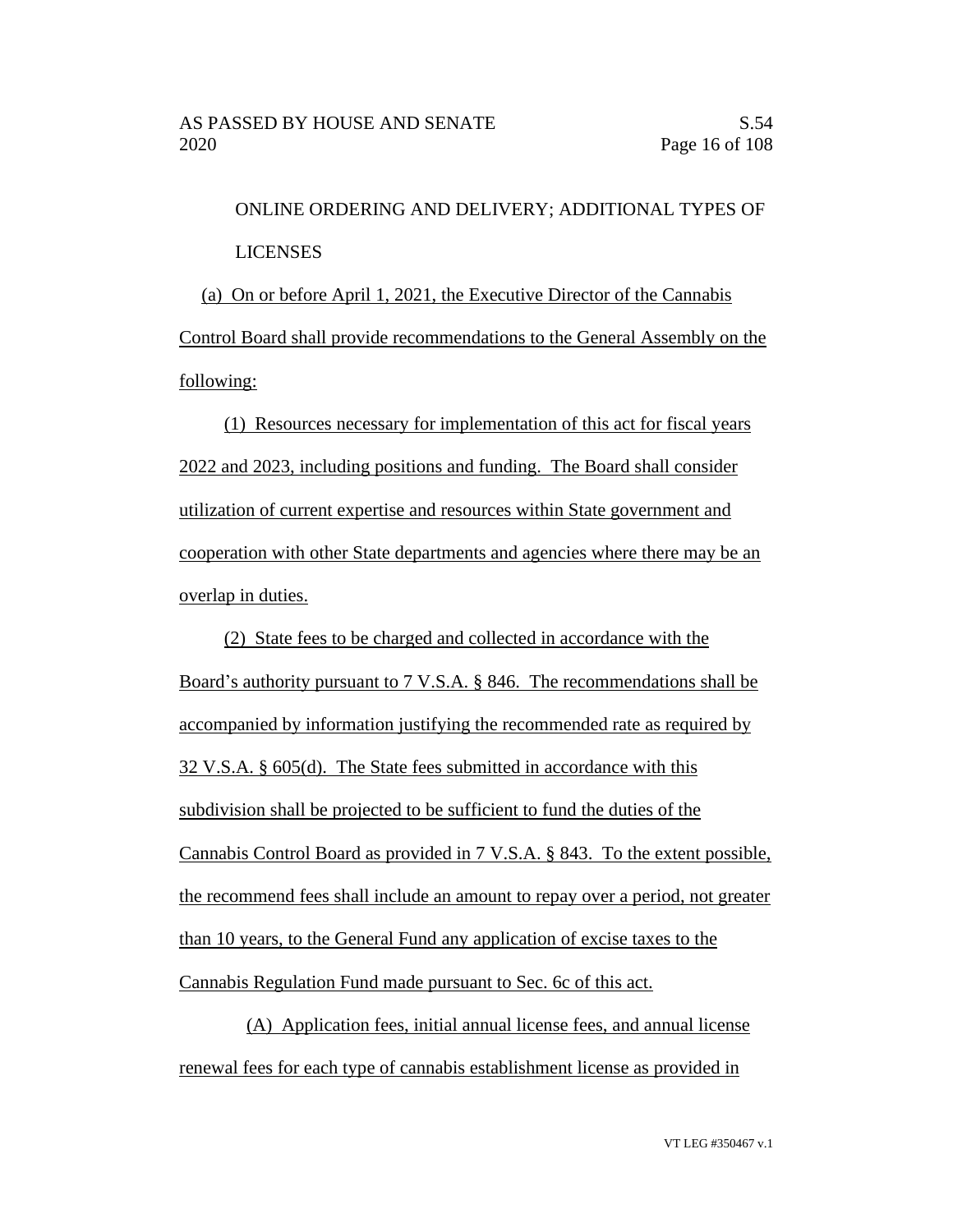ONLINE ORDERING AND DELIVERY; ADDITIONAL TYPES OF LICENSES (a) On or before April 1, 2021, the Executive Director of the Cannabis Control Board shall provide recommendations to the General Assembly on the

following:

(1) Resources necessary for implementation of this act for fiscal years 2022 and 2023, including positions and funding. The Board shall consider utilization of current expertise and resources within State government and cooperation with other State departments and agencies where there may be an overlap in duties.

(2) State fees to be charged and collected in accordance with the Board's authority pursuant to 7 V.S.A. § 846. The recommendations shall be accompanied by information justifying the recommended rate as required by 32 V.S.A. § 605(d). The State fees submitted in accordance with this subdivision shall be projected to be sufficient to fund the duties of the Cannabis Control Board as provided in 7 V.S.A. § 843. To the extent possible, the recommend fees shall include an amount to repay over a period, not greater than 10 years, to the General Fund any application of excise taxes to the Cannabis Regulation Fund made pursuant to Sec. 6c of this act.

(A) Application fees, initial annual license fees, and annual license renewal fees for each type of cannabis establishment license as provided in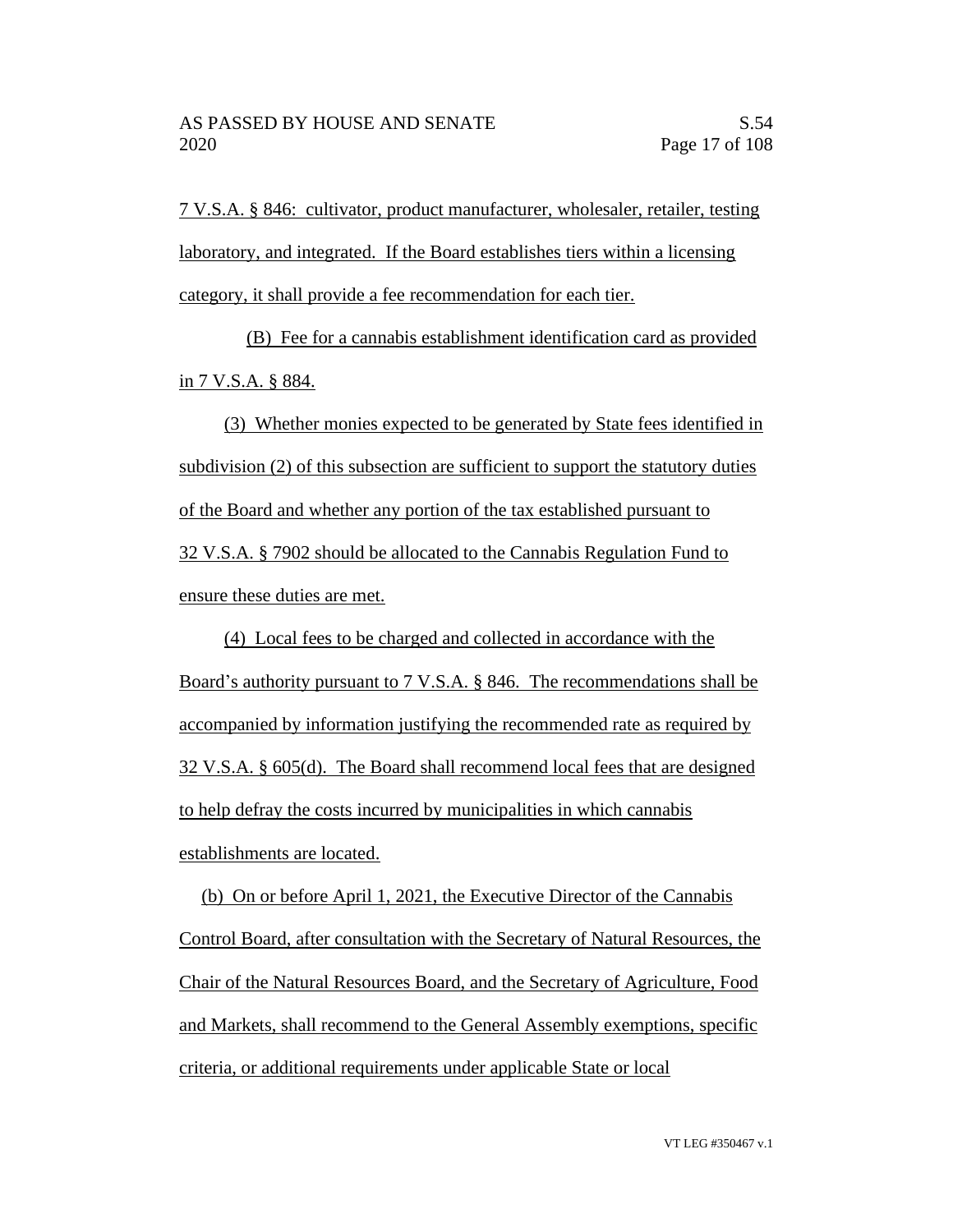7 V.S.A. § 846: cultivator, product manufacturer, wholesaler, retailer, testing laboratory, and integrated. If the Board establishes tiers within a licensing category, it shall provide a fee recommendation for each tier.

(B) Fee for a cannabis establishment identification card as provided in 7 V.S.A. § 884.

(3) Whether monies expected to be generated by State fees identified in subdivision (2) of this subsection are sufficient to support the statutory duties of the Board and whether any portion of the tax established pursuant to 32 V.S.A. § 7902 should be allocated to the Cannabis Regulation Fund to ensure these duties are met.

(4) Local fees to be charged and collected in accordance with the Board's authority pursuant to 7 V.S.A. § 846. The recommendations shall be accompanied by information justifying the recommended rate as required by 32 V.S.A. § 605(d). The Board shall recommend local fees that are designed to help defray the costs incurred by municipalities in which cannabis establishments are located.

(b) On or before April 1, 2021, the Executive Director of the Cannabis Control Board, after consultation with the Secretary of Natural Resources, the Chair of the Natural Resources Board, and the Secretary of Agriculture, Food and Markets, shall recommend to the General Assembly exemptions, specific criteria, or additional requirements under applicable State or local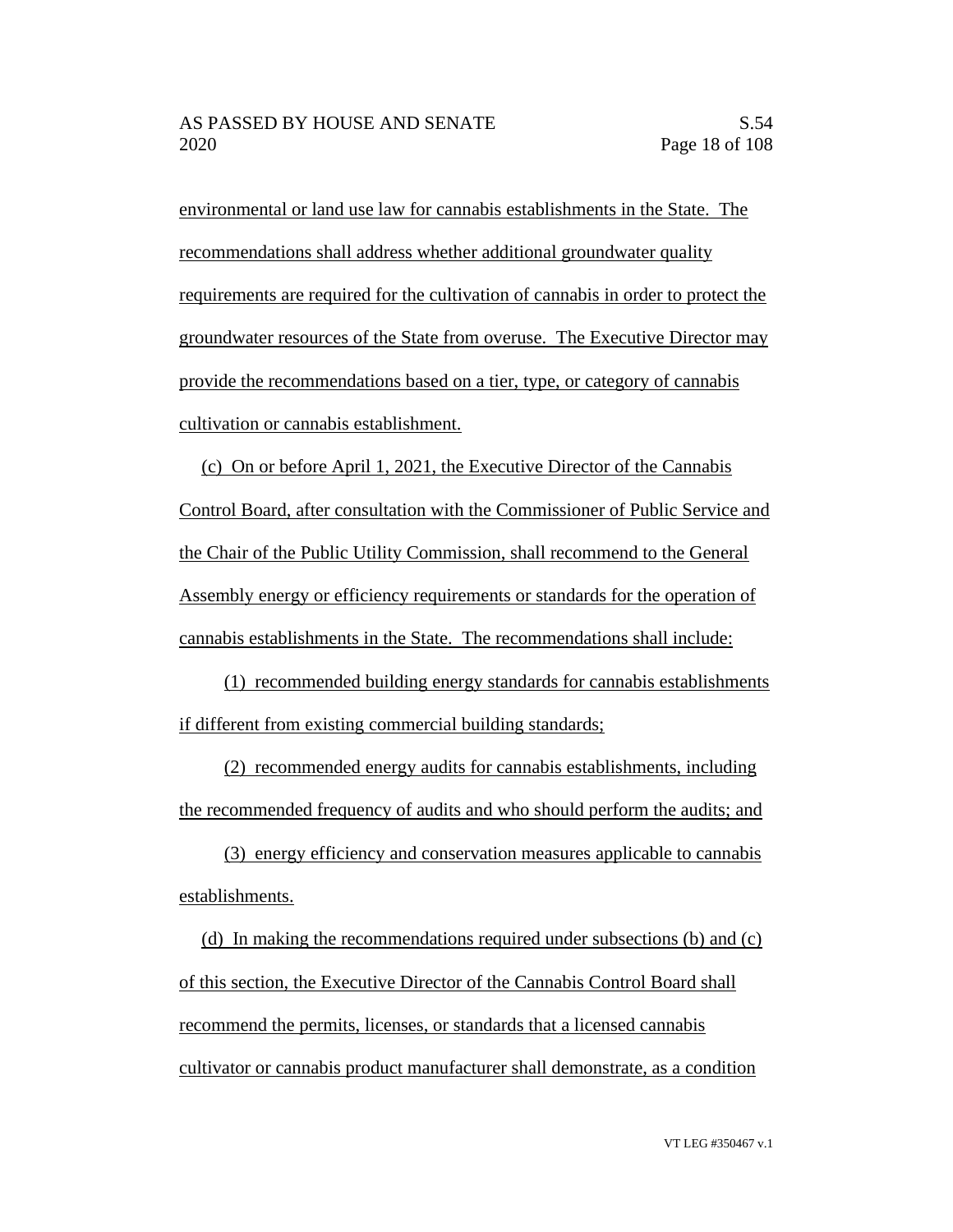environmental or land use law for cannabis establishments in the State. The recommendations shall address whether additional groundwater quality requirements are required for the cultivation of cannabis in order to protect the groundwater resources of the State from overuse. The Executive Director may provide the recommendations based on a tier, type, or category of cannabis cultivation or cannabis establishment.

(c) On or before April 1, 2021, the Executive Director of the Cannabis Control Board, after consultation with the Commissioner of Public Service and the Chair of the Public Utility Commission, shall recommend to the General Assembly energy or efficiency requirements or standards for the operation of cannabis establishments in the State. The recommendations shall include:

(1) recommended building energy standards for cannabis establishments if different from existing commercial building standards;

(2) recommended energy audits for cannabis establishments, including the recommended frequency of audits and who should perform the audits; and

(3) energy efficiency and conservation measures applicable to cannabis establishments.

(d) In making the recommendations required under subsections (b) and (c) of this section, the Executive Director of the Cannabis Control Board shall recommend the permits, licenses, or standards that a licensed cannabis cultivator or cannabis product manufacturer shall demonstrate, as a condition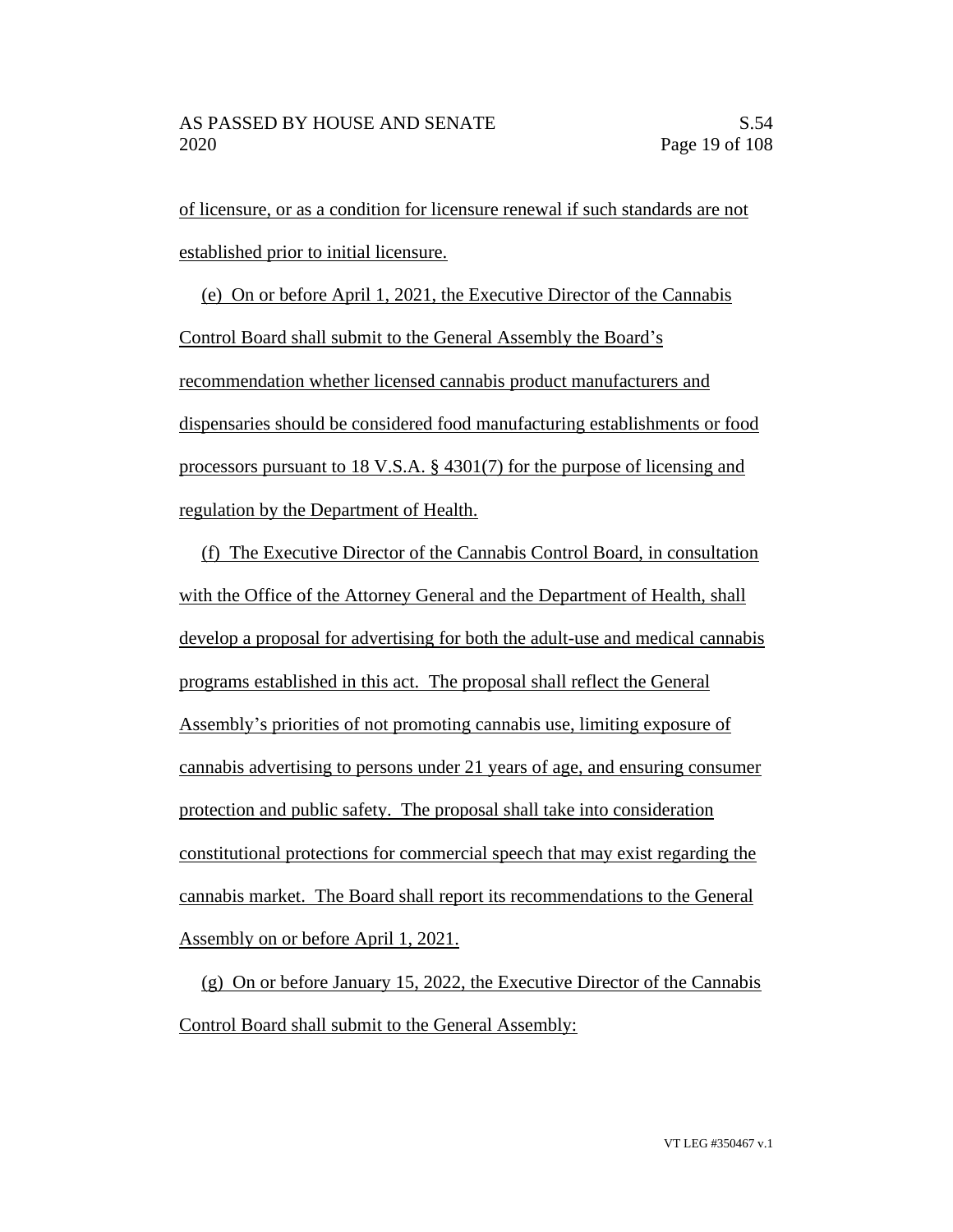of licensure, or as a condition for licensure renewal if such standards are not established prior to initial licensure.

(e) On or before April 1, 2021, the Executive Director of the Cannabis Control Board shall submit to the General Assembly the Board's recommendation whether licensed cannabis product manufacturers and dispensaries should be considered food manufacturing establishments or food processors pursuant to 18 V.S.A. § 4301(7) for the purpose of licensing and regulation by the Department of Health.

(f) The Executive Director of the Cannabis Control Board, in consultation with the Office of the Attorney General and the Department of Health, shall develop a proposal for advertising for both the adult-use and medical cannabis programs established in this act. The proposal shall reflect the General Assembly's priorities of not promoting cannabis use, limiting exposure of cannabis advertising to persons under 21 years of age, and ensuring consumer protection and public safety. The proposal shall take into consideration constitutional protections for commercial speech that may exist regarding the cannabis market. The Board shall report its recommendations to the General Assembly on or before April 1, 2021.

(g) On or before January 15, 2022, the Executive Director of the Cannabis Control Board shall submit to the General Assembly: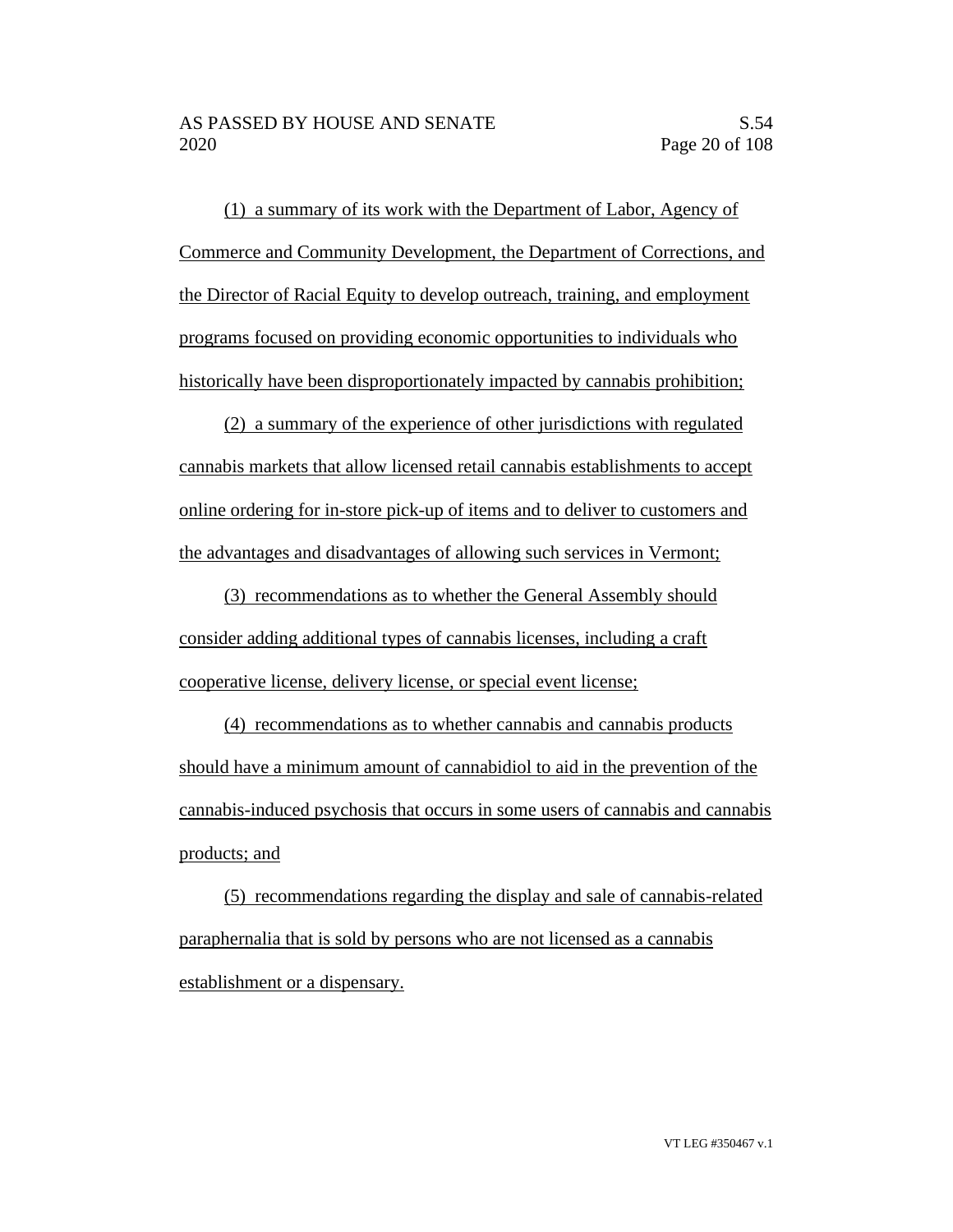(1) a summary of its work with the Department of Labor, Agency of Commerce and Community Development, the Department of Corrections, and the Director of Racial Equity to develop outreach, training, and employment programs focused on providing economic opportunities to individuals who historically have been disproportionately impacted by cannabis prohibition;

(2) a summary of the experience of other jurisdictions with regulated cannabis markets that allow licensed retail cannabis establishments to accept online ordering for in-store pick-up of items and to deliver to customers and the advantages and disadvantages of allowing such services in Vermont;

(3) recommendations as to whether the General Assembly should consider adding additional types of cannabis licenses, including a craft cooperative license, delivery license, or special event license;

(4) recommendations as to whether cannabis and cannabis products should have a minimum amount of cannabidiol to aid in the prevention of the cannabis-induced psychosis that occurs in some users of cannabis and cannabis products; and

(5) recommendations regarding the display and sale of cannabis-related paraphernalia that is sold by persons who are not licensed as a cannabis establishment or a dispensary.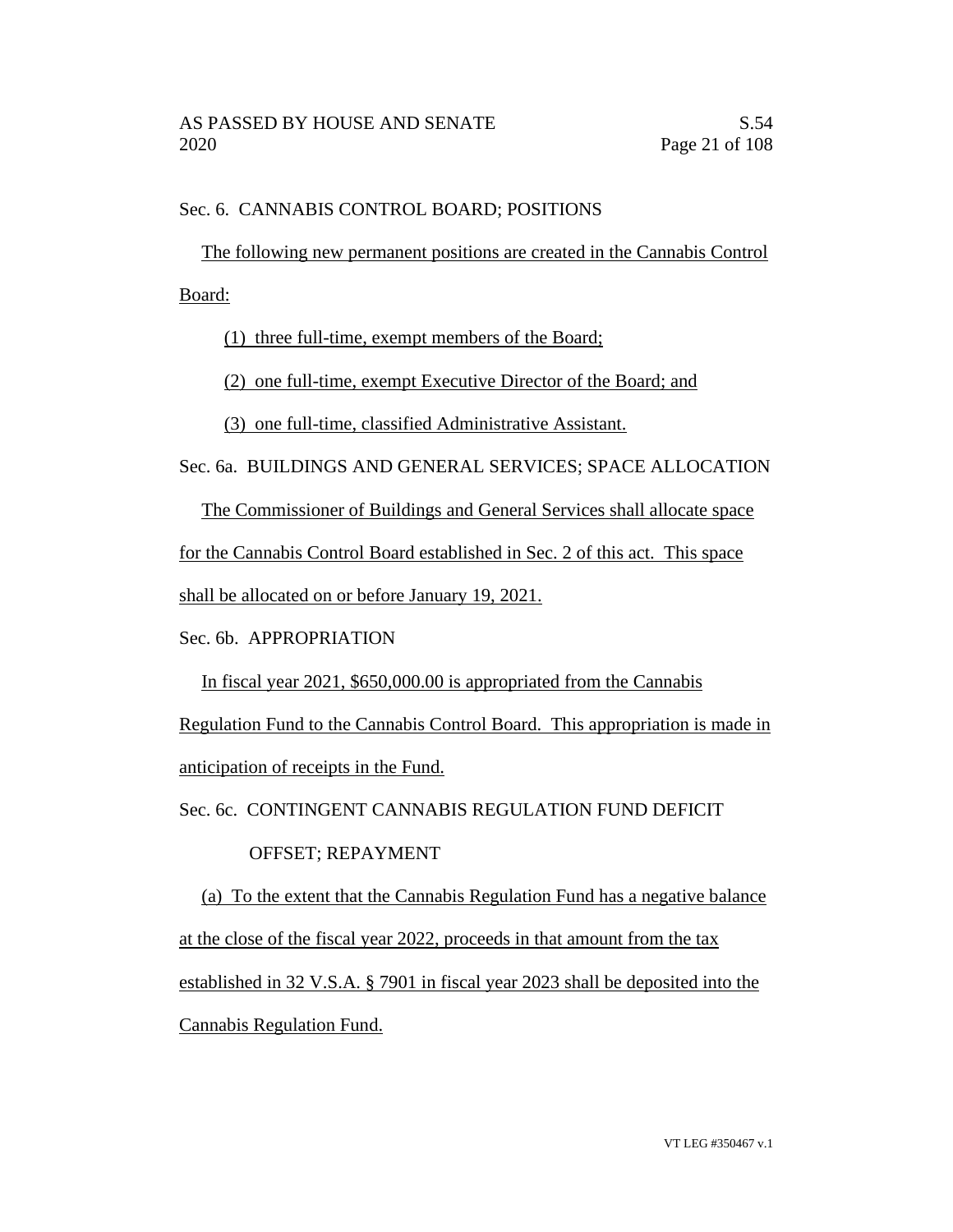## Sec. 6. CANNABIS CONTROL BOARD; POSITIONS

The following new permanent positions are created in the Cannabis Control

Board:

(1) three full-time, exempt members of the Board;

(2) one full-time, exempt Executive Director of the Board; and

(3) one full-time, classified Administrative Assistant.

Sec. 6a. BUILDINGS AND GENERAL SERVICES; SPACE ALLOCATION

The Commissioner of Buildings and General Services shall allocate space

for the Cannabis Control Board established in Sec. 2 of this act. This space

shall be allocated on or before January 19, 2021.

Sec. 6b. APPROPRIATION

In fiscal year 2021, \$650,000.00 is appropriated from the Cannabis

Regulation Fund to the Cannabis Control Board. This appropriation is made in anticipation of receipts in the Fund.

Sec. 6c. CONTINGENT CANNABIS REGULATION FUND DEFICIT

## OFFSET; REPAYMENT

(a) To the extent that the Cannabis Regulation Fund has a negative balance at the close of the fiscal year 2022, proceeds in that amount from the tax established in 32 V.S.A. § 7901 in fiscal year 2023 shall be deposited into the Cannabis Regulation Fund.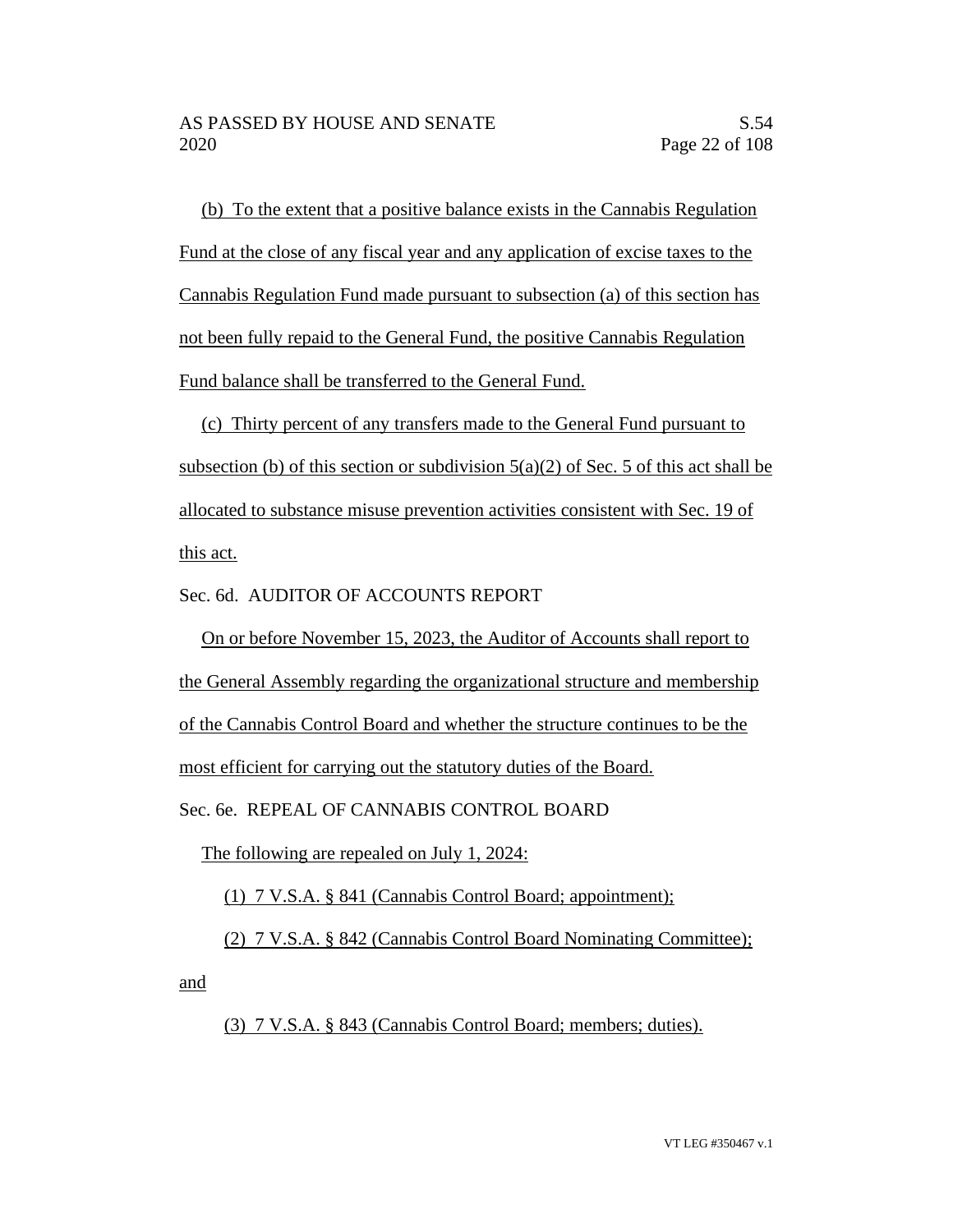(b) To the extent that a positive balance exists in the Cannabis Regulation Fund at the close of any fiscal year and any application of excise taxes to the Cannabis Regulation Fund made pursuant to subsection (a) of this section has not been fully repaid to the General Fund, the positive Cannabis Regulation Fund balance shall be transferred to the General Fund.

(c) Thirty percent of any transfers made to the General Fund pursuant to subsection (b) of this section or subdivision  $5(a)(2)$  of Sec. 5 of this act shall be allocated to substance misuse prevention activities consistent with Sec. 19 of this act.

Sec. 6d. AUDITOR OF ACCOUNTS REPORT

On or before November 15, 2023, the Auditor of Accounts shall report to the General Assembly regarding the organizational structure and membership of the Cannabis Control Board and whether the structure continues to be the

most efficient for carrying out the statutory duties of the Board.

Sec. 6e. REPEAL OF CANNABIS CONTROL BOARD

The following are repealed on July 1, 2024:

(1) 7 V.S.A. § 841 (Cannabis Control Board; appointment);

(2) 7 V.S.A. § 842 (Cannabis Control Board Nominating Committee);

and

(3) 7 V.S.A. § 843 (Cannabis Control Board; members; duties).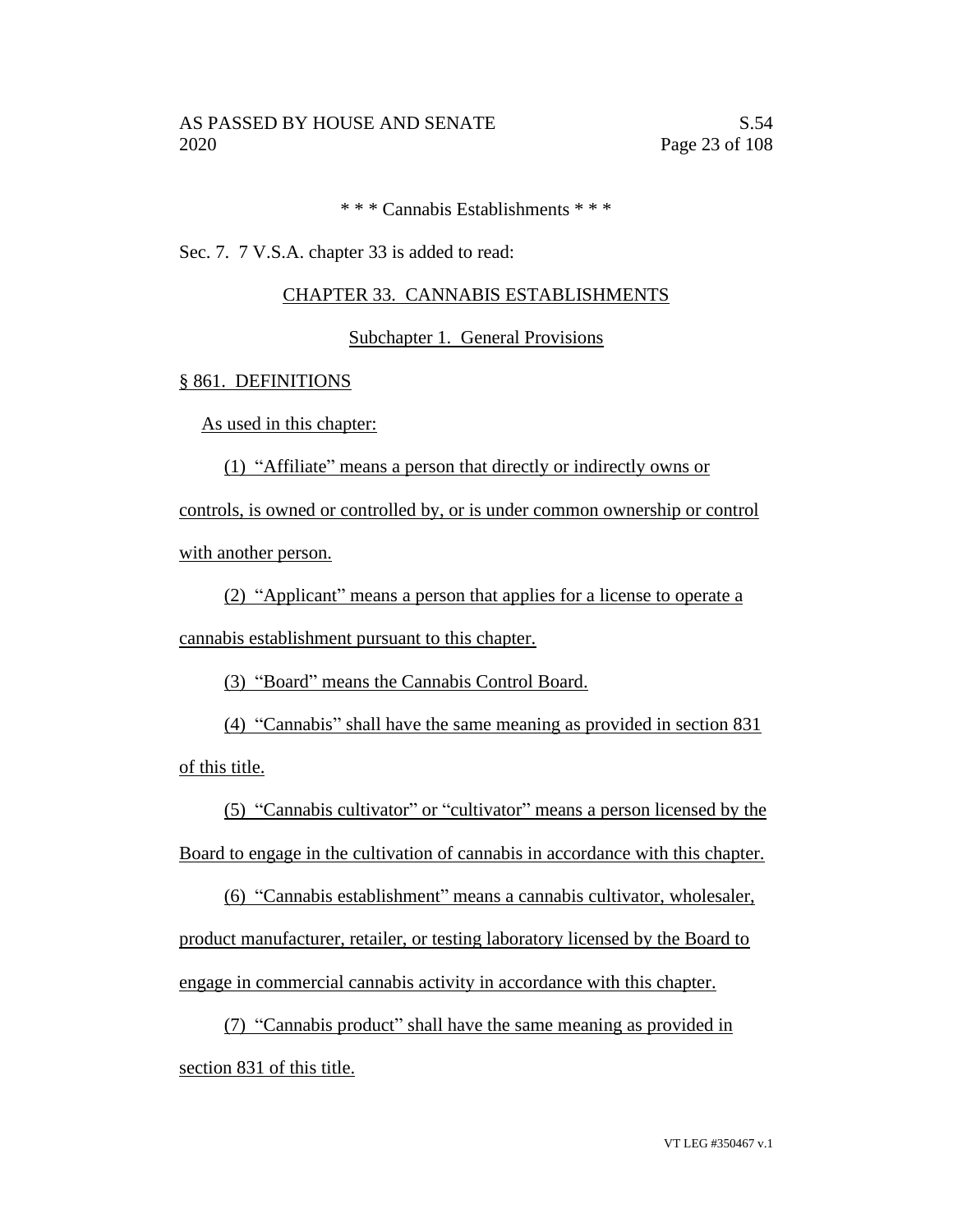\* \* \* Cannabis Establishments \* \* \*

Sec. 7. 7 V.S.A. chapter 33 is added to read:

## CHAPTER 33. CANNABIS ESTABLISHMENTS

## Subchapter 1. General Provisions

#### § 861. DEFINITIONS

As used in this chapter:

(1) "Affiliate" means a person that directly or indirectly owns or

controls, is owned or controlled by, or is under common ownership or control with another person.

(2) "Applicant" means a person that applies for a license to operate a cannabis establishment pursuant to this chapter.

(3) "Board" means the Cannabis Control Board.

(4) "Cannabis" shall have the same meaning as provided in section 831 of this title.

(5) "Cannabis cultivator" or "cultivator" means a person licensed by the Board to engage in the cultivation of cannabis in accordance with this chapter.

(6) "Cannabis establishment" means a cannabis cultivator, wholesaler, product manufacturer, retailer, or testing laboratory licensed by the Board to engage in commercial cannabis activity in accordance with this chapter.

(7) "Cannabis product" shall have the same meaning as provided in section 831 of this title.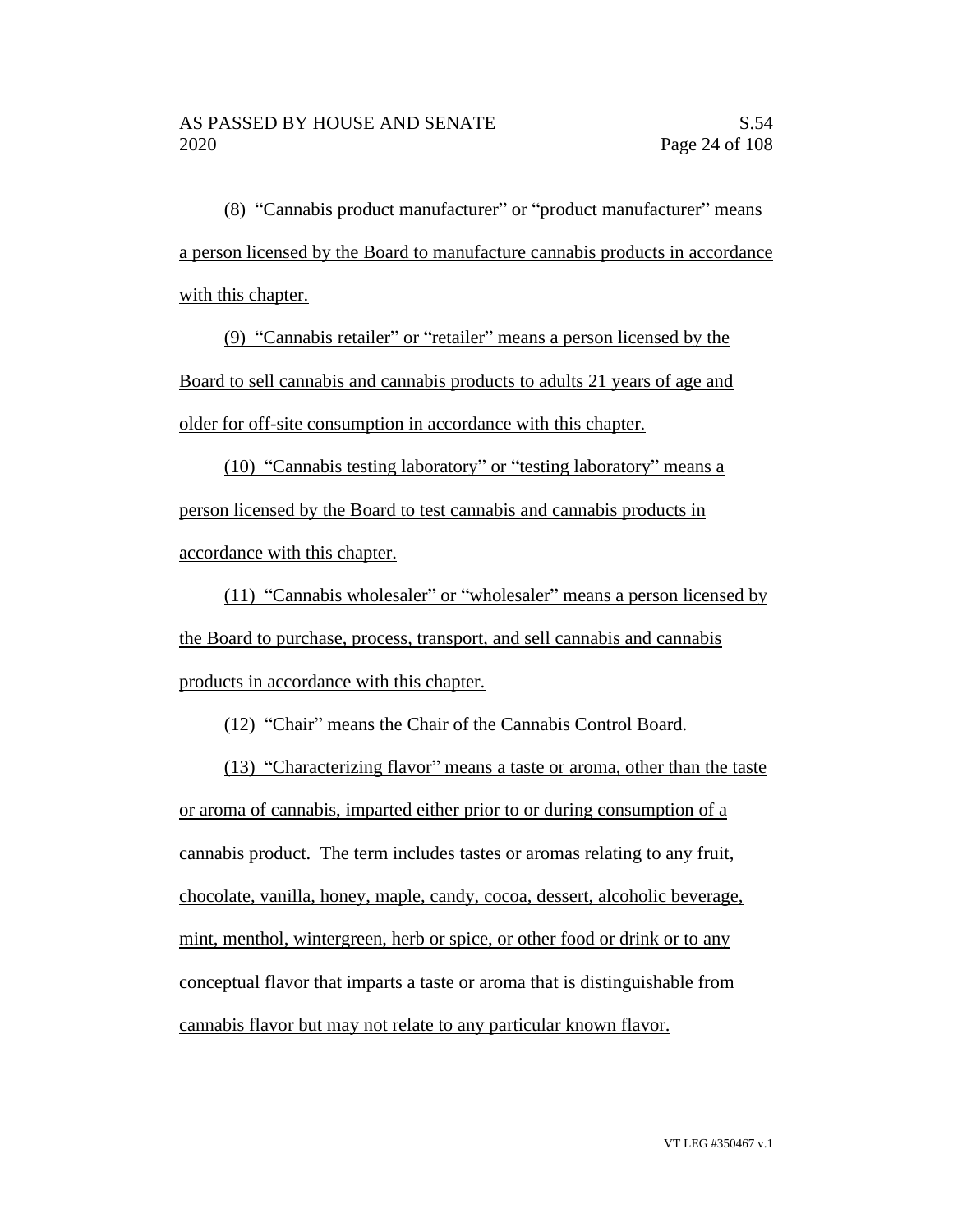(8) "Cannabis product manufacturer" or "product manufacturer" means a person licensed by the Board to manufacture cannabis products in accordance with this chapter.

(9) "Cannabis retailer" or "retailer" means a person licensed by the Board to sell cannabis and cannabis products to adults 21 years of age and older for off-site consumption in accordance with this chapter.

(10) "Cannabis testing laboratory" or "testing laboratory" means a person licensed by the Board to test cannabis and cannabis products in accordance with this chapter.

(11) "Cannabis wholesaler" or "wholesaler" means a person licensed by the Board to purchase, process, transport, and sell cannabis and cannabis products in accordance with this chapter.

(12) "Chair" means the Chair of the Cannabis Control Board.

(13) "Characterizing flavor" means a taste or aroma, other than the taste or aroma of cannabis, imparted either prior to or during consumption of a cannabis product. The term includes tastes or aromas relating to any fruit, chocolate, vanilla, honey, maple, candy, cocoa, dessert, alcoholic beverage, mint, menthol, wintergreen, herb or spice, or other food or drink or to any conceptual flavor that imparts a taste or aroma that is distinguishable from cannabis flavor but may not relate to any particular known flavor.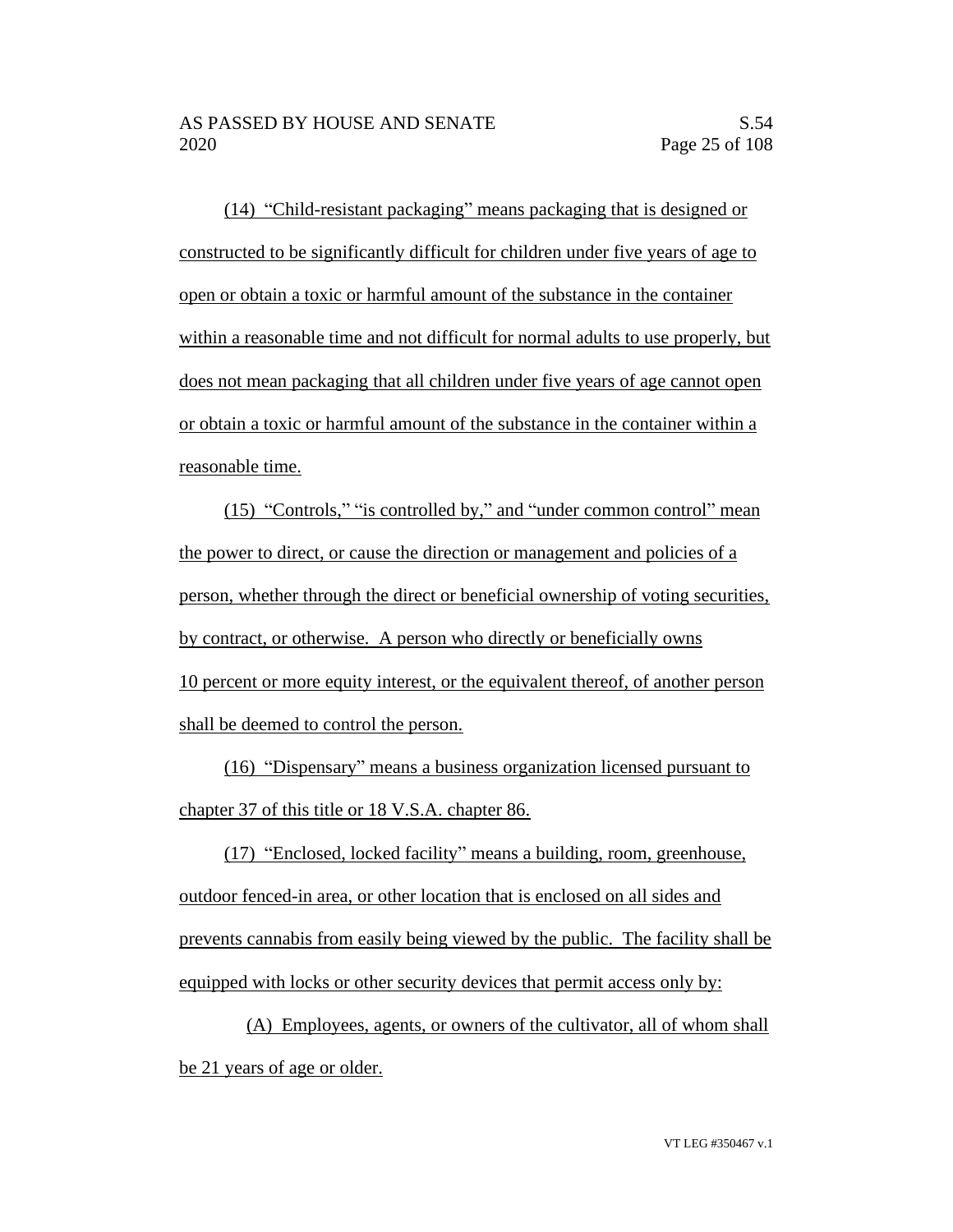(14) "Child-resistant packaging" means packaging that is designed or constructed to be significantly difficult for children under five years of age to open or obtain a toxic or harmful amount of the substance in the container within a reasonable time and not difficult for normal adults to use properly, but does not mean packaging that all children under five years of age cannot open or obtain a toxic or harmful amount of the substance in the container within a reasonable time.

(15) "Controls," "is controlled by," and "under common control" mean the power to direct, or cause the direction or management and policies of a person, whether through the direct or beneficial ownership of voting securities, by contract, or otherwise. A person who directly or beneficially owns 10 percent or more equity interest, or the equivalent thereof, of another person shall be deemed to control the person.

(16) "Dispensary" means a business organization licensed pursuant to chapter 37 of this title or 18 V.S.A. chapter 86.

(17) "Enclosed, locked facility" means a building, room, greenhouse, outdoor fenced-in area, or other location that is enclosed on all sides and prevents cannabis from easily being viewed by the public. The facility shall be equipped with locks or other security devices that permit access only by:

(A) Employees, agents, or owners of the cultivator, all of whom shall be 21 years of age or older.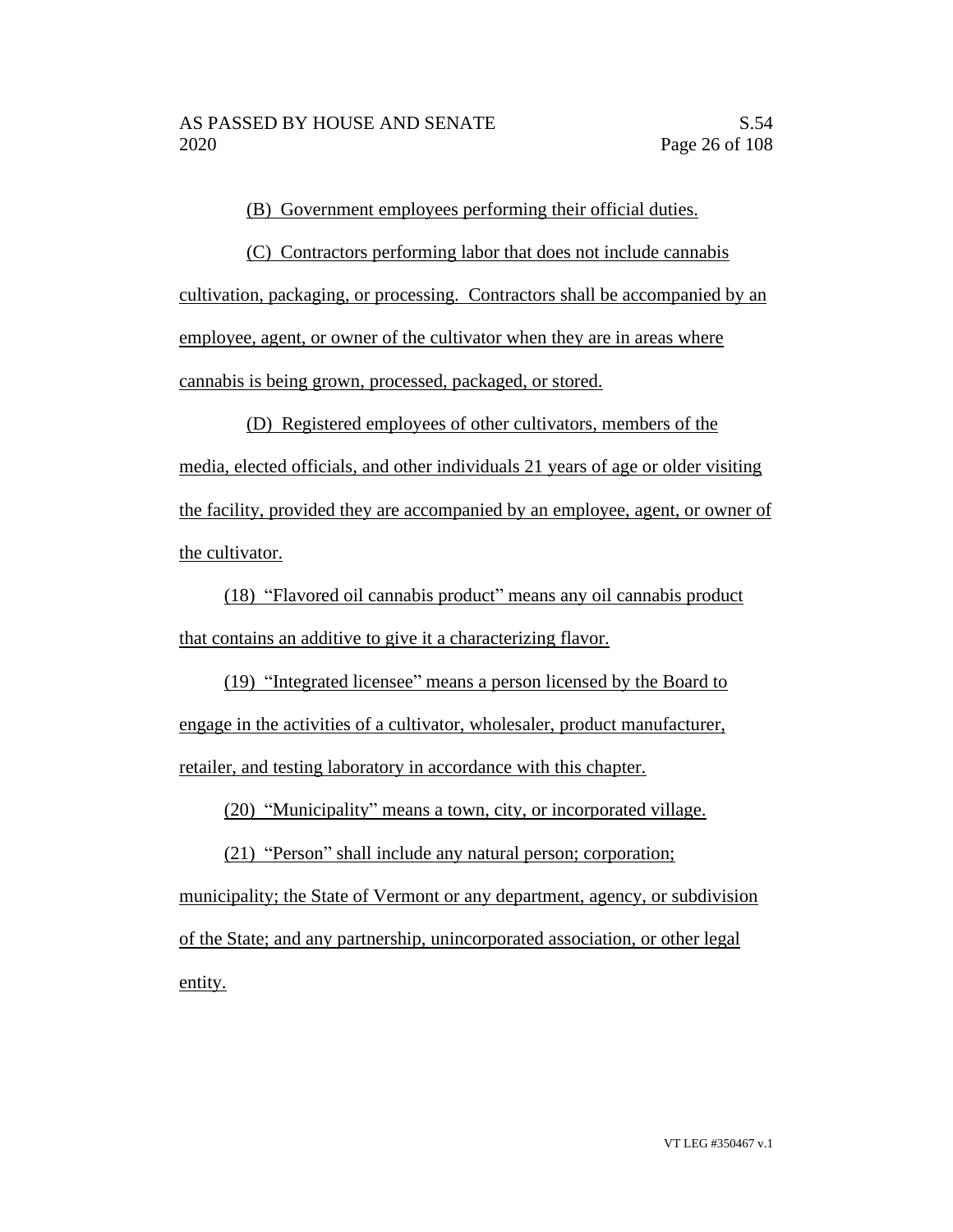(B) Government employees performing their official duties.

(C) Contractors performing labor that does not include cannabis cultivation, packaging, or processing. Contractors shall be accompanied by an employee, agent, or owner of the cultivator when they are in areas where cannabis is being grown, processed, packaged, or stored.

(D) Registered employees of other cultivators, members of the media, elected officials, and other individuals 21 years of age or older visiting the facility, provided they are accompanied by an employee, agent, or owner of the cultivator.

(18) "Flavored oil cannabis product" means any oil cannabis product that contains an additive to give it a characterizing flavor.

(19) "Integrated licensee" means a person licensed by the Board to engage in the activities of a cultivator, wholesaler, product manufacturer, retailer, and testing laboratory in accordance with this chapter.

(20) "Municipality" means a town, city, or incorporated village.

(21) "Person" shall include any natural person; corporation; municipality; the State of Vermont or any department, agency, or subdivision of the State; and any partnership, unincorporated association, or other legal entity.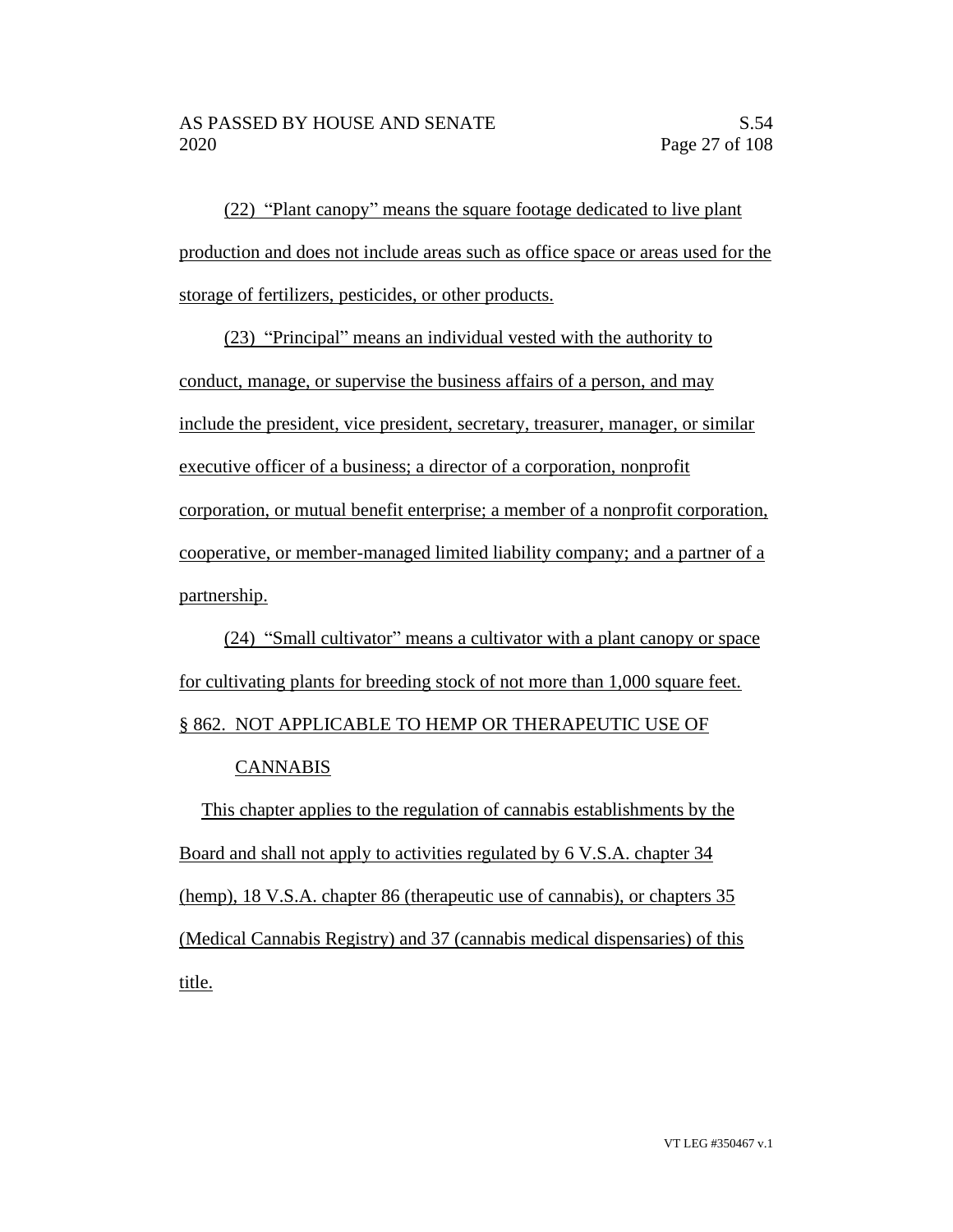(22) "Plant canopy" means the square footage dedicated to live plant production and does not include areas such as office space or areas used for the storage of fertilizers, pesticides, or other products.

(23) "Principal" means an individual vested with the authority to conduct, manage, or supervise the business affairs of a person, and may include the president, vice president, secretary, treasurer, manager, or similar executive officer of a business; a director of a corporation, nonprofit corporation, or mutual benefit enterprise; a member of a nonprofit corporation, cooperative, or member-managed limited liability company; and a partner of a partnership.

(24) "Small cultivator" means a cultivator with a plant canopy or space for cultivating plants for breeding stock of not more than 1,000 square feet.

§ 862. NOT APPLICABLE TO HEMP OR THERAPEUTIC USE OF

# CANNABIS

This chapter applies to the regulation of cannabis establishments by the Board and shall not apply to activities regulated by 6 V.S.A. chapter 34 (hemp), 18 V.S.A. chapter 86 (therapeutic use of cannabis), or chapters 35 (Medical Cannabis Registry) and 37 (cannabis medical dispensaries) of this title.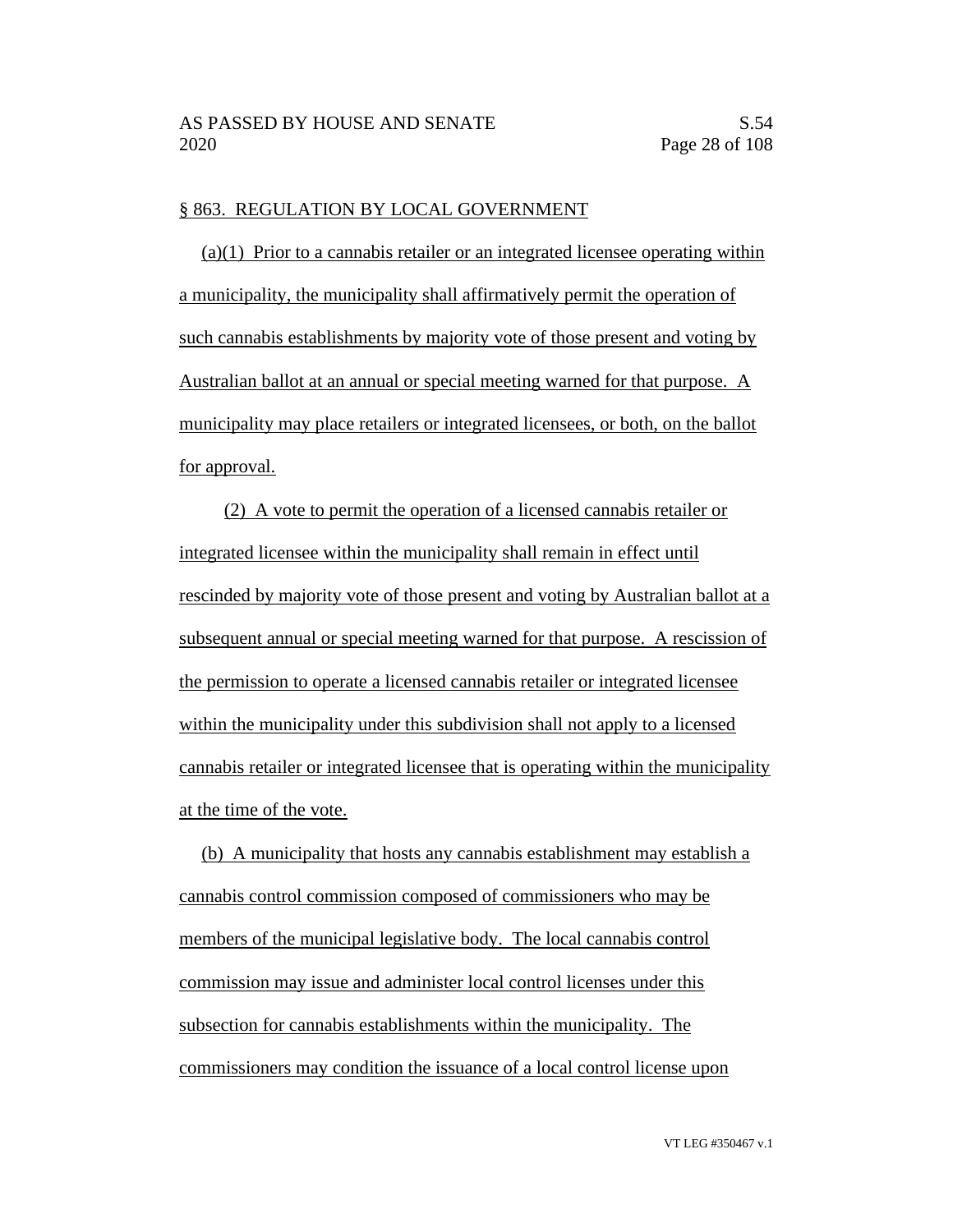#### § 863. REGULATION BY LOCAL GOVERNMENT

(a)(1) Prior to a cannabis retailer or an integrated licensee operating within a municipality, the municipality shall affirmatively permit the operation of such cannabis establishments by majority vote of those present and voting by Australian ballot at an annual or special meeting warned for that purpose. A municipality may place retailers or integrated licensees, or both, on the ballot for approval.

(2) A vote to permit the operation of a licensed cannabis retailer or integrated licensee within the municipality shall remain in effect until rescinded by majority vote of those present and voting by Australian ballot at a subsequent annual or special meeting warned for that purpose. A rescission of the permission to operate a licensed cannabis retailer or integrated licensee within the municipality under this subdivision shall not apply to a licensed cannabis retailer or integrated licensee that is operating within the municipality at the time of the vote.

(b) A municipality that hosts any cannabis establishment may establish a cannabis control commission composed of commissioners who may be members of the municipal legislative body. The local cannabis control commission may issue and administer local control licenses under this subsection for cannabis establishments within the municipality. The commissioners may condition the issuance of a local control license upon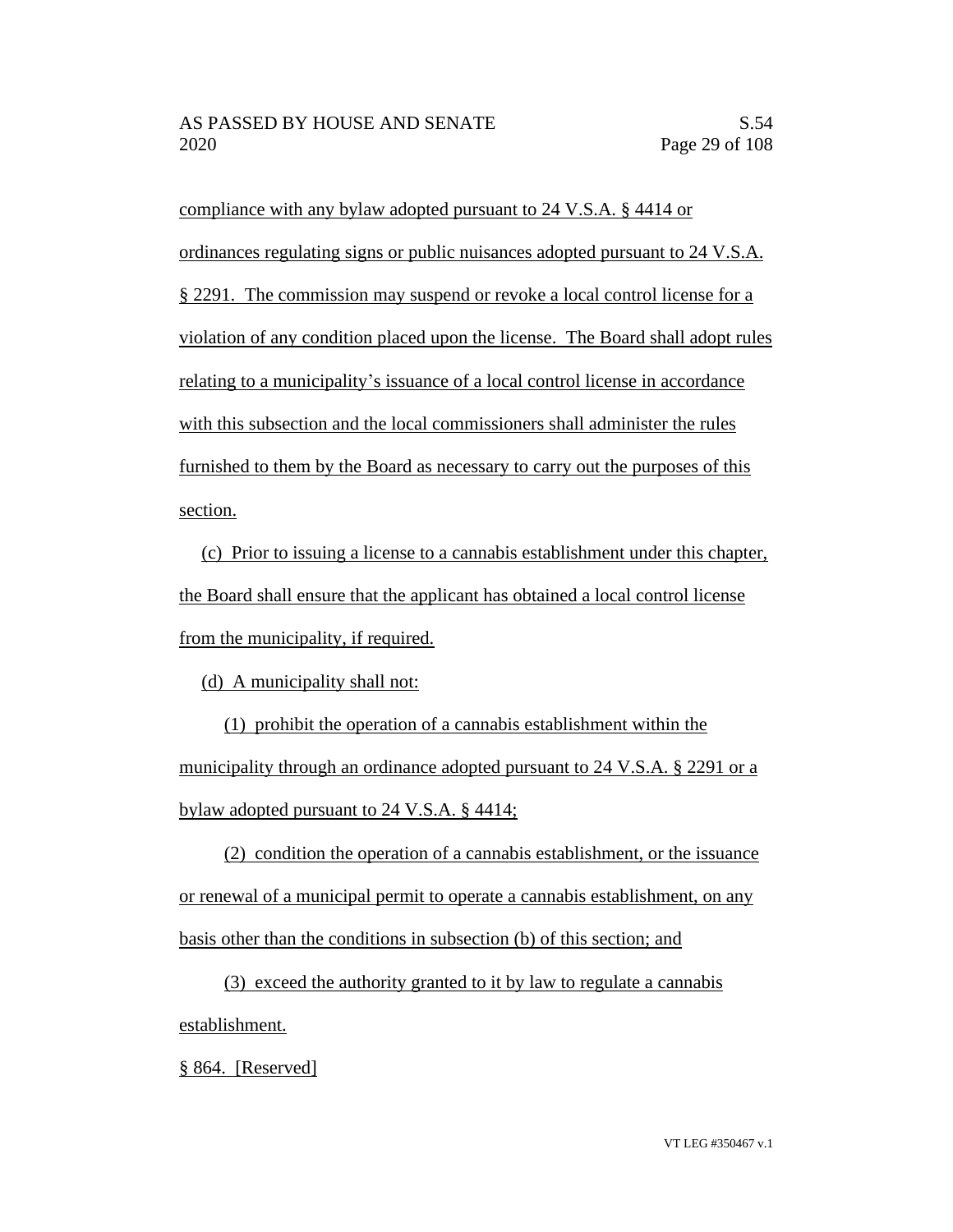compliance with any bylaw adopted pursuant to 24 V.S.A. § 4414 or ordinances regulating signs or public nuisances adopted pursuant to 24 V.S.A. § 2291. The commission may suspend or revoke a local control license for a violation of any condition placed upon the license. The Board shall adopt rules relating to a municipality's issuance of a local control license in accordance with this subsection and the local commissioners shall administer the rules furnished to them by the Board as necessary to carry out the purposes of this section.

(c) Prior to issuing a license to a cannabis establishment under this chapter, the Board shall ensure that the applicant has obtained a local control license from the municipality, if required.

(d) A municipality shall not:

(1) prohibit the operation of a cannabis establishment within the municipality through an ordinance adopted pursuant to 24 V.S.A. § 2291 or a bylaw adopted pursuant to 24 V.S.A. § 4414;

(2) condition the operation of a cannabis establishment, or the issuance or renewal of a municipal permit to operate a cannabis establishment, on any basis other than the conditions in subsection (b) of this section; and

(3) exceed the authority granted to it by law to regulate a cannabis establishment.

§ 864. [Reserved]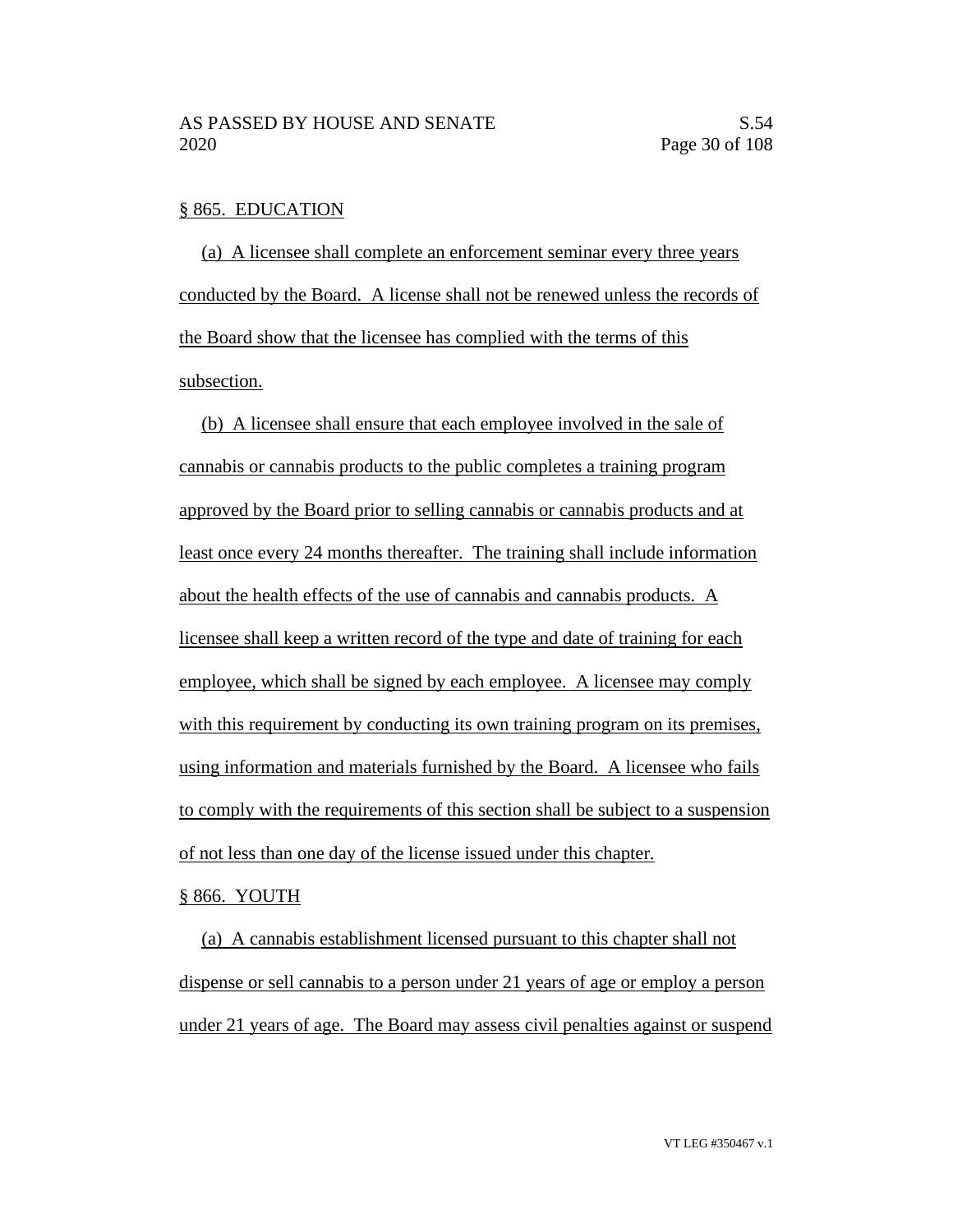#### § 865. EDUCATION

(a) A licensee shall complete an enforcement seminar every three years conducted by the Board. A license shall not be renewed unless the records of the Board show that the licensee has complied with the terms of this subsection.

(b) A licensee shall ensure that each employee involved in the sale of cannabis or cannabis products to the public completes a training program approved by the Board prior to selling cannabis or cannabis products and at least once every 24 months thereafter. The training shall include information about the health effects of the use of cannabis and cannabis products. A licensee shall keep a written record of the type and date of training for each employee, which shall be signed by each employee. A licensee may comply with this requirement by conducting its own training program on its premises, using information and materials furnished by the Board. A licensee who fails to comply with the requirements of this section shall be subject to a suspension of not less than one day of the license issued under this chapter.

#### § 866. YOUTH

(a) A cannabis establishment licensed pursuant to this chapter shall not dispense or sell cannabis to a person under 21 years of age or employ a person under 21 years of age. The Board may assess civil penalties against or suspend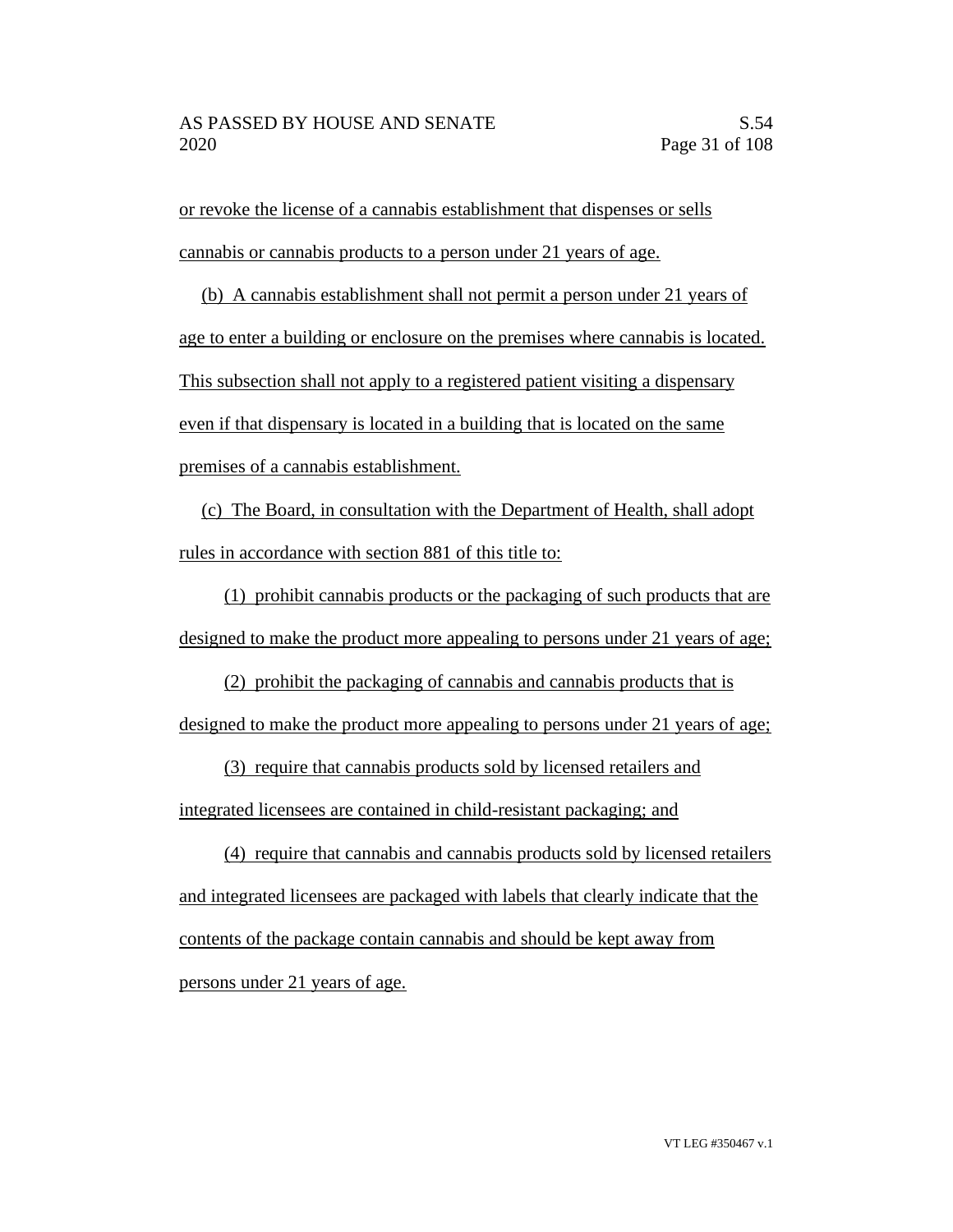or revoke the license of a cannabis establishment that dispenses or sells cannabis or cannabis products to a person under 21 years of age.

(b) A cannabis establishment shall not permit a person under 21 years of age to enter a building or enclosure on the premises where cannabis is located. This subsection shall not apply to a registered patient visiting a dispensary even if that dispensary is located in a building that is located on the same premises of a cannabis establishment.

(c) The Board, in consultation with the Department of Health, shall adopt rules in accordance with section 881 of this title to:

(1) prohibit cannabis products or the packaging of such products that are designed to make the product more appealing to persons under 21 years of age;

(2) prohibit the packaging of cannabis and cannabis products that is designed to make the product more appealing to persons under 21 years of age;

(3) require that cannabis products sold by licensed retailers and

integrated licensees are contained in child-resistant packaging; and

(4) require that cannabis and cannabis products sold by licensed retailers and integrated licensees are packaged with labels that clearly indicate that the contents of the package contain cannabis and should be kept away from persons under 21 years of age.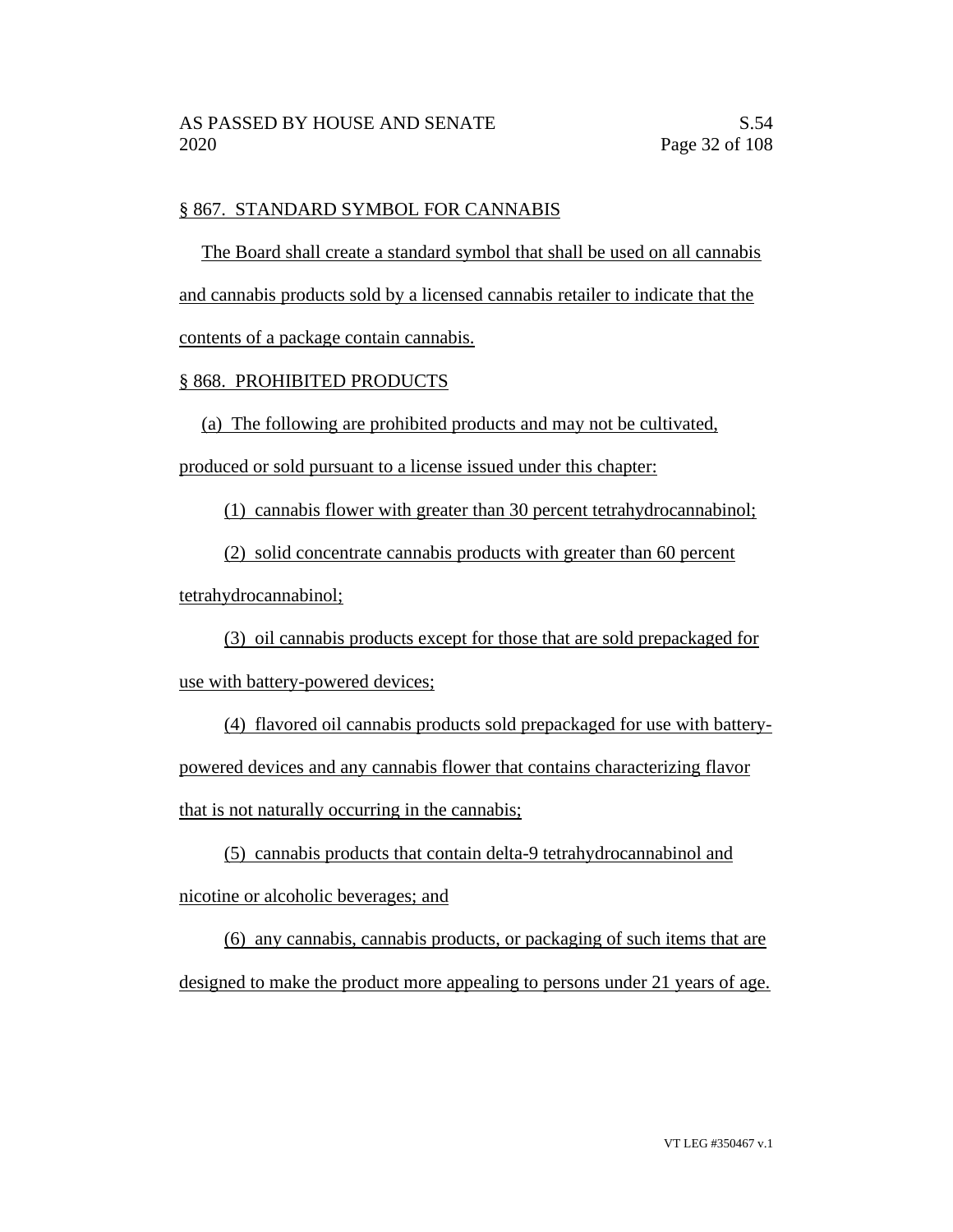## § 867. STANDARD SYMBOL FOR CANNABIS

The Board shall create a standard symbol that shall be used on all cannabis and cannabis products sold by a licensed cannabis retailer to indicate that the contents of a package contain cannabis.

# § 868. PROHIBITED PRODUCTS

(a) The following are prohibited products and may not be cultivated,

produced or sold pursuant to a license issued under this chapter:

(1) cannabis flower with greater than 30 percent tetrahydrocannabinol;

(2) solid concentrate cannabis products with greater than 60 percent

tetrahydrocannabinol;

(3) oil cannabis products except for those that are sold prepackaged for use with battery-powered devices;

(4) flavored oil cannabis products sold prepackaged for use with batterypowered devices and any cannabis flower that contains characterizing flavor that is not naturally occurring in the cannabis;

(5) cannabis products that contain delta-9 tetrahydrocannabinol and nicotine or alcoholic beverages; and

(6) any cannabis, cannabis products, or packaging of such items that are designed to make the product more appealing to persons under 21 years of age.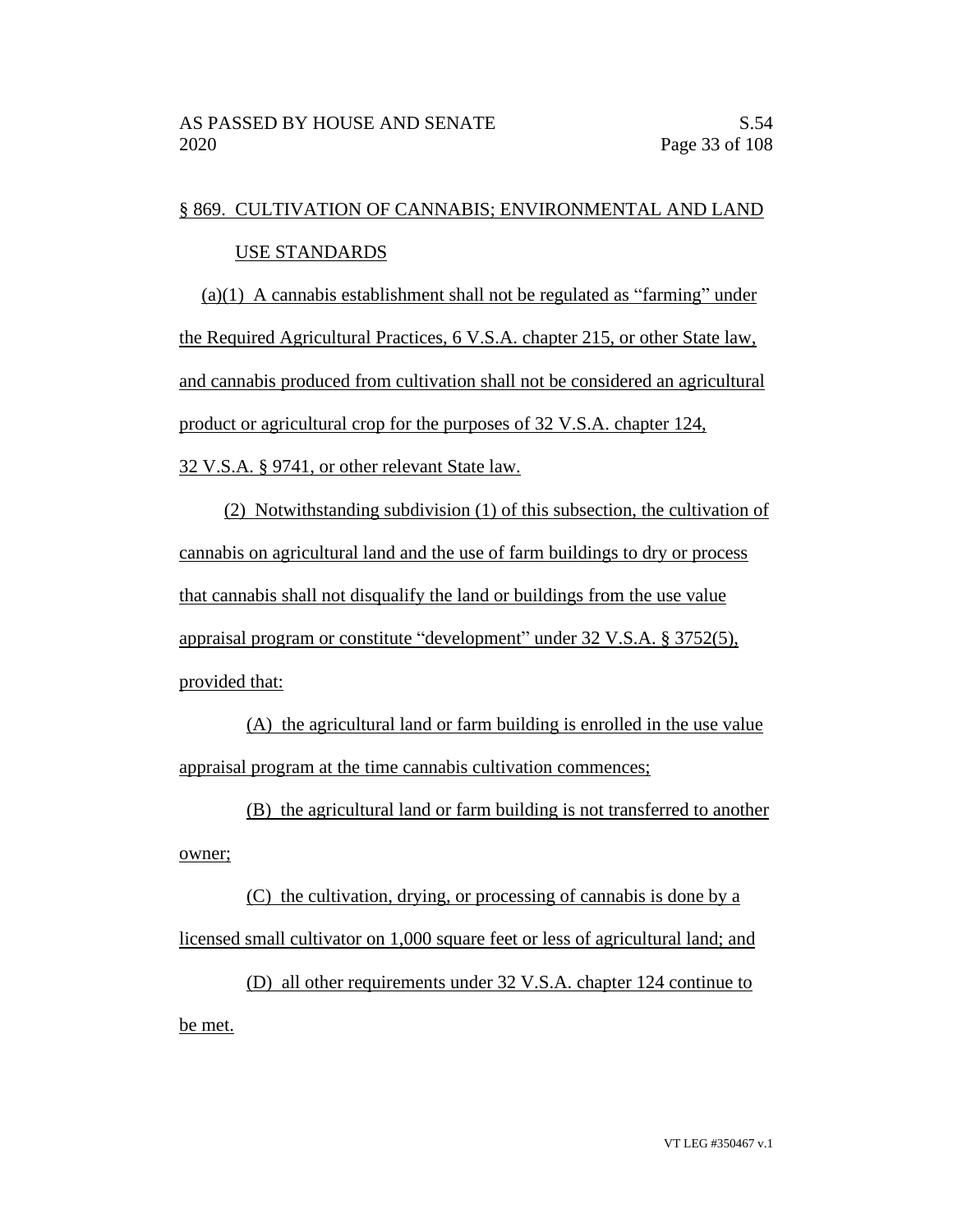# § 869. CULTIVATION OF CANNABIS; ENVIRONMENTAL AND LAND USE STANDARDS

(a)(1) A cannabis establishment shall not be regulated as "farming" under the Required Agricultural Practices, 6 V.S.A. chapter 215, or other State law, and cannabis produced from cultivation shall not be considered an agricultural product or agricultural crop for the purposes of 32 V.S.A. chapter 124, 32 V.S.A. § 9741, or other relevant State law.

(2) Notwithstanding subdivision (1) of this subsection, the cultivation of cannabis on agricultural land and the use of farm buildings to dry or process that cannabis shall not disqualify the land or buildings from the use value appraisal program or constitute "development" under 32 V.S.A. § 3752(5), provided that:

(A) the agricultural land or farm building is enrolled in the use value appraisal program at the time cannabis cultivation commences;

(B) the agricultural land or farm building is not transferred to another owner;

(C) the cultivation, drying, or processing of cannabis is done by a licensed small cultivator on 1,000 square feet or less of agricultural land; and

(D) all other requirements under 32 V.S.A. chapter 124 continue to be met.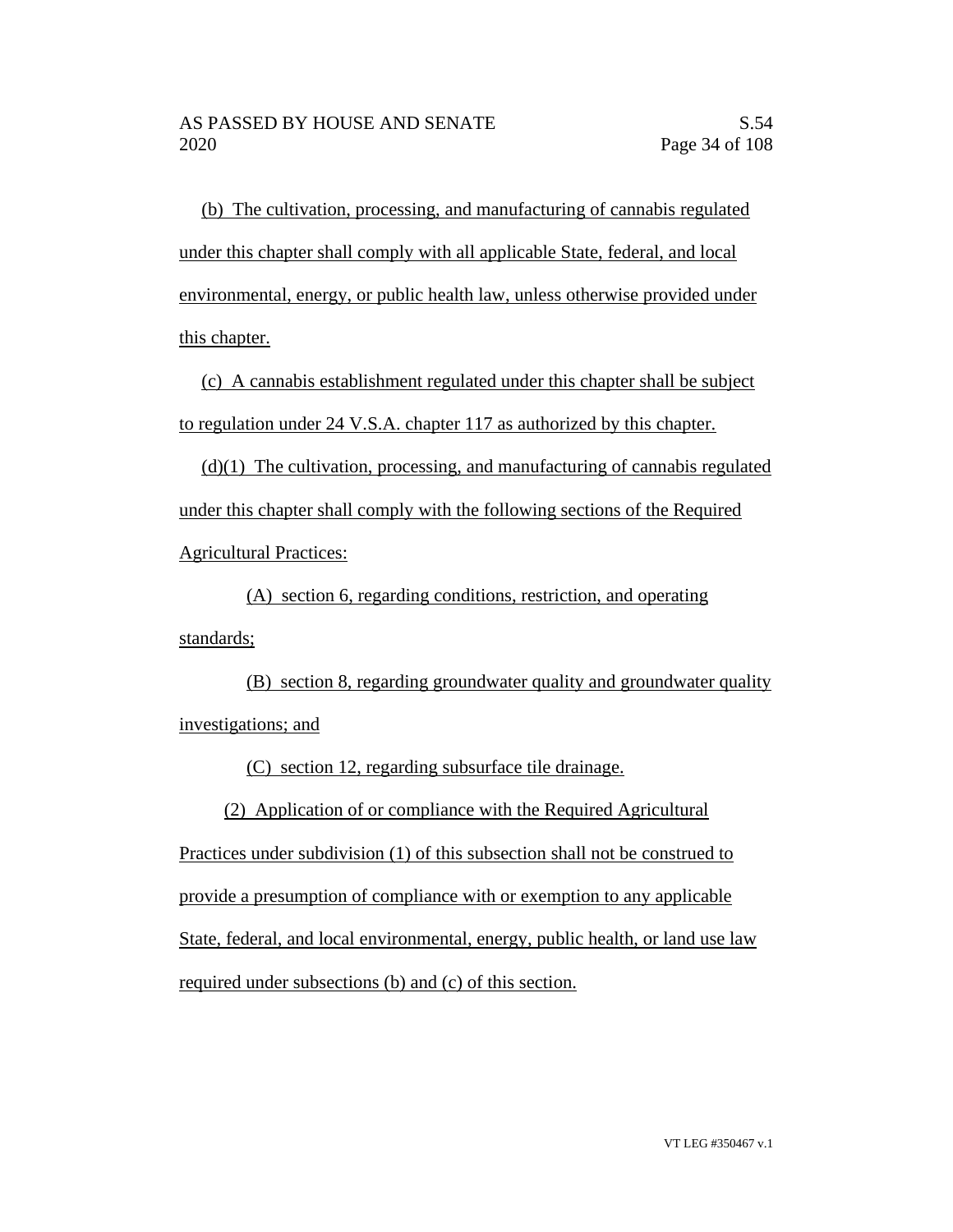(b) The cultivation, processing, and manufacturing of cannabis regulated under this chapter shall comply with all applicable State, federal, and local environmental, energy, or public health law, unless otherwise provided under this chapter.

(c) A cannabis establishment regulated under this chapter shall be subject to regulation under 24 V.S.A. chapter 117 as authorized by this chapter.

(d)(1) The cultivation, processing, and manufacturing of cannabis regulated under this chapter shall comply with the following sections of the Required Agricultural Practices:

(A) section 6, regarding conditions, restriction, and operating standards;

(B) section 8, regarding groundwater quality and groundwater quality investigations; and

(C) section 12, regarding subsurface tile drainage.

(2) Application of or compliance with the Required Agricultural

Practices under subdivision (1) of this subsection shall not be construed to provide a presumption of compliance with or exemption to any applicable State, federal, and local environmental, energy, public health, or land use law required under subsections (b) and (c) of this section.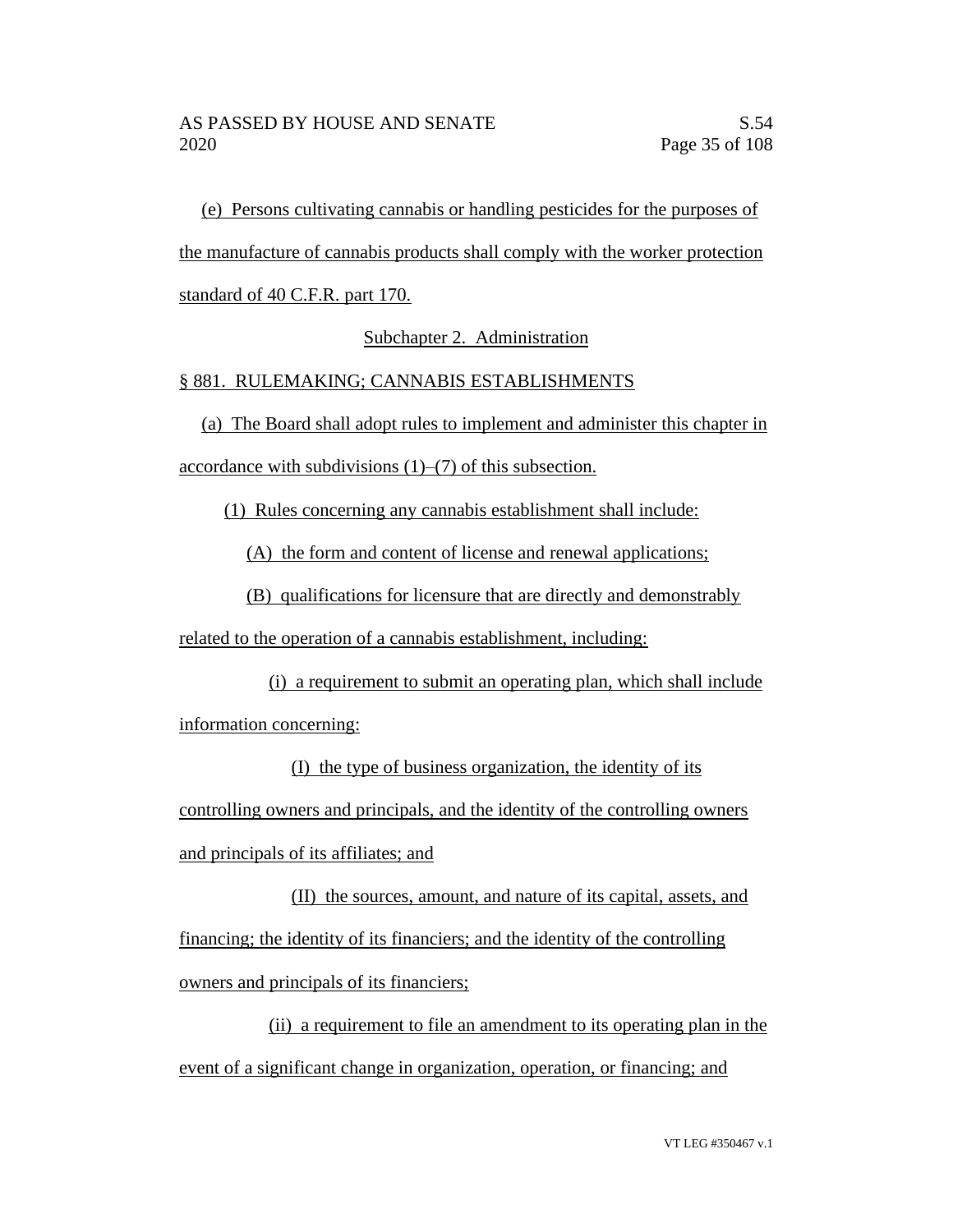(e) Persons cultivating cannabis or handling pesticides for the purposes of the manufacture of cannabis products shall comply with the worker protection standard of 40 C.F.R. part 170.

Subchapter 2. Administration

## § 881. RULEMAKING; CANNABIS ESTABLISHMENTS

(a) The Board shall adopt rules to implement and administer this chapter in accordance with subdivisions (1)–(7) of this subsection.

(1) Rules concerning any cannabis establishment shall include:

(A) the form and content of license and renewal applications;

(B) qualifications for licensure that are directly and demonstrably

related to the operation of a cannabis establishment, including:

(i) a requirement to submit an operating plan, which shall include information concerning:

(I) the type of business organization, the identity of its controlling owners and principals, and the identity of the controlling owners and principals of its affiliates; and

(II) the sources, amount, and nature of its capital, assets, and financing; the identity of its financiers; and the identity of the controlling owners and principals of its financiers;

(ii) a requirement to file an amendment to its operating plan in the event of a significant change in organization, operation, or financing; and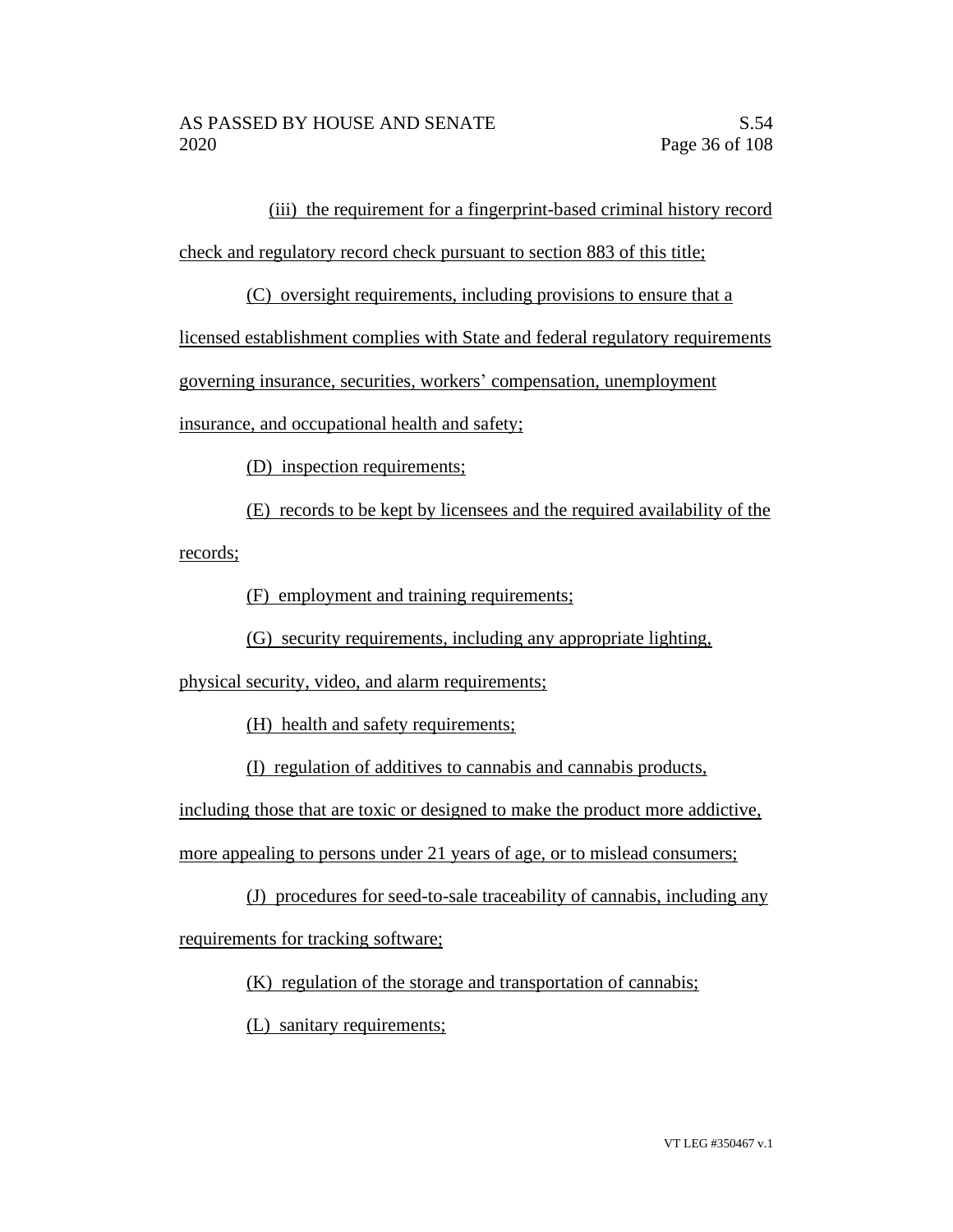(iii) the requirement for a fingerprint-based criminal history record

check and regulatory record check pursuant to section 883 of this title;

(C) oversight requirements, including provisions to ensure that a

licensed establishment complies with State and federal regulatory requirements

governing insurance, securities, workers' compensation, unemployment

insurance, and occupational health and safety;

(D) inspection requirements;

(E) records to be kept by licensees and the required availability of the records;

(F) employment and training requirements;

(G) security requirements, including any appropriate lighting,

physical security, video, and alarm requirements;

(H) health and safety requirements;

(I) regulation of additives to cannabis and cannabis products,

including those that are toxic or designed to make the product more addictive,

more appealing to persons under 21 years of age, or to mislead consumers;

(J) procedures for seed-to-sale traceability of cannabis, including any

requirements for tracking software;

(K) regulation of the storage and transportation of cannabis;

(L) sanitary requirements;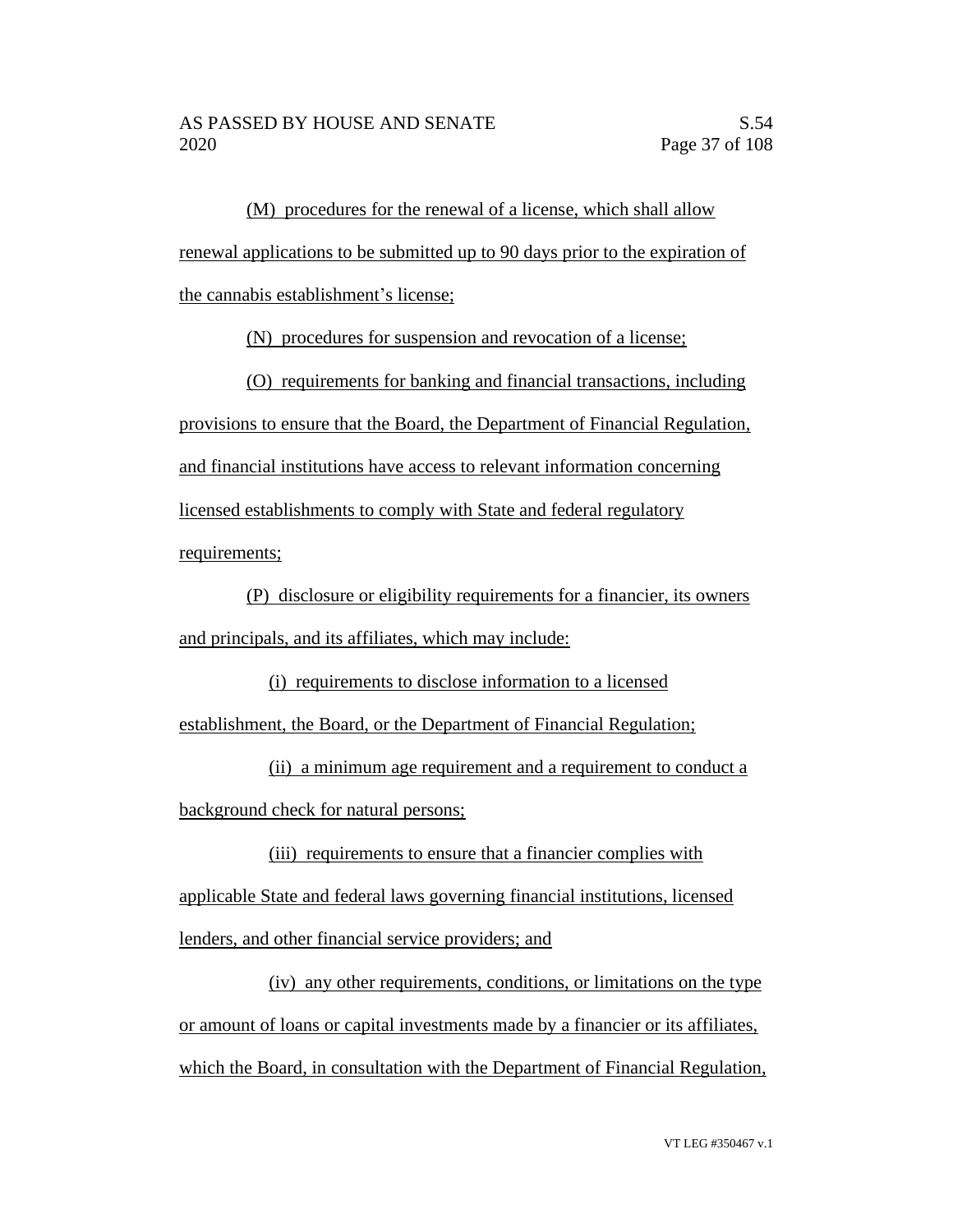(M) procedures for the renewal of a license, which shall allow renewal applications to be submitted up to 90 days prior to the expiration of the cannabis establishment's license;

(N) procedures for suspension and revocation of a license;

(O) requirements for banking and financial transactions, including provisions to ensure that the Board, the Department of Financial Regulation, and financial institutions have access to relevant information concerning licensed establishments to comply with State and federal regulatory requirements;

(P) disclosure or eligibility requirements for a financier, its owners and principals, and its affiliates, which may include:

(i) requirements to disclose information to a licensed

establishment, the Board, or the Department of Financial Regulation;

(ii) a minimum age requirement and a requirement to conduct a background check for natural persons;

(iii) requirements to ensure that a financier complies with applicable State and federal laws governing financial institutions, licensed lenders, and other financial service providers; and

(iv) any other requirements, conditions, or limitations on the type or amount of loans or capital investments made by a financier or its affiliates, which the Board, in consultation with the Department of Financial Regulation,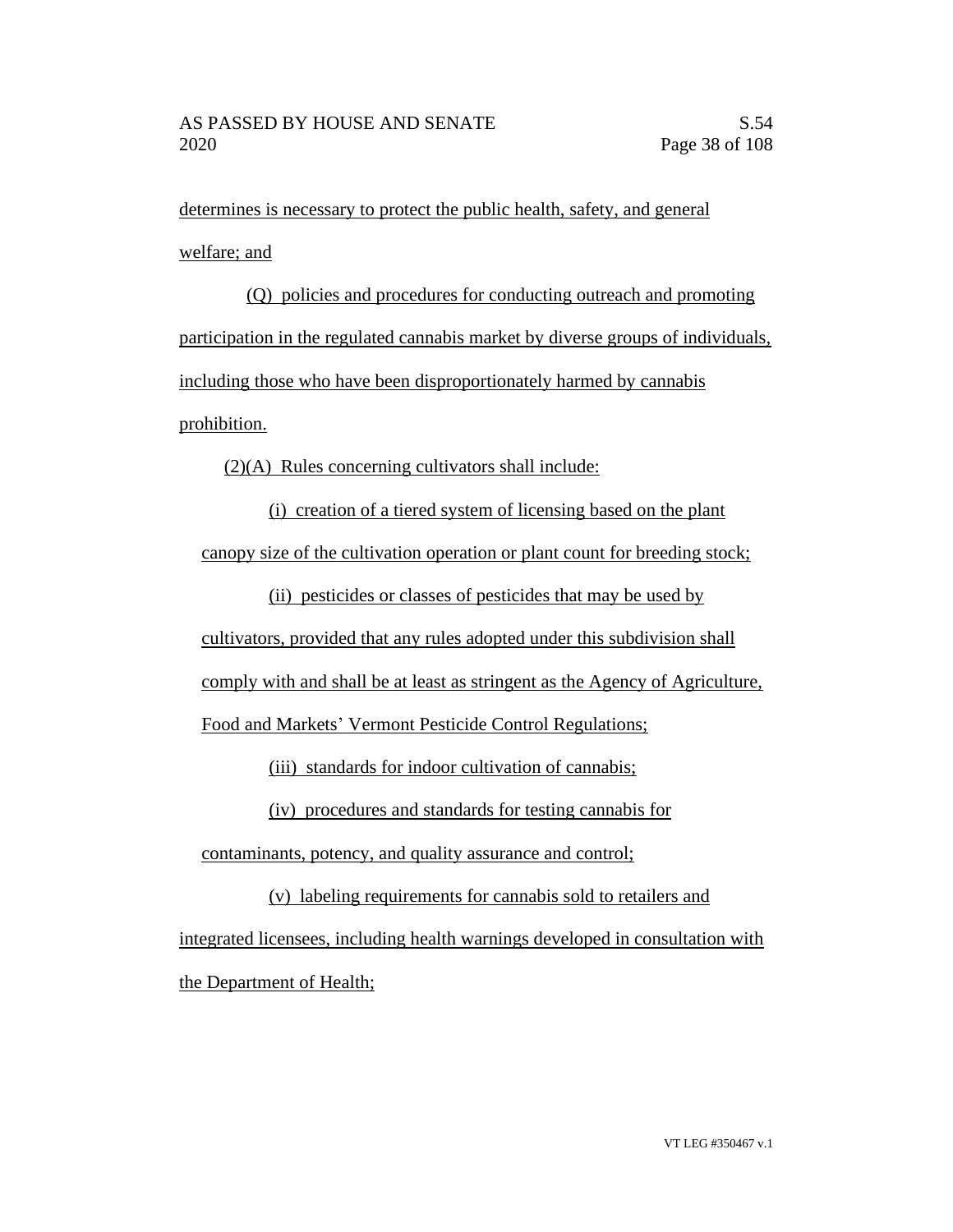determines is necessary to protect the public health, safety, and general welfare; and

(Q) policies and procedures for conducting outreach and promoting participation in the regulated cannabis market by diverse groups of individuals, including those who have been disproportionately harmed by cannabis prohibition.

(2)(A) Rules concerning cultivators shall include:

(i) creation of a tiered system of licensing based on the plant canopy size of the cultivation operation or plant count for breeding stock;

(ii) pesticides or classes of pesticides that may be used by

cultivators, provided that any rules adopted under this subdivision shall

comply with and shall be at least as stringent as the Agency of Agriculture,

Food and Markets' Vermont Pesticide Control Regulations;

(iii) standards for indoor cultivation of cannabis;

(iv) procedures and standards for testing cannabis for

contaminants, potency, and quality assurance and control;

(v) labeling requirements for cannabis sold to retailers and integrated licensees, including health warnings developed in consultation with the Department of Health;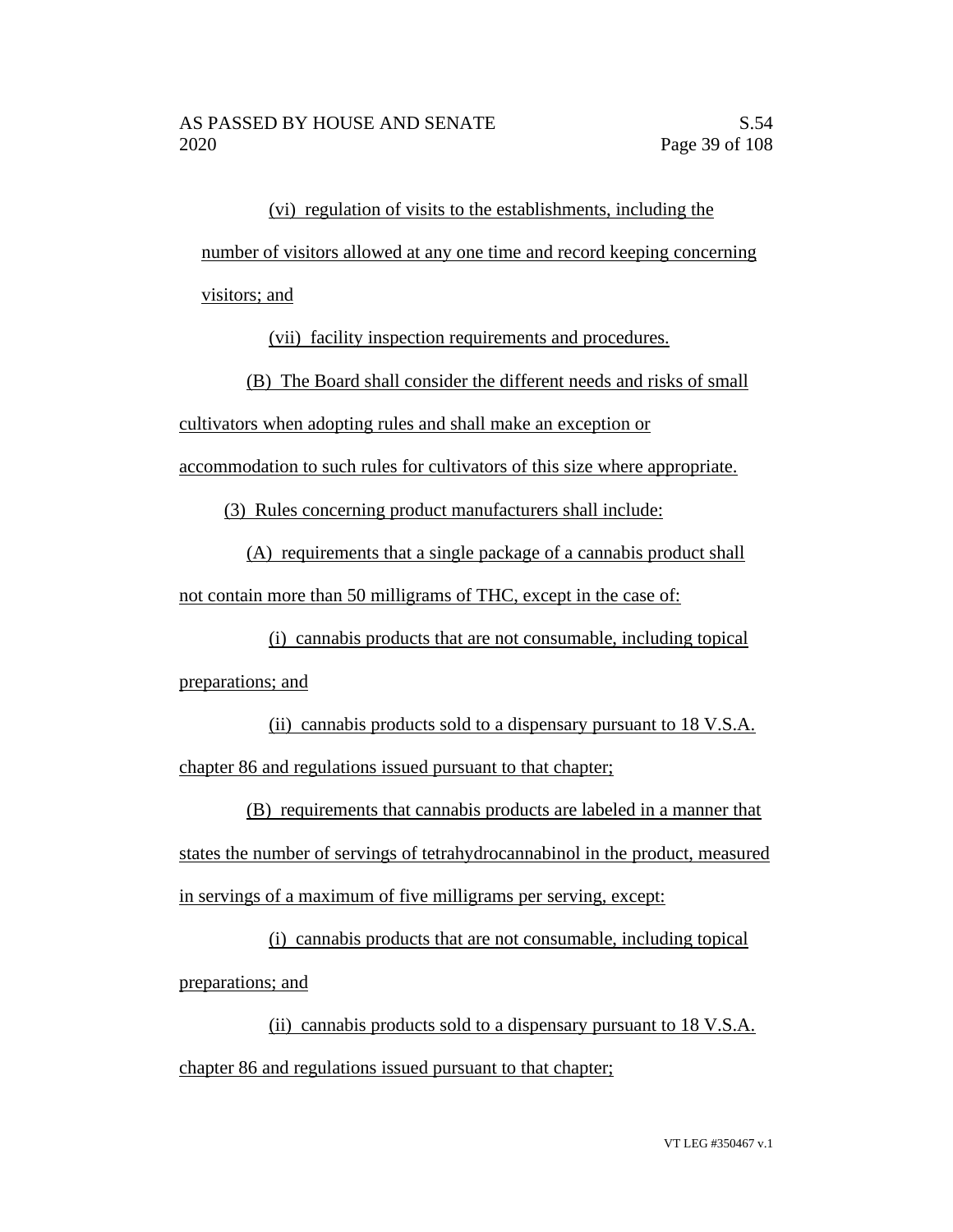(vi) regulation of visits to the establishments, including the number of visitors allowed at any one time and record keeping concerning visitors; and

(vii) facility inspection requirements and procedures.

(B) The Board shall consider the different needs and risks of small

cultivators when adopting rules and shall make an exception or

accommodation to such rules for cultivators of this size where appropriate.

(3) Rules concerning product manufacturers shall include:

(A) requirements that a single package of a cannabis product shall not contain more than 50 milligrams of THC, except in the case of:

(i) cannabis products that are not consumable, including topical preparations; and

(ii) cannabis products sold to a dispensary pursuant to 18 V.S.A. chapter 86 and regulations issued pursuant to that chapter;

(B) requirements that cannabis products are labeled in a manner that states the number of servings of tetrahydrocannabinol in the product, measured in servings of a maximum of five milligrams per serving, except:

(i) cannabis products that are not consumable, including topical preparations; and

(ii) cannabis products sold to a dispensary pursuant to 18 V.S.A. chapter 86 and regulations issued pursuant to that chapter;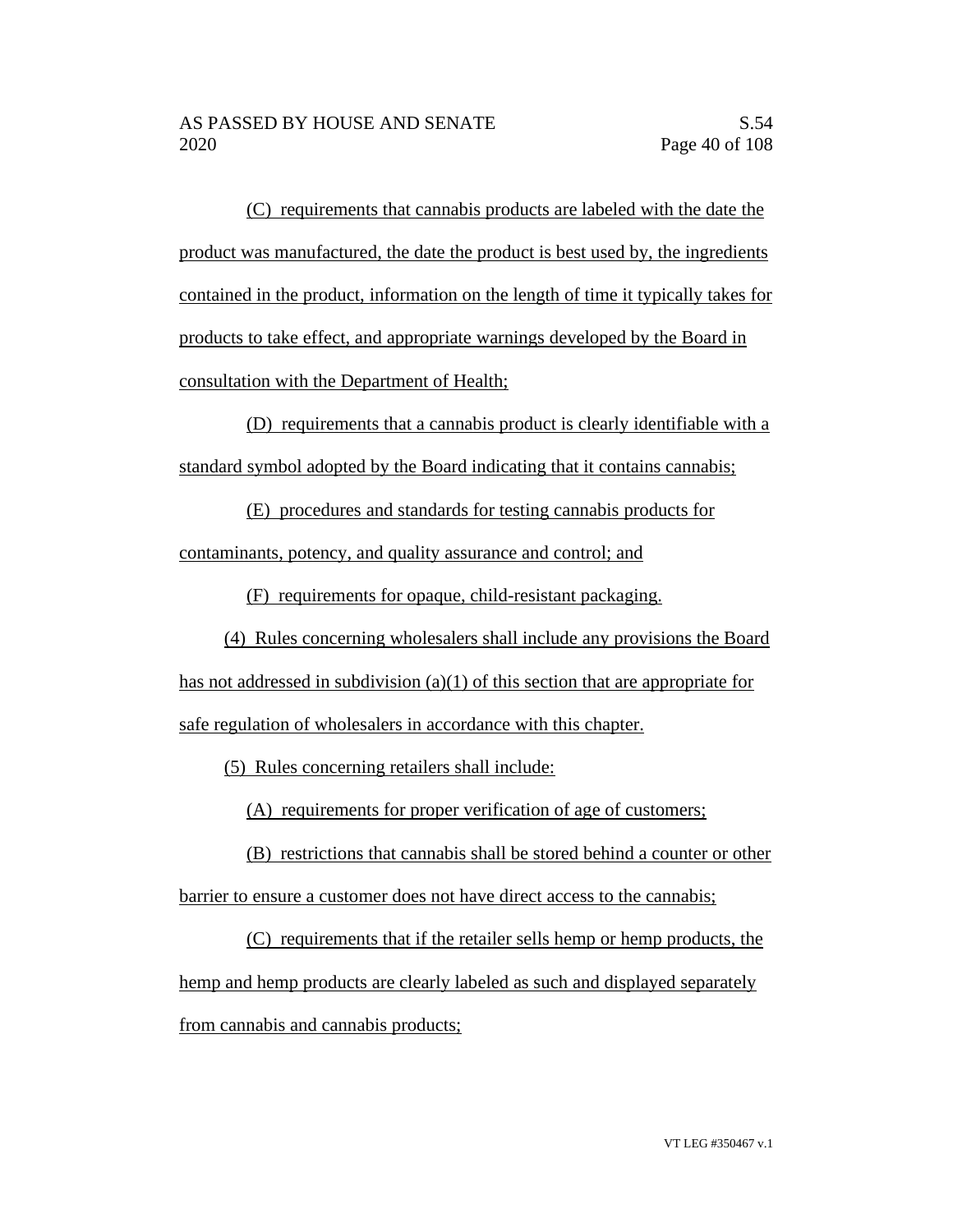(C) requirements that cannabis products are labeled with the date the product was manufactured, the date the product is best used by, the ingredients contained in the product, information on the length of time it typically takes for products to take effect, and appropriate warnings developed by the Board in consultation with the Department of Health;

(D) requirements that a cannabis product is clearly identifiable with a standard symbol adopted by the Board indicating that it contains cannabis;

(E) procedures and standards for testing cannabis products for contaminants, potency, and quality assurance and control; and

(F) requirements for opaque, child-resistant packaging.

(4) Rules concerning wholesalers shall include any provisions the Board has not addressed in subdivision (a)(1) of this section that are appropriate for safe regulation of wholesalers in accordance with this chapter.

(5) Rules concerning retailers shall include:

(A) requirements for proper verification of age of customers;

(B) restrictions that cannabis shall be stored behind a counter or other barrier to ensure a customer does not have direct access to the cannabis;

(C) requirements that if the retailer sells hemp or hemp products, the hemp and hemp products are clearly labeled as such and displayed separately from cannabis and cannabis products;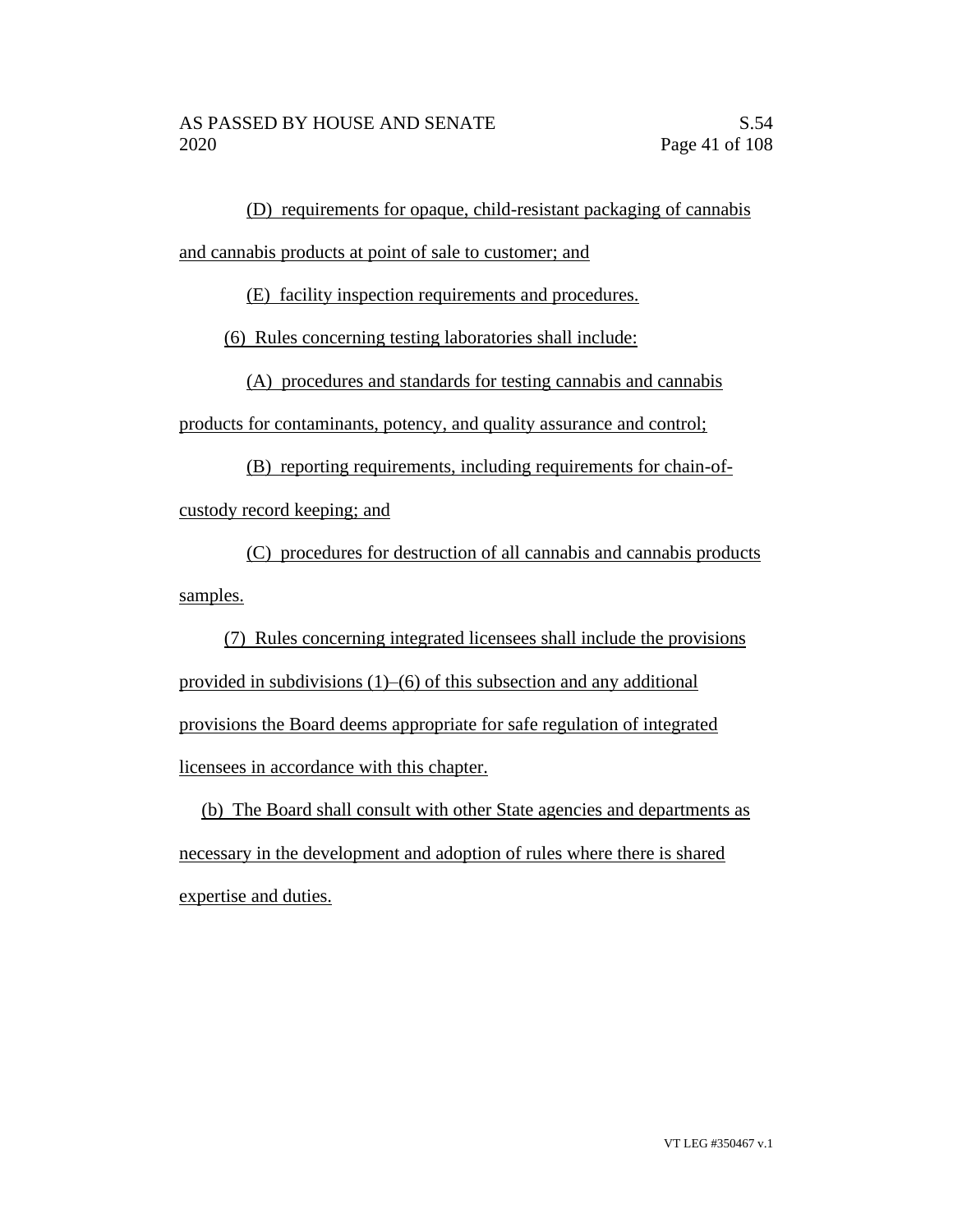(D) requirements for opaque, child-resistant packaging of cannabis

and cannabis products at point of sale to customer; and

(E) facility inspection requirements and procedures.

(6) Rules concerning testing laboratories shall include:

(A) procedures and standards for testing cannabis and cannabis

products for contaminants, potency, and quality assurance and control;

(B) reporting requirements, including requirements for chain-ofcustody record keeping; and

(C) procedures for destruction of all cannabis and cannabis products samples.

(7) Rules concerning integrated licensees shall include the provisions provided in subdivisions (1)–(6) of this subsection and any additional provisions the Board deems appropriate for safe regulation of integrated licensees in accordance with this chapter.

(b) The Board shall consult with other State agencies and departments as necessary in the development and adoption of rules where there is shared expertise and duties.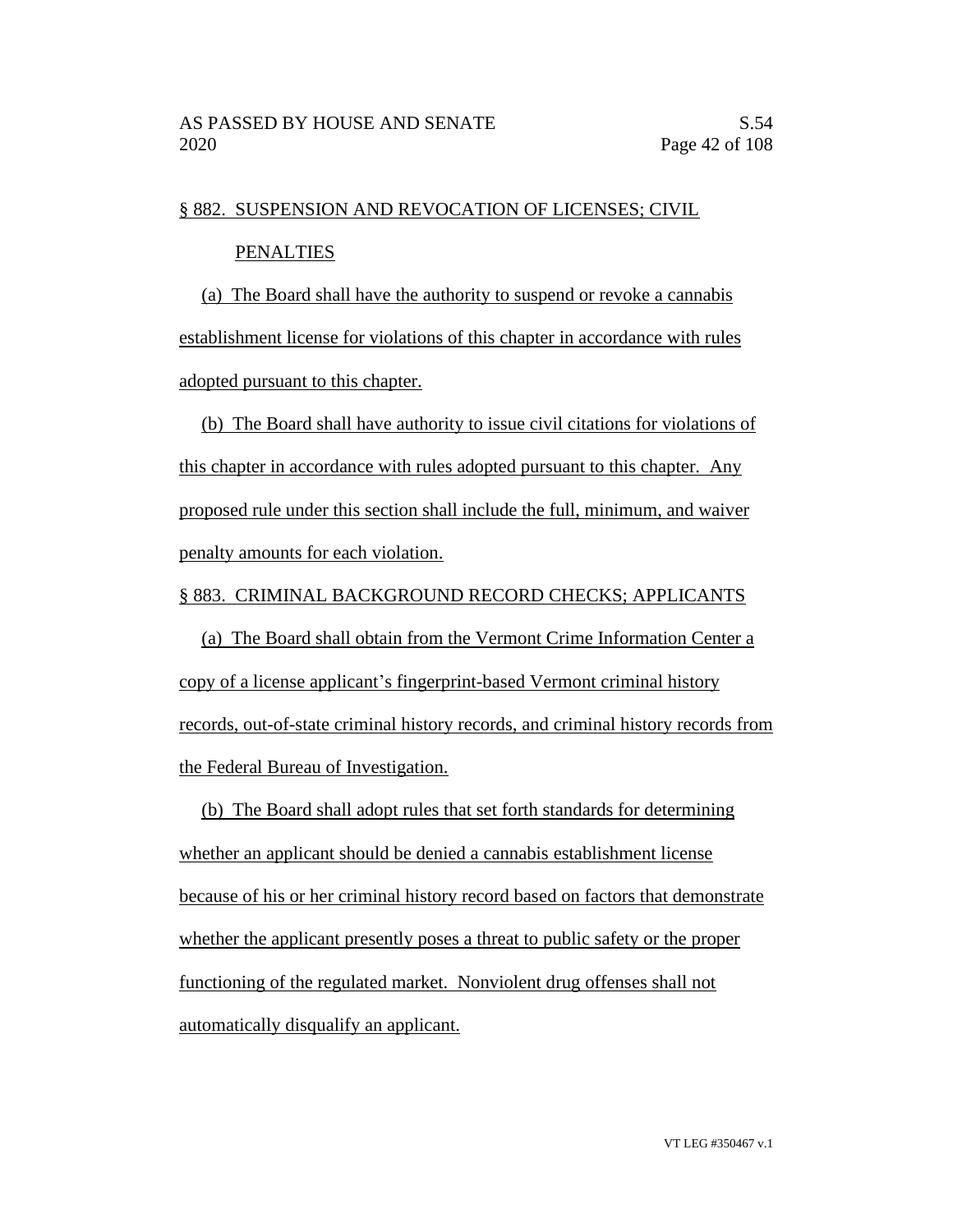#### § 882. SUSPENSION AND REVOCATION OF LICENSES; CIVIL

#### PENALTIES

(a) The Board shall have the authority to suspend or revoke a cannabis establishment license for violations of this chapter in accordance with rules adopted pursuant to this chapter.

(b) The Board shall have authority to issue civil citations for violations of this chapter in accordance with rules adopted pursuant to this chapter. Any proposed rule under this section shall include the full, minimum, and waiver penalty amounts for each violation.

#### § 883. CRIMINAL BACKGROUND RECORD CHECKS; APPLICANTS

(a) The Board shall obtain from the Vermont Crime Information Center a copy of a license applicant's fingerprint-based Vermont criminal history records, out-of-state criminal history records, and criminal history records from the Federal Bureau of Investigation.

(b) The Board shall adopt rules that set forth standards for determining whether an applicant should be denied a cannabis establishment license because of his or her criminal history record based on factors that demonstrate whether the applicant presently poses a threat to public safety or the proper functioning of the regulated market. Nonviolent drug offenses shall not automatically disqualify an applicant.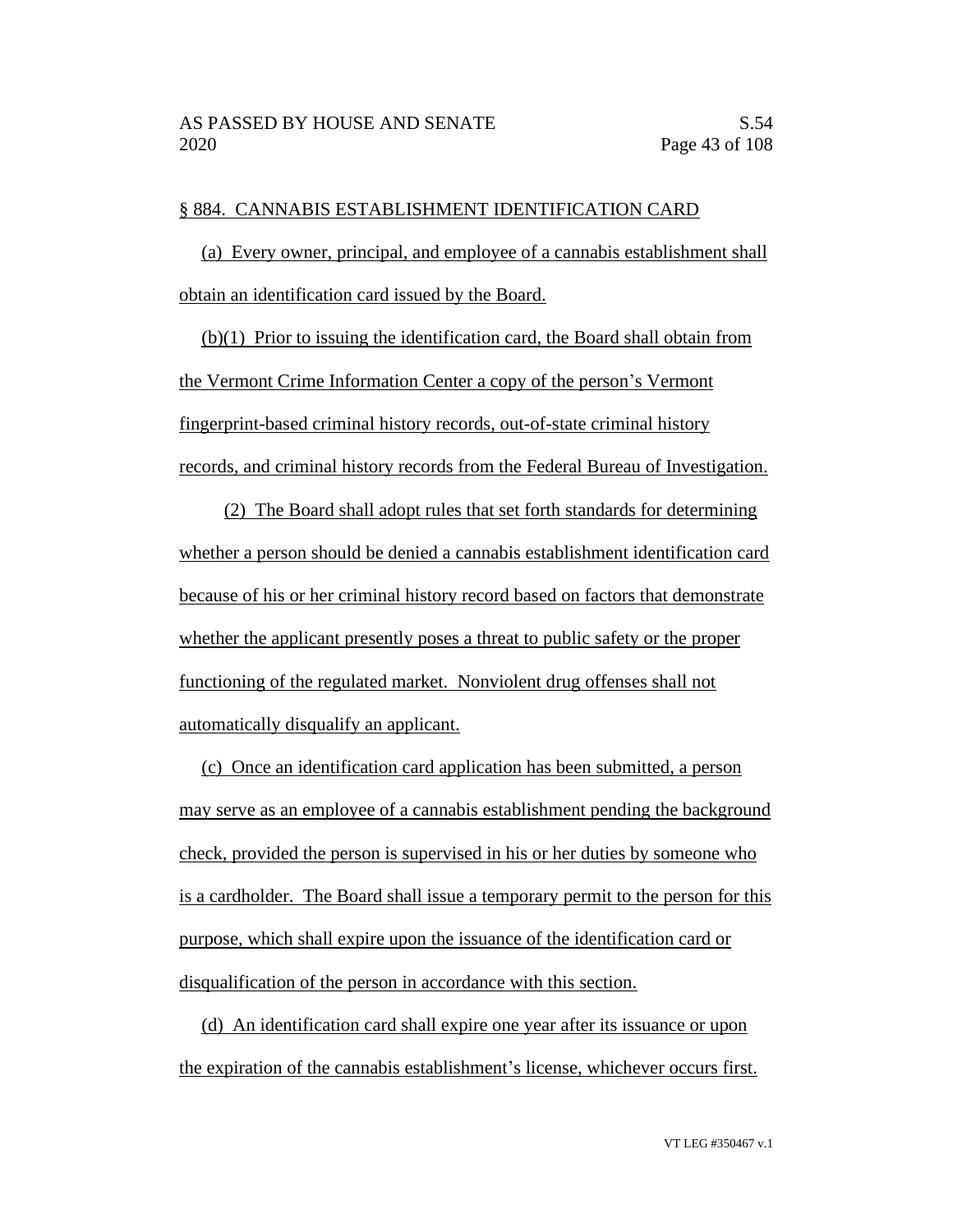## § 884. CANNABIS ESTABLISHMENT IDENTIFICATION CARD

(a) Every owner, principal, and employee of a cannabis establishment shall obtain an identification card issued by the Board.

(b)(1) Prior to issuing the identification card, the Board shall obtain from the Vermont Crime Information Center a copy of the person's Vermont fingerprint-based criminal history records, out-of-state criminal history records, and criminal history records from the Federal Bureau of Investigation.

(2) The Board shall adopt rules that set forth standards for determining whether a person should be denied a cannabis establishment identification card because of his or her criminal history record based on factors that demonstrate whether the applicant presently poses a threat to public safety or the proper functioning of the regulated market. Nonviolent drug offenses shall not automatically disqualify an applicant.

(c) Once an identification card application has been submitted, a person may serve as an employee of a cannabis establishment pending the background check, provided the person is supervised in his or her duties by someone who is a cardholder. The Board shall issue a temporary permit to the person for this purpose, which shall expire upon the issuance of the identification card or disqualification of the person in accordance with this section.

(d) An identification card shall expire one year after its issuance or upon the expiration of the cannabis establishment's license, whichever occurs first.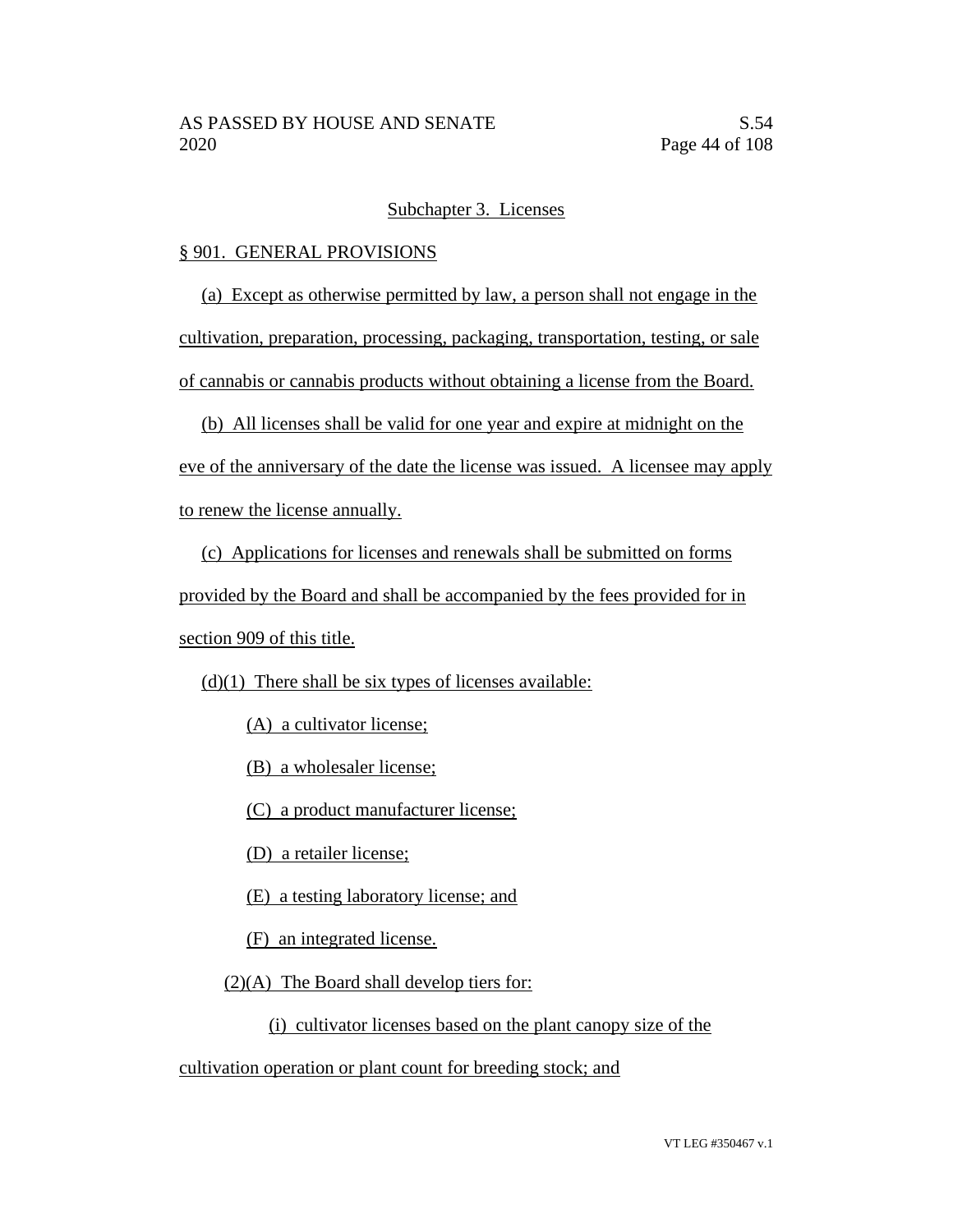#### Subchapter 3. Licenses

#### § 901. GENERAL PROVISIONS

(a) Except as otherwise permitted by law, a person shall not engage in the

cultivation, preparation, processing, packaging, transportation, testing, or sale

of cannabis or cannabis products without obtaining a license from the Board.

(b) All licenses shall be valid for one year and expire at midnight on the

eve of the anniversary of the date the license was issued. A licensee may apply

to renew the license annually.

(c) Applications for licenses and renewals shall be submitted on forms

provided by the Board and shall be accompanied by the fees provided for in

section 909 of this title.

 $(d)(1)$  There shall be six types of licenses available:

(A) a cultivator license;

(B) a wholesaler license;

(C) a product manufacturer license;

(D) a retailer license;

(E) a testing laboratory license; and

(F) an integrated license.

 $(2)(A)$  The Board shall develop tiers for:

(i) cultivator licenses based on the plant canopy size of the

cultivation operation or plant count for breeding stock; and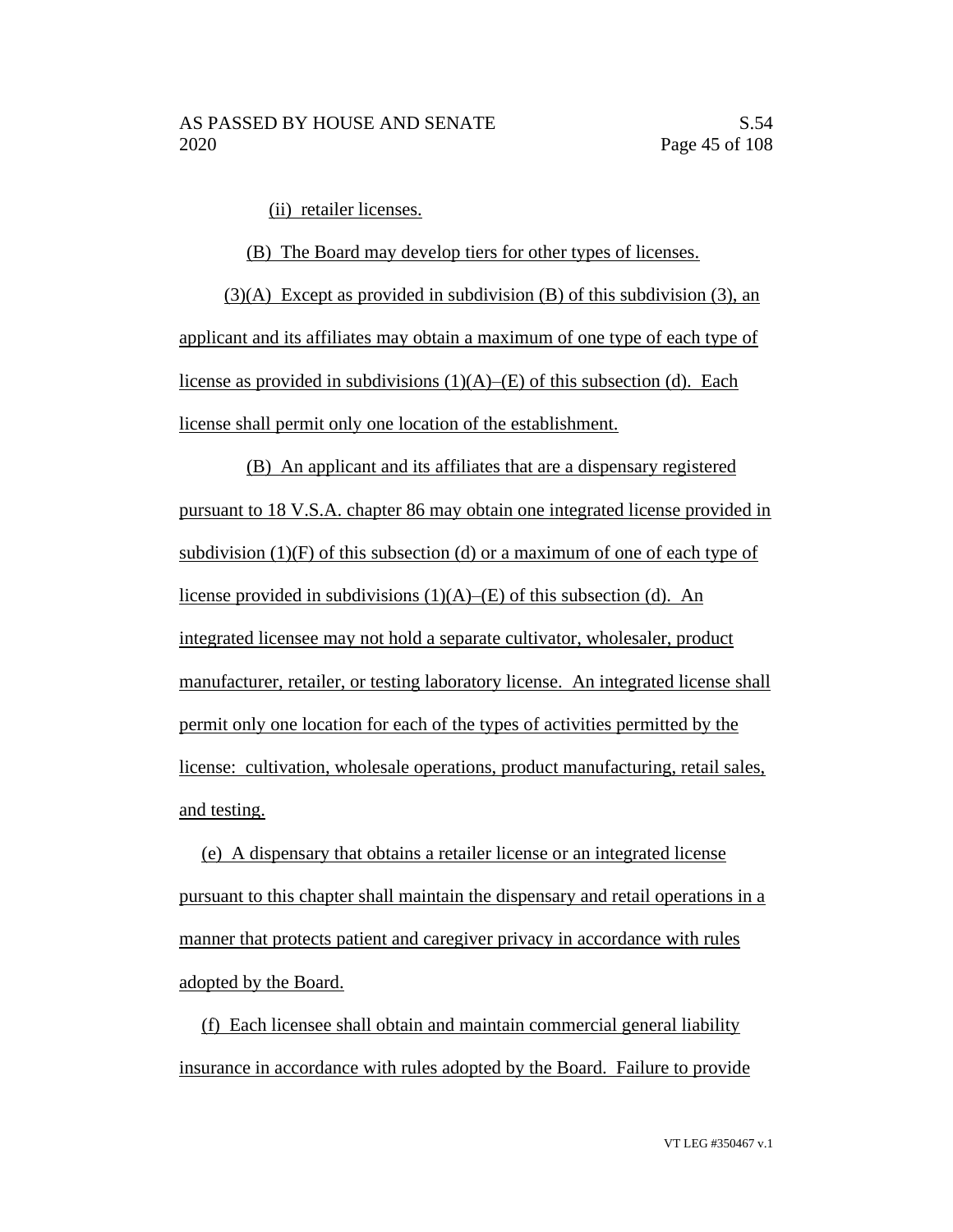(ii) retailer licenses.

(B) The Board may develop tiers for other types of licenses. (3)(A) Except as provided in subdivision (B) of this subdivision (3), an applicant and its affiliates may obtain a maximum of one type of each type of license as provided in subdivisions  $(1)(A)$ –(E) of this subsection (d). Each

license shall permit only one location of the establishment.

(B) An applicant and its affiliates that are a dispensary registered pursuant to 18 V.S.A. chapter 86 may obtain one integrated license provided in subdivision (1)(F) of this subsection (d) or a maximum of one of each type of license provided in subdivisions  $(1)(A)$ – $(E)$  of this subsection (d). An integrated licensee may not hold a separate cultivator, wholesaler, product manufacturer, retailer, or testing laboratory license. An integrated license shall permit only one location for each of the types of activities permitted by the license: cultivation, wholesale operations, product manufacturing, retail sales, and testing.

(e) A dispensary that obtains a retailer license or an integrated license pursuant to this chapter shall maintain the dispensary and retail operations in a manner that protects patient and caregiver privacy in accordance with rules adopted by the Board.

(f) Each licensee shall obtain and maintain commercial general liability insurance in accordance with rules adopted by the Board. Failure to provide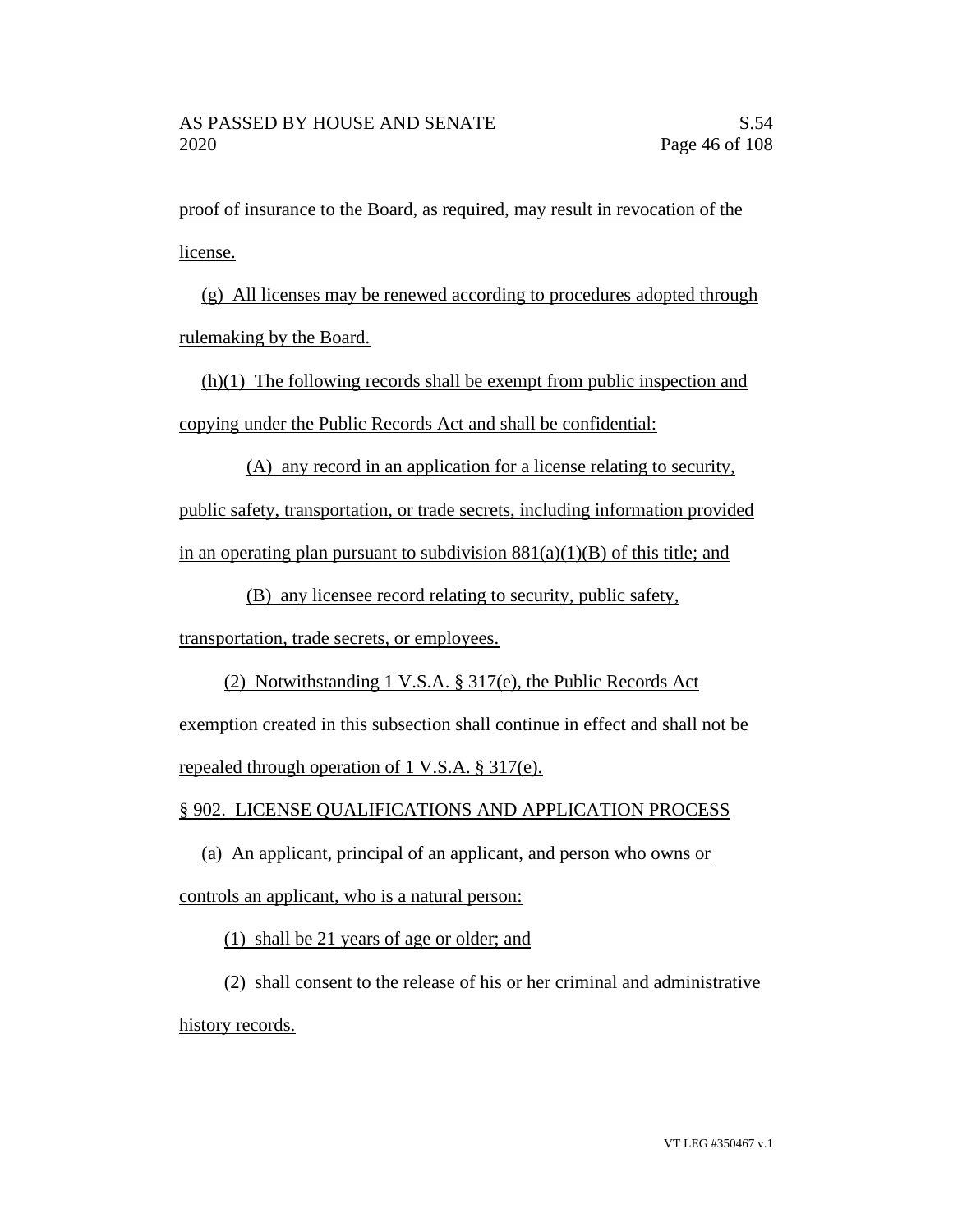proof of insurance to the Board, as required, may result in revocation of the license.

(g) All licenses may be renewed according to procedures adopted through rulemaking by the Board.

(h)(1) The following records shall be exempt from public inspection and copying under the Public Records Act and shall be confidential:

(A) any record in an application for a license relating to security, public safety, transportation, or trade secrets, including information provided in an operating plan pursuant to subdivision  $881(a)(1)(B)$  of this title; and

(B) any licensee record relating to security, public safety,

transportation, trade secrets, or employees.

(2) Notwithstanding 1 V.S.A. § 317(e), the Public Records Act exemption created in this subsection shall continue in effect and shall not be repealed through operation of 1 V.S.A. § 317(e).

§ 902. LICENSE QUALIFICATIONS AND APPLICATION PROCESS

(a) An applicant, principal of an applicant, and person who owns or controls an applicant, who is a natural person:

(1) shall be 21 years of age or older; and

(2) shall consent to the release of his or her criminal and administrative history records.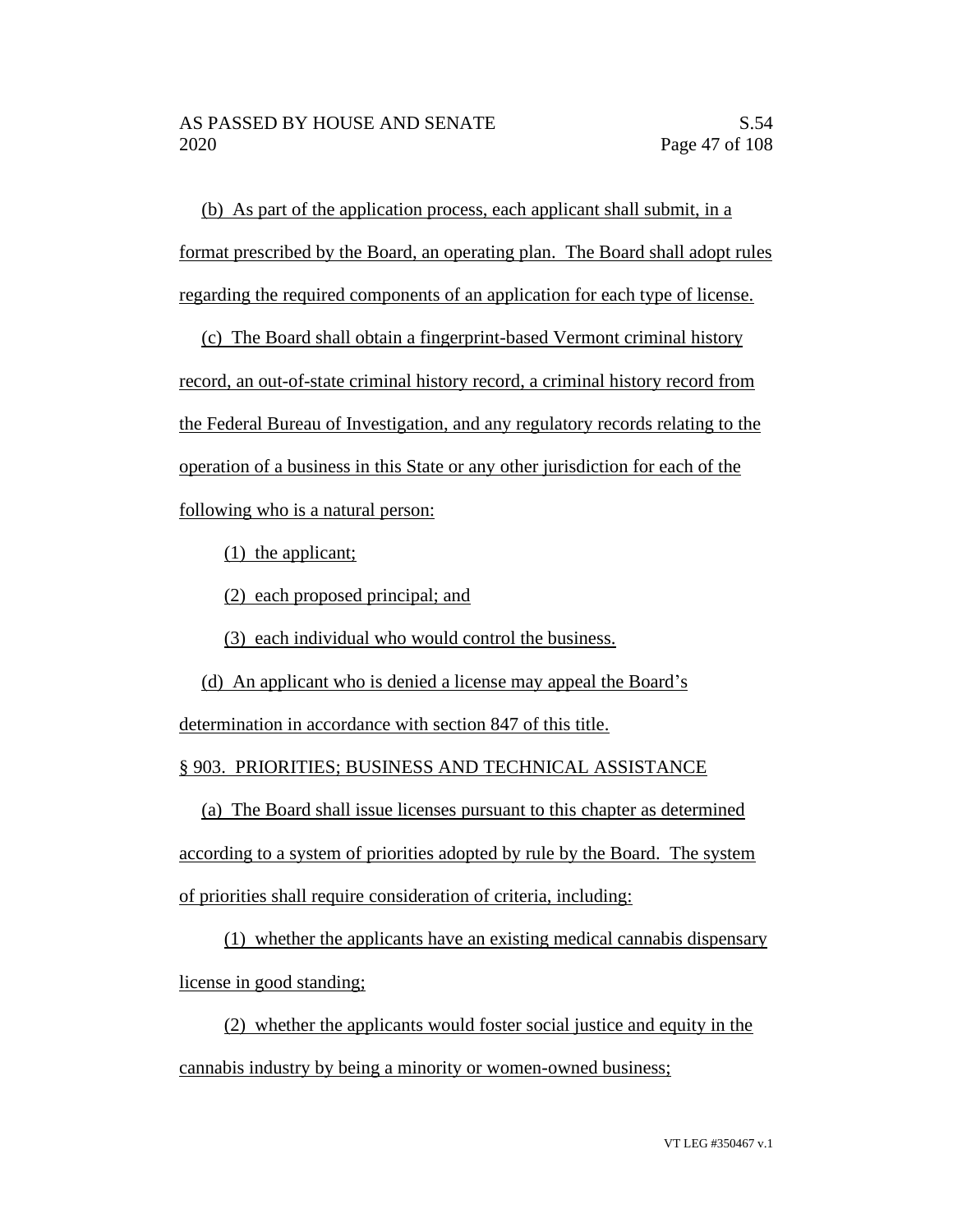(b) As part of the application process, each applicant shall submit, in a format prescribed by the Board, an operating plan. The Board shall adopt rules regarding the required components of an application for each type of license.

(c) The Board shall obtain a fingerprint-based Vermont criminal history record, an out-of-state criminal history record, a criminal history record from the Federal Bureau of Investigation, and any regulatory records relating to the operation of a business in this State or any other jurisdiction for each of the following who is a natural person:

(1) the applicant;

(2) each proposed principal; and

(3) each individual who would control the business.

(d) An applicant who is denied a license may appeal the Board's determination in accordance with section 847 of this title.

# § 903. PRIORITIES; BUSINESS AND TECHNICAL ASSISTANCE

(a) The Board shall issue licenses pursuant to this chapter as determined according to a system of priorities adopted by rule by the Board. The system

of priorities shall require consideration of criteria, including:

(1) whether the applicants have an existing medical cannabis dispensary

license in good standing;

(2) whether the applicants would foster social justice and equity in the cannabis industry by being a minority or women-owned business;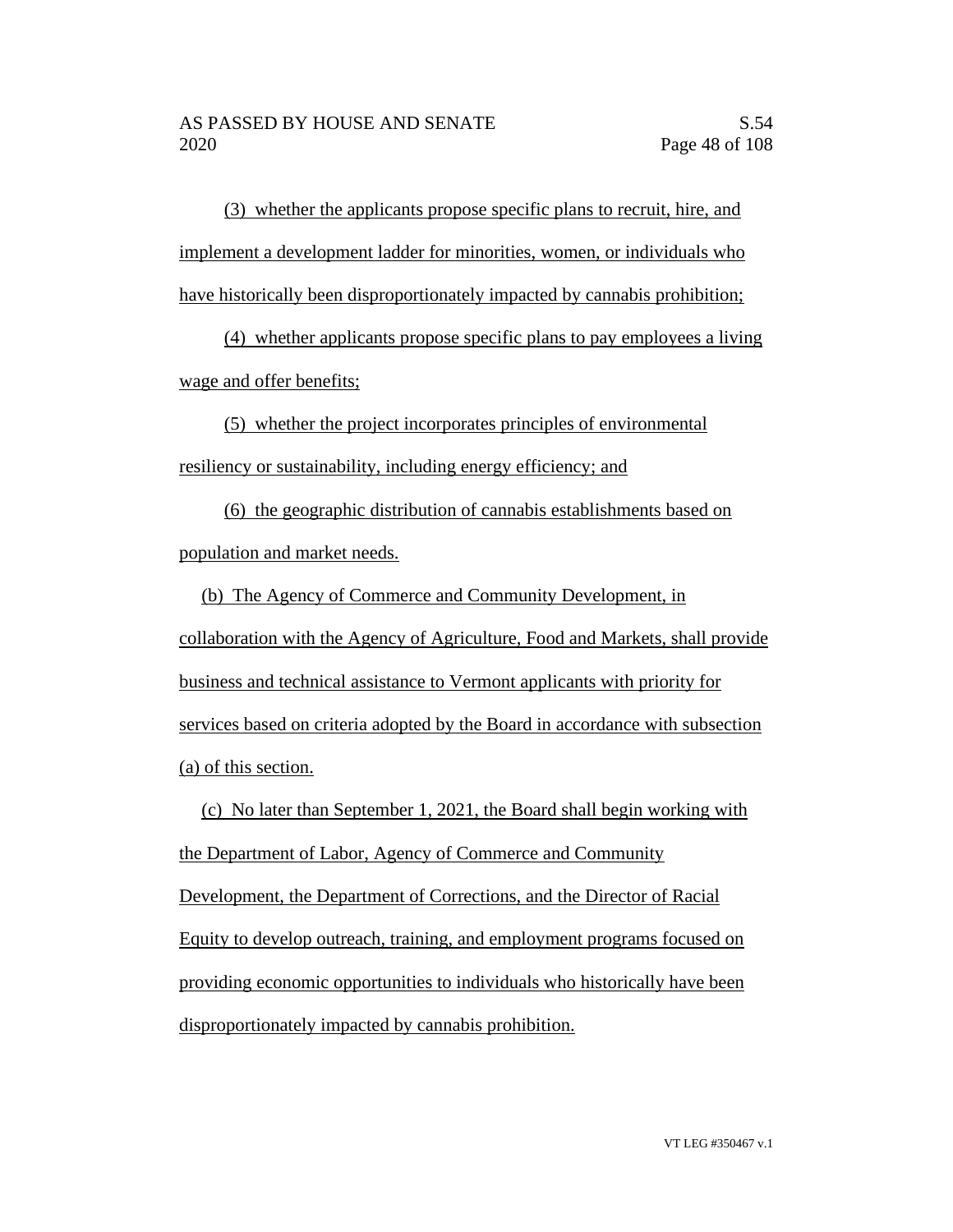(3) whether the applicants propose specific plans to recruit, hire, and implement a development ladder for minorities, women, or individuals who have historically been disproportionately impacted by cannabis prohibition;

(4) whether applicants propose specific plans to pay employees a living wage and offer benefits;

(5) whether the project incorporates principles of environmental resiliency or sustainability, including energy efficiency; and

(6) the geographic distribution of cannabis establishments based on population and market needs.

(b) The Agency of Commerce and Community Development, in collaboration with the Agency of Agriculture, Food and Markets, shall provide business and technical assistance to Vermont applicants with priority for services based on criteria adopted by the Board in accordance with subsection (a) of this section.

(c) No later than September 1, 2021, the Board shall begin working with the Department of Labor, Agency of Commerce and Community Development, the Department of Corrections, and the Director of Racial Equity to develop outreach, training, and employment programs focused on providing economic opportunities to individuals who historically have been disproportionately impacted by cannabis prohibition.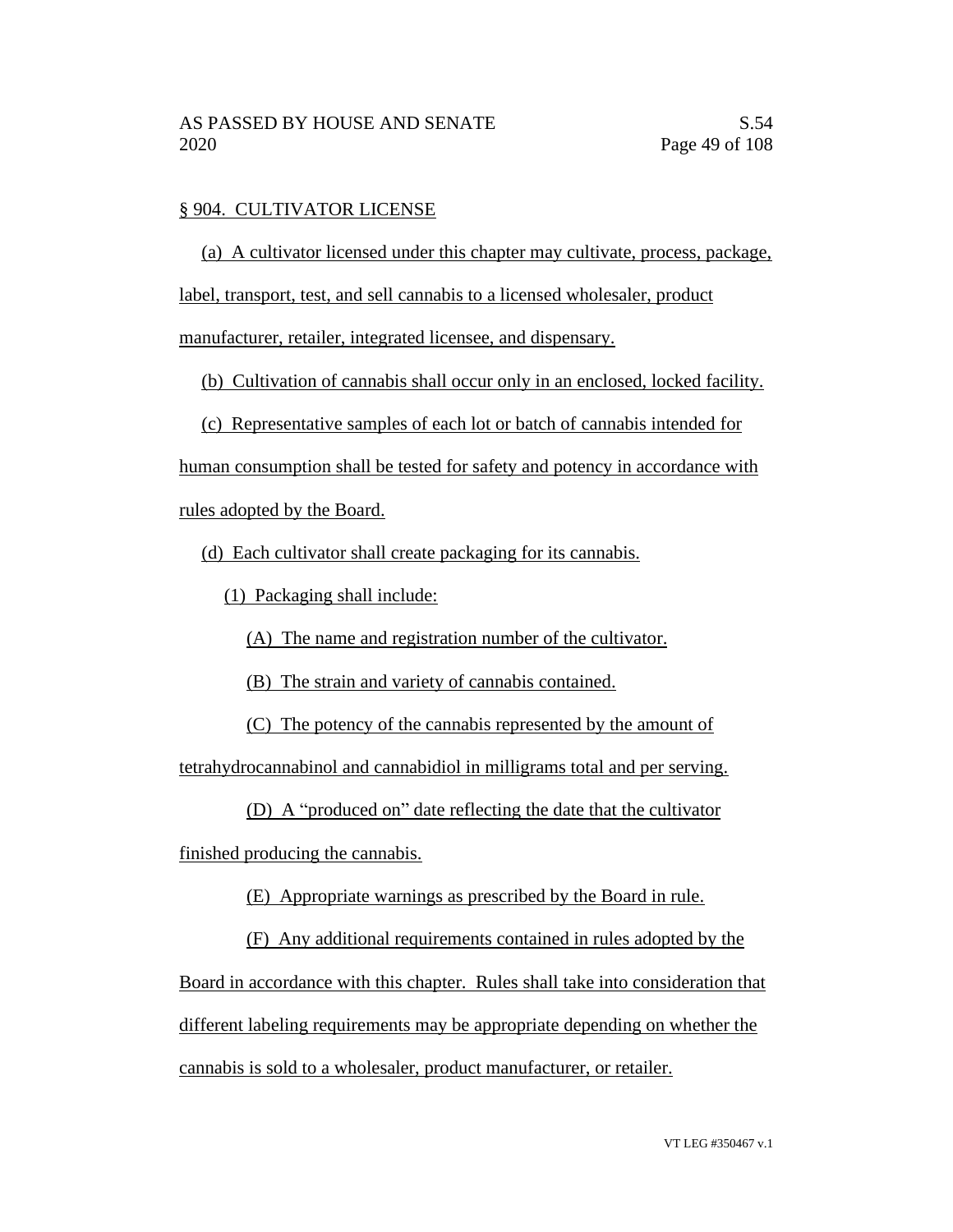### § 904. CULTIVATOR LICENSE

(a) A cultivator licensed under this chapter may cultivate, process, package,

label, transport, test, and sell cannabis to a licensed wholesaler, product

manufacturer, retailer, integrated licensee, and dispensary.

(b) Cultivation of cannabis shall occur only in an enclosed, locked facility.

(c) Representative samples of each lot or batch of cannabis intended for

human consumption shall be tested for safety and potency in accordance with

rules adopted by the Board.

(d) Each cultivator shall create packaging for its cannabis.

(1) Packaging shall include:

(A) The name and registration number of the cultivator.

(B) The strain and variety of cannabis contained.

(C) The potency of the cannabis represented by the amount of

tetrahydrocannabinol and cannabidiol in milligrams total and per serving.

(D) A "produced on" date reflecting the date that the cultivator

finished producing the cannabis.

(E) Appropriate warnings as prescribed by the Board in rule.

(F) Any additional requirements contained in rules adopted by the

Board in accordance with this chapter. Rules shall take into consideration that

different labeling requirements may be appropriate depending on whether the

cannabis is sold to a wholesaler, product manufacturer, or retailer.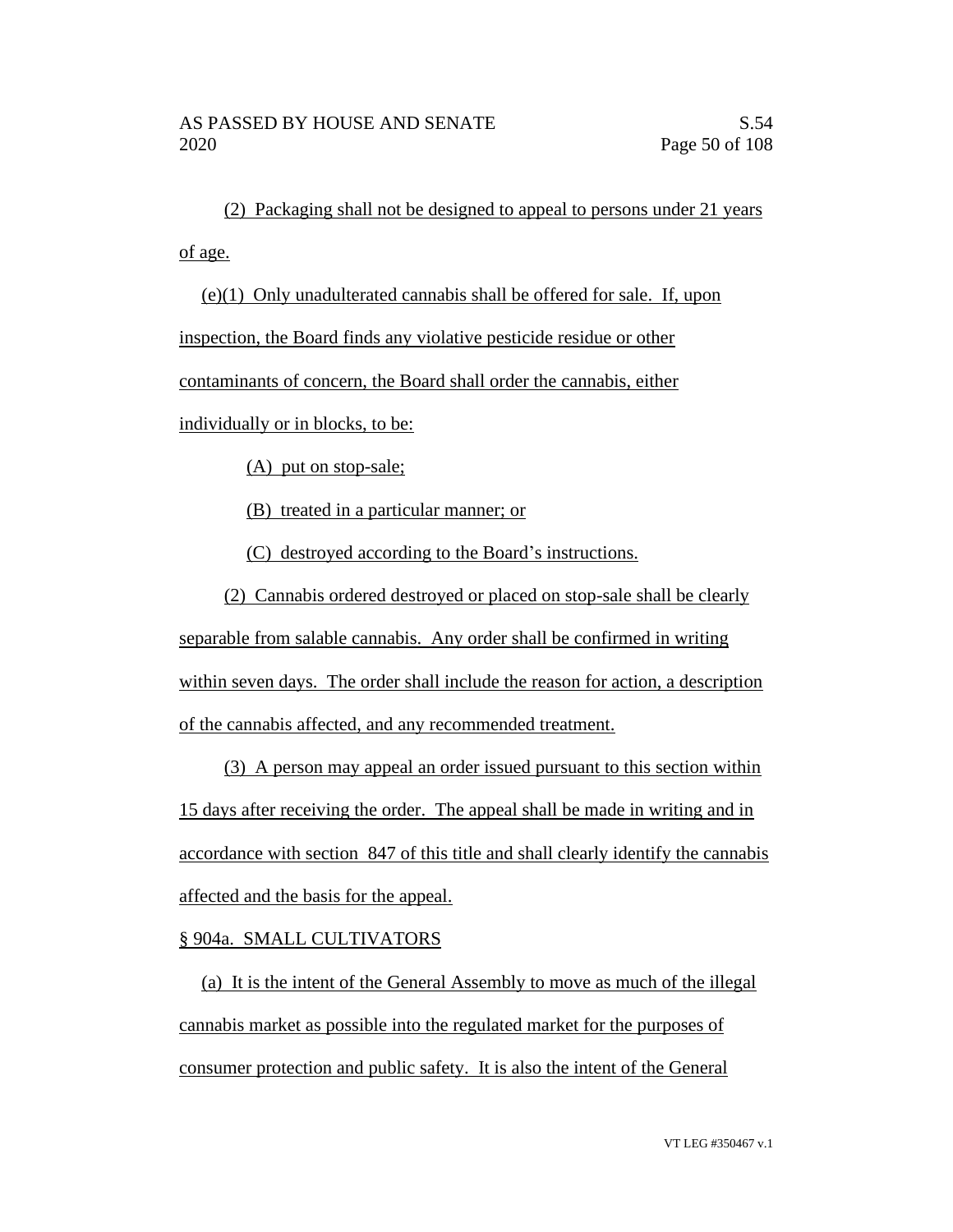(2) Packaging shall not be designed to appeal to persons under 21 years of age.

(e)(1) Only unadulterated cannabis shall be offered for sale. If, upon inspection, the Board finds any violative pesticide residue or other contaminants of concern, the Board shall order the cannabis, either individually or in blocks, to be:

(A) put on stop-sale;

(B) treated in a particular manner; or

(C) destroyed according to the Board's instructions.

(2) Cannabis ordered destroyed or placed on stop-sale shall be clearly

separable from salable cannabis. Any order shall be confirmed in writing within seven days. The order shall include the reason for action, a description of the cannabis affected, and any recommended treatment.

(3) A person may appeal an order issued pursuant to this section within 15 days after receiving the order. The appeal shall be made in writing and in accordance with section 847 of this title and shall clearly identify the cannabis affected and the basis for the appeal.

## § 904a. SMALL CULTIVATORS

(a) It is the intent of the General Assembly to move as much of the illegal cannabis market as possible into the regulated market for the purposes of consumer protection and public safety. It is also the intent of the General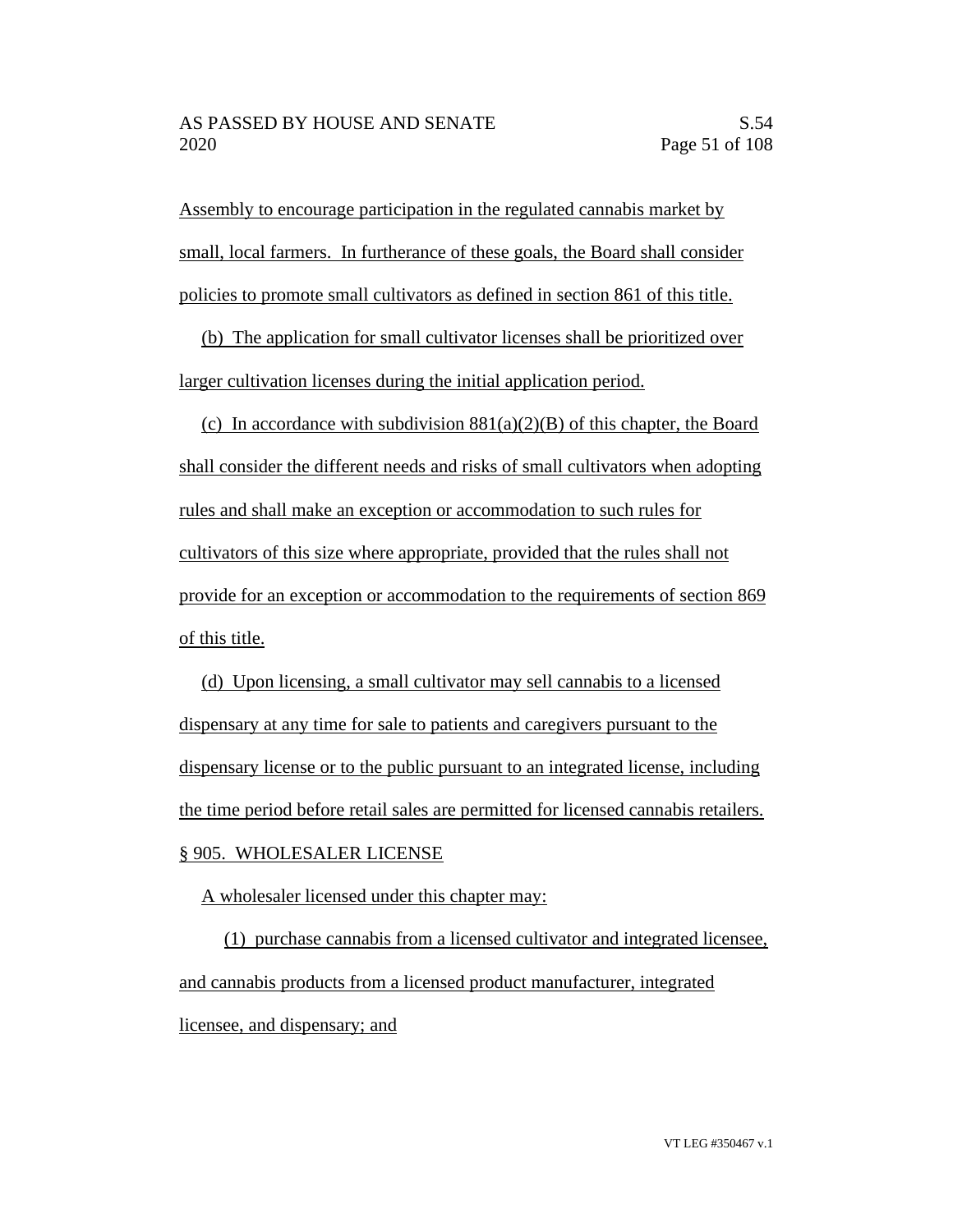Assembly to encourage participation in the regulated cannabis market by small, local farmers. In furtherance of these goals, the Board shall consider policies to promote small cultivators as defined in section 861 of this title.

(b) The application for small cultivator licenses shall be prioritized over larger cultivation licenses during the initial application period.

(c) In accordance with subdivision  $881(a)(2)(B)$  of this chapter, the Board shall consider the different needs and risks of small cultivators when adopting rules and shall make an exception or accommodation to such rules for cultivators of this size where appropriate, provided that the rules shall not provide for an exception or accommodation to the requirements of section 869 of this title.

(d) Upon licensing, a small cultivator may sell cannabis to a licensed dispensary at any time for sale to patients and caregivers pursuant to the dispensary license or to the public pursuant to an integrated license, including the time period before retail sales are permitted for licensed cannabis retailers. § 905. WHOLESALER LICENSE

A wholesaler licensed under this chapter may:

(1) purchase cannabis from a licensed cultivator and integrated licensee, and cannabis products from a licensed product manufacturer, integrated licensee, and dispensary; and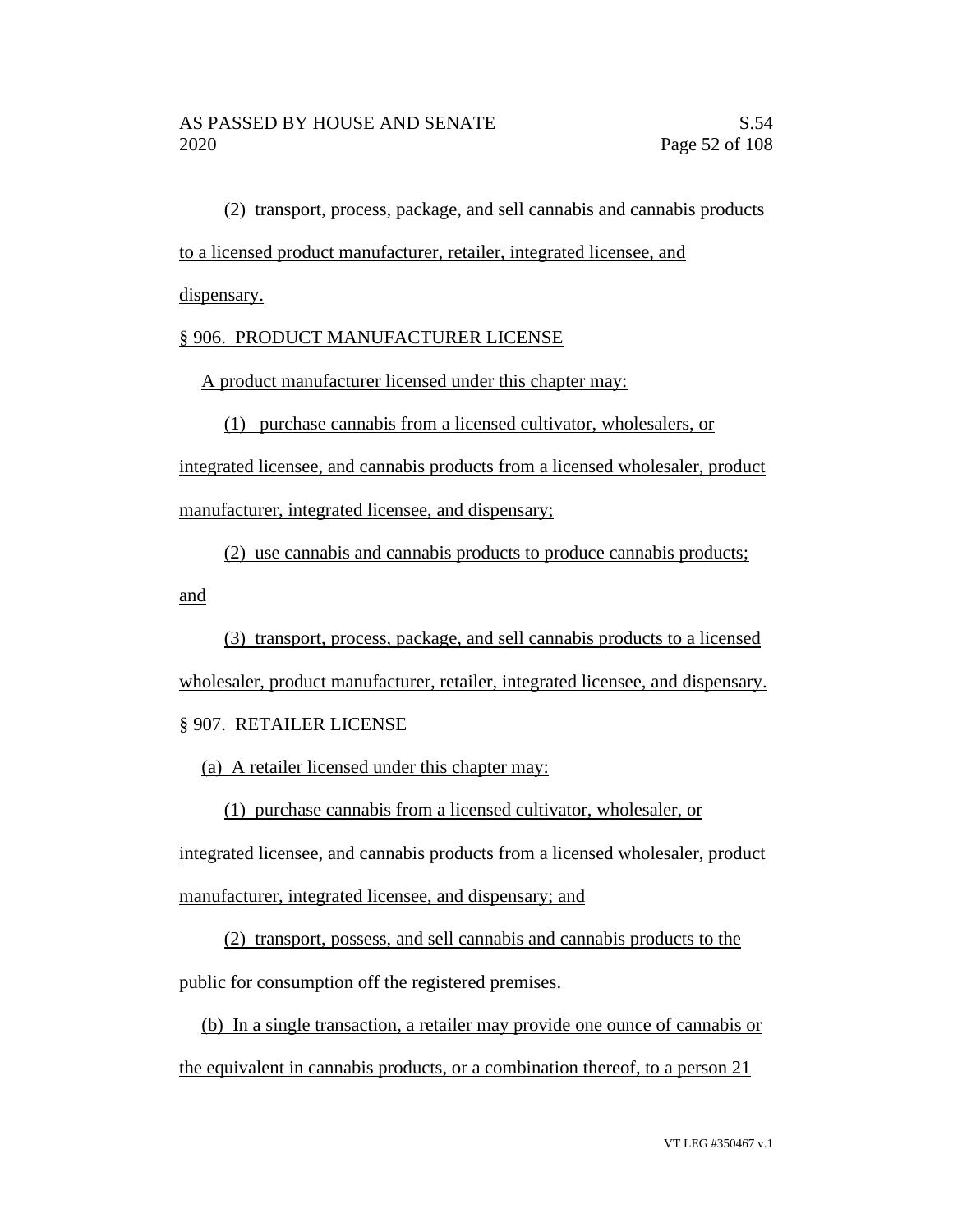(2) transport, process, package, and sell cannabis and cannabis products

to a licensed product manufacturer, retailer, integrated licensee, and

dispensary.

## § 906. PRODUCT MANUFACTURER LICENSE

A product manufacturer licensed under this chapter may:

(1) purchase cannabis from a licensed cultivator, wholesalers, or

integrated licensee, and cannabis products from a licensed wholesaler, product manufacturer, integrated licensee, and dispensary;

(2) use cannabis and cannabis products to produce cannabis products; and

(3) transport, process, package, and sell cannabis products to a licensed wholesaler, product manufacturer, retailer, integrated licensee, and dispensary.

## § 907. RETAILER LICENSE

(a) A retailer licensed under this chapter may:

(1) purchase cannabis from a licensed cultivator, wholesaler, or

integrated licensee, and cannabis products from a licensed wholesaler, product manufacturer, integrated licensee, and dispensary; and

(2) transport, possess, and sell cannabis and cannabis products to the public for consumption off the registered premises.

(b) In a single transaction, a retailer may provide one ounce of cannabis or the equivalent in cannabis products, or a combination thereof, to a person 21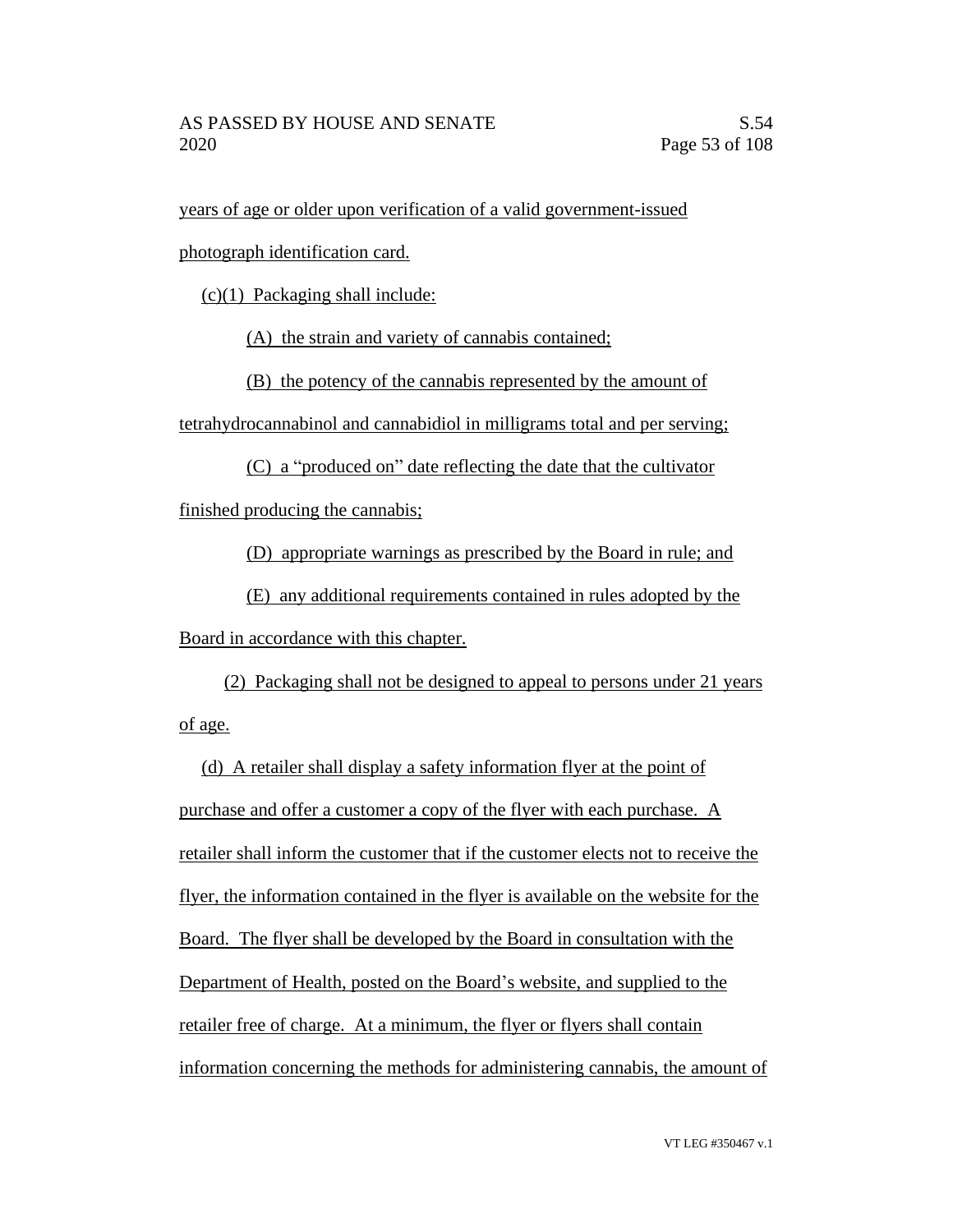years of age or older upon verification of a valid government-issued

photograph identification card.

(c)(1) Packaging shall include:

(A) the strain and variety of cannabis contained;

(B) the potency of the cannabis represented by the amount of

tetrahydrocannabinol and cannabidiol in milligrams total and per serving;

(C) a "produced on" date reflecting the date that the cultivator

finished producing the cannabis;

(D) appropriate warnings as prescribed by the Board in rule; and

(E) any additional requirements contained in rules adopted by the Board in accordance with this chapter.

(2) Packaging shall not be designed to appeal to persons under 21 years of age.

(d) A retailer shall display a safety information flyer at the point of purchase and offer a customer a copy of the flyer with each purchase. A retailer shall inform the customer that if the customer elects not to receive the flyer, the information contained in the flyer is available on the website for the Board. The flyer shall be developed by the Board in consultation with the Department of Health, posted on the Board's website, and supplied to the retailer free of charge. At a minimum, the flyer or flyers shall contain information concerning the methods for administering cannabis, the amount of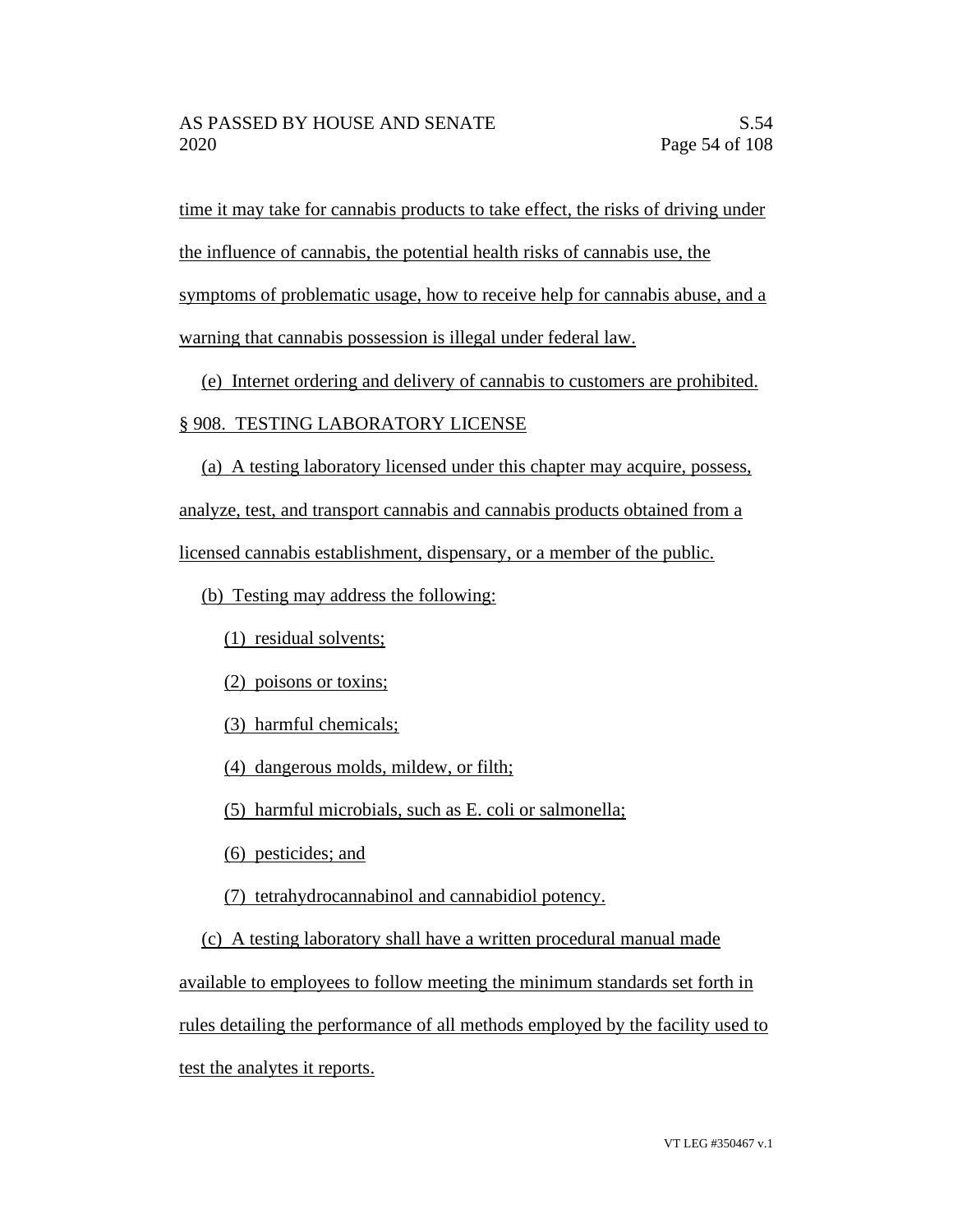time it may take for cannabis products to take effect, the risks of driving under

the influence of cannabis, the potential health risks of cannabis use, the

symptoms of problematic usage, how to receive help for cannabis abuse, and a

warning that cannabis possession is illegal under federal law.

(e) Internet ordering and delivery of cannabis to customers are prohibited.

## § 908. TESTING LABORATORY LICENSE

(a) A testing laboratory licensed under this chapter may acquire, possess,

analyze, test, and transport cannabis and cannabis products obtained from a

licensed cannabis establishment, dispensary, or a member of the public.

(b) Testing may address the following:

(1) residual solvents;

(2) poisons or toxins;

(3) harmful chemicals;

(4) dangerous molds, mildew, or filth;

(5) harmful microbials, such as E. coli or salmonella;

(6) pesticides; and

(7) tetrahydrocannabinol and cannabidiol potency.

(c) A testing laboratory shall have a written procedural manual made

available to employees to follow meeting the minimum standards set forth in

rules detailing the performance of all methods employed by the facility used to

test the analytes it reports.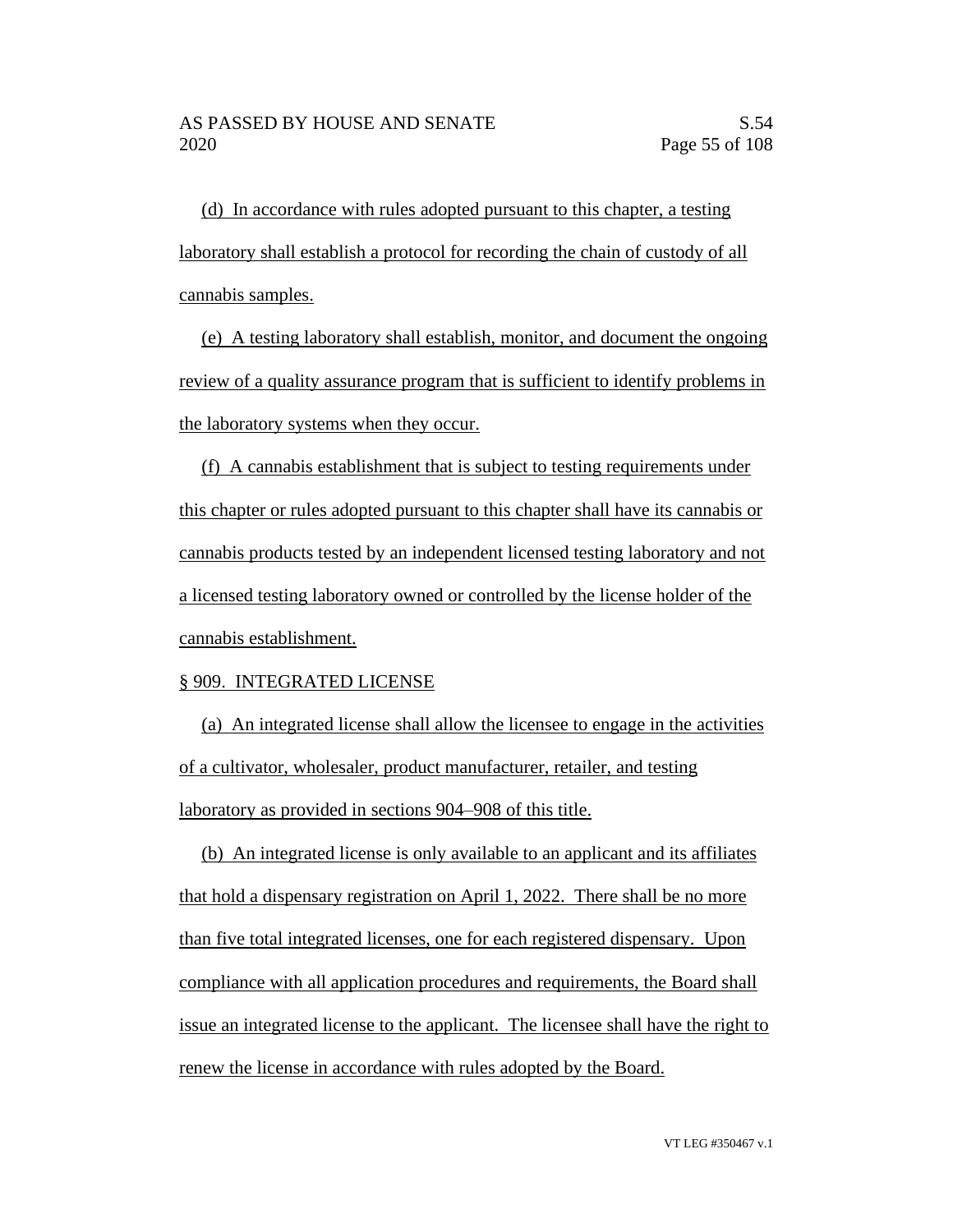(d) In accordance with rules adopted pursuant to this chapter, a testing laboratory shall establish a protocol for recording the chain of custody of all cannabis samples.

(e) A testing laboratory shall establish, monitor, and document the ongoing review of a quality assurance program that is sufficient to identify problems in the laboratory systems when they occur.

(f) A cannabis establishment that is subject to testing requirements under this chapter or rules adopted pursuant to this chapter shall have its cannabis or cannabis products tested by an independent licensed testing laboratory and not a licensed testing laboratory owned or controlled by the license holder of the cannabis establishment.

#### § 909. INTEGRATED LICENSE

(a) An integrated license shall allow the licensee to engage in the activities of a cultivator, wholesaler, product manufacturer, retailer, and testing laboratory as provided in sections 904–908 of this title.

(b) An integrated license is only available to an applicant and its affiliates that hold a dispensary registration on April 1, 2022. There shall be no more than five total integrated licenses, one for each registered dispensary. Upon compliance with all application procedures and requirements, the Board shall issue an integrated license to the applicant. The licensee shall have the right to renew the license in accordance with rules adopted by the Board.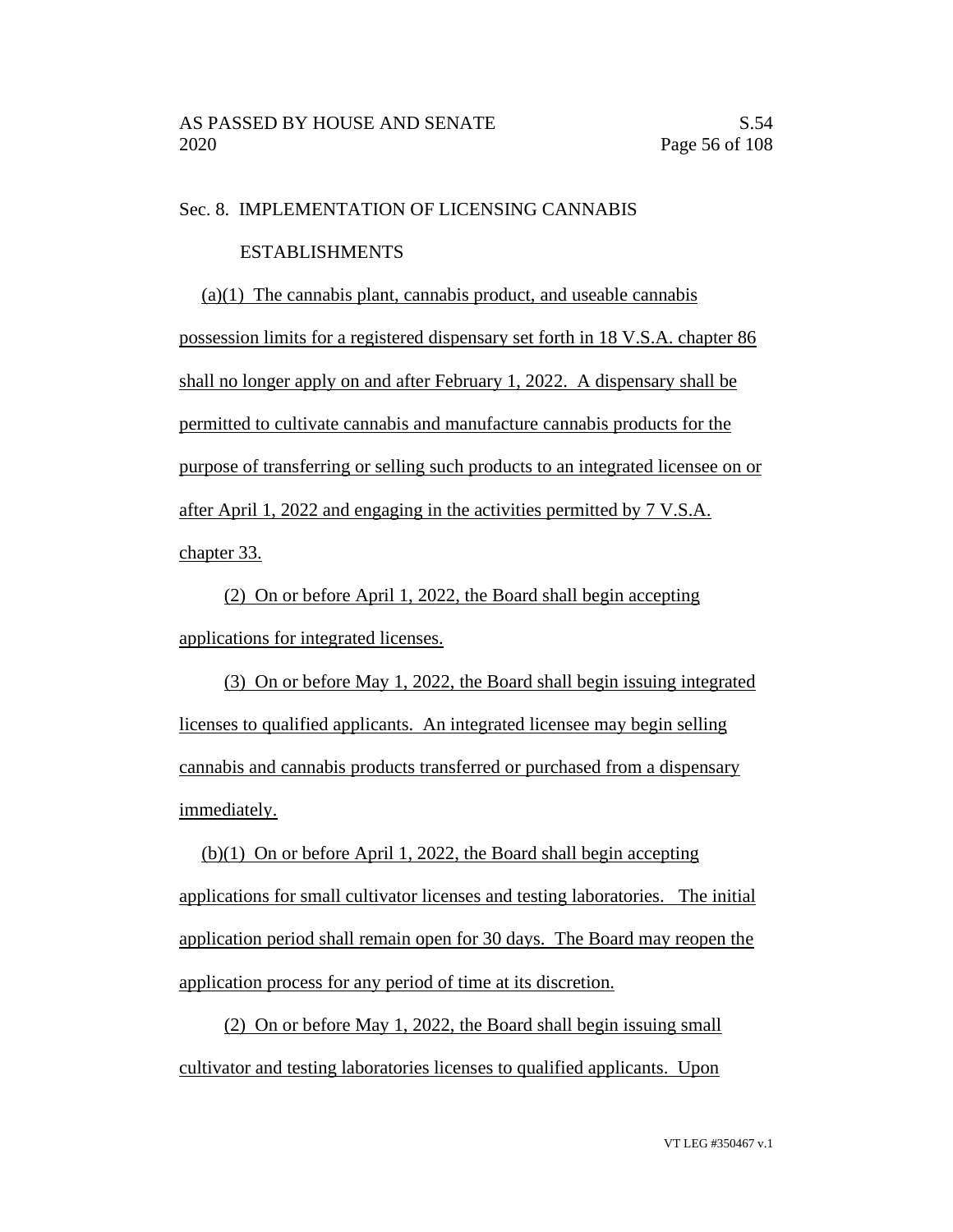#### Sec. 8. IMPLEMENTATION OF LICENSING CANNABIS

#### ESTABLISHMENTS

(a)(1) The cannabis plant, cannabis product, and useable cannabis possession limits for a registered dispensary set forth in 18 V.S.A. chapter 86 shall no longer apply on and after February 1, 2022. A dispensary shall be permitted to cultivate cannabis and manufacture cannabis products for the purpose of transferring or selling such products to an integrated licensee on or after April 1, 2022 and engaging in the activities permitted by 7 V.S.A. chapter 33.

(2) On or before April 1, 2022, the Board shall begin accepting applications for integrated licenses.

(3) On or before May 1, 2022, the Board shall begin issuing integrated licenses to qualified applicants. An integrated licensee may begin selling cannabis and cannabis products transferred or purchased from a dispensary immediately.

(b)(1) On or before April 1, 2022, the Board shall begin accepting applications for small cultivator licenses and testing laboratories. The initial application period shall remain open for 30 days. The Board may reopen the application process for any period of time at its discretion.

(2) On or before May 1, 2022, the Board shall begin issuing small cultivator and testing laboratories licenses to qualified applicants. Upon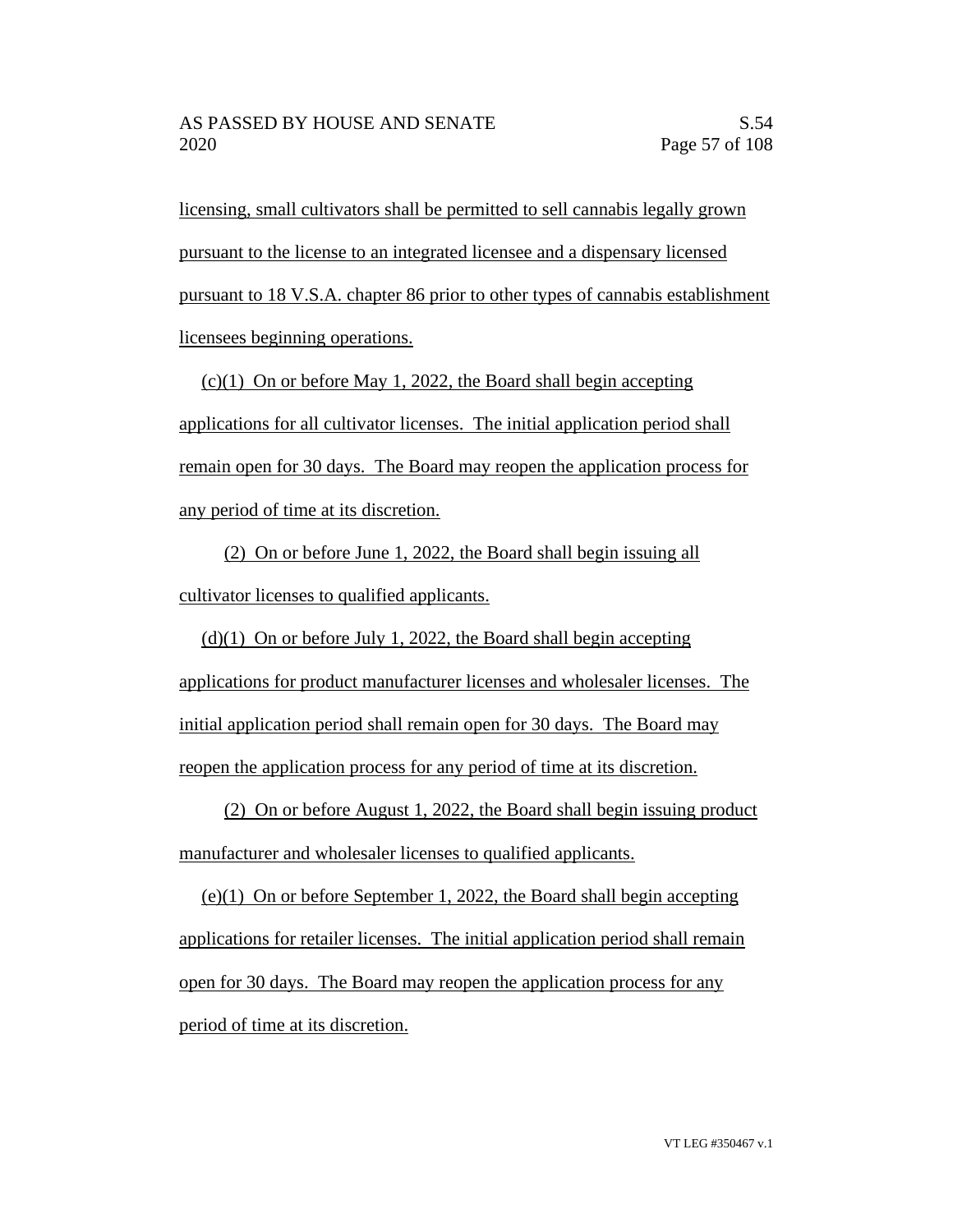licensing, small cultivators shall be permitted to sell cannabis legally grown pursuant to the license to an integrated licensee and a dispensary licensed pursuant to 18 V.S.A. chapter 86 prior to other types of cannabis establishment licensees beginning operations.

 $(c)(1)$  On or before May 1, 2022, the Board shall begin accepting applications for all cultivator licenses. The initial application period shall remain open for 30 days. The Board may reopen the application process for any period of time at its discretion.

(2) On or before June 1, 2022, the Board shall begin issuing all cultivator licenses to qualified applicants.

 $(d)(1)$  On or before July 1, 2022, the Board shall begin accepting applications for product manufacturer licenses and wholesaler licenses. The initial application period shall remain open for 30 days. The Board may reopen the application process for any period of time at its discretion.

(2) On or before August 1, 2022, the Board shall begin issuing product manufacturer and wholesaler licenses to qualified applicants.

(e)(1) On or before September 1, 2022, the Board shall begin accepting applications for retailer licenses. The initial application period shall remain open for 30 days. The Board may reopen the application process for any period of time at its discretion.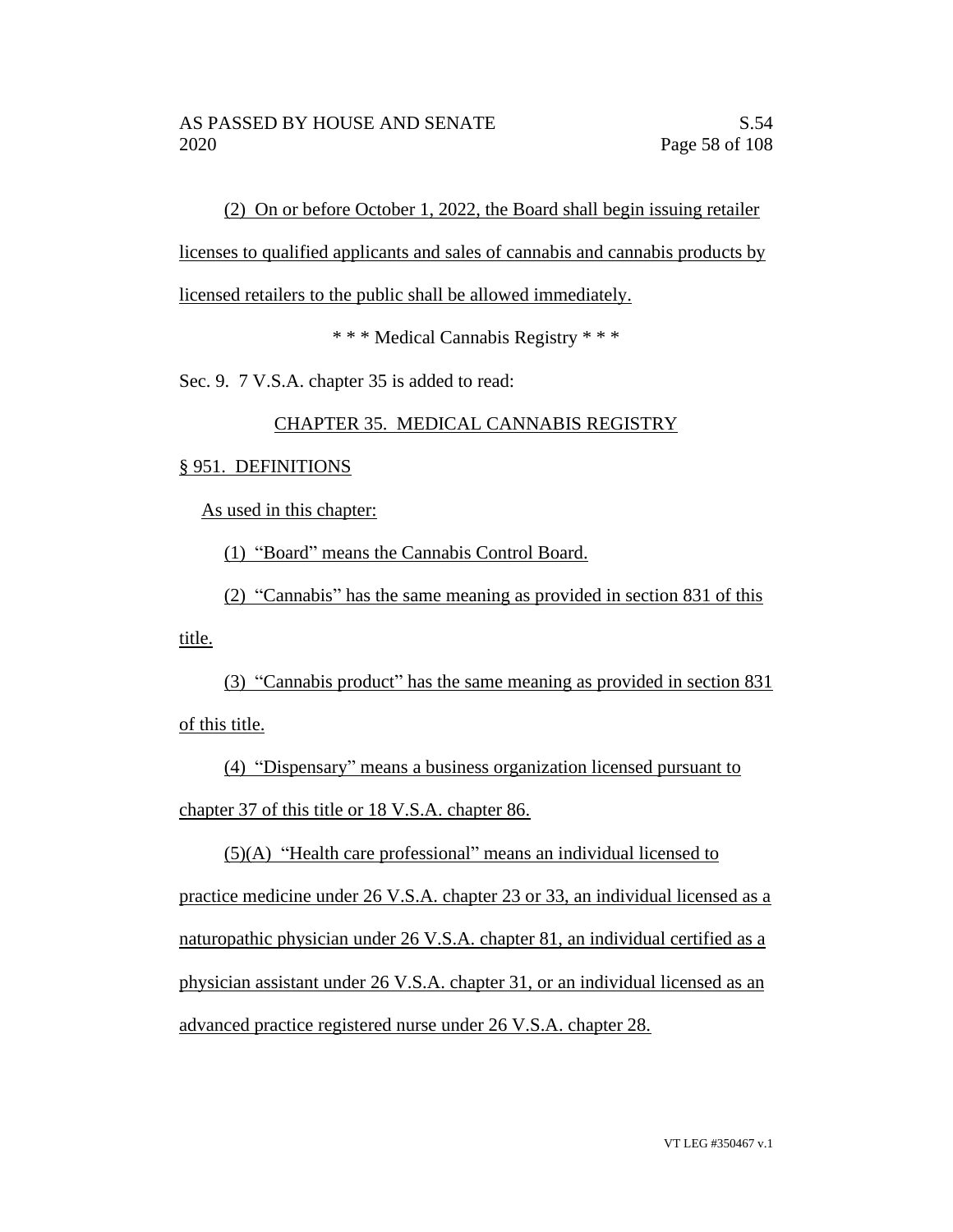(2) On or before October 1, 2022, the Board shall begin issuing retailer

licenses to qualified applicants and sales of cannabis and cannabis products by

licensed retailers to the public shall be allowed immediately.

\* \* \* Medical Cannabis Registry \* \* \*

Sec. 9. 7 V.S.A. chapter 35 is added to read:

## CHAPTER 35. MEDICAL CANNABIS REGISTRY

### § 951. DEFINITIONS

As used in this chapter:

(1) "Board" means the Cannabis Control Board.

(2) "Cannabis" has the same meaning as provided in section 831 of this

title.

(3) "Cannabis product" has the same meaning as provided in section 831 of this title.

(4) "Dispensary" means a business organization licensed pursuant to chapter 37 of this title or 18 V.S.A. chapter 86.

 $(5)(A)$  "Health care professional" means an individual licensed to practice medicine under 26 V.S.A. chapter 23 or 33, an individual licensed as a naturopathic physician under 26 V.S.A. chapter 81, an individual certified as a physician assistant under 26 V.S.A. chapter 31, or an individual licensed as an advanced practice registered nurse under 26 V.S.A. chapter 28.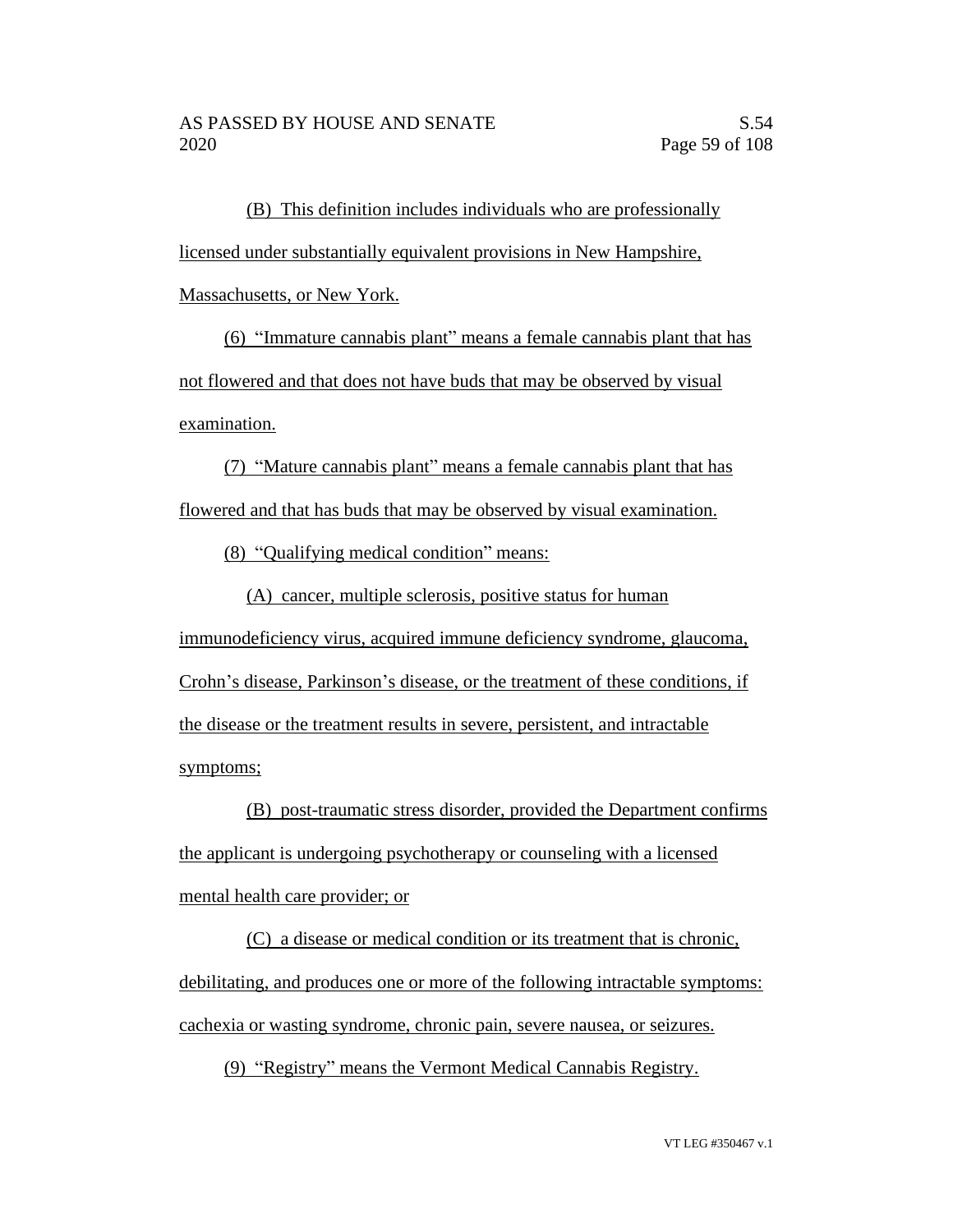(B) This definition includes individuals who are professionally licensed under substantially equivalent provisions in New Hampshire,

Massachusetts, or New York.

(6) "Immature cannabis plant" means a female cannabis plant that has not flowered and that does not have buds that may be observed by visual examination.

(7) "Mature cannabis plant" means a female cannabis plant that has flowered and that has buds that may be observed by visual examination.

(8) "Qualifying medical condition" means:

(A) cancer, multiple sclerosis, positive status for human

immunodeficiency virus, acquired immune deficiency syndrome, glaucoma, Crohn's disease, Parkinson's disease, or the treatment of these conditions, if the disease or the treatment results in severe, persistent, and intractable symptoms;

(B) post-traumatic stress disorder, provided the Department confirms the applicant is undergoing psychotherapy or counseling with a licensed mental health care provider; or

(C) a disease or medical condition or its treatment that is chronic, debilitating, and produces one or more of the following intractable symptoms: cachexia or wasting syndrome, chronic pain, severe nausea, or seizures.

(9) "Registry" means the Vermont Medical Cannabis Registry.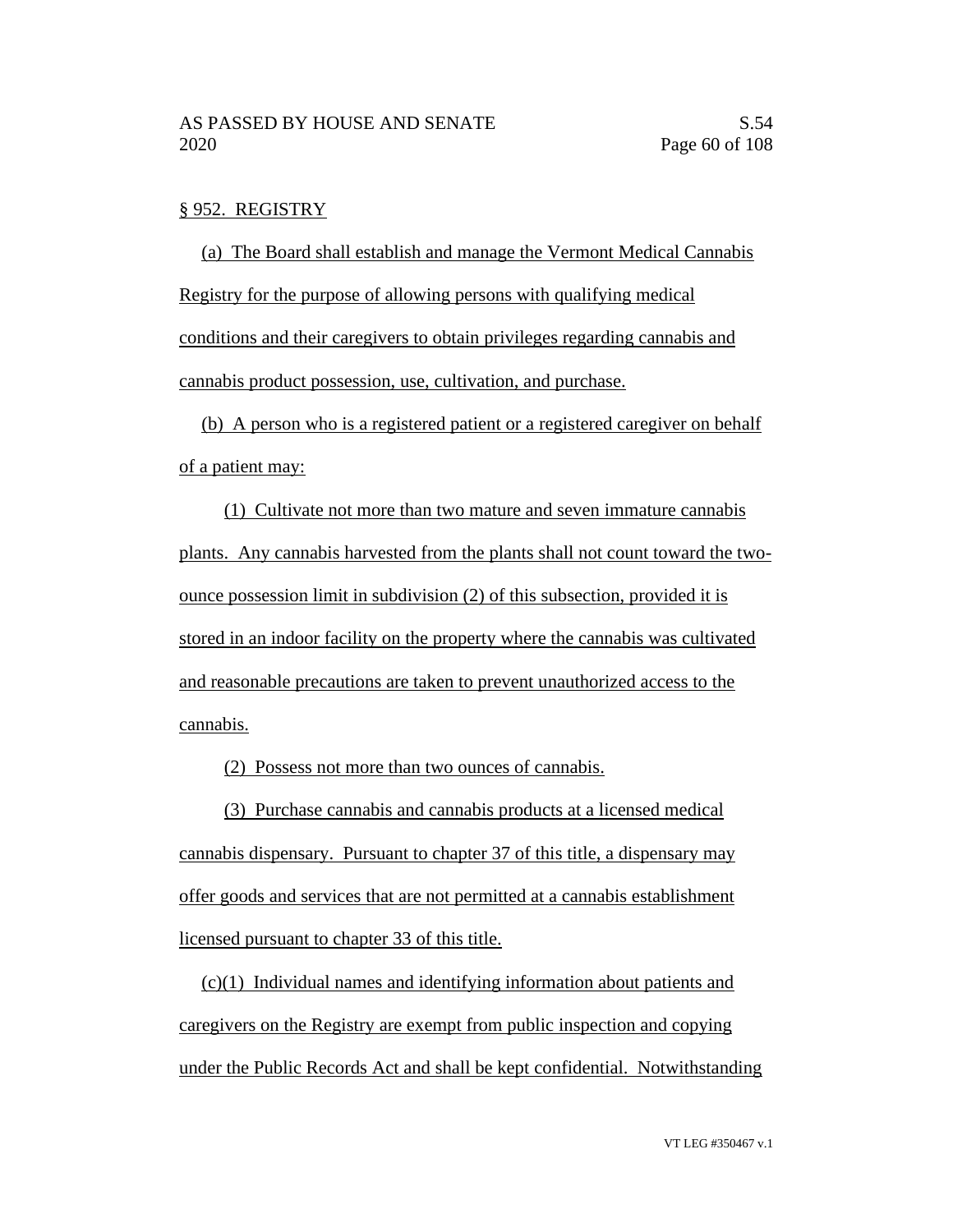#### § 952. REGISTRY

(a) The Board shall establish and manage the Vermont Medical Cannabis Registry for the purpose of allowing persons with qualifying medical conditions and their caregivers to obtain privileges regarding cannabis and cannabis product possession, use, cultivation, and purchase.

(b) A person who is a registered patient or a registered caregiver on behalf of a patient may:

(1) Cultivate not more than two mature and seven immature cannabis plants. Any cannabis harvested from the plants shall not count toward the twoounce possession limit in subdivision (2) of this subsection, provided it is stored in an indoor facility on the property where the cannabis was cultivated and reasonable precautions are taken to prevent unauthorized access to the cannabis.

(2) Possess not more than two ounces of cannabis.

(3) Purchase cannabis and cannabis products at a licensed medical cannabis dispensary. Pursuant to chapter 37 of this title, a dispensary may offer goods and services that are not permitted at a cannabis establishment licensed pursuant to chapter 33 of this title.

(c)(1) Individual names and identifying information about patients and caregivers on the Registry are exempt from public inspection and copying under the Public Records Act and shall be kept confidential. Notwithstanding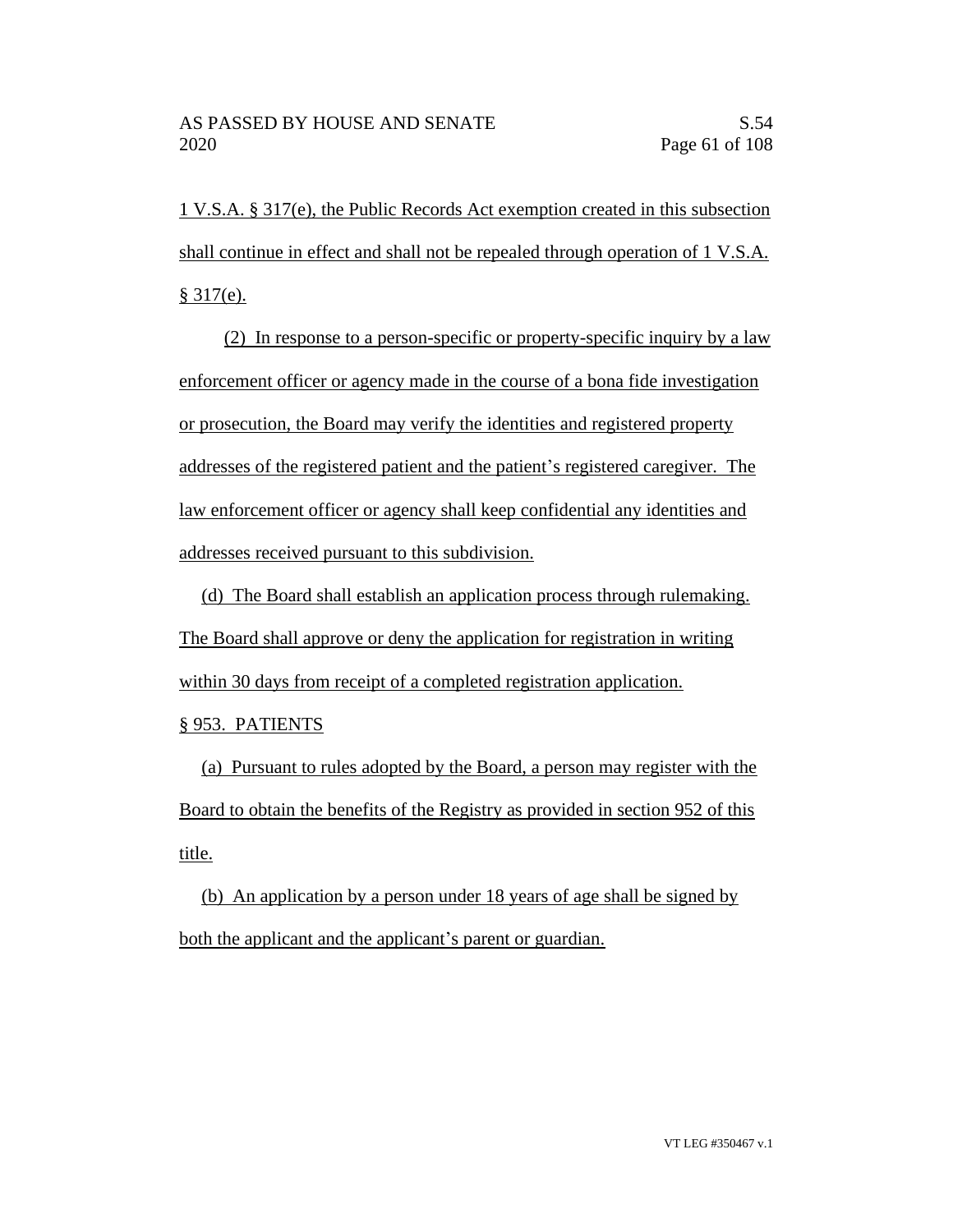1 V.S.A. § 317(e), the Public Records Act exemption created in this subsection shall continue in effect and shall not be repealed through operation of 1 V.S.A.  $§ 317(e).$ 

(2) In response to a person-specific or property-specific inquiry by a law enforcement officer or agency made in the course of a bona fide investigation or prosecution, the Board may verify the identities and registered property addresses of the registered patient and the patient's registered caregiver. The law enforcement officer or agency shall keep confidential any identities and addresses received pursuant to this subdivision.

(d) The Board shall establish an application process through rulemaking. The Board shall approve or deny the application for registration in writing within 30 days from receipt of a completed registration application.

§ 953. PATIENTS

(a) Pursuant to rules adopted by the Board, a person may register with the Board to obtain the benefits of the Registry as provided in section 952 of this title.

(b) An application by a person under 18 years of age shall be signed by both the applicant and the applicant's parent or guardian.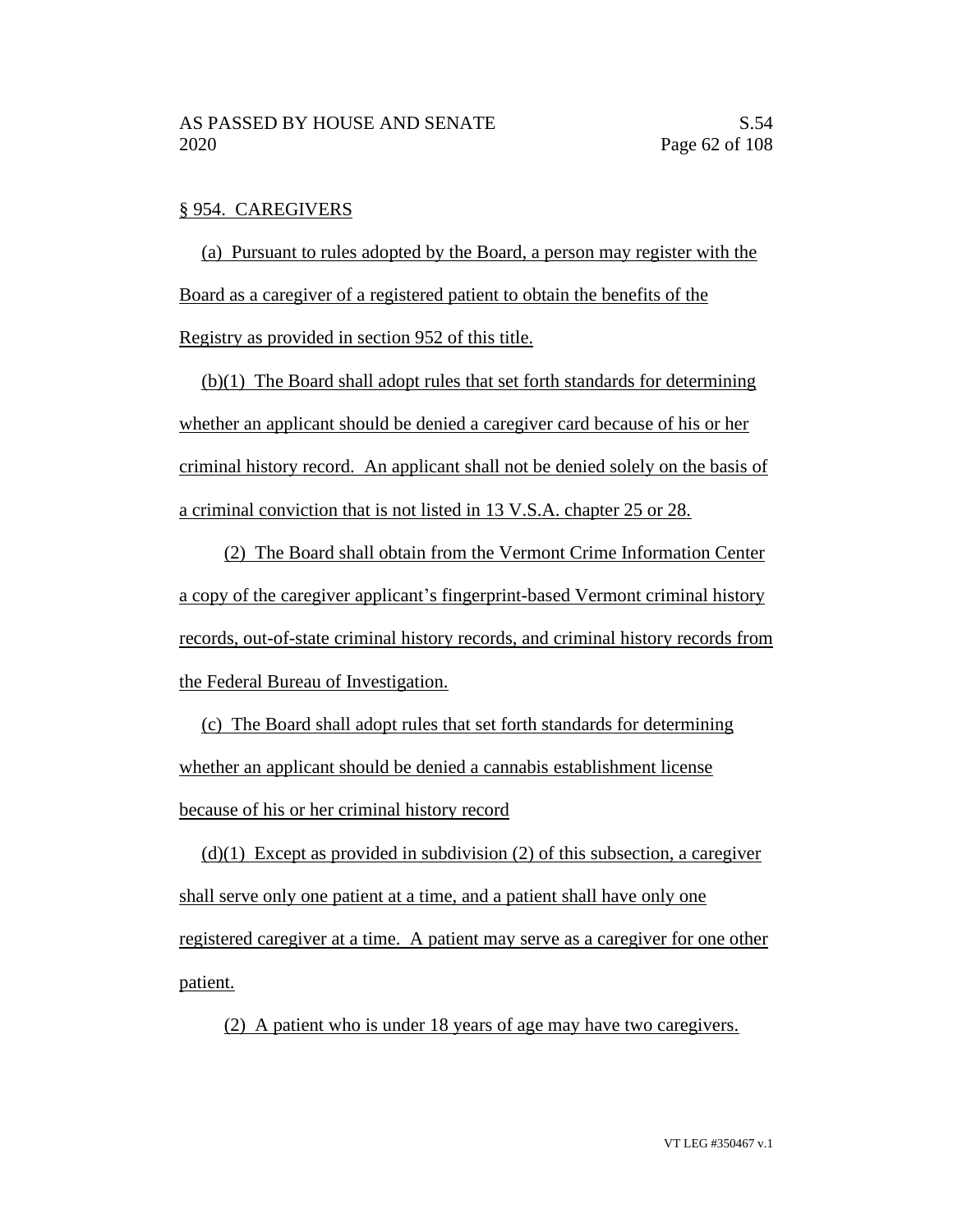### § 954. CAREGIVERS

(a) Pursuant to rules adopted by the Board, a person may register with the Board as a caregiver of a registered patient to obtain the benefits of the Registry as provided in section 952 of this title.

(b)(1) The Board shall adopt rules that set forth standards for determining whether an applicant should be denied a caregiver card because of his or her criminal history record. An applicant shall not be denied solely on the basis of a criminal conviction that is not listed in 13 V.S.A. chapter 25 or 28.

(2) The Board shall obtain from the Vermont Crime Information Center a copy of the caregiver applicant's fingerprint-based Vermont criminal history records, out-of-state criminal history records, and criminal history records from the Federal Bureau of Investigation.

(c) The Board shall adopt rules that set forth standards for determining whether an applicant should be denied a cannabis establishment license because of his or her criminal history record

 $(d)(1)$  Except as provided in subdivision (2) of this subsection, a caregiver shall serve only one patient at a time, and a patient shall have only one registered caregiver at a time. A patient may serve as a caregiver for one other patient.

(2) A patient who is under 18 years of age may have two caregivers.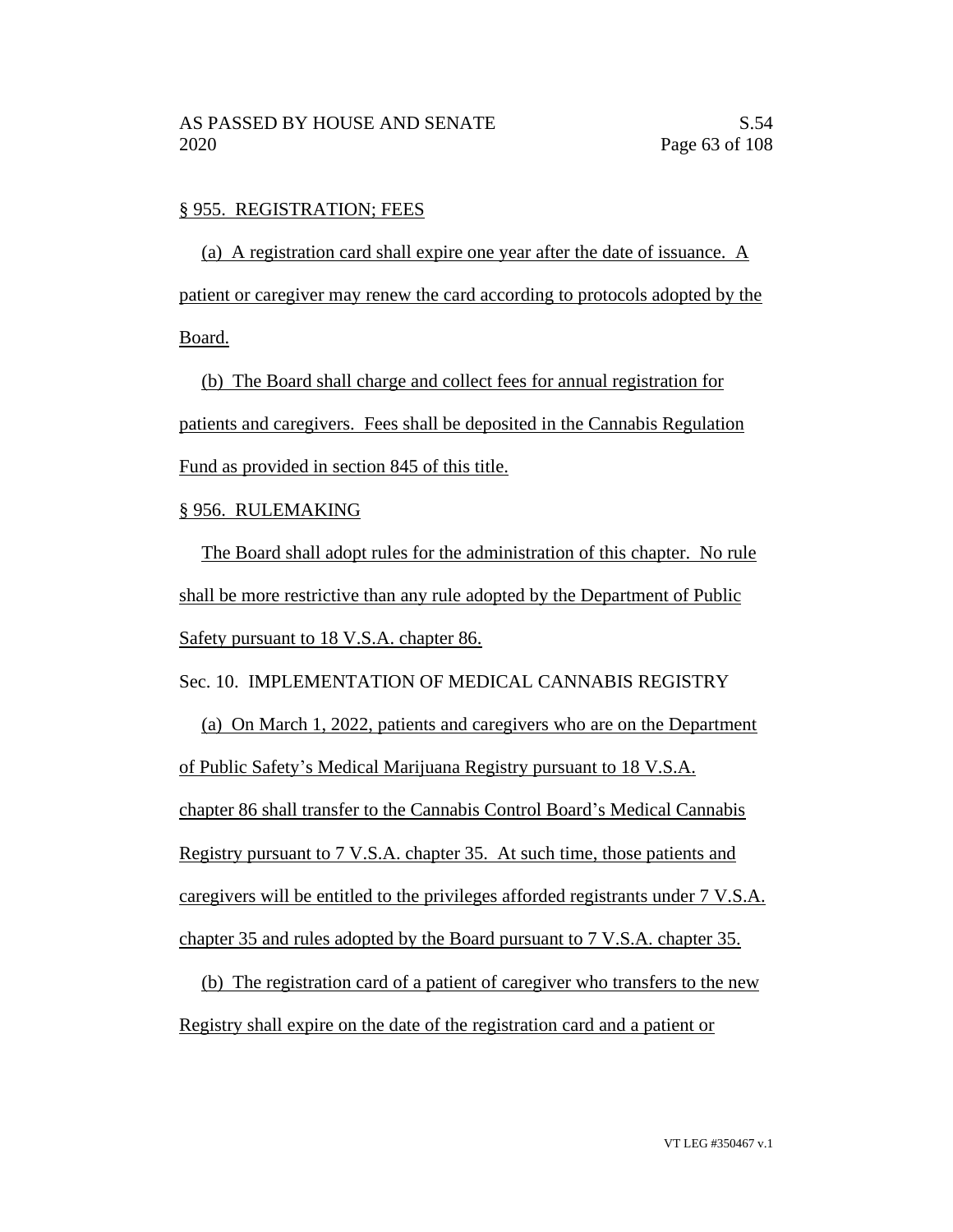### § 955. REGISTRATION; FEES

(a) A registration card shall expire one year after the date of issuance. A patient or caregiver may renew the card according to protocols adopted by the Board.

(b) The Board shall charge and collect fees for annual registration for patients and caregivers. Fees shall be deposited in the Cannabis Regulation Fund as provided in section 845 of this title.

#### § 956. RULEMAKING

The Board shall adopt rules for the administration of this chapter. No rule shall be more restrictive than any rule adopted by the Department of Public Safety pursuant to 18 V.S.A. chapter 86.

Sec. 10. IMPLEMENTATION OF MEDICAL CANNABIS REGISTRY

(a) On March 1, 2022, patients and caregivers who are on the Department of Public Safety's Medical Marijuana Registry pursuant to 18 V.S.A. chapter 86 shall transfer to the Cannabis Control Board's Medical Cannabis Registry pursuant to 7 V.S.A. chapter 35. At such time, those patients and caregivers will be entitled to the privileges afforded registrants under 7 V.S.A. chapter 35 and rules adopted by the Board pursuant to 7 V.S.A. chapter 35.

(b) The registration card of a patient of caregiver who transfers to the new Registry shall expire on the date of the registration card and a patient or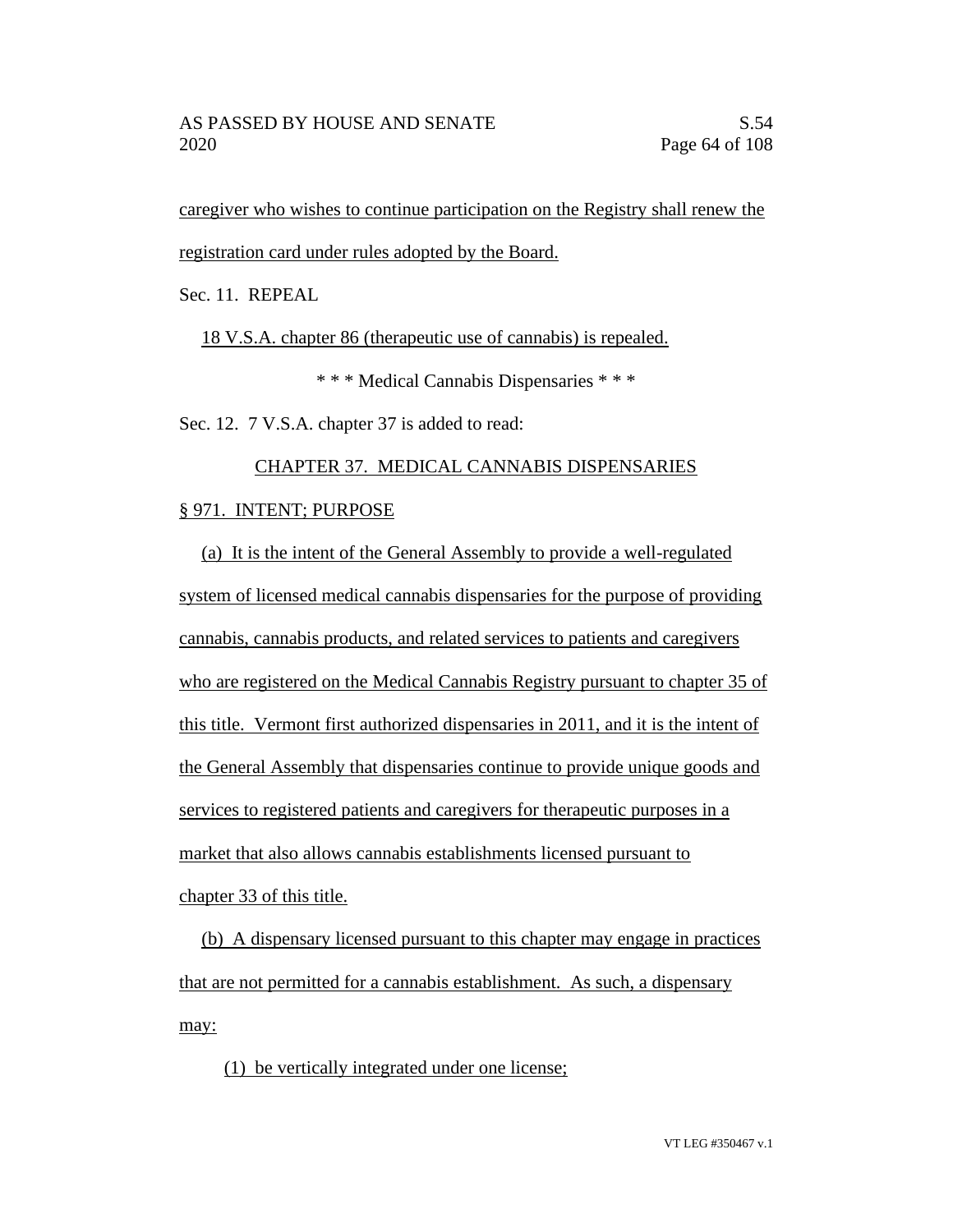caregiver who wishes to continue participation on the Registry shall renew the registration card under rules adopted by the Board.

Sec. 11. REPEAL

18 V.S.A. chapter 86 (therapeutic use of cannabis) is repealed.

\* \* \* Medical Cannabis Dispensaries \* \* \*

Sec. 12. 7 V.S.A. chapter 37 is added to read:

## CHAPTER 37. MEDICAL CANNABIS DISPENSARIES

## § 971. INTENT; PURPOSE

(a) It is the intent of the General Assembly to provide a well-regulated system of licensed medical cannabis dispensaries for the purpose of providing cannabis, cannabis products, and related services to patients and caregivers who are registered on the Medical Cannabis Registry pursuant to chapter 35 of this title. Vermont first authorized dispensaries in 2011, and it is the intent of the General Assembly that dispensaries continue to provide unique goods and services to registered patients and caregivers for therapeutic purposes in a market that also allows cannabis establishments licensed pursuant to chapter 33 of this title.

(b) A dispensary licensed pursuant to this chapter may engage in practices that are not permitted for a cannabis establishment. As such, a dispensary may:

(1) be vertically integrated under one license;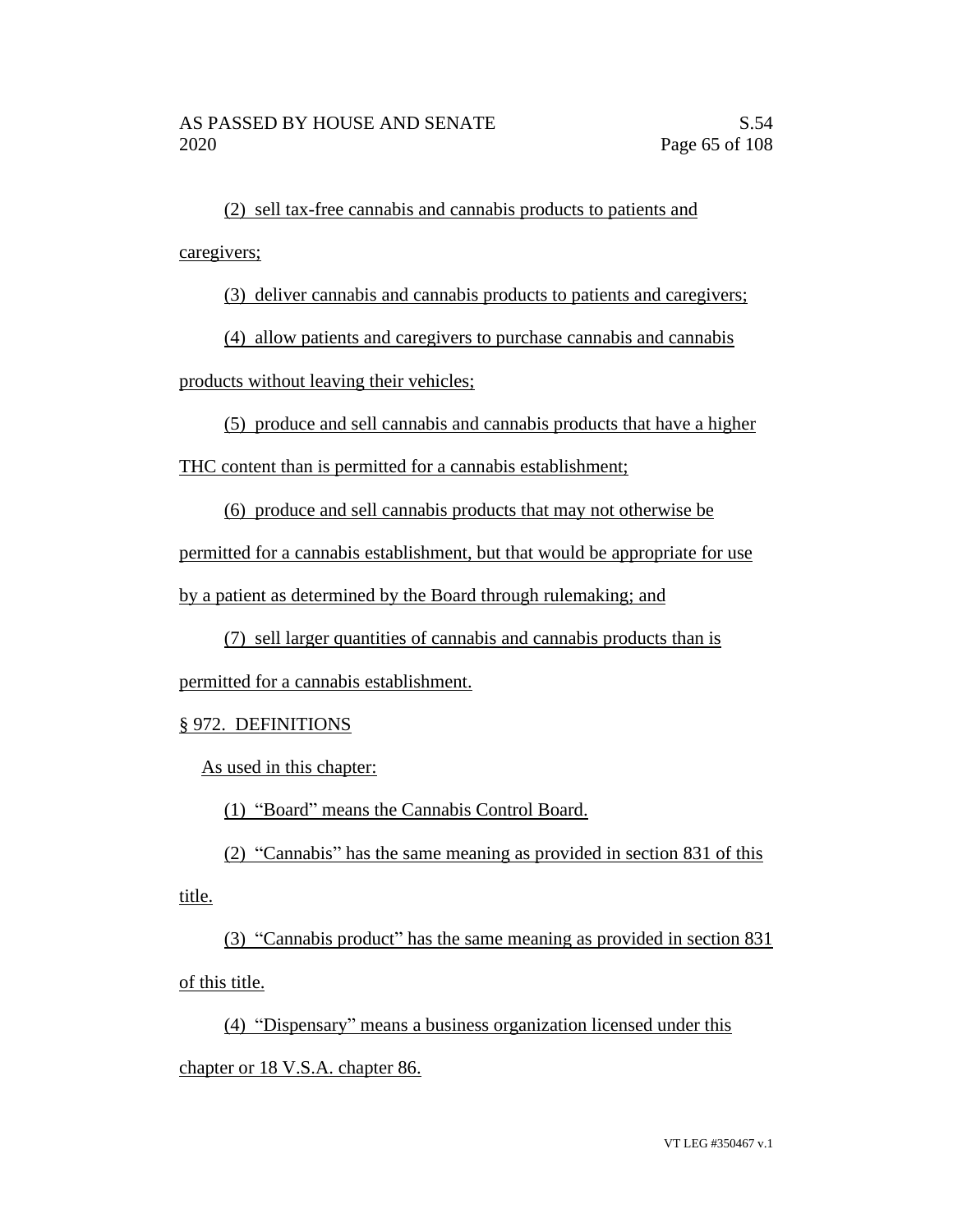(2) sell tax-free cannabis and cannabis products to patients and caregivers;

(3) deliver cannabis and cannabis products to patients and caregivers;

(4) allow patients and caregivers to purchase cannabis and cannabis

products without leaving their vehicles;

(5) produce and sell cannabis and cannabis products that have a higher

THC content than is permitted for a cannabis establishment;

(6) produce and sell cannabis products that may not otherwise be

permitted for a cannabis establishment, but that would be appropriate for use

by a patient as determined by the Board through rulemaking; and

(7) sell larger quantities of cannabis and cannabis products than is

permitted for a cannabis establishment.

# § 972. DEFINITIONS

As used in this chapter:

(1) "Board" means the Cannabis Control Board.

(2) "Cannabis" has the same meaning as provided in section 831 of this title.

(3) "Cannabis product" has the same meaning as provided in section 831 of this title.

(4) "Dispensary" means a business organization licensed under this chapter or 18 V.S.A. chapter 86.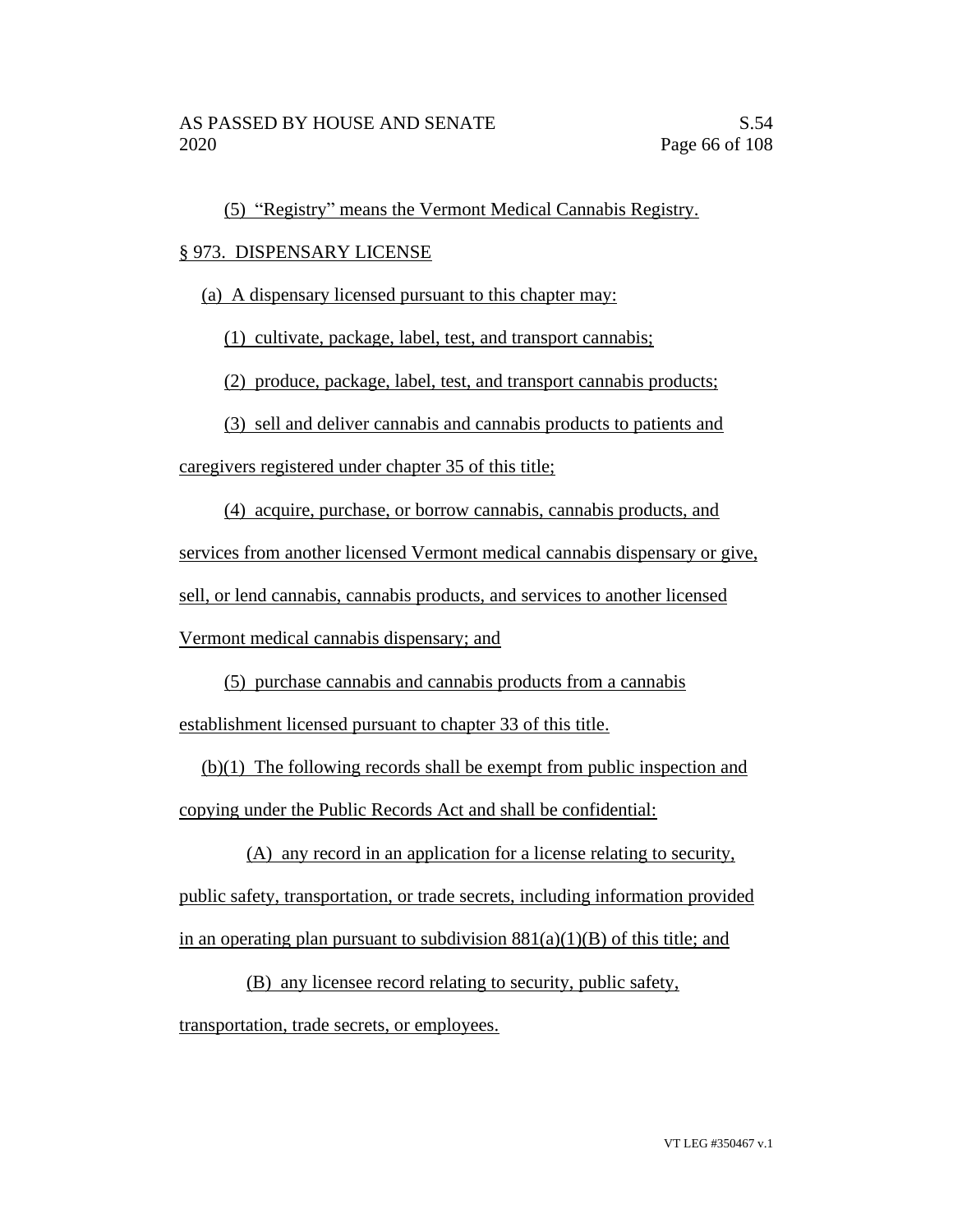(5) "Registry" means the Vermont Medical Cannabis Registry.

## § 973. DISPENSARY LICENSE

(a) A dispensary licensed pursuant to this chapter may:

(1) cultivate, package, label, test, and transport cannabis;

(2) produce, package, label, test, and transport cannabis products;

(3) sell and deliver cannabis and cannabis products to patients and

caregivers registered under chapter 35 of this title;

(4) acquire, purchase, or borrow cannabis, cannabis products, and

services from another licensed Vermont medical cannabis dispensary or give,

sell, or lend cannabis, cannabis products, and services to another licensed

Vermont medical cannabis dispensary; and

(5) purchase cannabis and cannabis products from a cannabis

establishment licensed pursuant to chapter 33 of this title.

(b)(1) The following records shall be exempt from public inspection and copying under the Public Records Act and shall be confidential:

(A) any record in an application for a license relating to security, public safety, transportation, or trade secrets, including information provided in an operating plan pursuant to subdivision  $881(a)(1)(B)$  of this title; and

(B) any licensee record relating to security, public safety, transportation, trade secrets, or employees.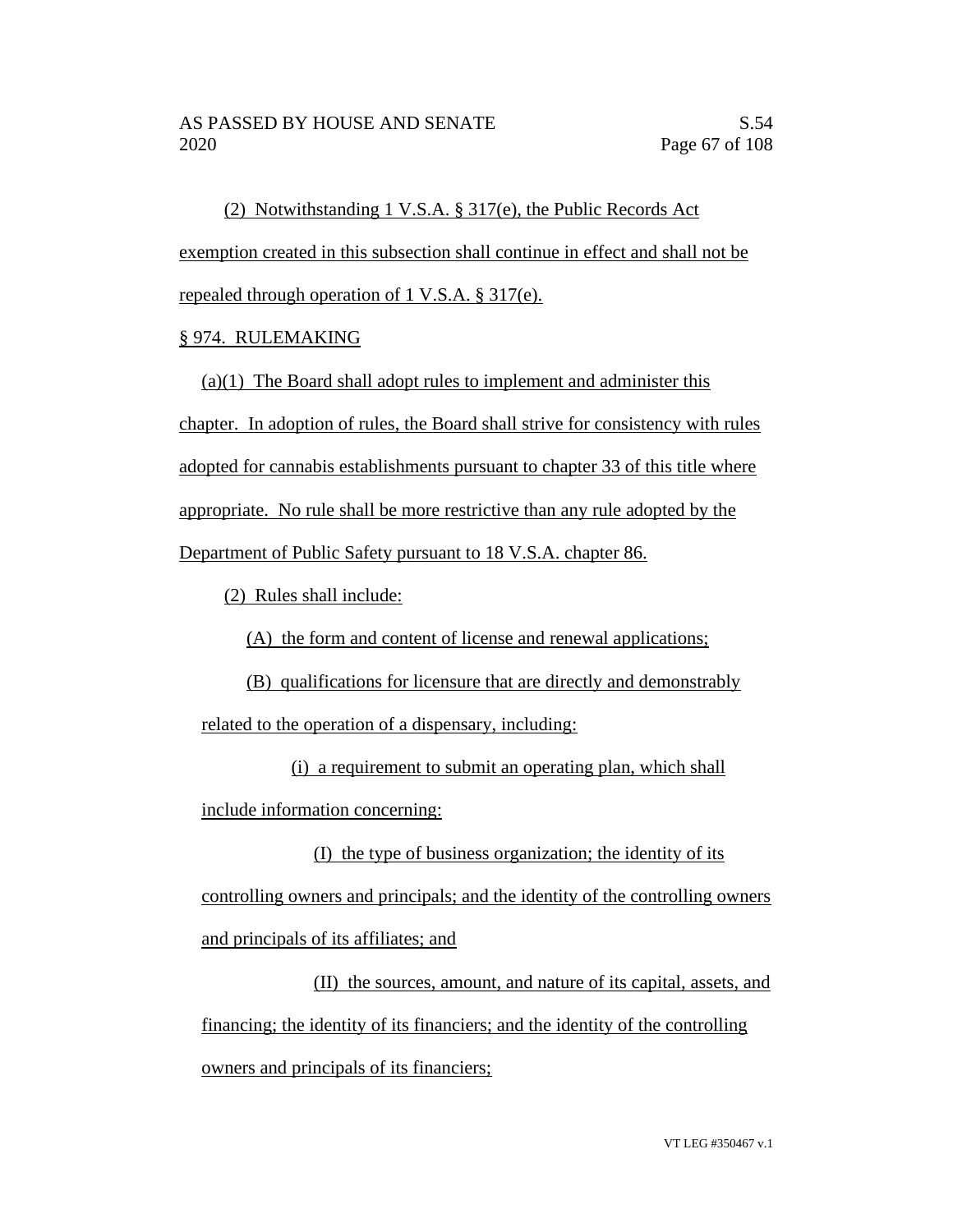(2) Notwithstanding 1 V.S.A. § 317(e), the Public Records Act exemption created in this subsection shall continue in effect and shall not be repealed through operation of 1 V.S.A. § 317(e).

## § 974. RULEMAKING

(a)(1) The Board shall adopt rules to implement and administer this chapter. In adoption of rules, the Board shall strive for consistency with rules adopted for cannabis establishments pursuant to chapter 33 of this title where appropriate. No rule shall be more restrictive than any rule adopted by the Department of Public Safety pursuant to 18 V.S.A. chapter 86.

(2) Rules shall include:

(A) the form and content of license and renewal applications;

(B) qualifications for licensure that are directly and demonstrably related to the operation of a dispensary, including:

(i) a requirement to submit an operating plan, which shall include information concerning:

(I) the type of business organization; the identity of its controlling owners and principals; and the identity of the controlling owners and principals of its affiliates; and

(II) the sources, amount, and nature of its capital, assets, and financing; the identity of its financiers; and the identity of the controlling owners and principals of its financiers;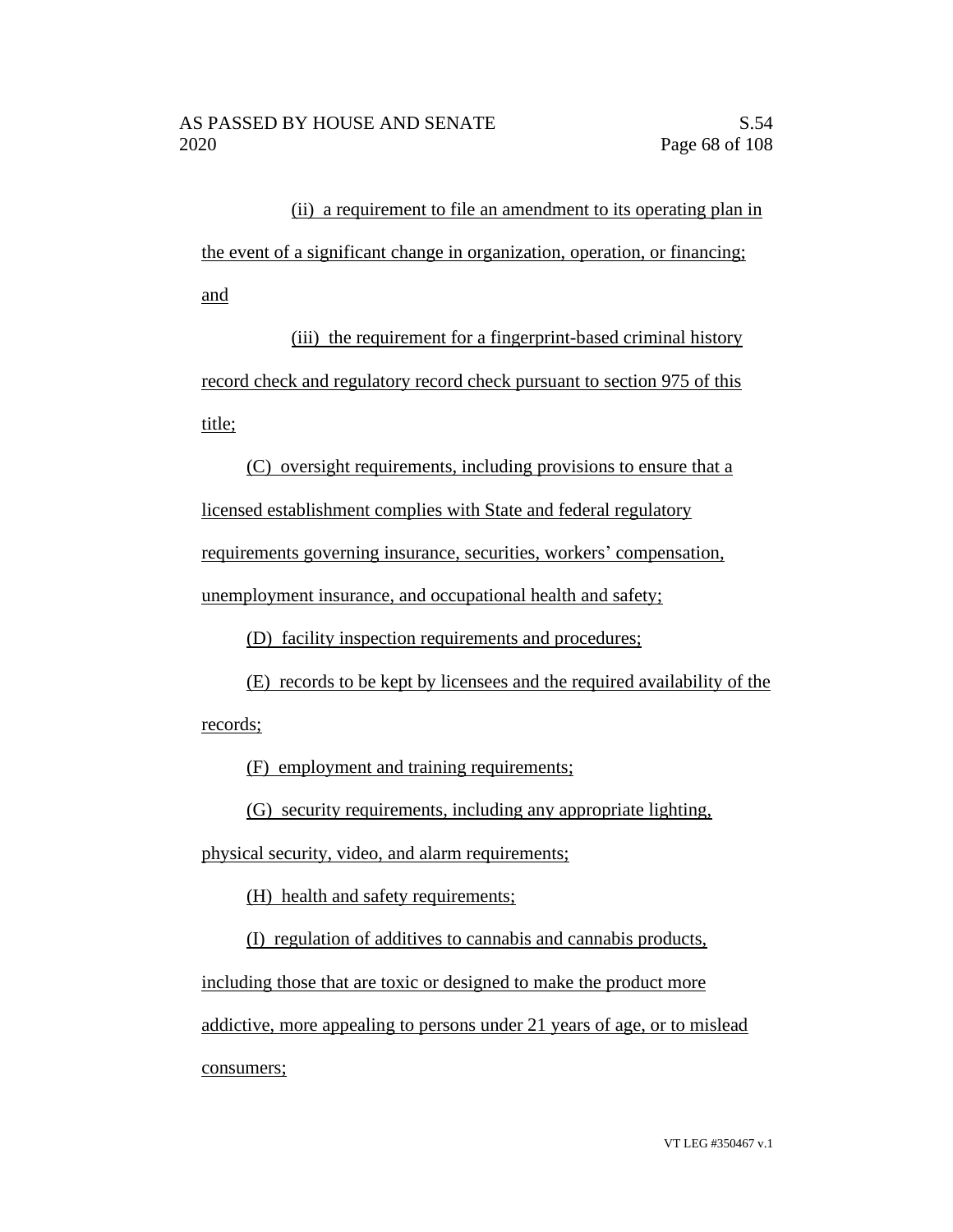(ii) a requirement to file an amendment to its operating plan in the event of a significant change in organization, operation, or financing; and

(iii) the requirement for a fingerprint-based criminal history record check and regulatory record check pursuant to section 975 of this title;

(C) oversight requirements, including provisions to ensure that a licensed establishment complies with State and federal regulatory requirements governing insurance, securities, workers' compensation, unemployment insurance, and occupational health and safety;

(D) facility inspection requirements and procedures;

(E) records to be kept by licensees and the required availability of the records;

(F) employment and training requirements;

(G) security requirements, including any appropriate lighting,

physical security, video, and alarm requirements;

(H) health and safety requirements;

(I) regulation of additives to cannabis and cannabis products,

including those that are toxic or designed to make the product more

addictive, more appealing to persons under 21 years of age, or to mislead consumers;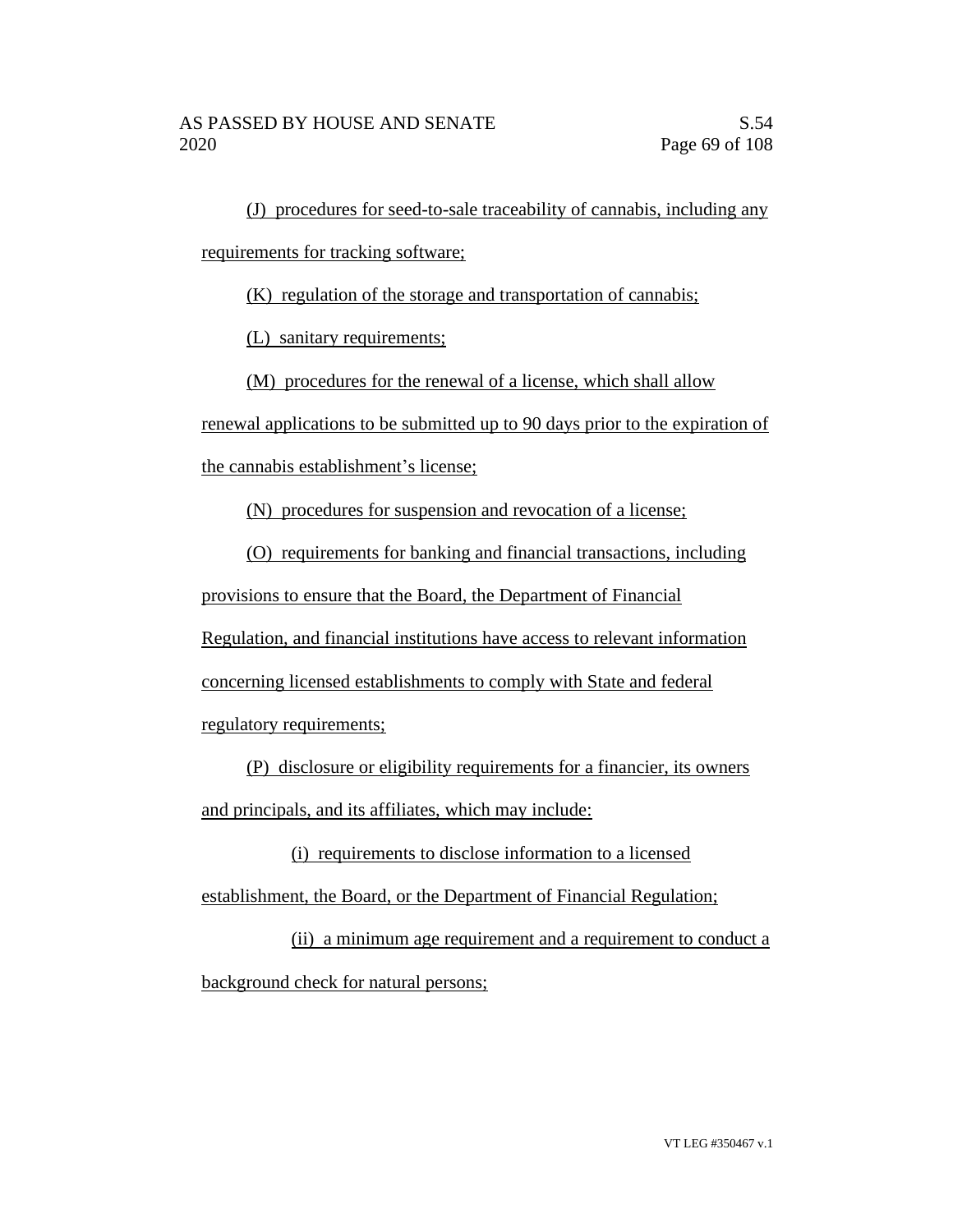(J) procedures for seed-to-sale traceability of cannabis, including any requirements for tracking software;

(K) regulation of the storage and transportation of cannabis;

(L) sanitary requirements;

(M) procedures for the renewal of a license, which shall allow

renewal applications to be submitted up to 90 days prior to the expiration of

the cannabis establishment's license;

(N) procedures for suspension and revocation of a license;

(O) requirements for banking and financial transactions, including

provisions to ensure that the Board, the Department of Financial

Regulation, and financial institutions have access to relevant information

concerning licensed establishments to comply with State and federal

regulatory requirements;

(P) disclosure or eligibility requirements for a financier, its owners and principals, and its affiliates, which may include:

(i) requirements to disclose information to a licensed establishment, the Board, or the Department of Financial Regulation;

(ii) a minimum age requirement and a requirement to conduct a background check for natural persons;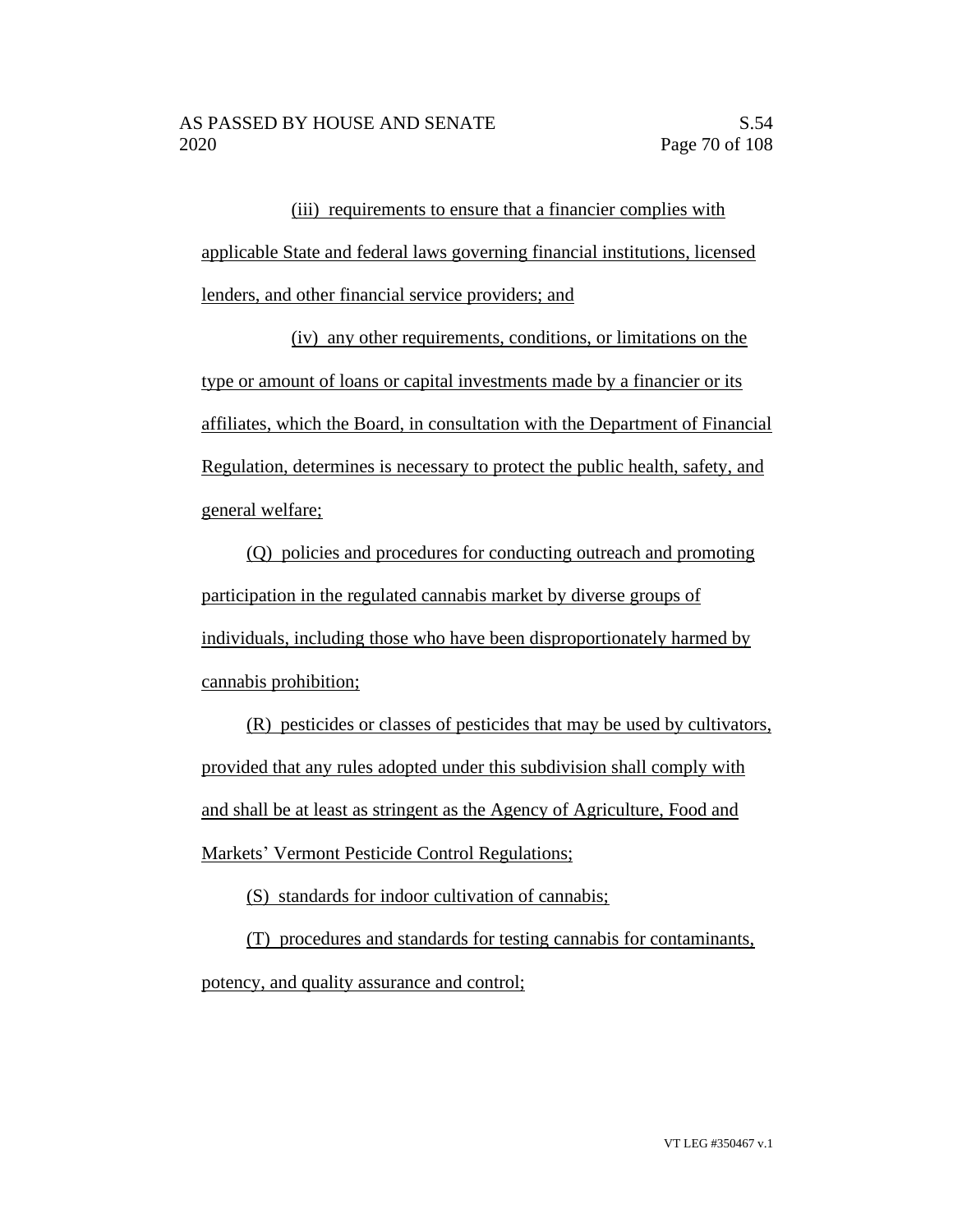(iii) requirements to ensure that a financier complies with applicable State and federal laws governing financial institutions, licensed lenders, and other financial service providers; and

(iv) any other requirements, conditions, or limitations on the type or amount of loans or capital investments made by a financier or its affiliates, which the Board, in consultation with the Department of Financial Regulation, determines is necessary to protect the public health, safety, and general welfare;

(Q) policies and procedures for conducting outreach and promoting participation in the regulated cannabis market by diverse groups of individuals, including those who have been disproportionately harmed by cannabis prohibition;

(R) pesticides or classes of pesticides that may be used by cultivators, provided that any rules adopted under this subdivision shall comply with and shall be at least as stringent as the Agency of Agriculture, Food and Markets' Vermont Pesticide Control Regulations;

(S) standards for indoor cultivation of cannabis;

(T) procedures and standards for testing cannabis for contaminants, potency, and quality assurance and control;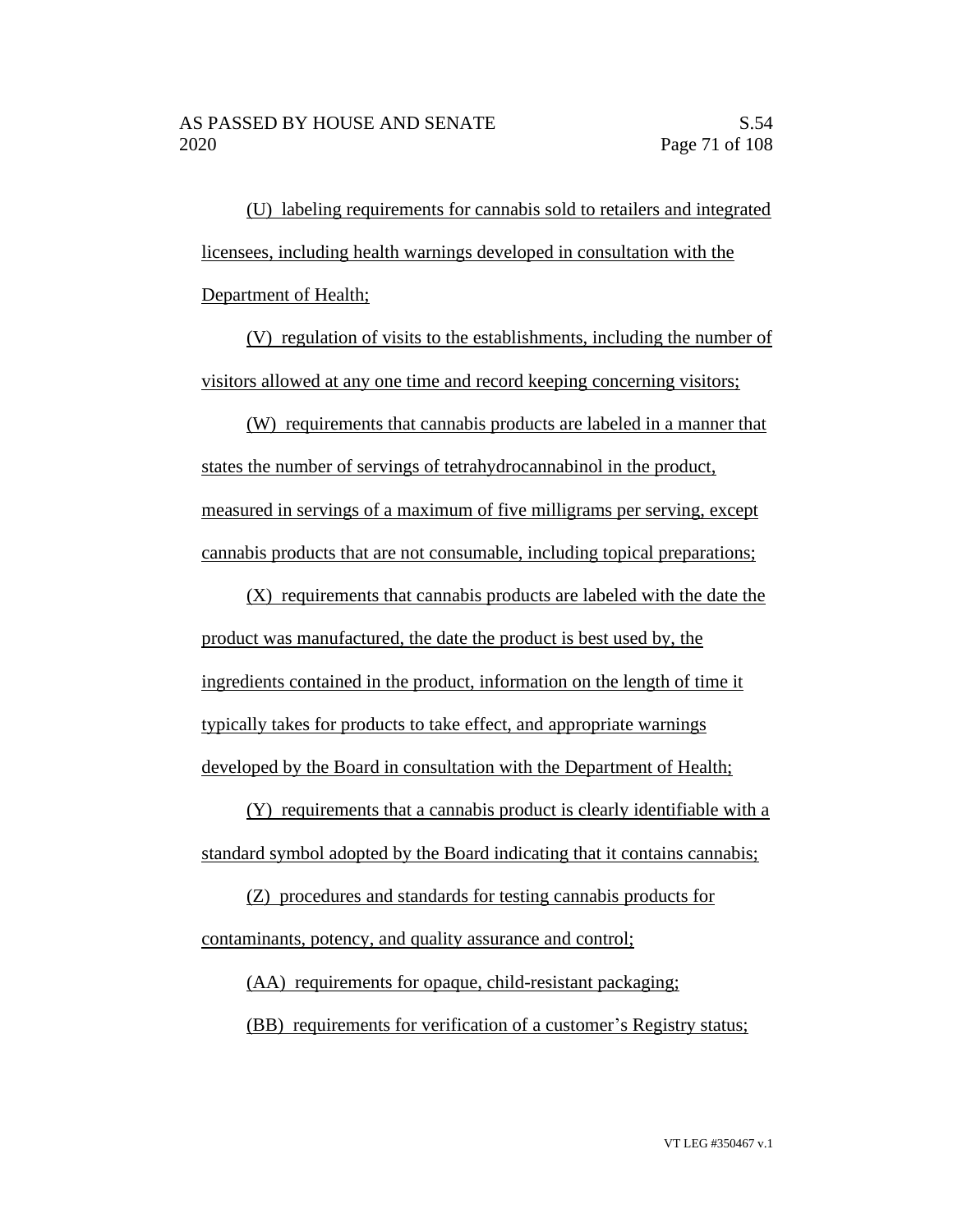(U) labeling requirements for cannabis sold to retailers and integrated licensees, including health warnings developed in consultation with the Department of Health;

(V) regulation of visits to the establishments, including the number of visitors allowed at any one time and record keeping concerning visitors;

(W) requirements that cannabis products are labeled in a manner that states the number of servings of tetrahydrocannabinol in the product, measured in servings of a maximum of five milligrams per serving, except cannabis products that are not consumable, including topical preparations;

(X) requirements that cannabis products are labeled with the date the product was manufactured, the date the product is best used by, the ingredients contained in the product, information on the length of time it typically takes for products to take effect, and appropriate warnings developed by the Board in consultation with the Department of Health;

(Y) requirements that a cannabis product is clearly identifiable with a standard symbol adopted by the Board indicating that it contains cannabis;

(Z) procedures and standards for testing cannabis products for contaminants, potency, and quality assurance and control;

(AA) requirements for opaque, child-resistant packaging;

(BB) requirements for verification of a customer's Registry status;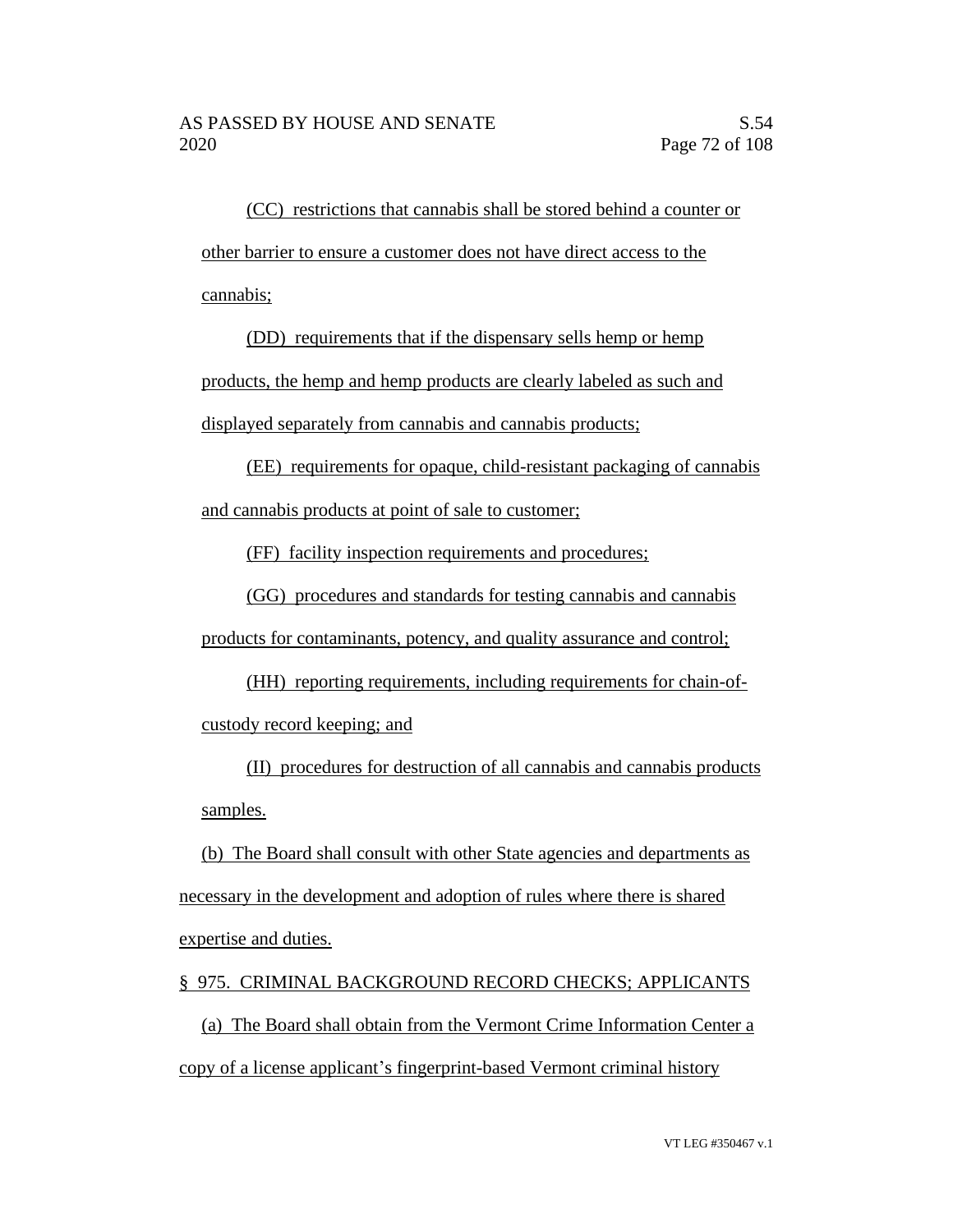(CC) restrictions that cannabis shall be stored behind a counter or other barrier to ensure a customer does not have direct access to the cannabis;

(DD) requirements that if the dispensary sells hemp or hemp

products, the hemp and hemp products are clearly labeled as such and displayed separately from cannabis and cannabis products;

(EE) requirements for opaque, child-resistant packaging of cannabis and cannabis products at point of sale to customer;

(FF) facility inspection requirements and procedures;

(GG) procedures and standards for testing cannabis and cannabis

products for contaminants, potency, and quality assurance and control;

(HH) reporting requirements, including requirements for chain-ofcustody record keeping; and

(II) procedures for destruction of all cannabis and cannabis products samples.

(b) The Board shall consult with other State agencies and departments as necessary in the development and adoption of rules where there is shared expertise and duties.

§ 975. CRIMINAL BACKGROUND RECORD CHECKS; APPLICANTS

(a) The Board shall obtain from the Vermont Crime Information Center a copy of a license applicant's fingerprint-based Vermont criminal history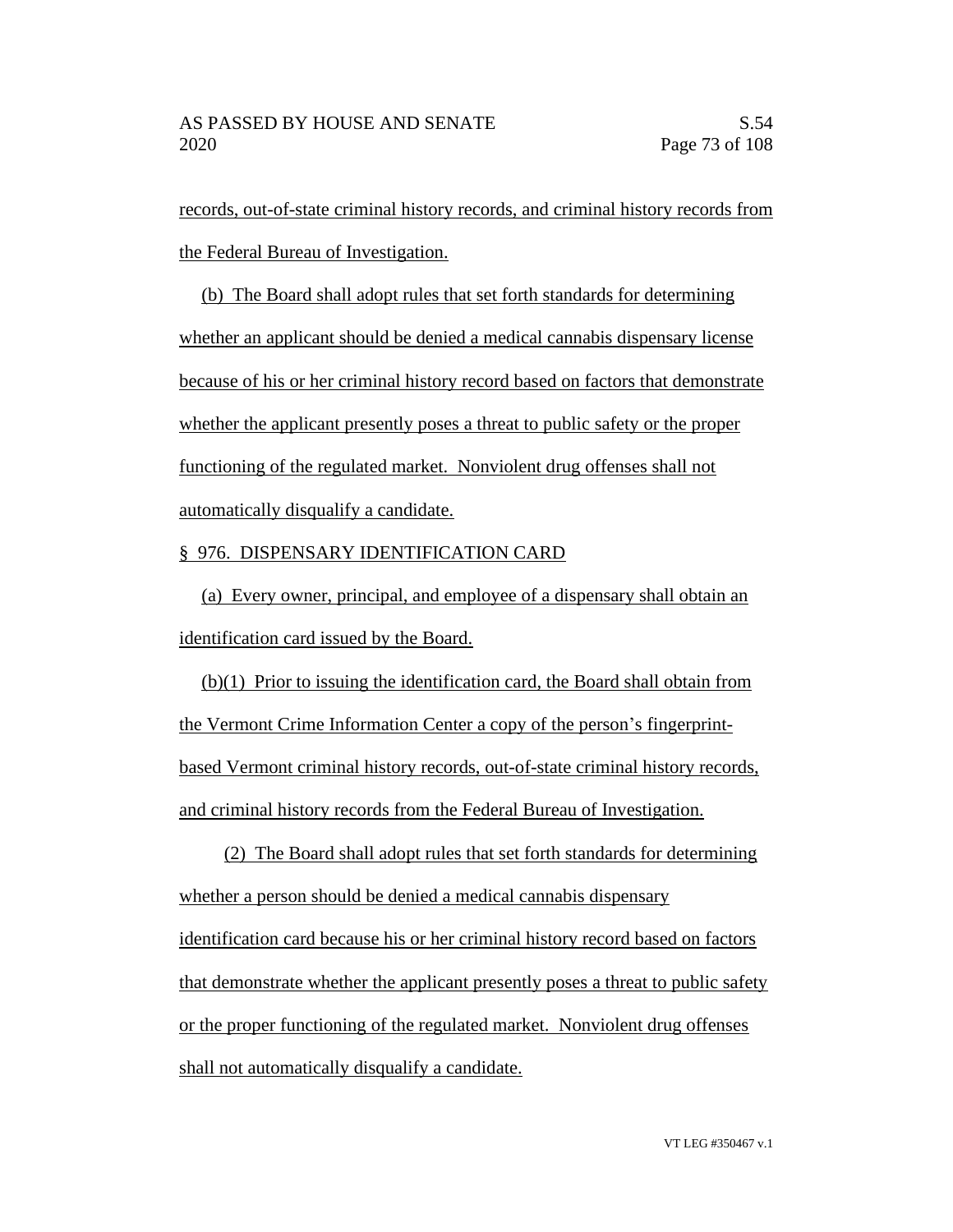records, out-of-state criminal history records, and criminal history records from the Federal Bureau of Investigation.

(b) The Board shall adopt rules that set forth standards for determining whether an applicant should be denied a medical cannabis dispensary license because of his or her criminal history record based on factors that demonstrate whether the applicant presently poses a threat to public safety or the proper functioning of the regulated market. Nonviolent drug offenses shall not automatically disqualify a candidate.

## § 976. DISPENSARY IDENTIFICATION CARD

(a) Every owner, principal, and employee of a dispensary shall obtain an identification card issued by the Board.

(b)(1) Prior to issuing the identification card, the Board shall obtain from the Vermont Crime Information Center a copy of the person's fingerprintbased Vermont criminal history records, out-of-state criminal history records, and criminal history records from the Federal Bureau of Investigation.

(2) The Board shall adopt rules that set forth standards for determining whether a person should be denied a medical cannabis dispensary identification card because his or her criminal history record based on factors that demonstrate whether the applicant presently poses a threat to public safety or the proper functioning of the regulated market. Nonviolent drug offenses shall not automatically disqualify a candidate.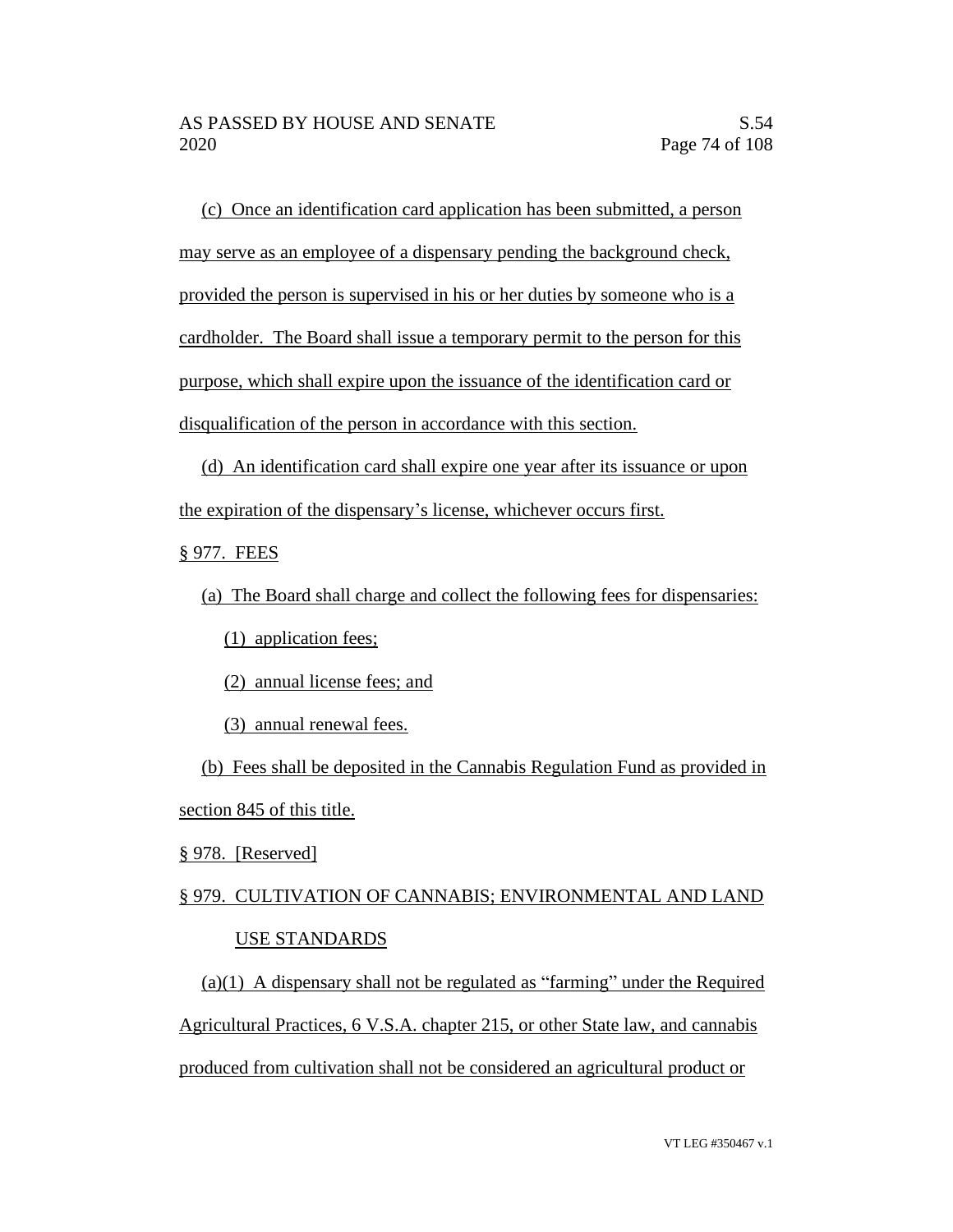(c) Once an identification card application has been submitted, a person may serve as an employee of a dispensary pending the background check, provided the person is supervised in his or her duties by someone who is a cardholder. The Board shall issue a temporary permit to the person for this purpose, which shall expire upon the issuance of the identification card or disqualification of the person in accordance with this section.

(d) An identification card shall expire one year after its issuance or upon the expiration of the dispensary's license, whichever occurs first.

§ 977. FEES

(a) The Board shall charge and collect the following fees for dispensaries:

(1) application fees;

(2) annual license fees; and

(3) annual renewal fees.

(b) Fees shall be deposited in the Cannabis Regulation Fund as provided in section 845 of this title.

§ 978. [Reserved]

# § 979. CULTIVATION OF CANNABIS; ENVIRONMENTAL AND LAND USE STANDARDS

 $(a)(1)$  A dispensary shall not be regulated as "farming" under the Required Agricultural Practices, 6 V.S.A. chapter 215, or other State law, and cannabis produced from cultivation shall not be considered an agricultural product or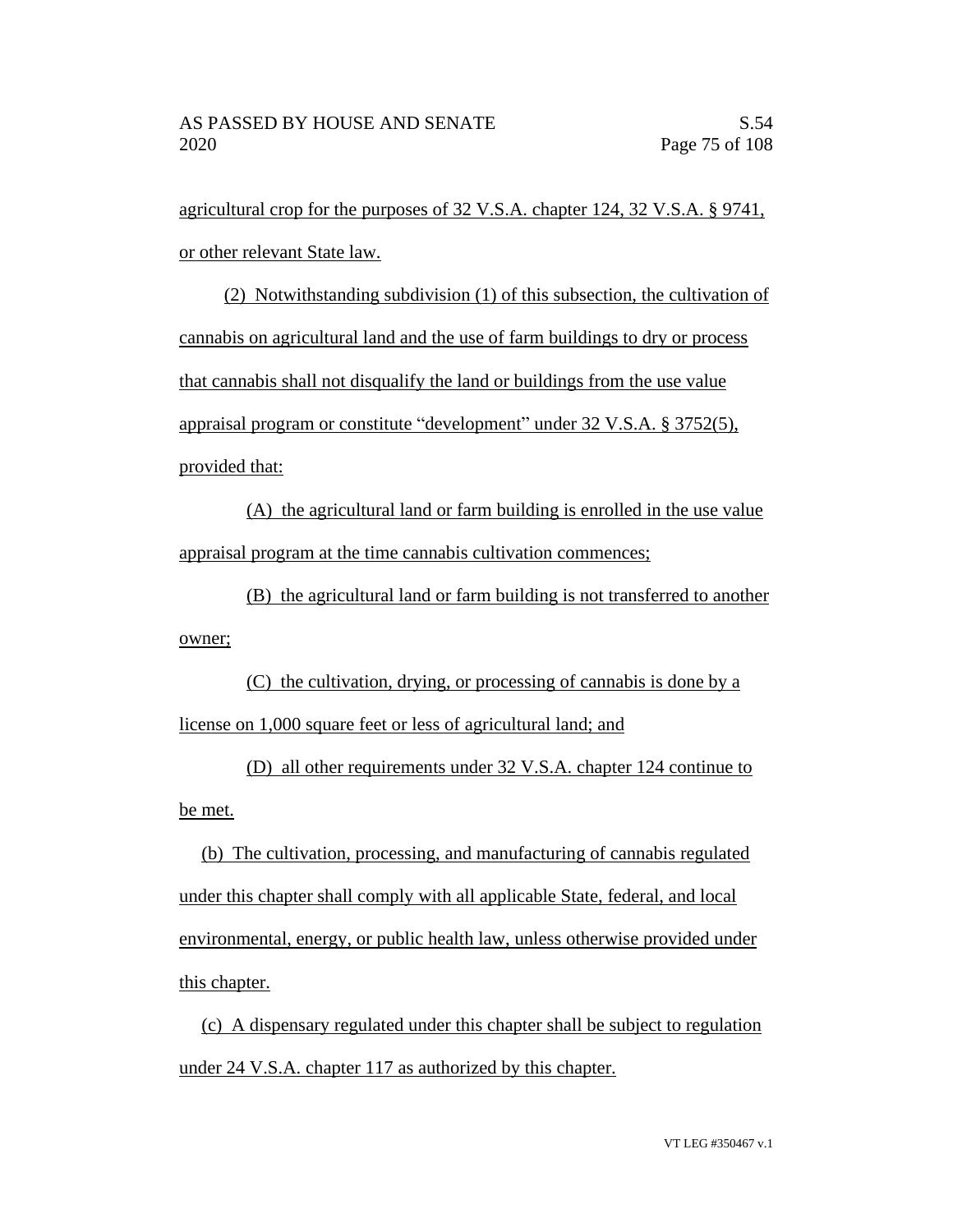agricultural crop for the purposes of 32 V.S.A. chapter 124, 32 V.S.A. § 9741, or other relevant State law.

(2) Notwithstanding subdivision (1) of this subsection, the cultivation of cannabis on agricultural land and the use of farm buildings to dry or process that cannabis shall not disqualify the land or buildings from the use value appraisal program or constitute "development" under 32 V.S.A. § 3752(5), provided that:

(A) the agricultural land or farm building is enrolled in the use value appraisal program at the time cannabis cultivation commences;

(B) the agricultural land or farm building is not transferred to another owner;

(C) the cultivation, drying, or processing of cannabis is done by a license on 1,000 square feet or less of agricultural land; and

(D) all other requirements under 32 V.S.A. chapter 124 continue to be met.

(b) The cultivation, processing, and manufacturing of cannabis regulated under this chapter shall comply with all applicable State, federal, and local environmental, energy, or public health law, unless otherwise provided under this chapter.

(c) A dispensary regulated under this chapter shall be subject to regulation under 24 V.S.A. chapter 117 as authorized by this chapter.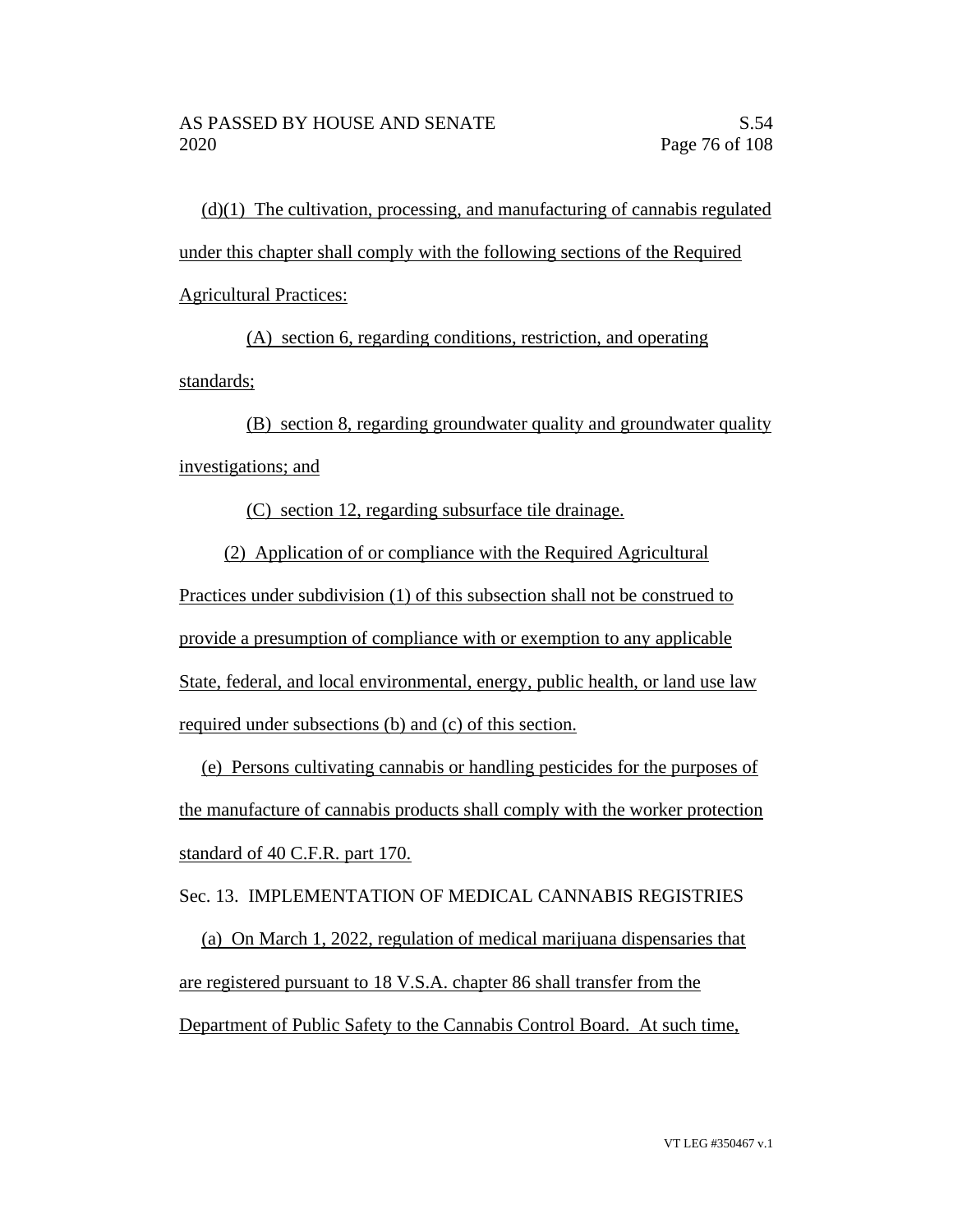(d)(1) The cultivation, processing, and manufacturing of cannabis regulated under this chapter shall comply with the following sections of the Required Agricultural Practices:

(A) section 6, regarding conditions, restriction, and operating standards;

(B) section 8, regarding groundwater quality and groundwater quality investigations; and

(C) section 12, regarding subsurface tile drainage.

(2) Application of or compliance with the Required Agricultural Practices under subdivision (1) of this subsection shall not be construed to provide a presumption of compliance with or exemption to any applicable State, federal, and local environmental, energy, public health, or land use law required under subsections (b) and (c) of this section.

(e) Persons cultivating cannabis or handling pesticides for the purposes of the manufacture of cannabis products shall comply with the worker protection standard of 40 C.F.R. part 170.

Sec. 13. IMPLEMENTATION OF MEDICAL CANNABIS REGISTRIES

(a) On March 1, 2022, regulation of medical marijuana dispensaries that are registered pursuant to 18 V.S.A. chapter 86 shall transfer from the Department of Public Safety to the Cannabis Control Board. At such time,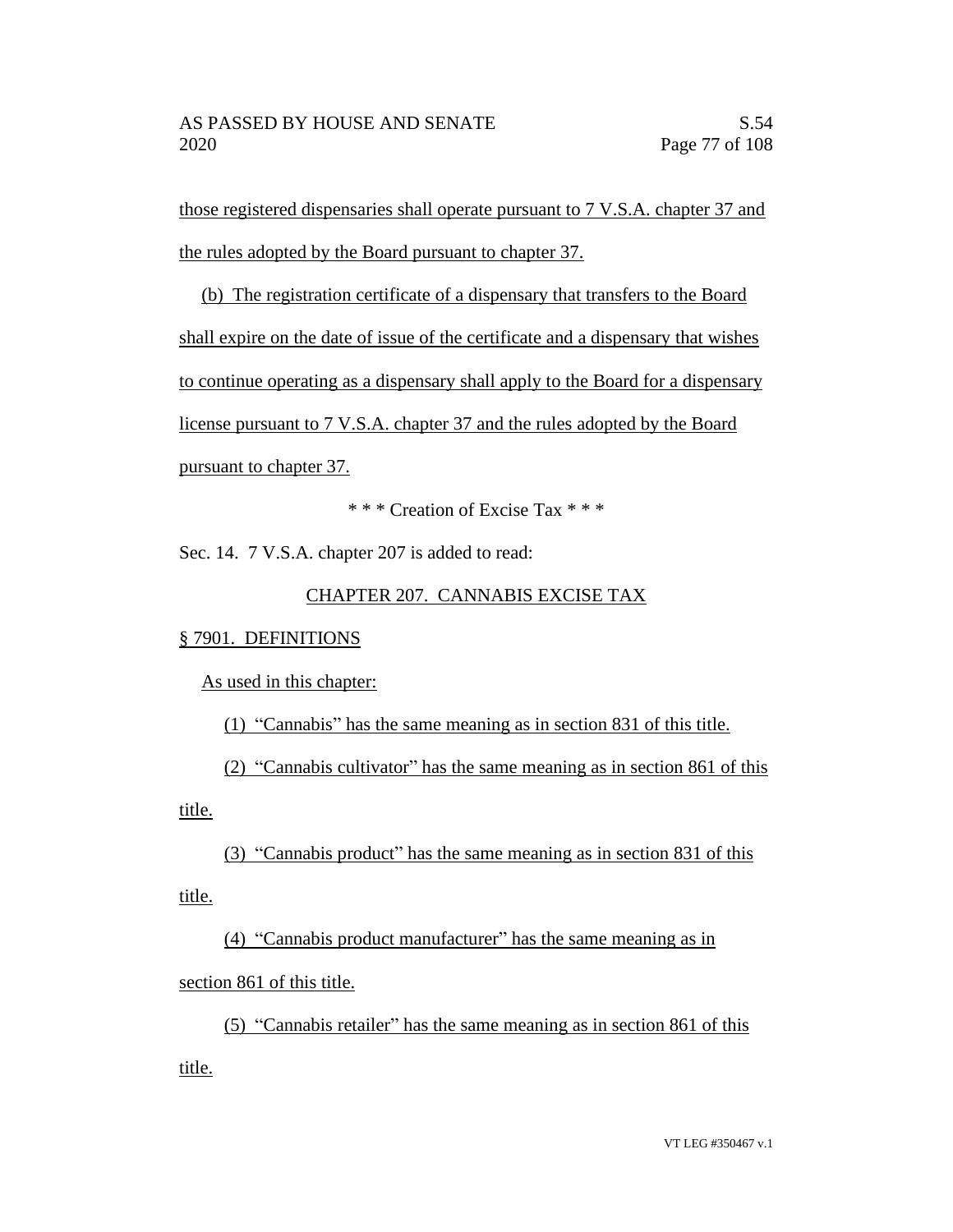those registered dispensaries shall operate pursuant to 7 V.S.A. chapter 37 and the rules adopted by the Board pursuant to chapter 37.

(b) The registration certificate of a dispensary that transfers to the Board shall expire on the date of issue of the certificate and a dispensary that wishes to continue operating as a dispensary shall apply to the Board for a dispensary license pursuant to 7 V.S.A. chapter 37 and the rules adopted by the Board pursuant to chapter 37.

\* \* \* Creation of Excise Tax \* \* \*

Sec. 14. 7 V.S.A. chapter 207 is added to read:

# CHAPTER 207. CANNABIS EXCISE TAX

## § 7901. DEFINITIONS

As used in this chapter:

(1) "Cannabis" has the same meaning as in section 831 of this title.

(2) "Cannabis cultivator" has the same meaning as in section 861 of this title.

(3) "Cannabis product" has the same meaning as in section 831 of this title.

(4) "Cannabis product manufacturer" has the same meaning as in section 861 of this title.

(5) "Cannabis retailer" has the same meaning as in section 861 of this title.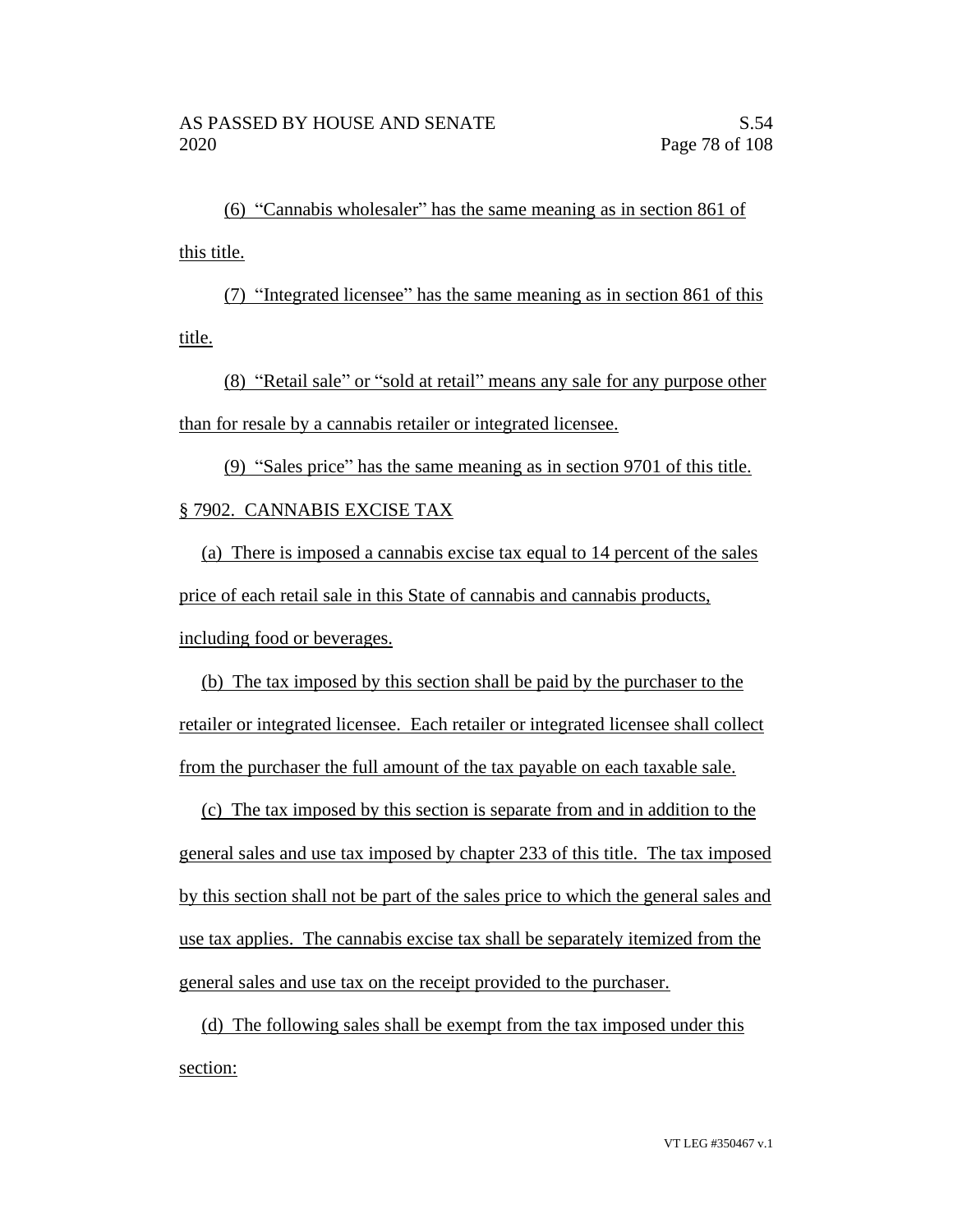(6) "Cannabis wholesaler" has the same meaning as in section 861 of this title.

(7) "Integrated licensee" has the same meaning as in section 861 of this title.

(8) "Retail sale" or "sold at retail" means any sale for any purpose other than for resale by a cannabis retailer or integrated licensee.

(9) "Sales price" has the same meaning as in section 9701 of this title. § 7902. CANNABIS EXCISE TAX

(a) There is imposed a cannabis excise tax equal to 14 percent of the sales price of each retail sale in this State of cannabis and cannabis products, including food or beverages.

(b) The tax imposed by this section shall be paid by the purchaser to the retailer or integrated licensee. Each retailer or integrated licensee shall collect from the purchaser the full amount of the tax payable on each taxable sale.

(c) The tax imposed by this section is separate from and in addition to the general sales and use tax imposed by chapter 233 of this title. The tax imposed by this section shall not be part of the sales price to which the general sales and use tax applies. The cannabis excise tax shall be separately itemized from the general sales and use tax on the receipt provided to the purchaser.

(d) The following sales shall be exempt from the tax imposed under this section: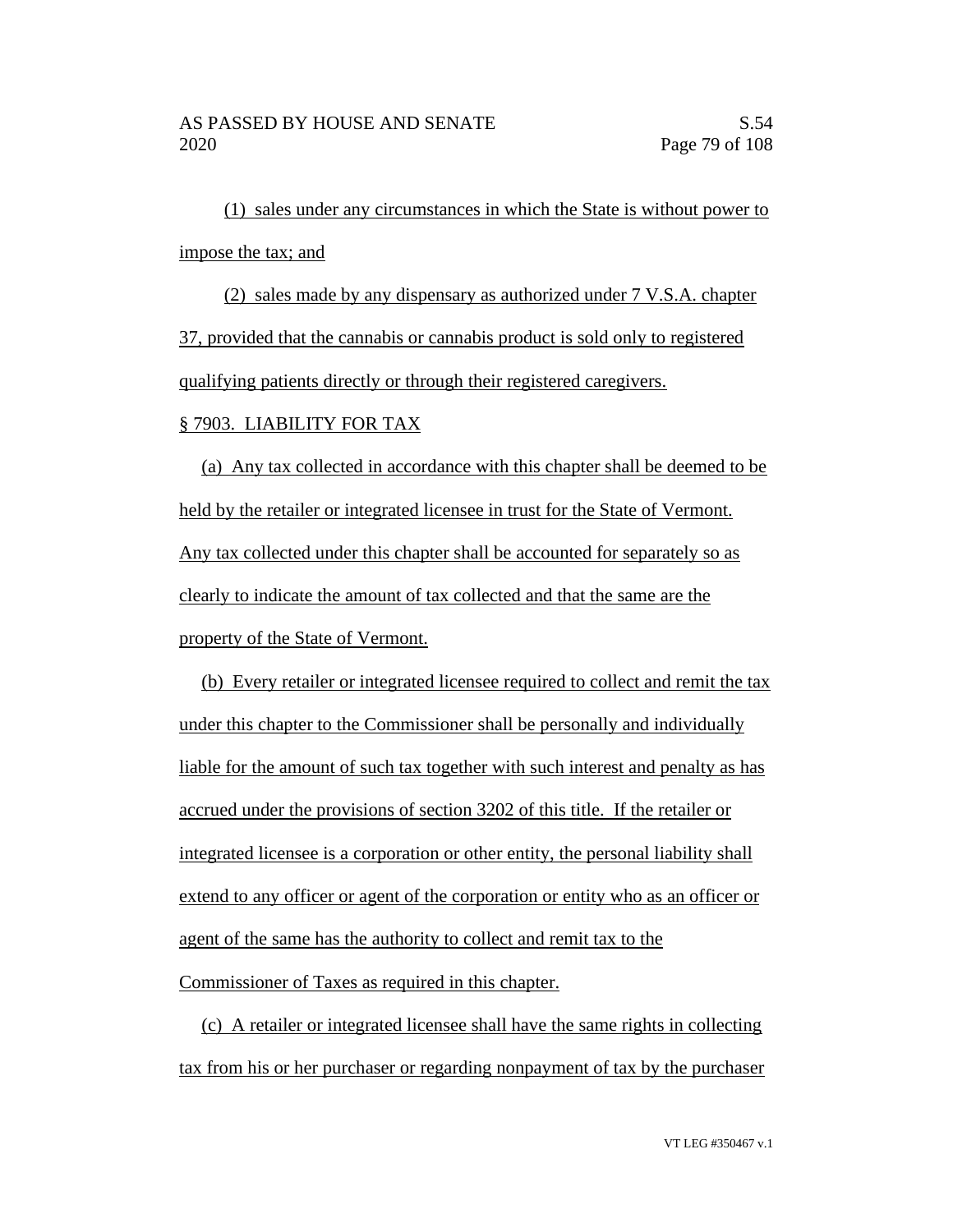(1) sales under any circumstances in which the State is without power to impose the tax; and

(2) sales made by any dispensary as authorized under 7 V.S.A. chapter 37, provided that the cannabis or cannabis product is sold only to registered qualifying patients directly or through their registered caregivers.

### § 7903. LIABILITY FOR TAX

(a) Any tax collected in accordance with this chapter shall be deemed to be held by the retailer or integrated licensee in trust for the State of Vermont. Any tax collected under this chapter shall be accounted for separately so as clearly to indicate the amount of tax collected and that the same are the property of the State of Vermont.

(b) Every retailer or integrated licensee required to collect and remit the tax under this chapter to the Commissioner shall be personally and individually liable for the amount of such tax together with such interest and penalty as has accrued under the provisions of section 3202 of this title. If the retailer or integrated licensee is a corporation or other entity, the personal liability shall extend to any officer or agent of the corporation or entity who as an officer or agent of the same has the authority to collect and remit tax to the Commissioner of Taxes as required in this chapter.

(c) A retailer or integrated licensee shall have the same rights in collecting tax from his or her purchaser or regarding nonpayment of tax by the purchaser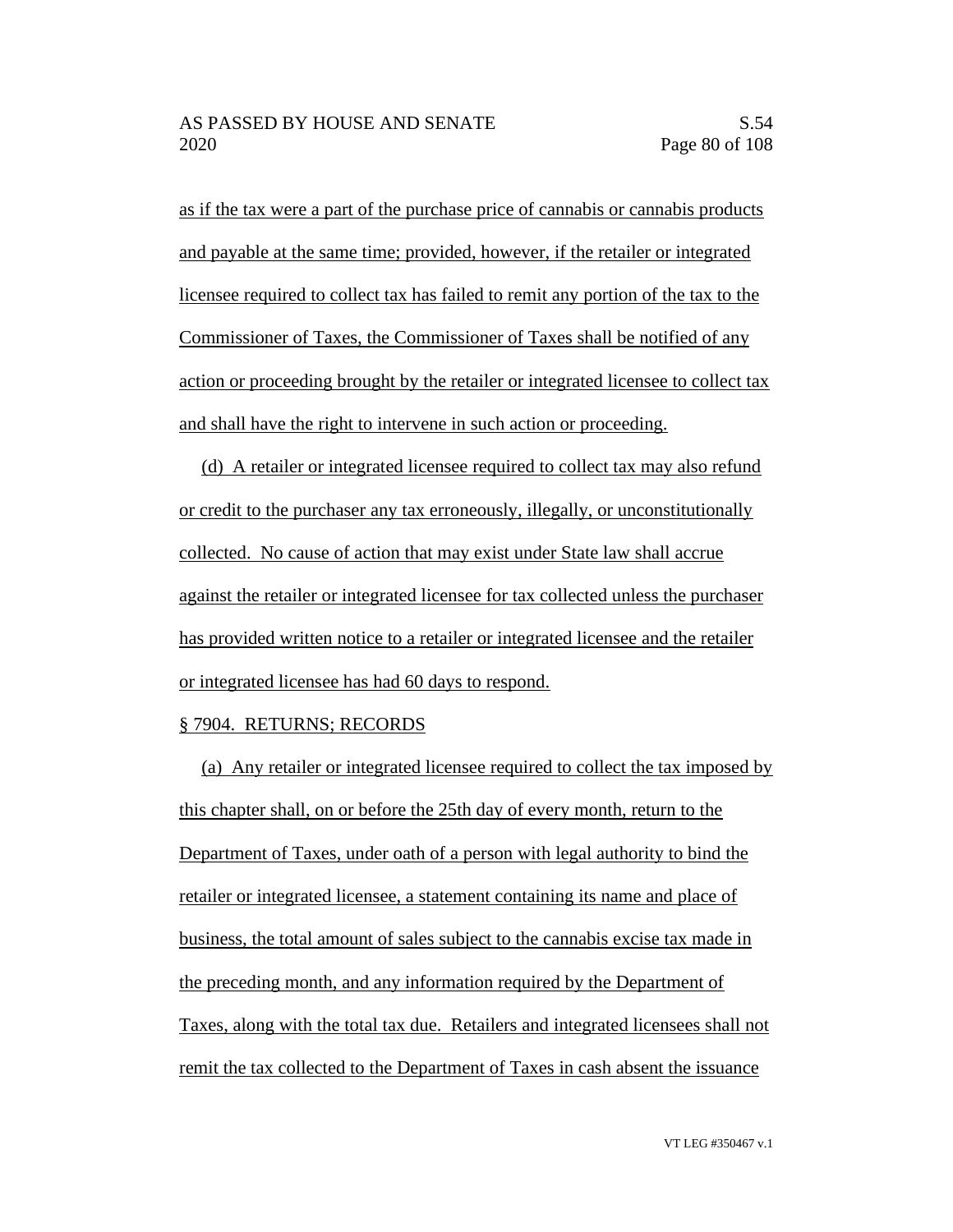as if the tax were a part of the purchase price of cannabis or cannabis products and payable at the same time; provided, however, if the retailer or integrated licensee required to collect tax has failed to remit any portion of the tax to the Commissioner of Taxes, the Commissioner of Taxes shall be notified of any action or proceeding brought by the retailer or integrated licensee to collect tax and shall have the right to intervene in such action or proceeding.

(d) A retailer or integrated licensee required to collect tax may also refund or credit to the purchaser any tax erroneously, illegally, or unconstitutionally collected. No cause of action that may exist under State law shall accrue against the retailer or integrated licensee for tax collected unless the purchaser has provided written notice to a retailer or integrated licensee and the retailer or integrated licensee has had 60 days to respond.

## § 7904. RETURNS; RECORDS

(a) Any retailer or integrated licensee required to collect the tax imposed by this chapter shall, on or before the 25th day of every month, return to the Department of Taxes, under oath of a person with legal authority to bind the retailer or integrated licensee, a statement containing its name and place of business, the total amount of sales subject to the cannabis excise tax made in the preceding month, and any information required by the Department of Taxes, along with the total tax due. Retailers and integrated licensees shall not remit the tax collected to the Department of Taxes in cash absent the issuance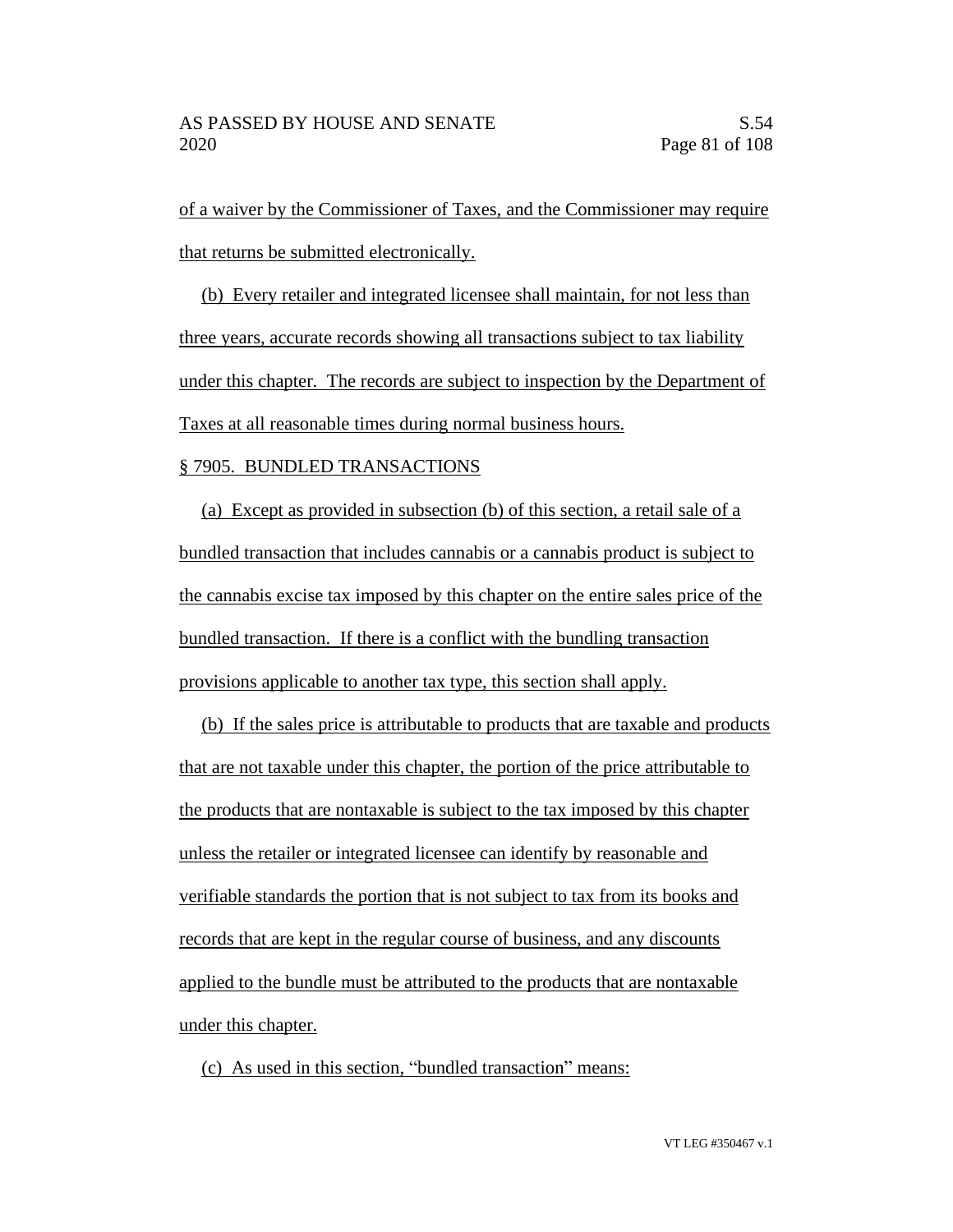of a waiver by the Commissioner of Taxes, and the Commissioner may require that returns be submitted electronically.

(b) Every retailer and integrated licensee shall maintain, for not less than three years, accurate records showing all transactions subject to tax liability under this chapter. The records are subject to inspection by the Department of Taxes at all reasonable times during normal business hours.

### § 7905. BUNDLED TRANSACTIONS

(a) Except as provided in subsection (b) of this section, a retail sale of a bundled transaction that includes cannabis or a cannabis product is subject to the cannabis excise tax imposed by this chapter on the entire sales price of the bundled transaction. If there is a conflict with the bundling transaction provisions applicable to another tax type, this section shall apply.

(b) If the sales price is attributable to products that are taxable and products that are not taxable under this chapter, the portion of the price attributable to the products that are nontaxable is subject to the tax imposed by this chapter unless the retailer or integrated licensee can identify by reasonable and verifiable standards the portion that is not subject to tax from its books and records that are kept in the regular course of business, and any discounts applied to the bundle must be attributed to the products that are nontaxable under this chapter.

(c) As used in this section, "bundled transaction" means: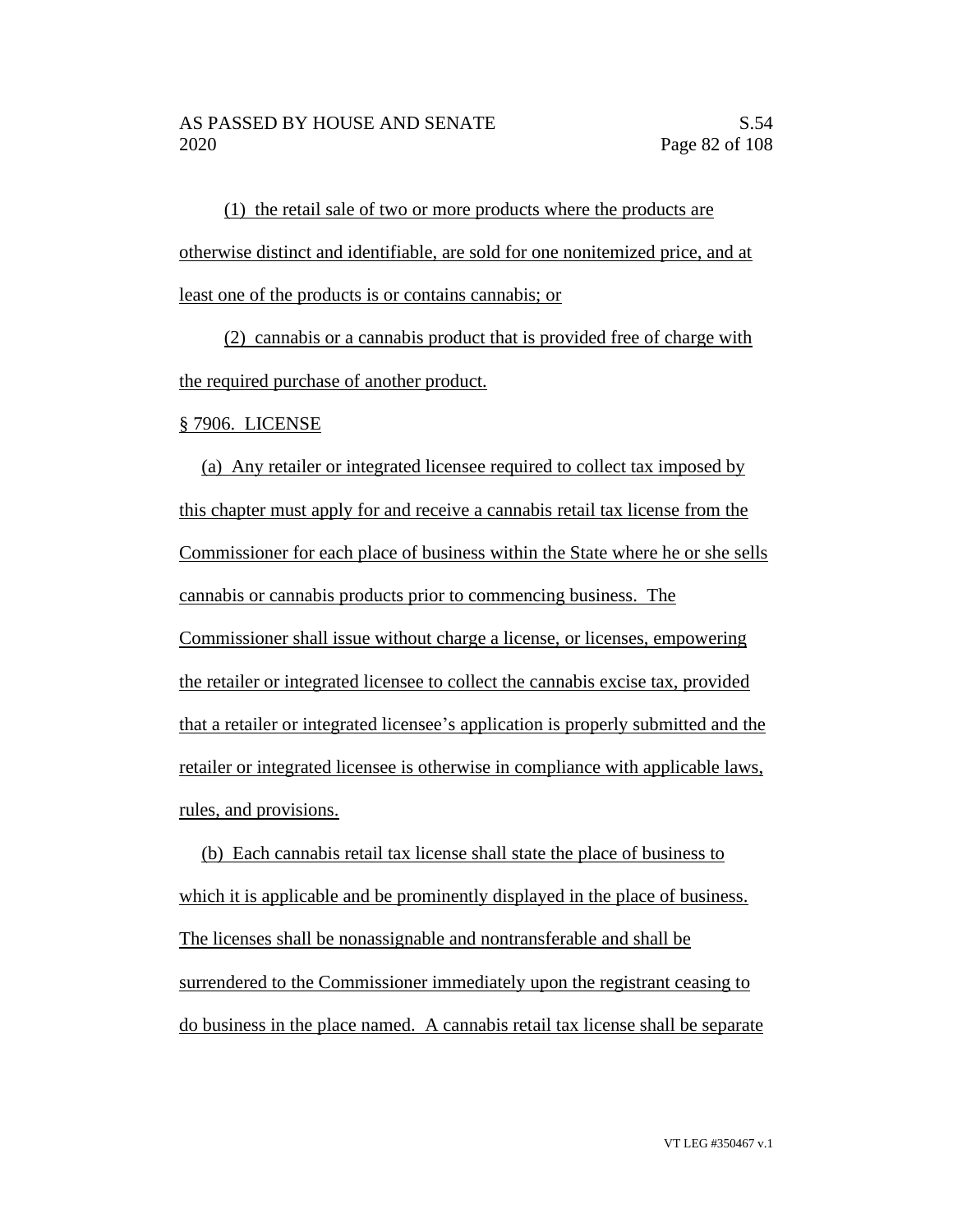(1) the retail sale of two or more products where the products are otherwise distinct and identifiable, are sold for one nonitemized price, and at least one of the products is or contains cannabis; or

(2) cannabis or a cannabis product that is provided free of charge with the required purchase of another product.

§ 7906. LICENSE

(a) Any retailer or integrated licensee required to collect tax imposed by this chapter must apply for and receive a cannabis retail tax license from the Commissioner for each place of business within the State where he or she sells cannabis or cannabis products prior to commencing business. The Commissioner shall issue without charge a license, or licenses, empowering the retailer or integrated licensee to collect the cannabis excise tax, provided that a retailer or integrated licensee's application is properly submitted and the retailer or integrated licensee is otherwise in compliance with applicable laws, rules, and provisions.

(b) Each cannabis retail tax license shall state the place of business to which it is applicable and be prominently displayed in the place of business. The licenses shall be nonassignable and nontransferable and shall be surrendered to the Commissioner immediately upon the registrant ceasing to do business in the place named. A cannabis retail tax license shall be separate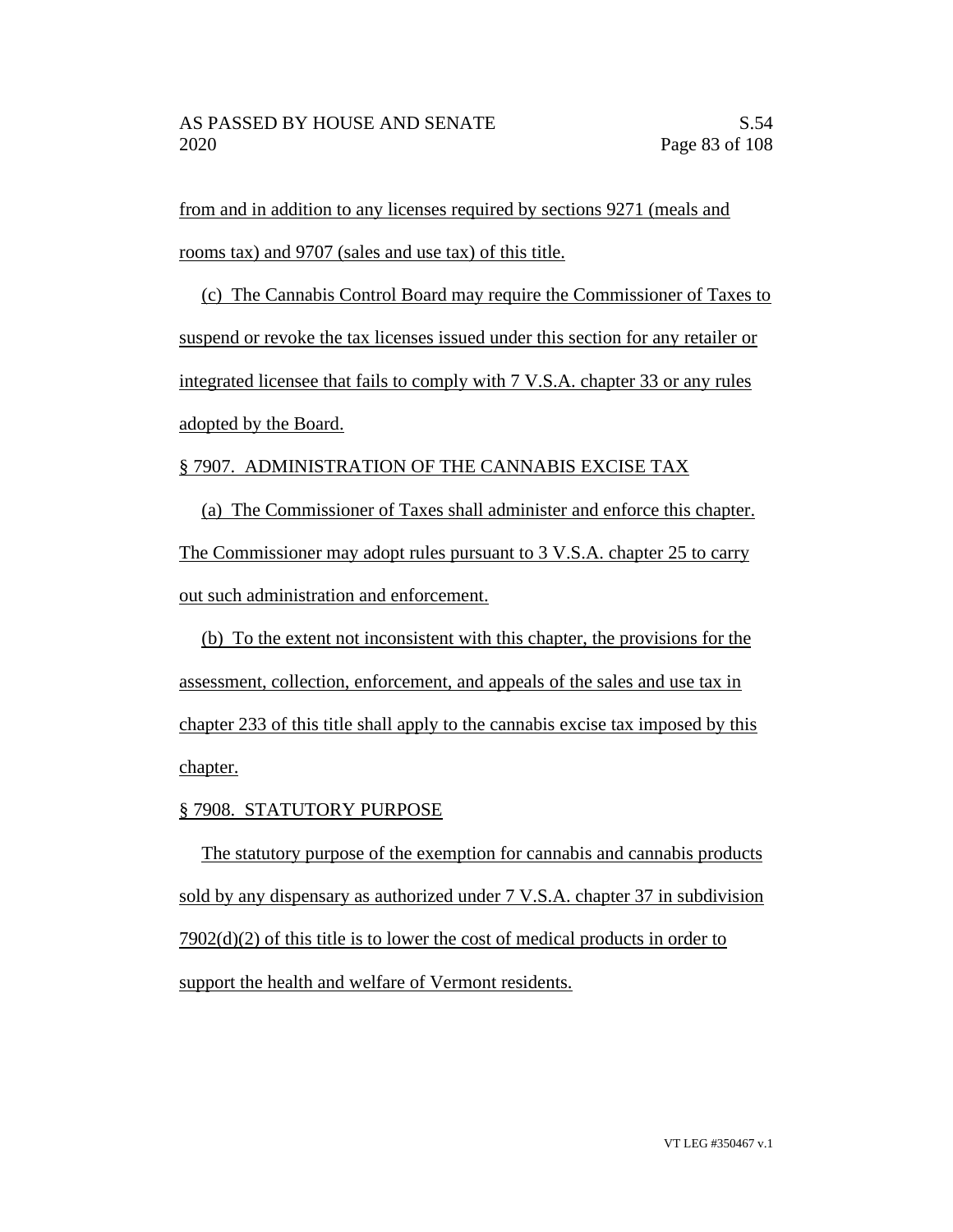from and in addition to any licenses required by sections 9271 (meals and rooms tax) and 9707 (sales and use tax) of this title.

(c) The Cannabis Control Board may require the Commissioner of Taxes to suspend or revoke the tax licenses issued under this section for any retailer or integrated licensee that fails to comply with 7 V.S.A. chapter 33 or any rules adopted by the Board.

## § 7907. ADMINISTRATION OF THE CANNABIS EXCISE TAX

(a) The Commissioner of Taxes shall administer and enforce this chapter. The Commissioner may adopt rules pursuant to 3 V.S.A. chapter 25 to carry out such administration and enforcement.

(b) To the extent not inconsistent with this chapter, the provisions for the assessment, collection, enforcement, and appeals of the sales and use tax in chapter 233 of this title shall apply to the cannabis excise tax imposed by this chapter.

## § 7908. STATUTORY PURPOSE

The statutory purpose of the exemption for cannabis and cannabis products sold by any dispensary as authorized under 7 V.S.A. chapter 37 in subdivision 7902(d)(2) of this title is to lower the cost of medical products in order to support the health and welfare of Vermont residents.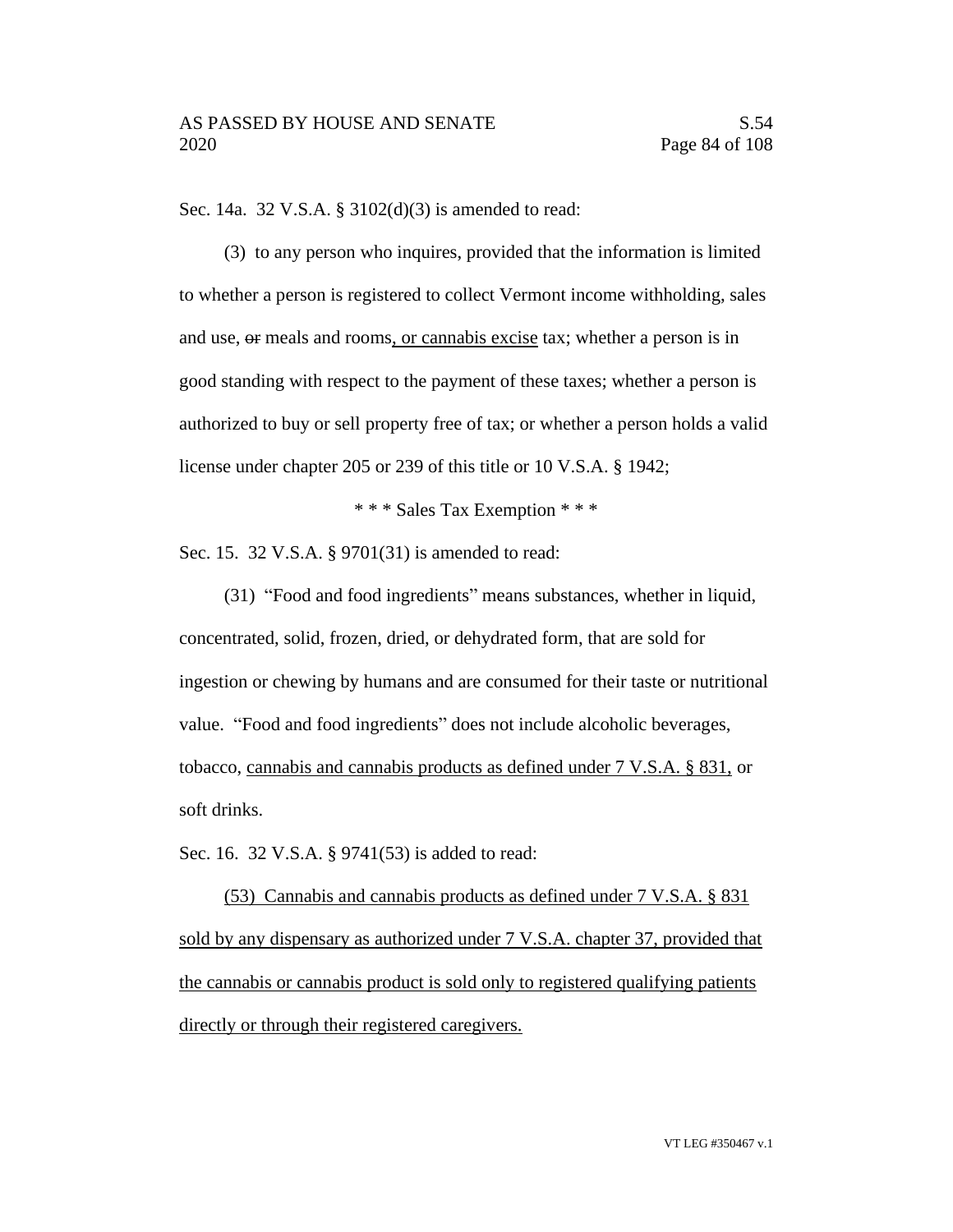Sec. 14a. 32 V.S.A. § 3102(d)(3) is amended to read:

(3) to any person who inquires, provided that the information is limited to whether a person is registered to collect Vermont income withholding, sales and use, or meals and rooms, or cannabis excise tax; whether a person is in good standing with respect to the payment of these taxes; whether a person is authorized to buy or sell property free of tax; or whether a person holds a valid license under chapter 205 or 239 of this title or 10 V.S.A. § 1942;

\* \* \* Sales Tax Exemption \* \* \*

Sec. 15. 32 V.S.A. § 9701(31) is amended to read:

(31) "Food and food ingredients" means substances, whether in liquid, concentrated, solid, frozen, dried, or dehydrated form, that are sold for ingestion or chewing by humans and are consumed for their taste or nutritional value. "Food and food ingredients" does not include alcoholic beverages, tobacco, cannabis and cannabis products as defined under 7 V.S.A. § 831, or soft drinks.

Sec. 16. 32 V.S.A. § 9741(53) is added to read:

(53) Cannabis and cannabis products as defined under 7 V.S.A. § 831 sold by any dispensary as authorized under 7 V.S.A. chapter 37, provided that the cannabis or cannabis product is sold only to registered qualifying patients directly or through their registered caregivers.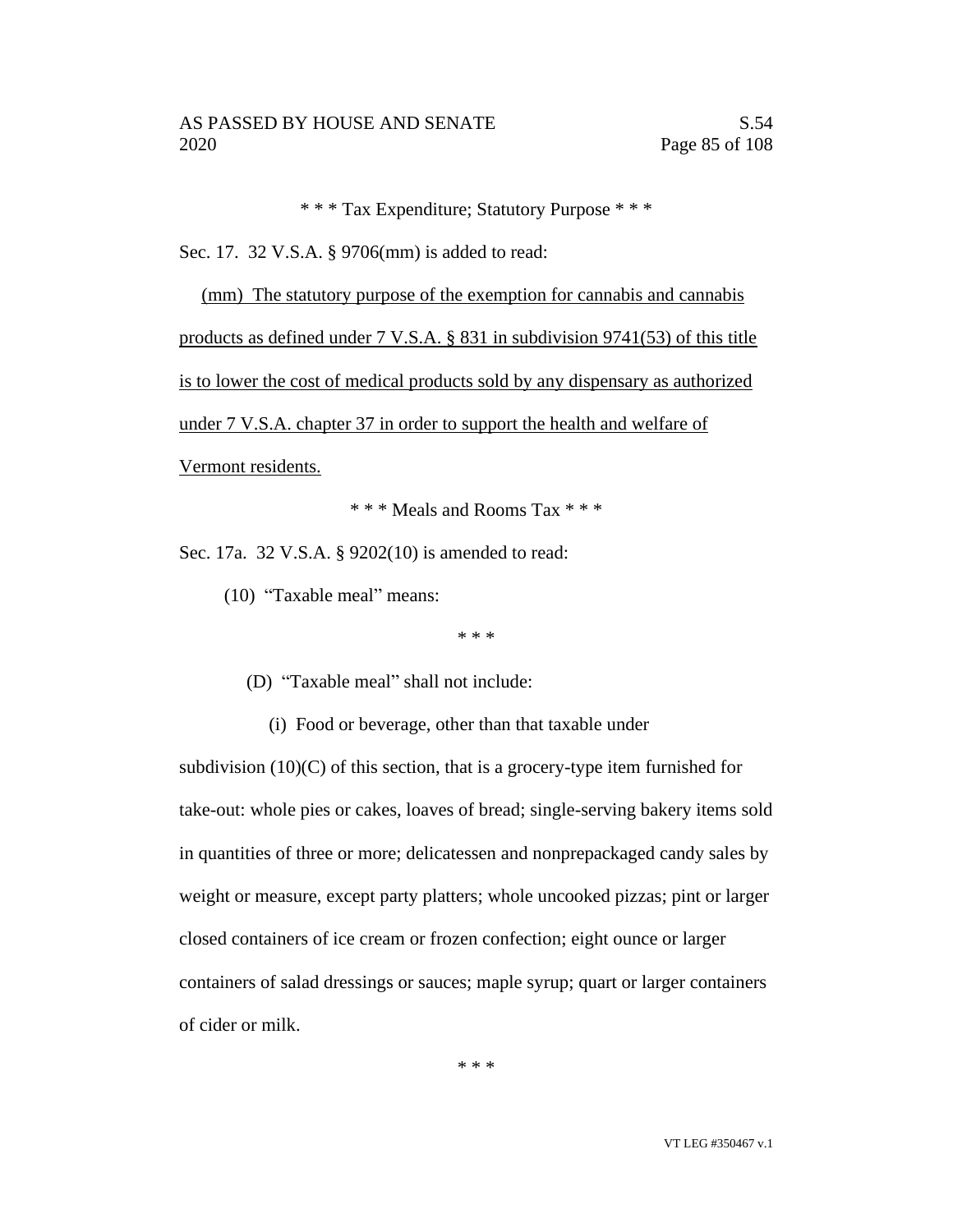\* \* \* Tax Expenditure; Statutory Purpose \* \* \*

Sec. 17. 32 V.S.A. § 9706(mm) is added to read:

(mm) The statutory purpose of the exemption for cannabis and cannabis

products as defined under 7 V.S.A. § 831 in subdivision 9741(53) of this title

is to lower the cost of medical products sold by any dispensary as authorized

under 7 V.S.A. chapter 37 in order to support the health and welfare of

Vermont residents.

\* \* \* Meals and Rooms Tax \* \* \*

Sec. 17a. 32 V.S.A. § 9202(10) is amended to read:

(10) "Taxable meal" means:

\* \* \*

(D) "Taxable meal" shall not include:

(i) Food or beverage, other than that taxable under

subdivision  $(10)(C)$  of this section, that is a grocery-type item furnished for take-out: whole pies or cakes, loaves of bread; single-serving bakery items sold in quantities of three or more; delicatessen and nonprepackaged candy sales by weight or measure, except party platters; whole uncooked pizzas; pint or larger closed containers of ice cream or frozen confection; eight ounce or larger containers of salad dressings or sauces; maple syrup; quart or larger containers of cider or milk.

\* \* \*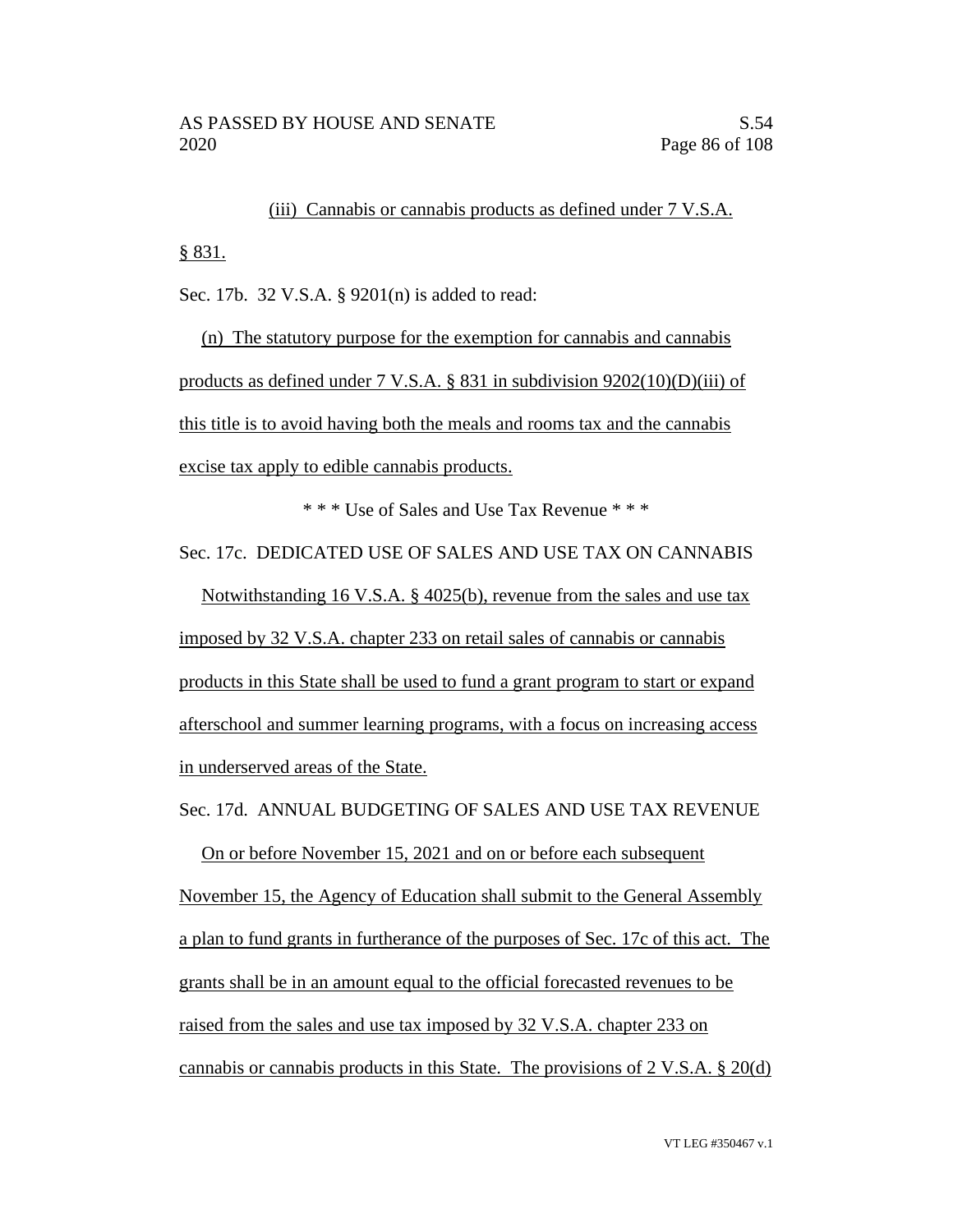(iii) Cannabis or cannabis products as defined under 7 V.S.A. § 831.

Sec. 17b. 32 V.S.A. § 9201(n) is added to read:

(n) The statutory purpose for the exemption for cannabis and cannabis products as defined under 7 V.S.A. § 831 in subdivision 9202(10)(D)(iii) of this title is to avoid having both the meals and rooms tax and the cannabis excise tax apply to edible cannabis products.

\* \* \* Use of Sales and Use Tax Revenue \* \* \*

Sec. 17c. DEDICATED USE OF SALES AND USE TAX ON CANNABIS

Notwithstanding 16 V.S.A. § 4025(b), revenue from the sales and use tax imposed by 32 V.S.A. chapter 233 on retail sales of cannabis or cannabis products in this State shall be used to fund a grant program to start or expand afterschool and summer learning programs, with a focus on increasing access in underserved areas of the State.

Sec. 17d. ANNUAL BUDGETING OF SALES AND USE TAX REVENUE

On or before November 15, 2021 and on or before each subsequent November 15, the Agency of Education shall submit to the General Assembly a plan to fund grants in furtherance of the purposes of Sec. 17c of this act. The grants shall be in an amount equal to the official forecasted revenues to be raised from the sales and use tax imposed by 32 V.S.A. chapter 233 on cannabis or cannabis products in this State. The provisions of 2 V.S.A. § 20(d)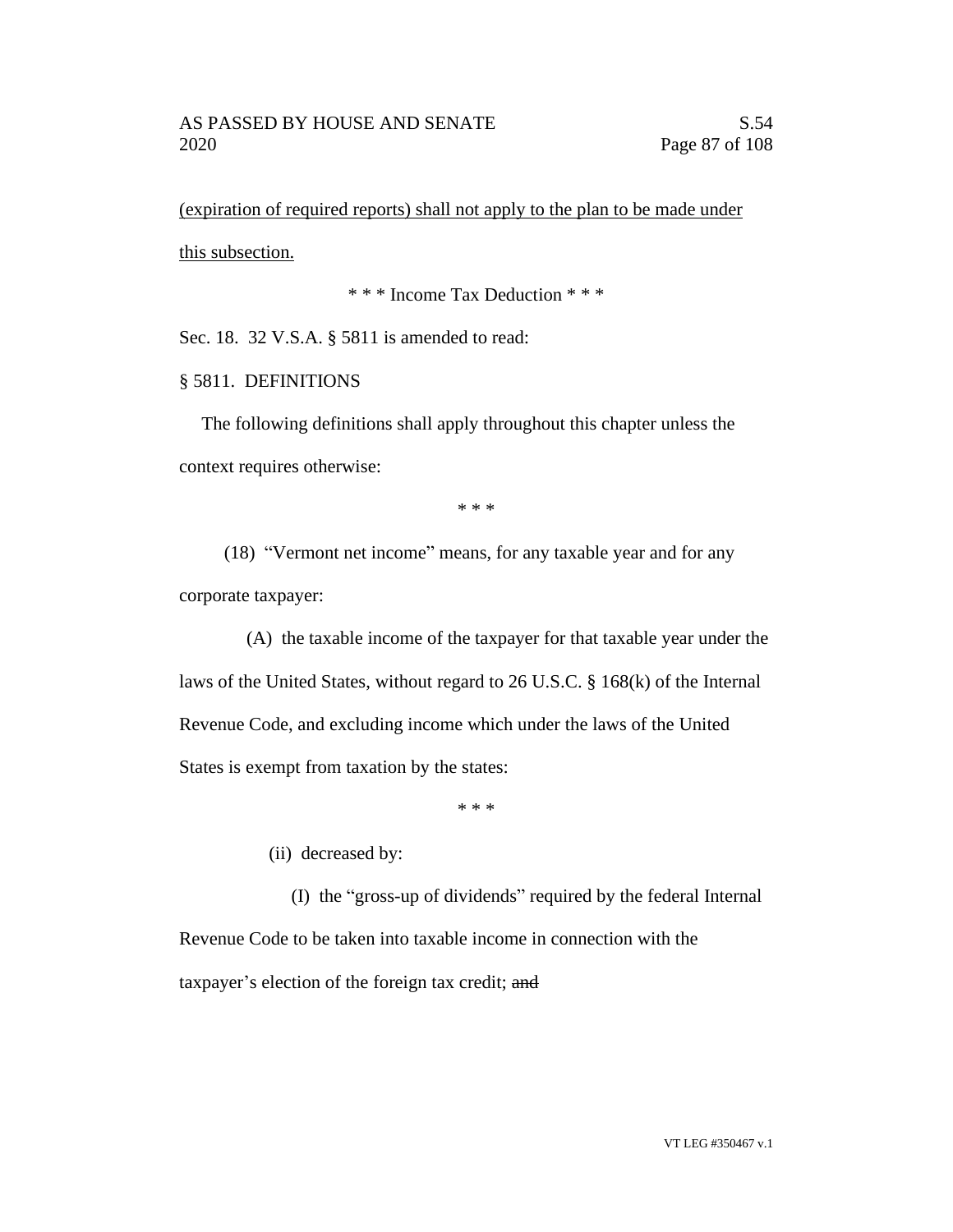(expiration of required reports) shall not apply to the plan to be made under this subsection.

\* \* \* Income Tax Deduction \* \* \*

Sec. 18. 32 V.S.A. § 5811 is amended to read:

## § 5811. DEFINITIONS

The following definitions shall apply throughout this chapter unless the context requires otherwise:

\* \* \*

(18) "Vermont net income" means, for any taxable year and for any corporate taxpayer:

(A) the taxable income of the taxpayer for that taxable year under the laws of the United States, without regard to 26 U.S.C. § 168(k) of the Internal Revenue Code, and excluding income which under the laws of the United States is exempt from taxation by the states:

\* \* \*

(ii) decreased by:

(I) the "gross-up of dividends" required by the federal Internal Revenue Code to be taken into taxable income in connection with the taxpayer's election of the foreign tax credit; and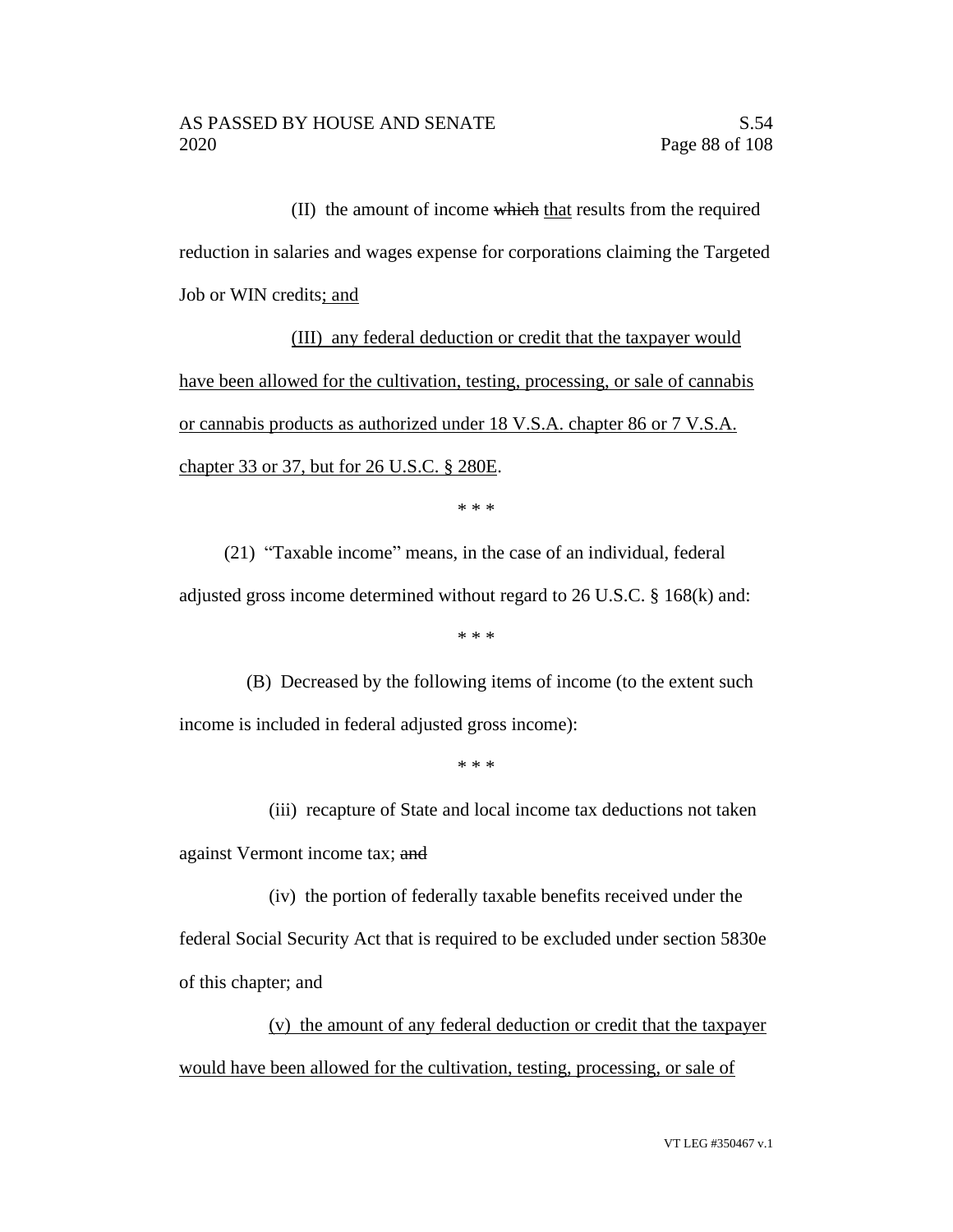(II) the amount of income which that results from the required reduction in salaries and wages expense for corporations claiming the Targeted Job or WIN credits; and

(III) any federal deduction or credit that the taxpayer would have been allowed for the cultivation, testing, processing, or sale of cannabis or cannabis products as authorized under 18 V.S.A. chapter 86 or 7 V.S.A. chapter 33 or 37, but for 26 U.S.C. § 280E.

\* \* \*

(21) "Taxable income" means, in the case of an individual, federal adjusted gross income determined without regard to 26 U.S.C. § 168(k) and:

\* \* \*

(B) Decreased by the following items of income (to the extent such income is included in federal adjusted gross income):

\* \* \*

(iii) recapture of State and local income tax deductions not taken against Vermont income tax; and

(iv) the portion of federally taxable benefits received under the federal Social Security Act that is required to be excluded under section 5830e of this chapter; and

(v) the amount of any federal deduction or credit that the taxpayer would have been allowed for the cultivation, testing, processing, or sale of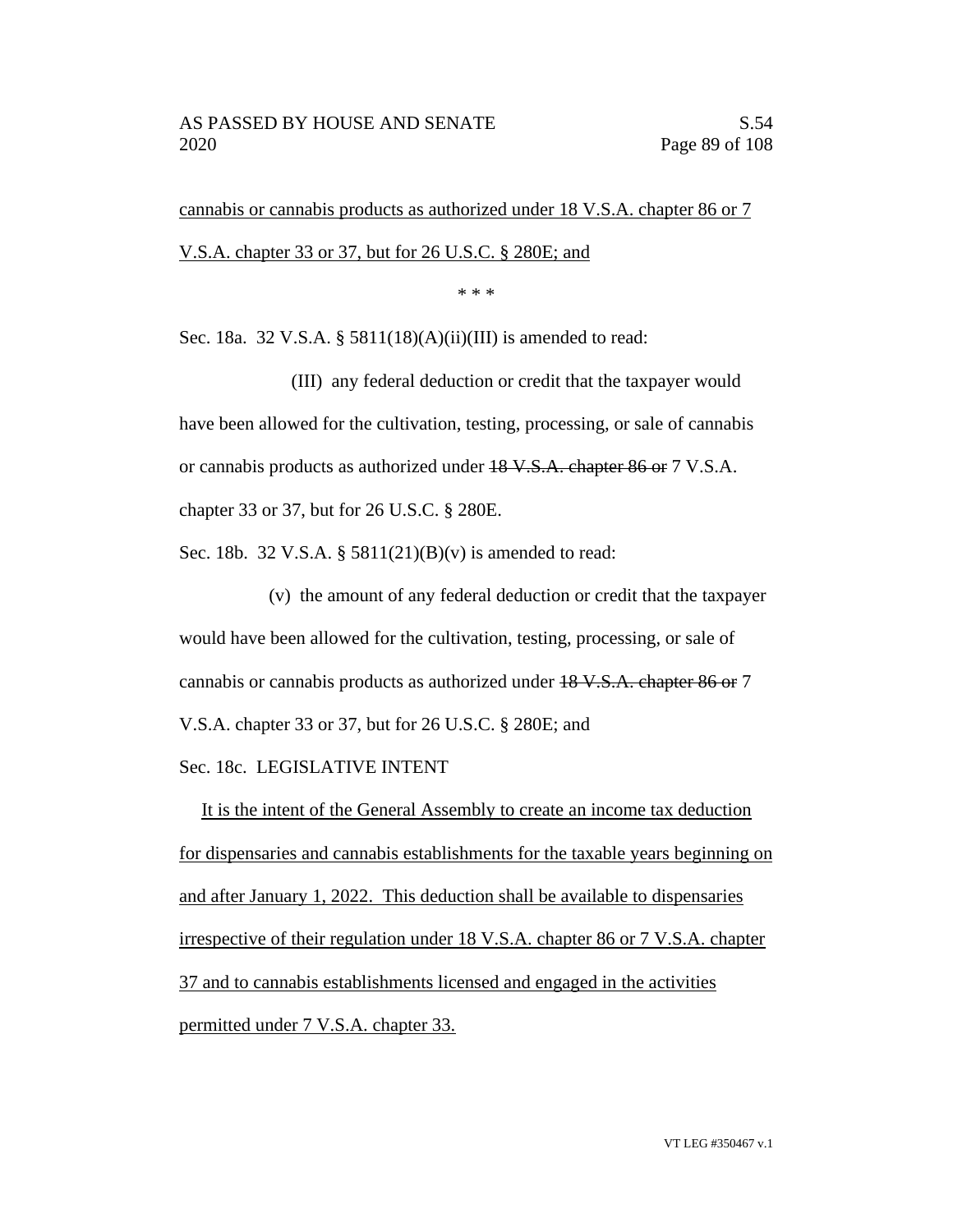cannabis or cannabis products as authorized under 18 V.S.A. chapter 86 or 7 V.S.A. chapter 33 or 37, but for 26 U.S.C. § 280E; and

\* \* \*

Sec. 18a. 32 V.S.A. § 5811(18)(A)(ii)(III) is amended to read:

(III) any federal deduction or credit that the taxpayer would have been allowed for the cultivation, testing, processing, or sale of cannabis or cannabis products as authorized under 18 V.S.A. chapter 86 or 7 V.S.A. chapter 33 or 37, but for 26 U.S.C. § 280E.

Sec. 18b. 32 V.S.A. § 5811(21)(B)(v) is amended to read:

(v) the amount of any federal deduction or credit that the taxpayer would have been allowed for the cultivation, testing, processing, or sale of cannabis or cannabis products as authorized under 18 V.S.A. chapter 86 or 7 V.S.A. chapter 33 or 37, but for 26 U.S.C. § 280E; and

Sec. 18c. LEGISLATIVE INTENT

It is the intent of the General Assembly to create an income tax deduction for dispensaries and cannabis establishments for the taxable years beginning on and after January 1, 2022. This deduction shall be available to dispensaries irrespective of their regulation under 18 V.S.A. chapter 86 or 7 V.S.A. chapter 37 and to cannabis establishments licensed and engaged in the activities permitted under 7 V.S.A. chapter 33.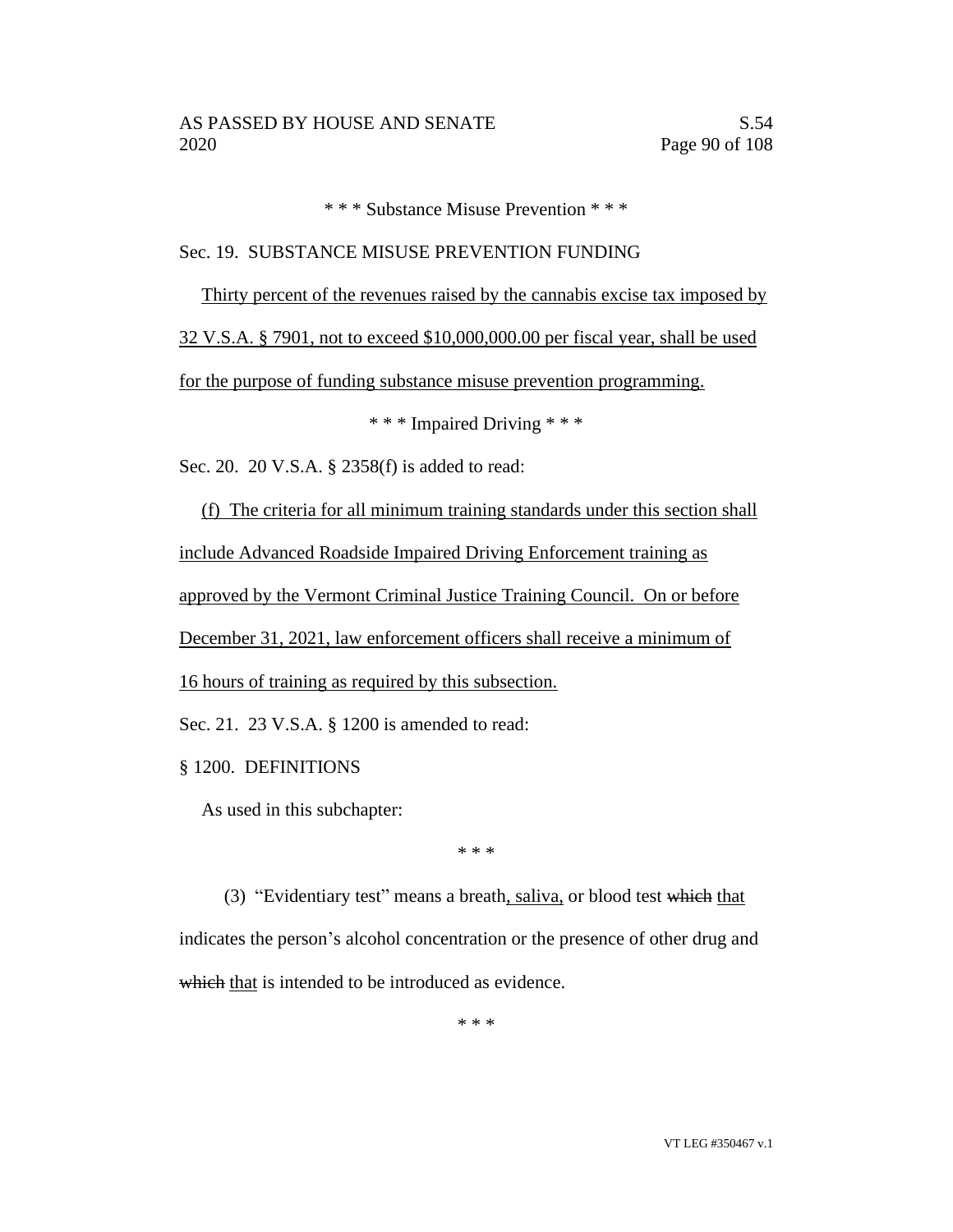\* \* \* Substance Misuse Prevention \* \* \*

## Sec. 19. SUBSTANCE MISUSE PREVENTION FUNDING

Thirty percent of the revenues raised by the cannabis excise tax imposed by

32 V.S.A. § 7901, not to exceed \$10,000,000.00 per fiscal year, shall be used

for the purpose of funding substance misuse prevention programming.

\* \* \* Impaired Driving \* \* \*

Sec. 20. 20 V.S.A. § 2358(f) is added to read:

(f) The criteria for all minimum training standards under this section shall include Advanced Roadside Impaired Driving Enforcement training as approved by the Vermont Criminal Justice Training Council. On or before December 31, 2021, law enforcement officers shall receive a minimum of 16 hours of training as required by this subsection. Sec. 21. 23 V.S.A. § 1200 is amended to read:

§ 1200. DEFINITIONS

As used in this subchapter:

\* \* \*

(3) "Evidentiary test" means a breath, saliva, or blood test which that indicates the person's alcohol concentration or the presence of other drug and which that is intended to be introduced as evidence.

\* \* \*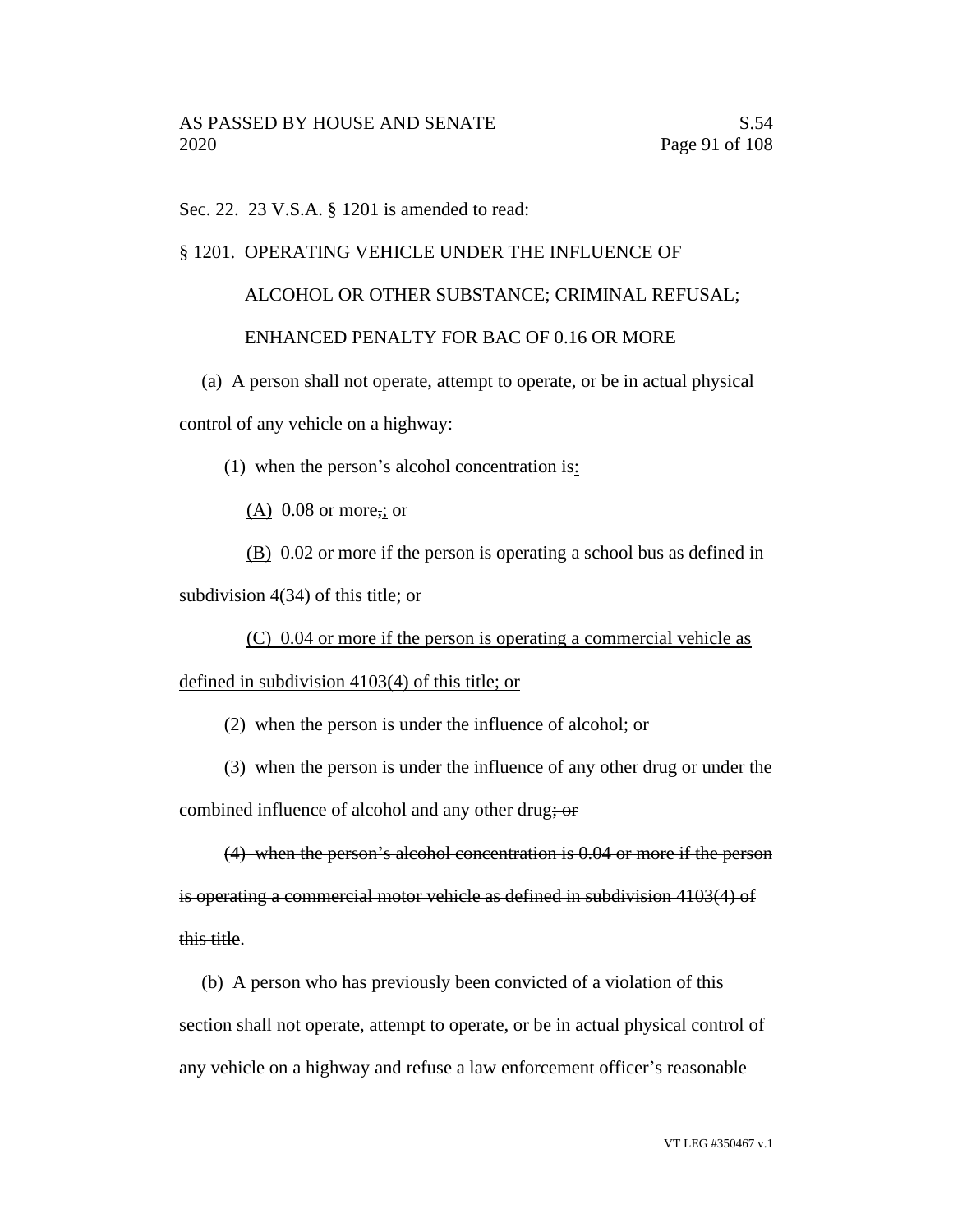Sec. 22. 23 V.S.A. § 1201 is amended to read:

## § 1201. OPERATING VEHICLE UNDER THE INFLUENCE OF

# ALCOHOL OR OTHER SUBSTANCE; CRIMINAL REFUSAL; ENHANCED PENALTY FOR BAC OF 0.16 OR MORE

(a) A person shall not operate, attempt to operate, or be in actual physical control of any vehicle on a highway:

(1) when the person's alcohol concentration is:

 $(A)$  0.08 or more,; or

(B) 0.02 or more if the person is operating a school bus as defined in subdivision 4(34) of this title; or

(C) 0.04 or more if the person is operating a commercial vehicle as defined in subdivision 4103(4) of this title; or

(2) when the person is under the influence of alcohol; or

(3) when the person is under the influence of any other drug or under the

combined influence of alcohol and any other drug; or

(4) when the person's alcohol concentration is 0.04 or more if the person is operating a commercial motor vehicle as defined in subdivision 4103(4) of this title.

(b) A person who has previously been convicted of a violation of this

section shall not operate, attempt to operate, or be in actual physical control of any vehicle on a highway and refuse a law enforcement officer's reasonable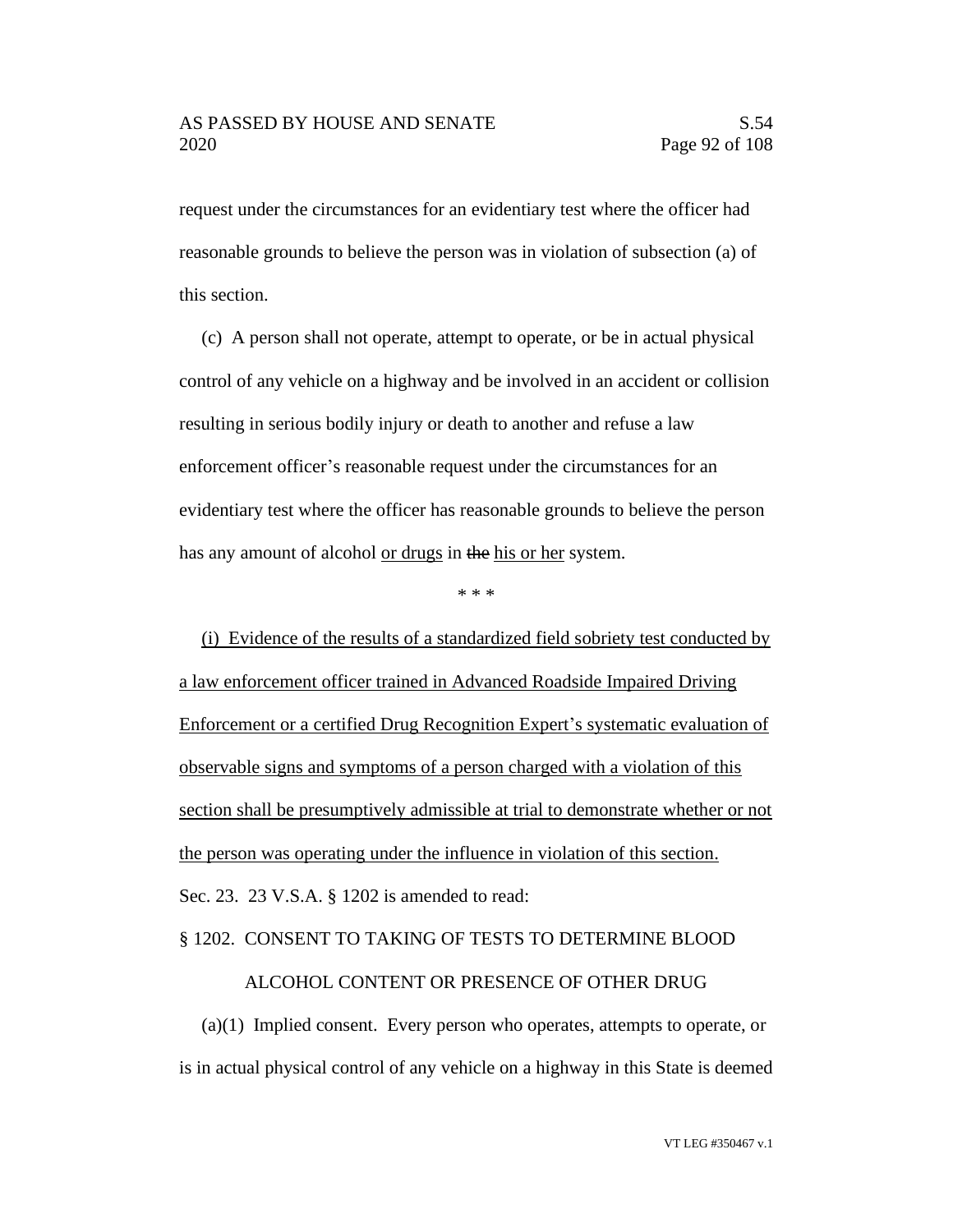request under the circumstances for an evidentiary test where the officer had reasonable grounds to believe the person was in violation of subsection (a) of this section.

(c) A person shall not operate, attempt to operate, or be in actual physical control of any vehicle on a highway and be involved in an accident or collision resulting in serious bodily injury or death to another and refuse a law enforcement officer's reasonable request under the circumstances for an evidentiary test where the officer has reasonable grounds to believe the person has any amount of alcohol <u>or drugs</u> in the his or her system.

\* \* \*

(i) Evidence of the results of a standardized field sobriety test conducted by a law enforcement officer trained in Advanced Roadside Impaired Driving Enforcement or a certified Drug Recognition Expert's systematic evaluation of observable signs and symptoms of a person charged with a violation of this section shall be presumptively admissible at trial to demonstrate whether or not the person was operating under the influence in violation of this section. Sec. 23. 23 V.S.A. § 1202 is amended to read:

## § 1202. CONSENT TO TAKING OF TESTS TO DETERMINE BLOOD

#### ALCOHOL CONTENT OR PRESENCE OF OTHER DRUG

(a)(1) Implied consent. Every person who operates, attempts to operate, or is in actual physical control of any vehicle on a highway in this State is deemed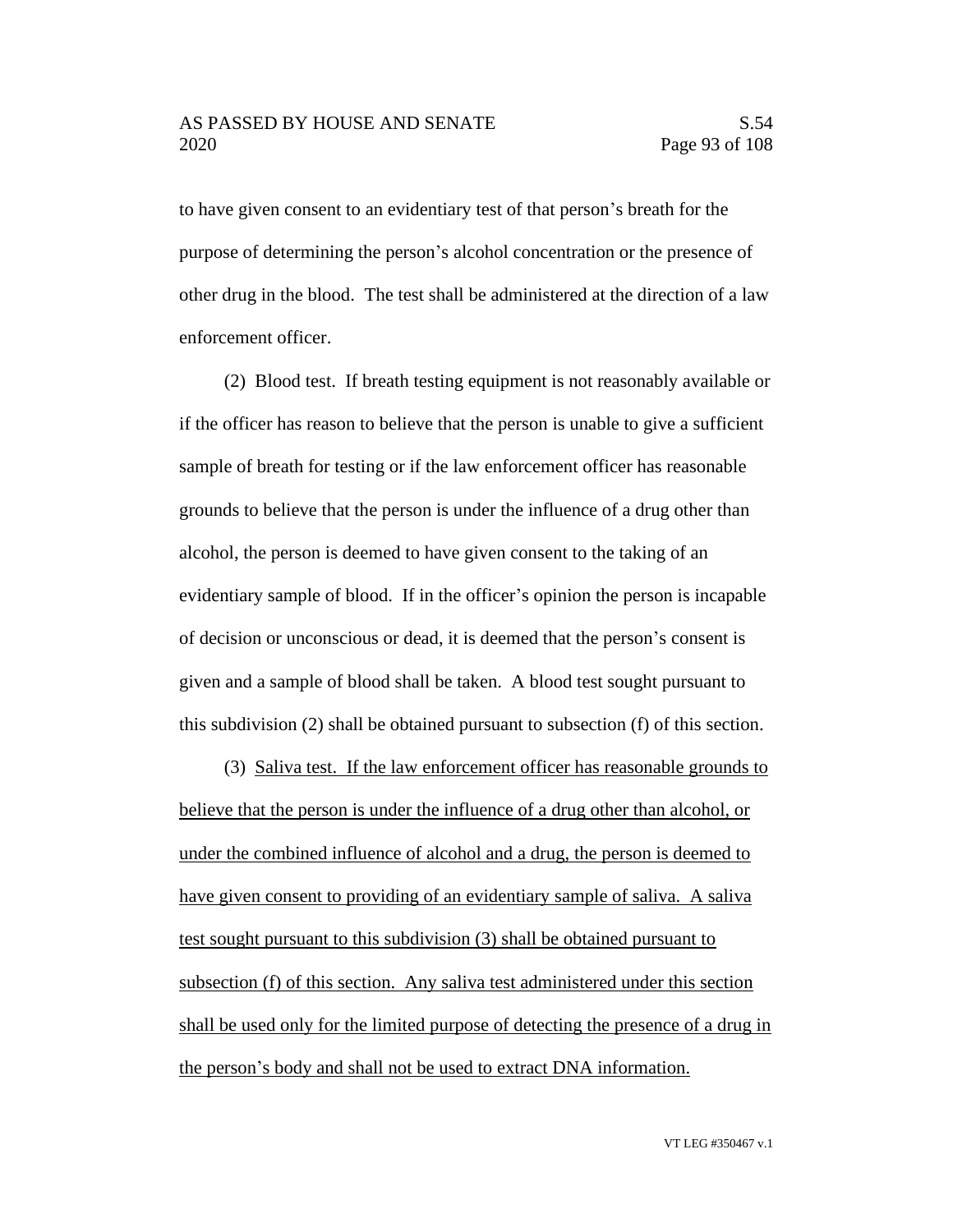to have given consent to an evidentiary test of that person's breath for the purpose of determining the person's alcohol concentration or the presence of other drug in the blood. The test shall be administered at the direction of a law enforcement officer.

(2) Blood test. If breath testing equipment is not reasonably available or if the officer has reason to believe that the person is unable to give a sufficient sample of breath for testing or if the law enforcement officer has reasonable grounds to believe that the person is under the influence of a drug other than alcohol, the person is deemed to have given consent to the taking of an evidentiary sample of blood. If in the officer's opinion the person is incapable of decision or unconscious or dead, it is deemed that the person's consent is given and a sample of blood shall be taken. A blood test sought pursuant to this subdivision (2) shall be obtained pursuant to subsection (f) of this section.

(3) Saliva test. If the law enforcement officer has reasonable grounds to believe that the person is under the influence of a drug other than alcohol, or under the combined influence of alcohol and a drug, the person is deemed to have given consent to providing of an evidentiary sample of saliva. A saliva test sought pursuant to this subdivision (3) shall be obtained pursuant to subsection (f) of this section. Any saliva test administered under this section shall be used only for the limited purpose of detecting the presence of a drug in the person's body and shall not be used to extract DNA information.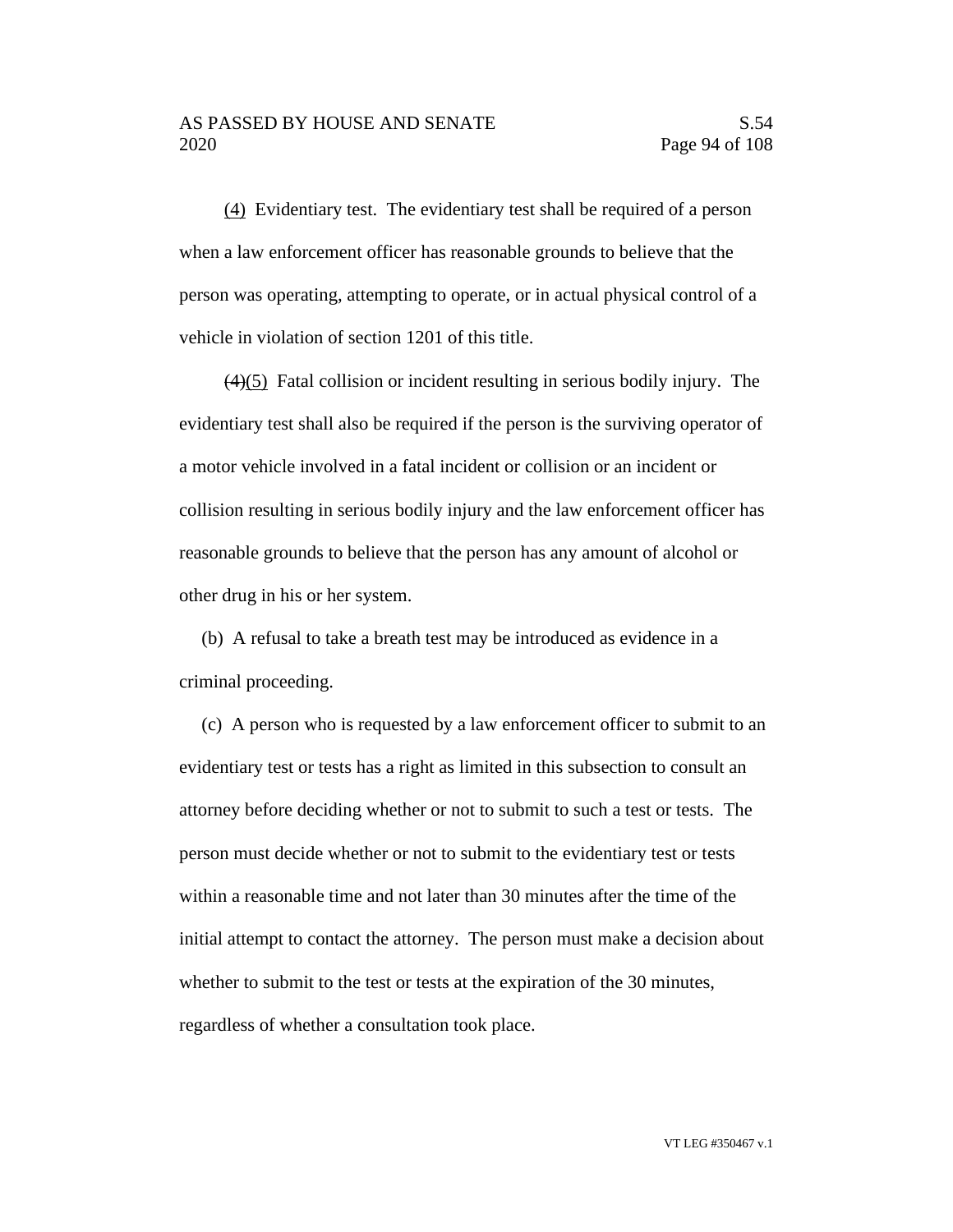## AS PASSED BY HOUSE AND SENATE S.54 2020 Page 94 of 108

(4) Evidentiary test. The evidentiary test shall be required of a person when a law enforcement officer has reasonable grounds to believe that the person was operating, attempting to operate, or in actual physical control of a vehicle in violation of section 1201 of this title.

 $(4)(5)$  Fatal collision or incident resulting in serious bodily injury. The evidentiary test shall also be required if the person is the surviving operator of a motor vehicle involved in a fatal incident or collision or an incident or collision resulting in serious bodily injury and the law enforcement officer has reasonable grounds to believe that the person has any amount of alcohol or other drug in his or her system.

(b) A refusal to take a breath test may be introduced as evidence in a criminal proceeding.

(c) A person who is requested by a law enforcement officer to submit to an evidentiary test or tests has a right as limited in this subsection to consult an attorney before deciding whether or not to submit to such a test or tests. The person must decide whether or not to submit to the evidentiary test or tests within a reasonable time and not later than 30 minutes after the time of the initial attempt to contact the attorney. The person must make a decision about whether to submit to the test or tests at the expiration of the 30 minutes, regardless of whether a consultation took place.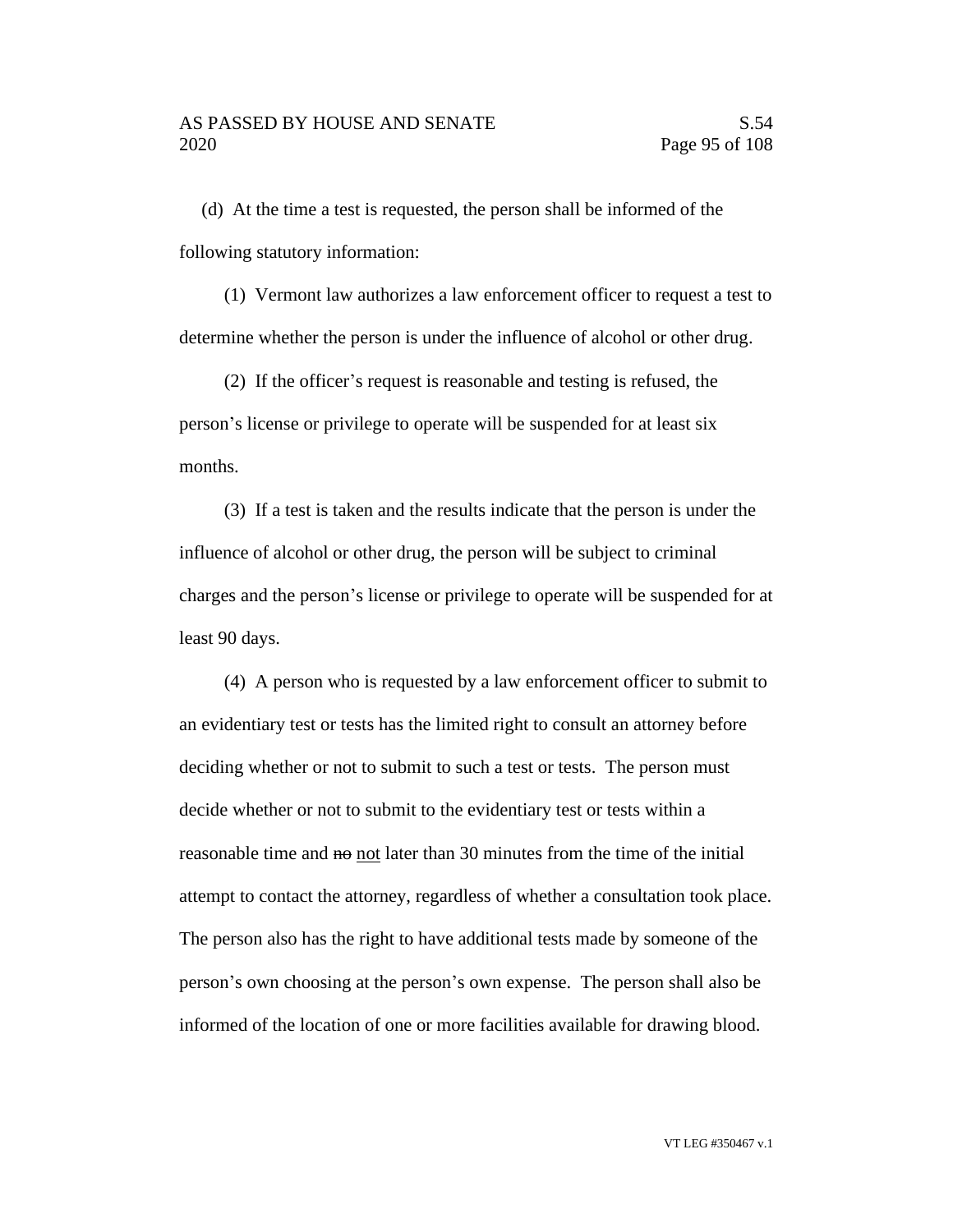(d) At the time a test is requested, the person shall be informed of the following statutory information:

(1) Vermont law authorizes a law enforcement officer to request a test to determine whether the person is under the influence of alcohol or other drug.

(2) If the officer's request is reasonable and testing is refused, the person's license or privilege to operate will be suspended for at least six months.

(3) If a test is taken and the results indicate that the person is under the influence of alcohol or other drug, the person will be subject to criminal charges and the person's license or privilege to operate will be suspended for at least 90 days.

(4) A person who is requested by a law enforcement officer to submit to an evidentiary test or tests has the limited right to consult an attorney before deciding whether or not to submit to such a test or tests. The person must decide whether or not to submit to the evidentiary test or tests within a reasonable time and no not later than 30 minutes from the time of the initial attempt to contact the attorney, regardless of whether a consultation took place. The person also has the right to have additional tests made by someone of the person's own choosing at the person's own expense. The person shall also be informed of the location of one or more facilities available for drawing blood.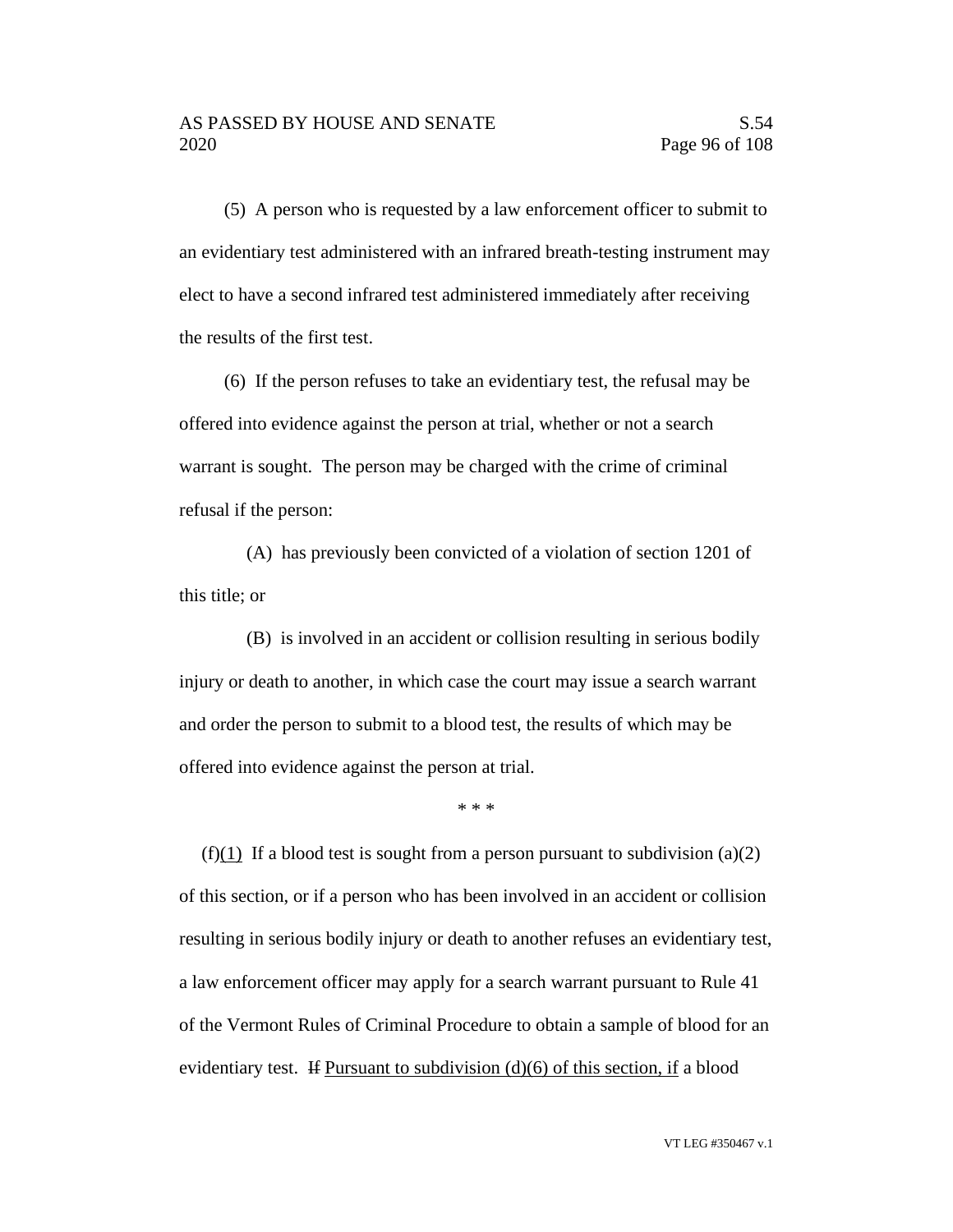(5) A person who is requested by a law enforcement officer to submit to an evidentiary test administered with an infrared breath-testing instrument may elect to have a second infrared test administered immediately after receiving the results of the first test.

(6) If the person refuses to take an evidentiary test, the refusal may be offered into evidence against the person at trial, whether or not a search warrant is sought. The person may be charged with the crime of criminal refusal if the person:

(A) has previously been convicted of a violation of section 1201 of this title; or

(B) is involved in an accident or collision resulting in serious bodily injury or death to another, in which case the court may issue a search warrant and order the person to submit to a blood test, the results of which may be offered into evidence against the person at trial.

\* \* \*

(f)(1) If a blood test is sought from a person pursuant to subdivision (a)(2) of this section, or if a person who has been involved in an accident or collision resulting in serious bodily injury or death to another refuses an evidentiary test, a law enforcement officer may apply for a search warrant pursuant to Rule 41 of the Vermont Rules of Criminal Procedure to obtain a sample of blood for an evidentiary test. If Pursuant to subdivision  $(d)(6)$  of this section, if a blood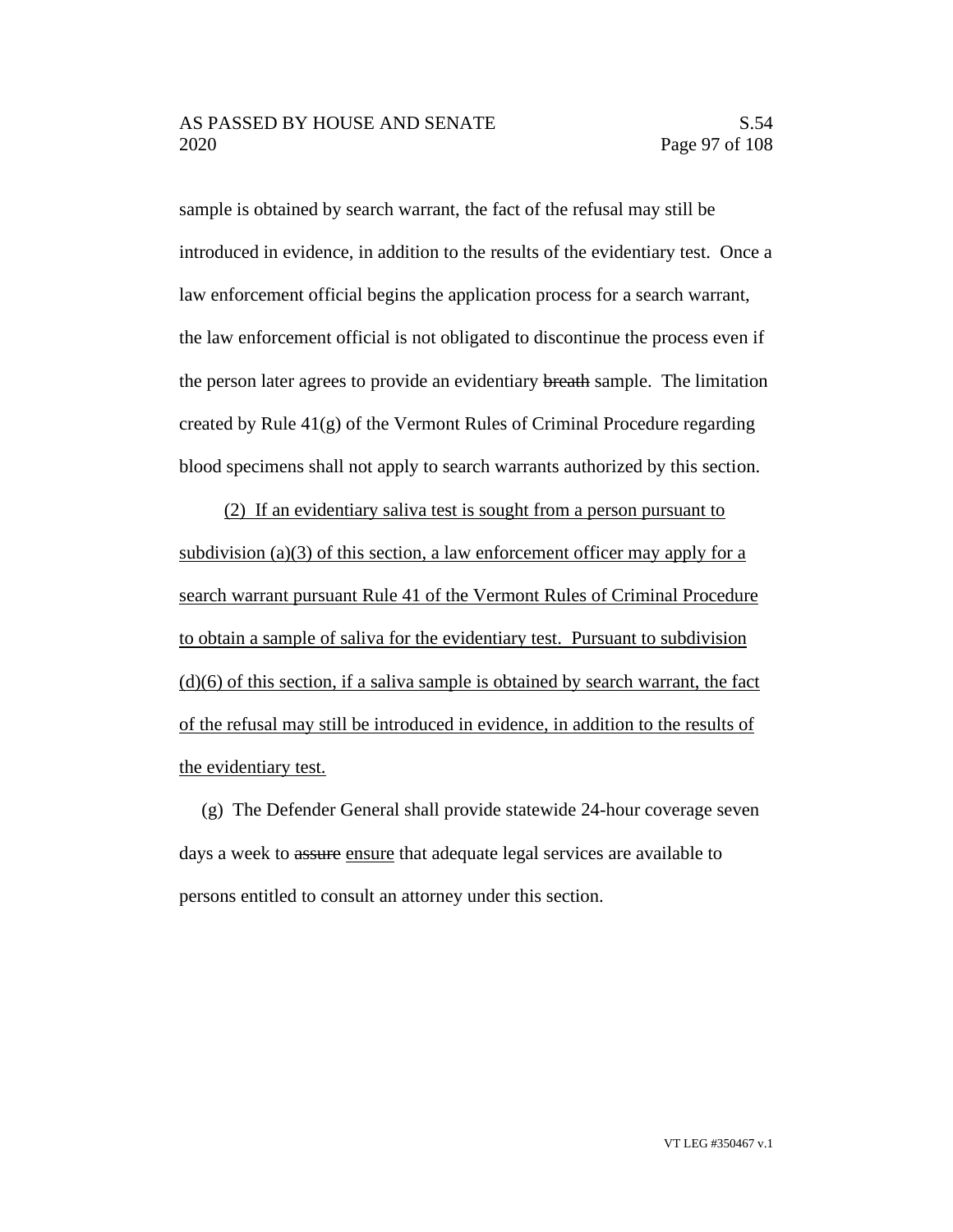sample is obtained by search warrant, the fact of the refusal may still be introduced in evidence, in addition to the results of the evidentiary test. Once a law enforcement official begins the application process for a search warrant, the law enforcement official is not obligated to discontinue the process even if the person later agrees to provide an evidentiary breath sample. The limitation created by Rule  $41(g)$  of the Vermont Rules of Criminal Procedure regarding blood specimens shall not apply to search warrants authorized by this section.

(2) If an evidentiary saliva test is sought from a person pursuant to subdivision (a)(3) of this section, a law enforcement officer may apply for a search warrant pursuant Rule 41 of the Vermont Rules of Criminal Procedure to obtain a sample of saliva for the evidentiary test. Pursuant to subdivision (d)(6) of this section, if a saliva sample is obtained by search warrant, the fact of the refusal may still be introduced in evidence, in addition to the results of the evidentiary test.

(g) The Defender General shall provide statewide 24-hour coverage seven days a week to assure ensure that adequate legal services are available to persons entitled to consult an attorney under this section.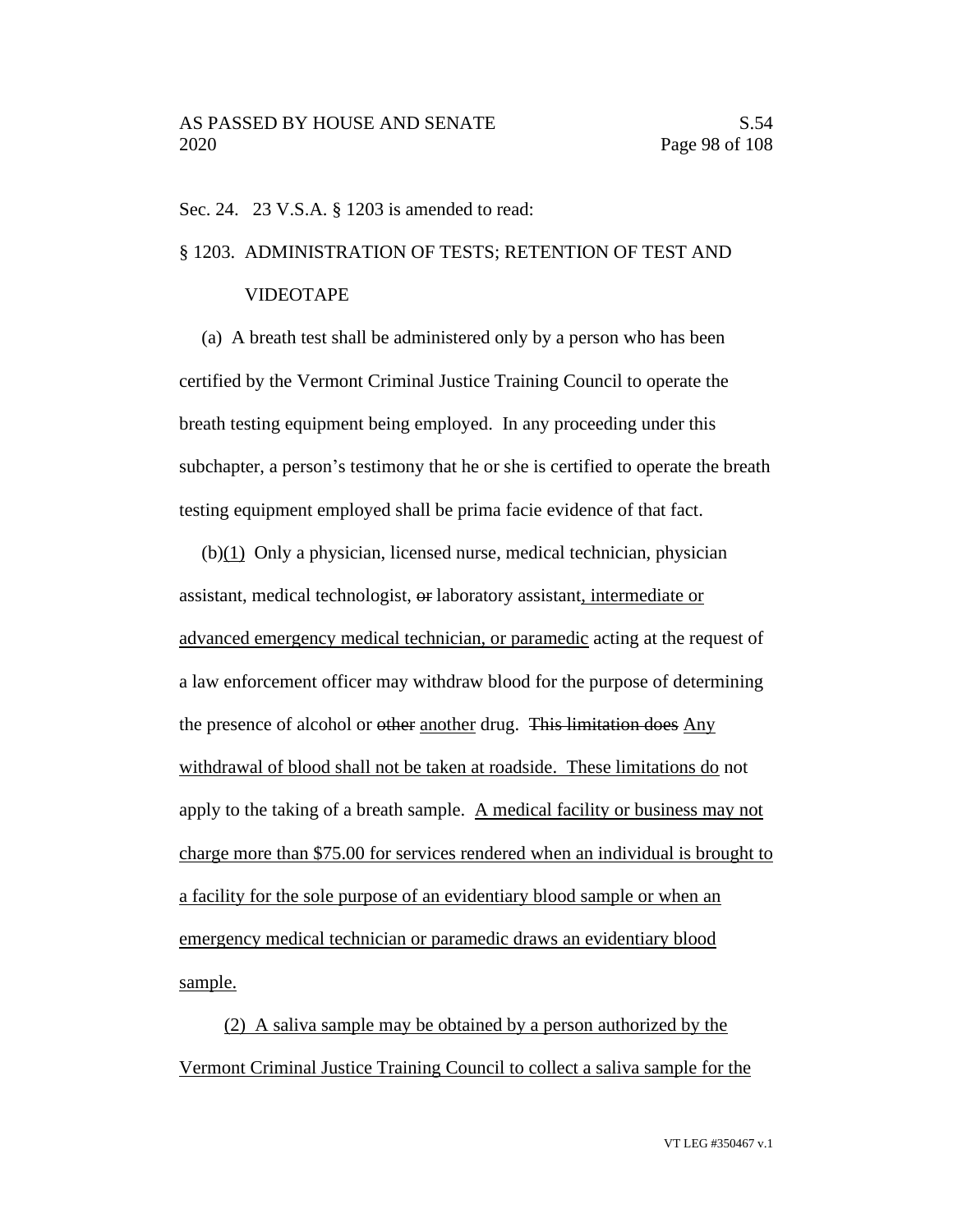Sec. 24. 23 V.S.A. § 1203 is amended to read:

## § 1203. ADMINISTRATION OF TESTS; RETENTION OF TEST AND

### VIDEOTAPE

(a) A breath test shall be administered only by a person who has been certified by the Vermont Criminal Justice Training Council to operate the breath testing equipment being employed. In any proceeding under this subchapter, a person's testimony that he or she is certified to operate the breath testing equipment employed shall be prima facie evidence of that fact.

(b)(1) Only a physician, licensed nurse, medical technician, physician assistant, medical technologist, or laboratory assistant, intermediate or advanced emergency medical technician, or paramedic acting at the request of a law enforcement officer may withdraw blood for the purpose of determining the presence of alcohol or other another drug. This limitation does Any withdrawal of blood shall not be taken at roadside. These limitations do not apply to the taking of a breath sample. A medical facility or business may not charge more than \$75.00 for services rendered when an individual is brought to a facility for the sole purpose of an evidentiary blood sample or when an emergency medical technician or paramedic draws an evidentiary blood sample.

(2) A saliva sample may be obtained by a person authorized by the Vermont Criminal Justice Training Council to collect a saliva sample for the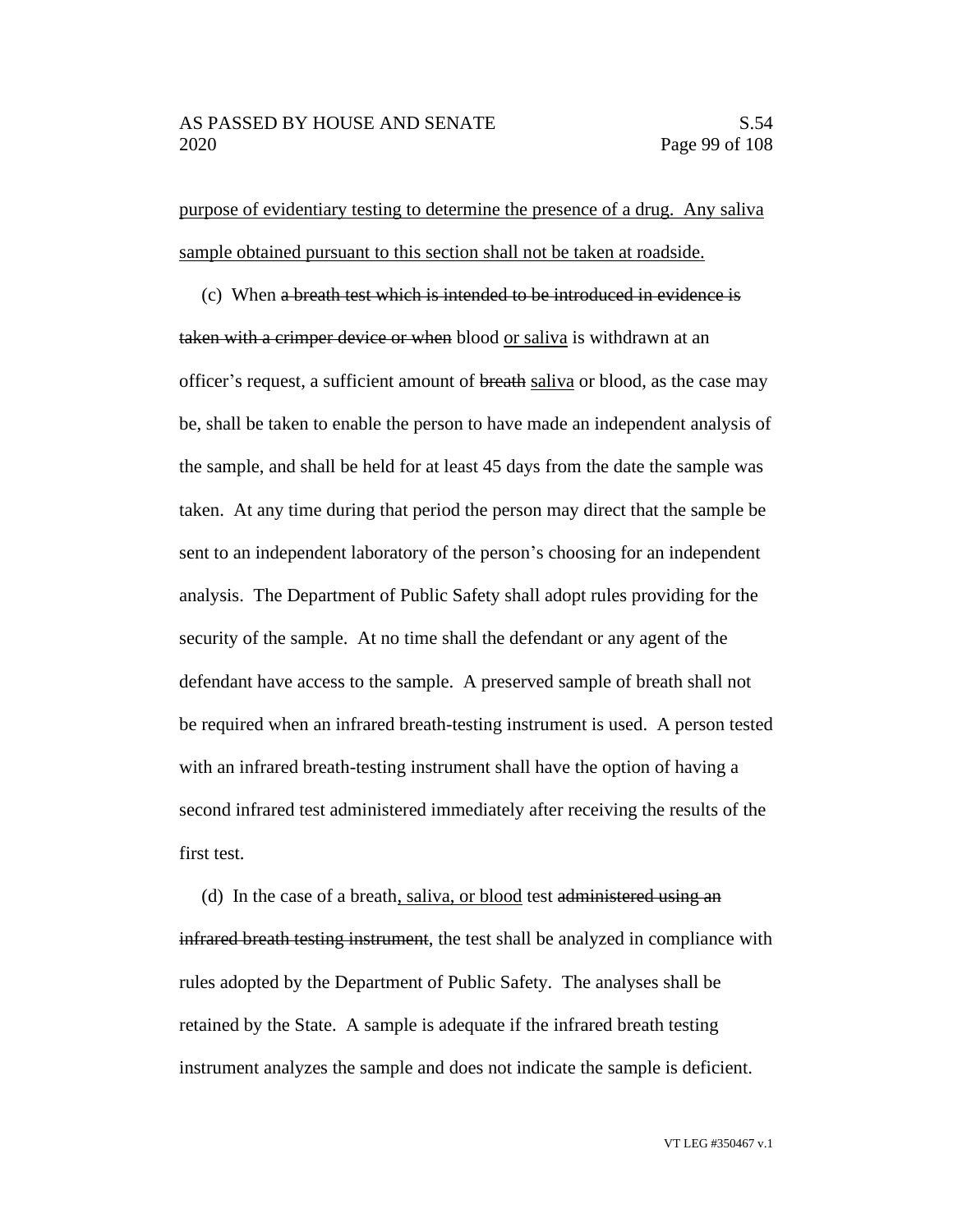purpose of evidentiary testing to determine the presence of a drug. Any saliva sample obtained pursuant to this section shall not be taken at roadside.

(c) When a breath test which is intended to be introduced in evidence is taken with a crimper device or when blood or saliva is withdrawn at an officer's request, a sufficient amount of breath saliva or blood, as the case may be, shall be taken to enable the person to have made an independent analysis of the sample, and shall be held for at least 45 days from the date the sample was taken. At any time during that period the person may direct that the sample be sent to an independent laboratory of the person's choosing for an independent analysis. The Department of Public Safety shall adopt rules providing for the security of the sample. At no time shall the defendant or any agent of the defendant have access to the sample. A preserved sample of breath shall not be required when an infrared breath-testing instrument is used. A person tested with an infrared breath-testing instrument shall have the option of having a second infrared test administered immediately after receiving the results of the first test.

(d) In the case of a breath, saliva, or blood test administered using an infrared breath testing instrument, the test shall be analyzed in compliance with rules adopted by the Department of Public Safety. The analyses shall be retained by the State. A sample is adequate if the infrared breath testing instrument analyzes the sample and does not indicate the sample is deficient.

VT LEG #350467 v.1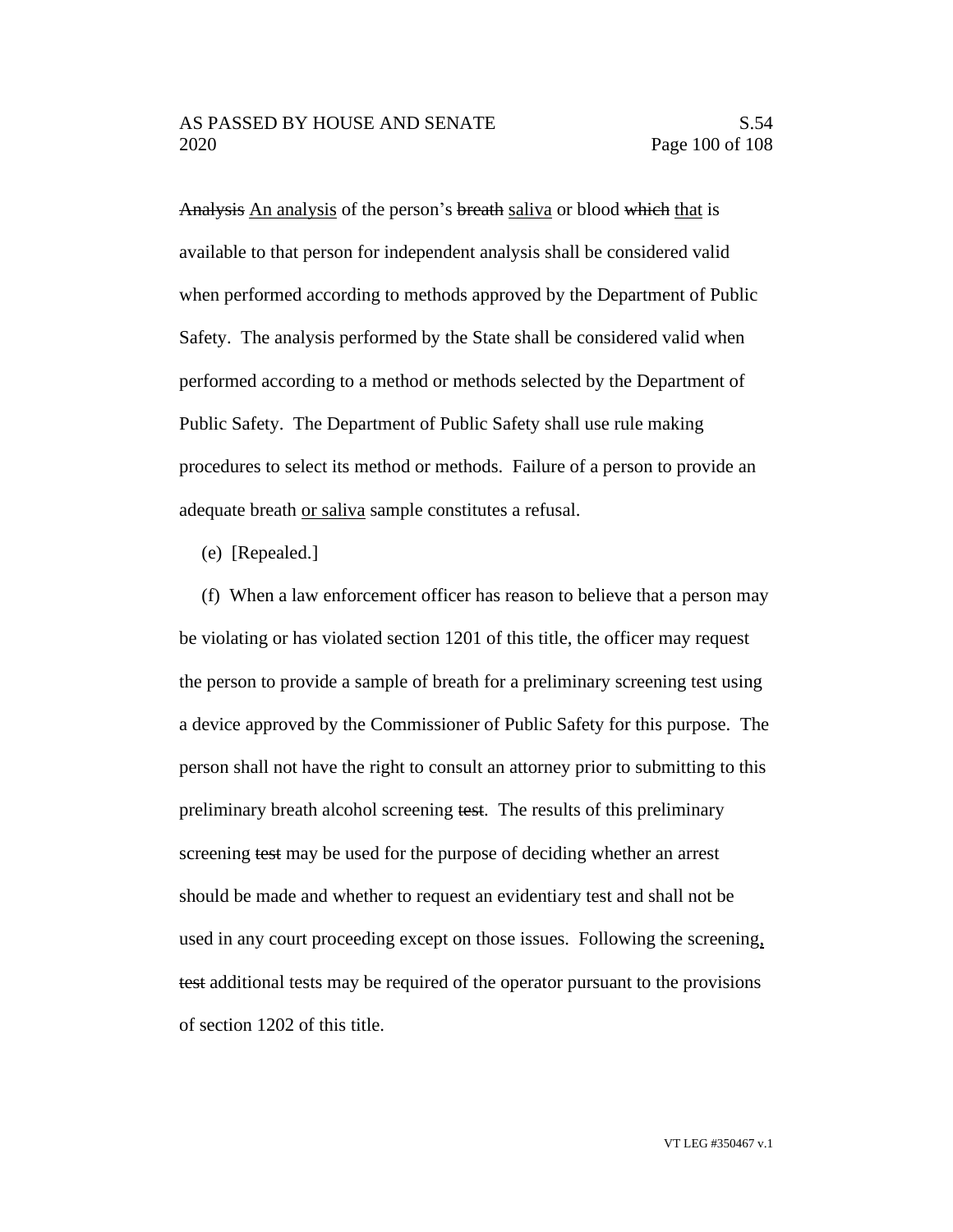Analysis An analysis of the person's breath saliva or blood which that is available to that person for independent analysis shall be considered valid when performed according to methods approved by the Department of Public Safety. The analysis performed by the State shall be considered valid when performed according to a method or methods selected by the Department of Public Safety. The Department of Public Safety shall use rule making procedures to select its method or methods. Failure of a person to provide an adequate breath or saliva sample constitutes a refusal.

(e) [Repealed.]

(f) When a law enforcement officer has reason to believe that a person may be violating or has violated section 1201 of this title, the officer may request the person to provide a sample of breath for a preliminary screening test using a device approved by the Commissioner of Public Safety for this purpose. The person shall not have the right to consult an attorney prior to submitting to this preliminary breath alcohol screening test. The results of this preliminary screening test may be used for the purpose of deciding whether an arrest should be made and whether to request an evidentiary test and shall not be used in any court proceeding except on those issues. Following the screening, test additional tests may be required of the operator pursuant to the provisions of section 1202 of this title.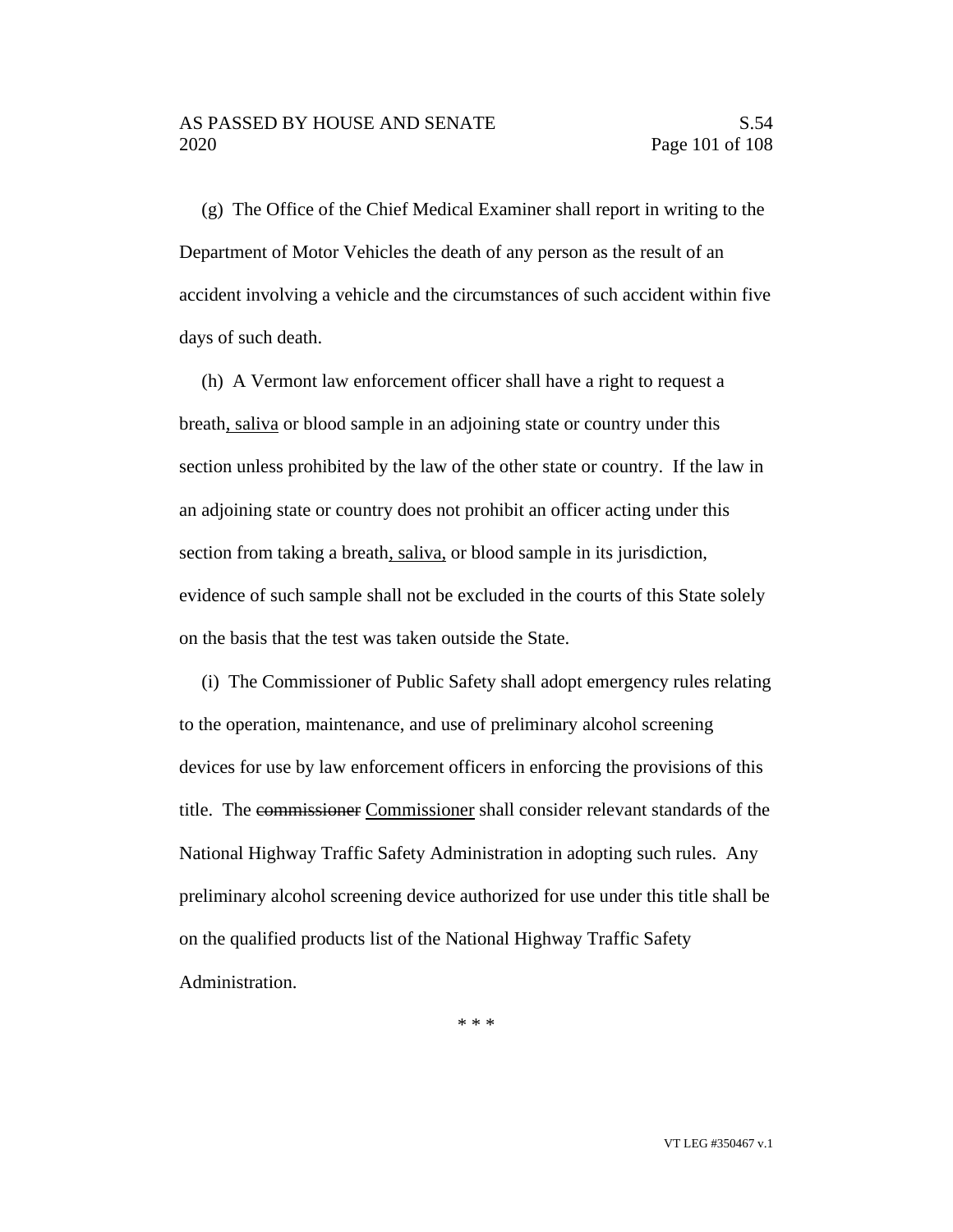(g) The Office of the Chief Medical Examiner shall report in writing to the Department of Motor Vehicles the death of any person as the result of an accident involving a vehicle and the circumstances of such accident within five days of such death.

(h) A Vermont law enforcement officer shall have a right to request a breath, saliva or blood sample in an adjoining state or country under this section unless prohibited by the law of the other state or country. If the law in an adjoining state or country does not prohibit an officer acting under this section from taking a breath, saliva, or blood sample in its jurisdiction, evidence of such sample shall not be excluded in the courts of this State solely on the basis that the test was taken outside the State.

(i) The Commissioner of Public Safety shall adopt emergency rules relating to the operation, maintenance, and use of preliminary alcohol screening devices for use by law enforcement officers in enforcing the provisions of this title. The commissioner Commissioner shall consider relevant standards of the National Highway Traffic Safety Administration in adopting such rules. Any preliminary alcohol screening device authorized for use under this title shall be on the qualified products list of the National Highway Traffic Safety Administration.

\* \* \*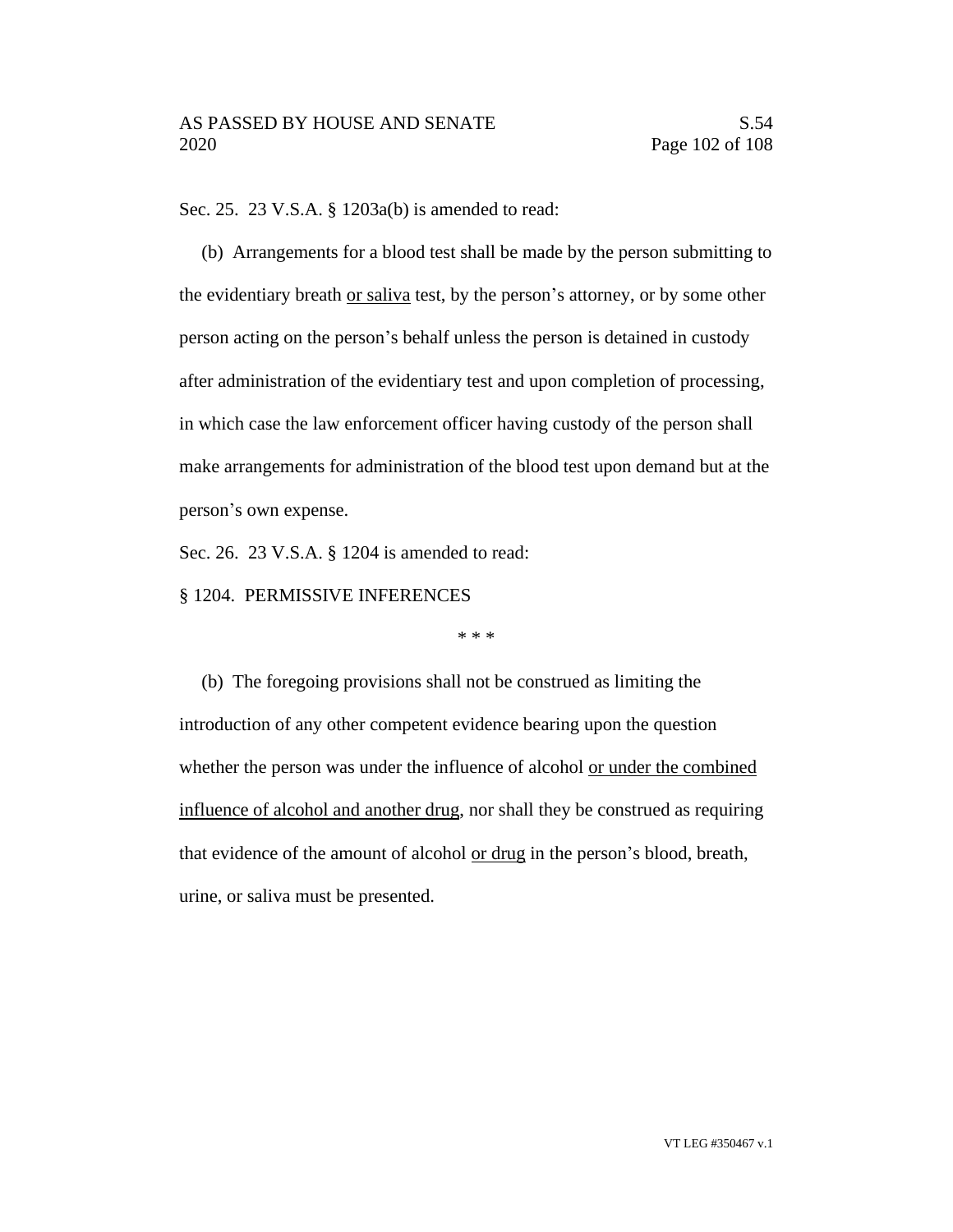Sec. 25. 23 V.S.A. § 1203a(b) is amended to read:

(b) Arrangements for a blood test shall be made by the person submitting to the evidentiary breath or saliva test, by the person's attorney, or by some other person acting on the person's behalf unless the person is detained in custody after administration of the evidentiary test and upon completion of processing, in which case the law enforcement officer having custody of the person shall make arrangements for administration of the blood test upon demand but at the person's own expense.

Sec. 26. 23 V.S.A. § 1204 is amended to read:

§ 1204. PERMISSIVE INFERENCES

\* \* \*

(b) The foregoing provisions shall not be construed as limiting the introduction of any other competent evidence bearing upon the question whether the person was under the influence of alcohol <u>or under the combined</u> influence of alcohol and another drug, nor shall they be construed as requiring that evidence of the amount of alcohol or drug in the person's blood, breath, urine, or saliva must be presented.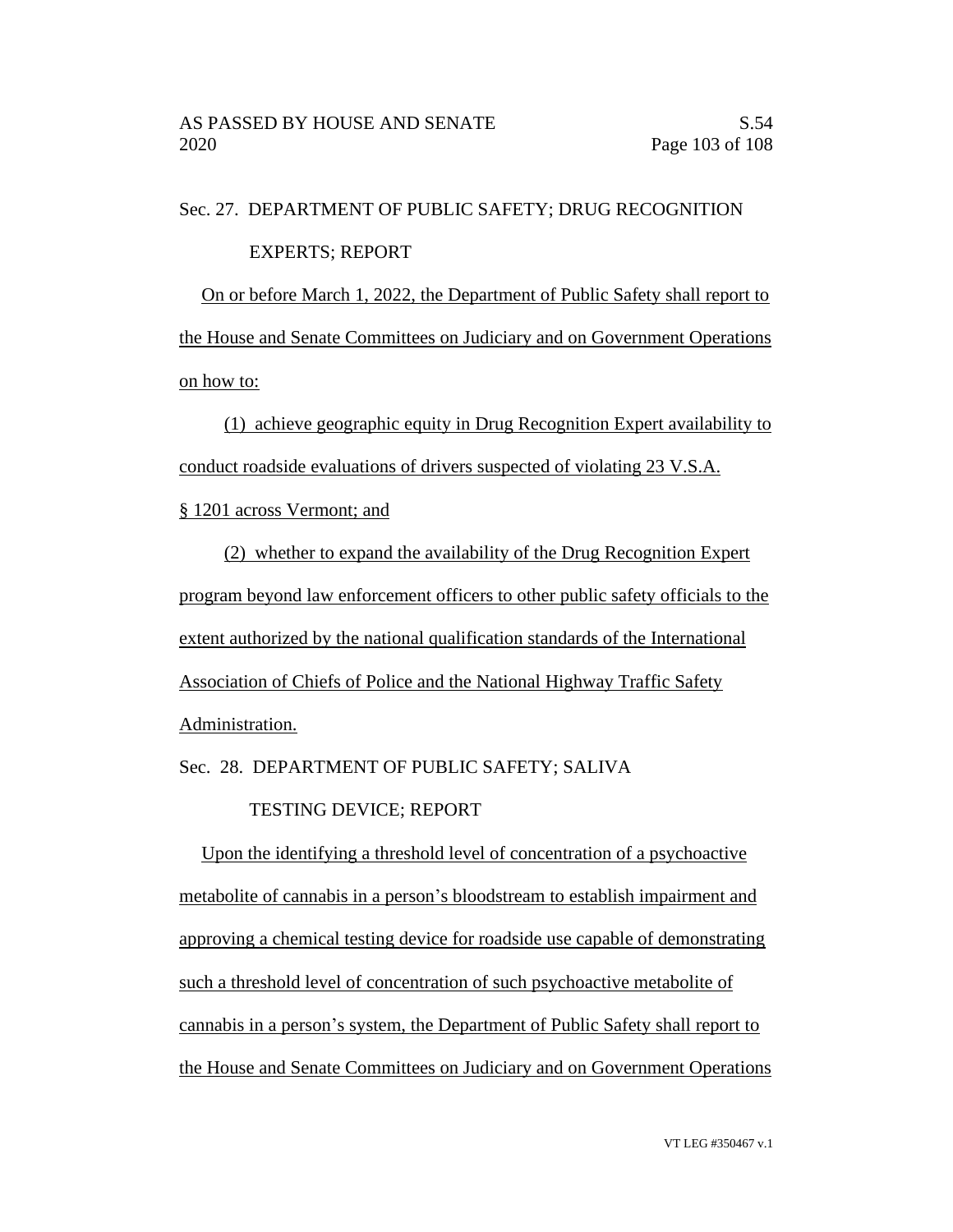## Sec. 27. DEPARTMENT OF PUBLIC SAFETY; DRUG RECOGNITION

### EXPERTS; REPORT

On or before March 1, 2022, the Department of Public Safety shall report to the House and Senate Committees on Judiciary and on Government Operations on how to:

(1) achieve geographic equity in Drug Recognition Expert availability to conduct roadside evaluations of drivers suspected of violating 23 V.S.A.

§ 1201 across Vermont; and

(2) whether to expand the availability of the Drug Recognition Expert program beyond law enforcement officers to other public safety officials to the extent authorized by the national qualification standards of the International Association of Chiefs of Police and the National Highway Traffic Safety Administration.

Sec. 28. DEPARTMENT OF PUBLIC SAFETY; SALIVA

TESTING DEVICE; REPORT

Upon the identifying a threshold level of concentration of a psychoactive metabolite of cannabis in a person's bloodstream to establish impairment and approving a chemical testing device for roadside use capable of demonstrating such a threshold level of concentration of such psychoactive metabolite of cannabis in a person's system, the Department of Public Safety shall report to the House and Senate Committees on Judiciary and on Government Operations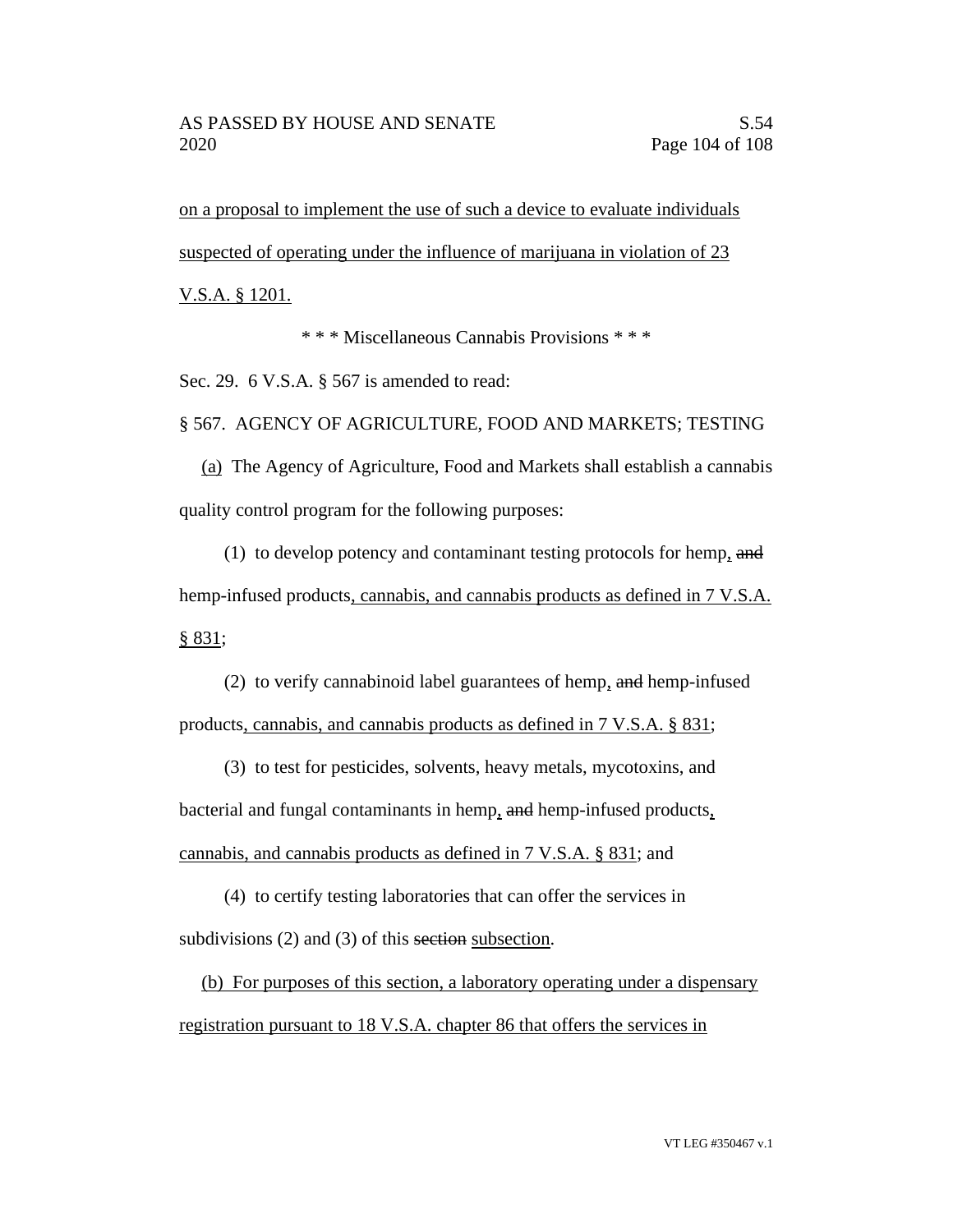on a proposal to implement the use of such a device to evaluate individuals suspected of operating under the influence of marijuana in violation of 23

V.S.A. § 1201.

\* \* \* Miscellaneous Cannabis Provisions \* \* \*

Sec. 29. 6 V.S.A. § 567 is amended to read:

§ 567. AGENCY OF AGRICULTURE, FOOD AND MARKETS; TESTING

(a) The Agency of Agriculture, Food and Markets shall establish a cannabis quality control program for the following purposes:

(1) to develop potency and contaminant testing protocols for hemp, and hemp-infused products, cannabis, and cannabis products as defined in 7 V.S.A. § 831;

(2) to verify cannabinoid label guarantees of hemp, and hemp-infused products, cannabis, and cannabis products as defined in 7 V.S.A. § 831;

(3) to test for pesticides, solvents, heavy metals, mycotoxins, and bacterial and fungal contaminants in hemp, and hemp-infused products, cannabis, and cannabis products as defined in 7 V.S.A. § 831; and

(4) to certify testing laboratories that can offer the services in subdivisions (2) and (3) of this section subsection.

(b) For purposes of this section, a laboratory operating under a dispensary registration pursuant to 18 V.S.A. chapter 86 that offers the services in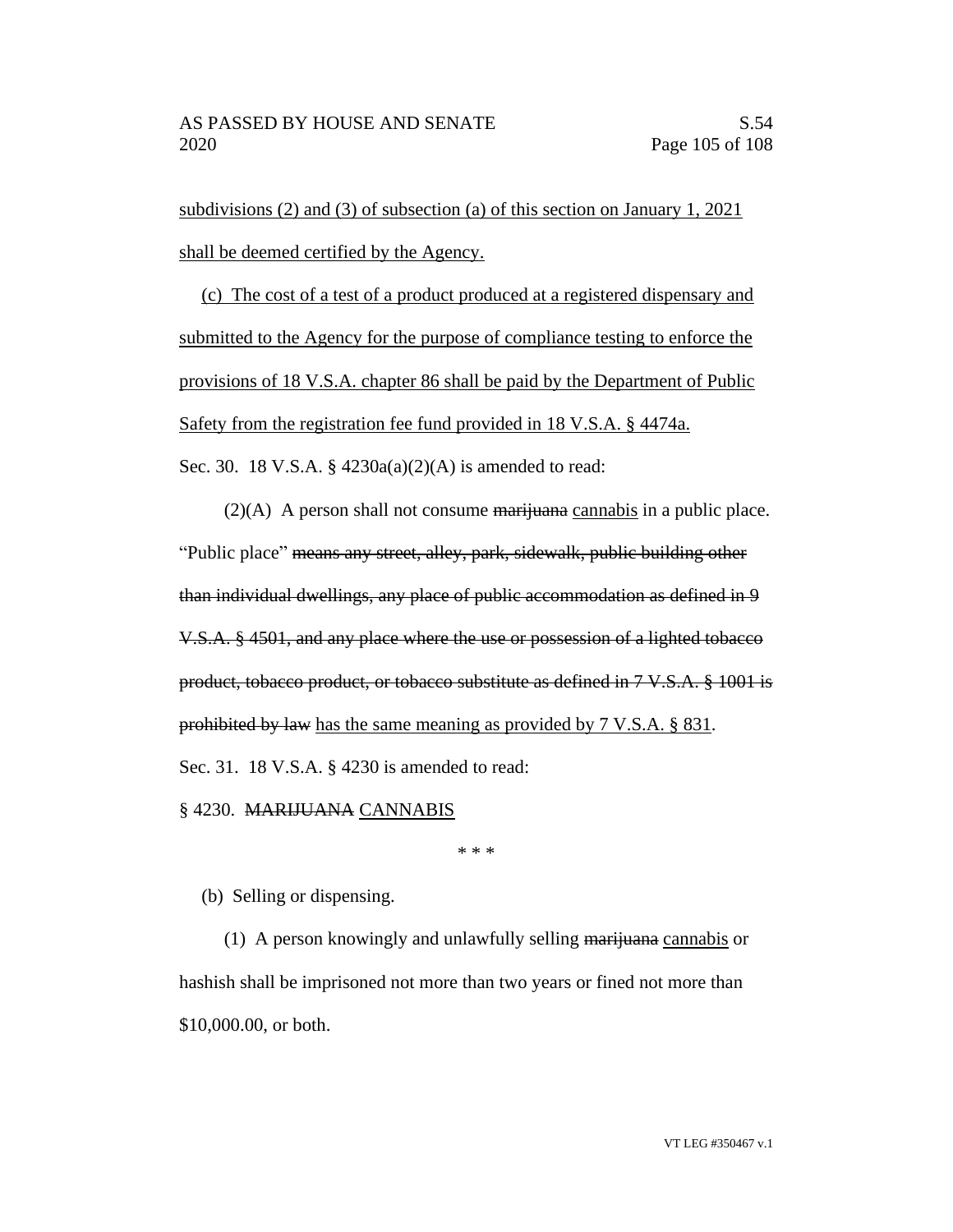subdivisions (2) and (3) of subsection (a) of this section on January 1, 2021 shall be deemed certified by the Agency.

(c) The cost of a test of a product produced at a registered dispensary and submitted to the Agency for the purpose of compliance testing to enforce the provisions of 18 V.S.A. chapter 86 shall be paid by the Department of Public Safety from the registration fee fund provided in 18 V.S.A. § 4474a. Sec. 30. 18 V.S.A. § 4230a(a)(2)(A) is amended to read:

 $(2)(A)$  A person shall not consume marijuana cannabis in a public place. "Public place" means any street, alley, park, sidewalk, public building other than individual dwellings, any place of public accommodation as defined in 9 V.S.A. § 4501, and any place where the use or possession of a lighted tobacco product, tobacco product, or tobacco substitute as defined in 7 V.S.A. § 1001 is prohibited by law has the same meaning as provided by 7 V.S.A. § 831.

Sec. 31. 18 V.S.A. § 4230 is amended to read:

§ 4230. MARIJUANA CANNABIS

\* \* \*

(b) Selling or dispensing.

(1) A person knowingly and unlawfully selling marijuana cannabis or hashish shall be imprisoned not more than two years or fined not more than \$10,000.00, or both.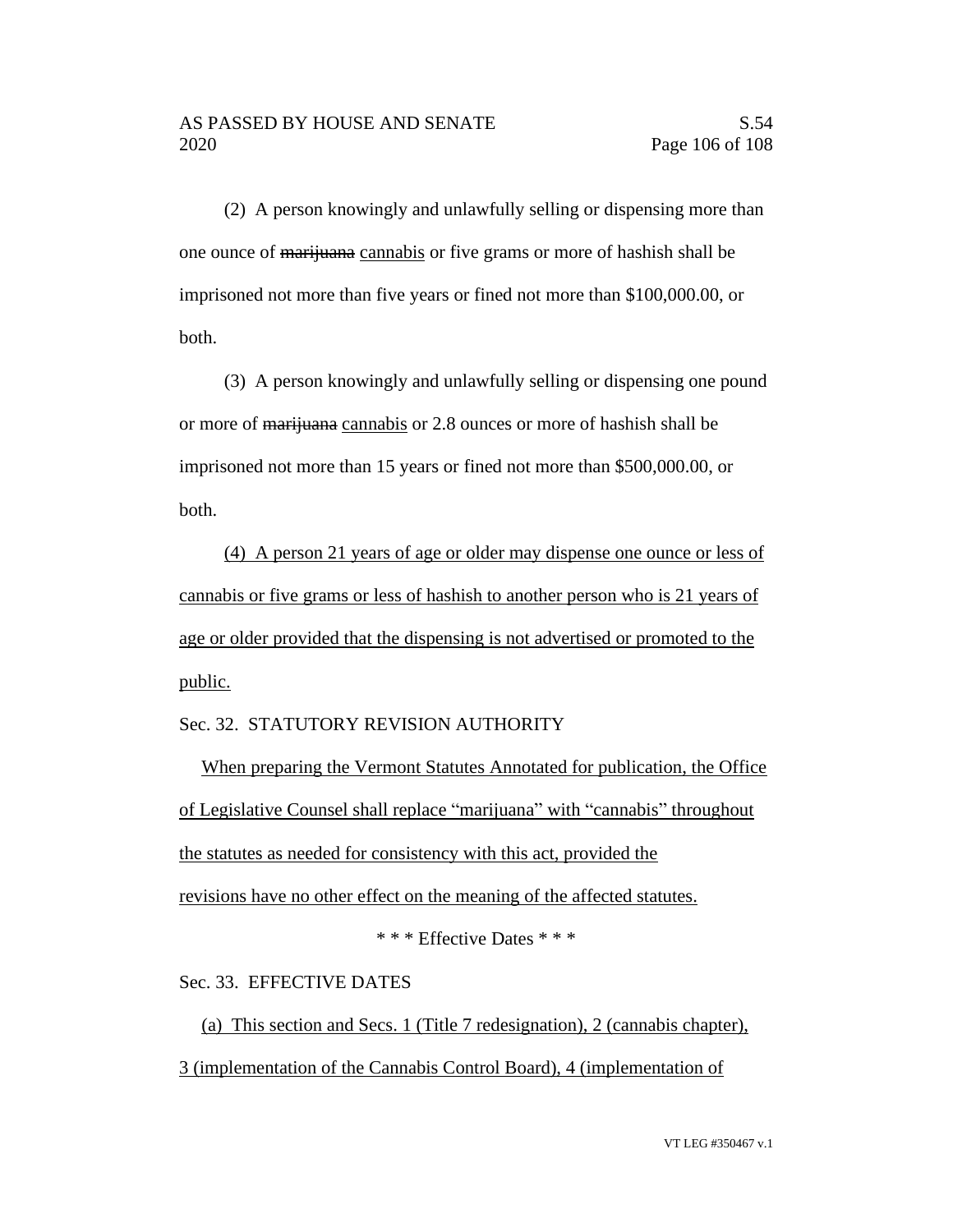(2) A person knowingly and unlawfully selling or dispensing more than one ounce of marijuana cannabis or five grams or more of hashish shall be imprisoned not more than five years or fined not more than \$100,000.00, or both.

(3) A person knowingly and unlawfully selling or dispensing one pound or more of marijuana cannabis or 2.8 ounces or more of hashish shall be imprisoned not more than 15 years or fined not more than \$500,000.00, or both.

(4) A person 21 years of age or older may dispense one ounce or less of cannabis or five grams or less of hashish to another person who is 21 years of age or older provided that the dispensing is not advertised or promoted to the public.

## Sec. 32. STATUTORY REVISION AUTHORITY

When preparing the Vermont Statutes Annotated for publication, the Office of Legislative Counsel shall replace "marijuana" with "cannabis" throughout the statutes as needed for consistency with this act, provided the revisions have no other effect on the meaning of the affected statutes.

\* \* \* Effective Dates \* \* \*

Sec. 33. EFFECTIVE DATES

(a) This section and Secs. 1 (Title 7 redesignation), 2 (cannabis chapter), 3 (implementation of the Cannabis Control Board), 4 (implementation of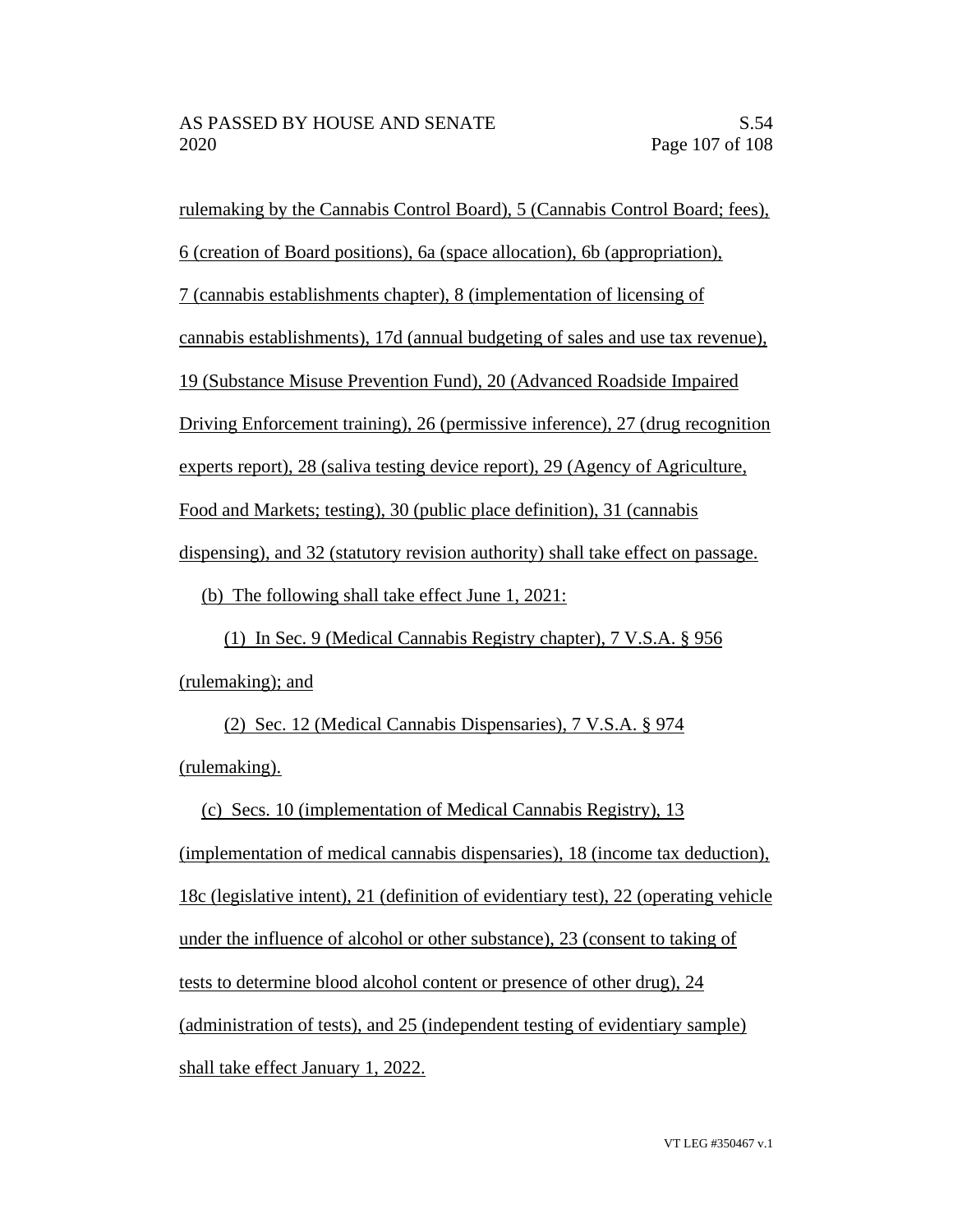rulemaking by the Cannabis Control Board), 5 (Cannabis Control Board; fees),

6 (creation of Board positions), 6a (space allocation), 6b (appropriation),

7 (cannabis establishments chapter), 8 (implementation of licensing of

cannabis establishments), 17d (annual budgeting of sales and use tax revenue),

19 (Substance Misuse Prevention Fund), 20 (Advanced Roadside Impaired

Driving Enforcement training), 26 (permissive inference), 27 (drug recognition

experts report), 28 (saliva testing device report), 29 (Agency of Agriculture,

Food and Markets; testing), 30 (public place definition), 31 (cannabis

dispensing), and 32 (statutory revision authority) shall take effect on passage.

(b) The following shall take effect June 1, 2021:

(1) In Sec. 9 (Medical Cannabis Registry chapter), 7 V.S.A. § 956 (rulemaking); and

(2) Sec. 12 (Medical Cannabis Dispensaries), 7 V.S.A. § 974 (rulemaking).

(c) Secs. 10 (implementation of Medical Cannabis Registry), 13 (implementation of medical cannabis dispensaries), 18 (income tax deduction), 18c (legislative intent), 21 (definition of evidentiary test), 22 (operating vehicle under the influence of alcohol or other substance), 23 (consent to taking of tests to determine blood alcohol content or presence of other drug), 24 (administration of tests), and 25 (independent testing of evidentiary sample) shall take effect January 1, 2022.